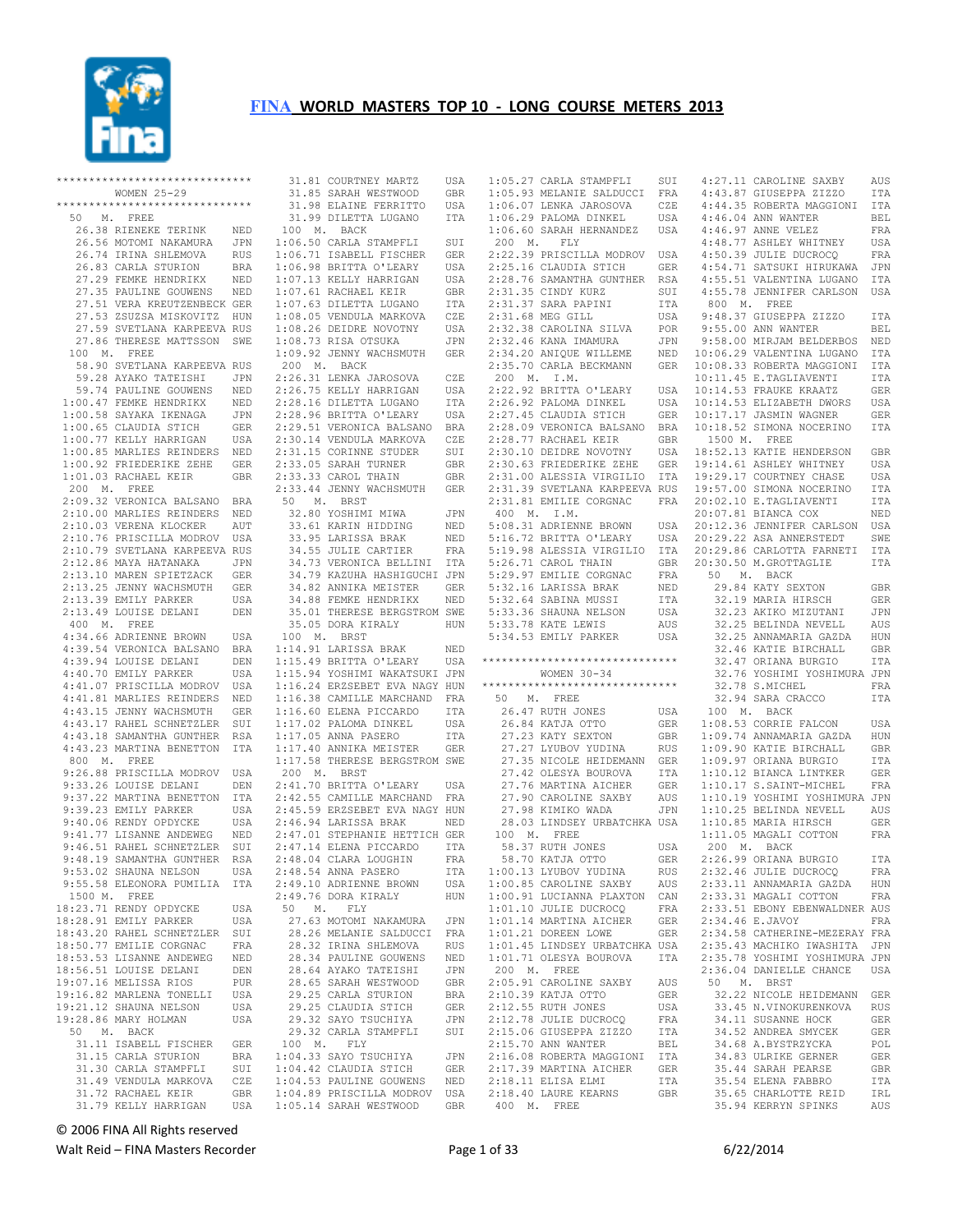

|             | ****************************** |            |            |
|-------------|--------------------------------|------------|------------|
|             | WOMEN 25-29                    |            | 31.<br>31. |
|             | ****************************** |            |            |
|             |                                |            | 31.        |
| 50 M.       | FREE                           |            | 31.        |
| 26.38       | RIENEKE TERINK                 | NED        | 100        |
|             | 26.56 MOTOMI NAKAMURA          | JPN        | $1:06$ .   |
|             | 26.74 IRINA SHLEMOVA           | <b>RUS</b> | $1:06$ .   |
|             | 26.83 CARLA STURION            | <b>BRA</b> | $1:06$ .   |
|             | 27.29 FEMKE HENDRIKX           | NED        | $1:07$ .   |
|             | 27.35 PAULINE GOUWENS          | NED        | $1:07$ .   |
|             | 27.51 VERA KREUTZENBECK GER    |            | $1:07$ .   |
|             | 27.53 ZSUZSA MISKOVITZ         | HUN        | $1:08$ .   |
|             | 27.59 SVETLANA KARPEEVA RUS    |            | 1:08.      |
| 27.86       | THERESE MATTSSON               | SWE        | $1:08$ .   |
| 100 M.      | FREE                           |            | 1:09.      |
|             | 58.90 SVETLANA KARPEEVA RUS    |            | 200        |
|             | 59.28 AYAKO TATEISHI           | JPN        | $2:26$ .   |
|             |                                |            |            |
|             | 59.74 PAULINE GOUWENS          | NED        | $2:26$ .   |
|             | 1:00.47 FEMKE HENDRIKX         | NED        | 2:28.      |
|             | 1:00.58 SAYAKA IKENAGA         | JPN        | 2:28.      |
|             | 1:00.65 CLAUDIA STICH          | GER        | 2:29.      |
|             | 1:00.77 KELLY HARRIGAN         | USA        | 2:30.      |
|             | 1:00.85 MARLIES REINDERS       | NED        | 2:31.      |
|             | 1:00.92 FRIEDERIKE ZEHE        | GER        | 2:33.      |
|             | 1:01.03 RACHAEL KEIR           | <b>GBR</b> | 2:33.      |
| 200 M.      | FREE                           |            | 2:33.      |
|             | 2:09.32 VERONICA BALSANO       | BRA        | 50         |
|             | 2:10.00 MARLIES REINDERS       | NED        | 32.        |
|             | 2:10.03 VERENA KLOCKER         | AUT        | 33.        |
|             | 2:10.76 PRISCILLA MODROV       | USA        | 33.        |
|             | 2:10.79 SVETLANA KARPEEVA RUS  |            | 34.        |
|             | 2:12.86 MAYA HATANAKA          | JPN        | 34.        |
|             | 2:13.10 MAREN SPIETZACK        | <b>GER</b> | 34.        |
|             |                                |            |            |
|             | 2:13.25 JENNY WACHSMUTH        | GER        | 34.        |
|             | 2:13.39 EMILY PARKER           | <b>USA</b> | 34.        |
| 2:13.49     | LOUISE DELANI                  | DEN        | 35.        |
| 400 M. FREE |                                |            | 35.        |
|             | 4:34.66 ADRIENNE BROWN         | USA        | 100        |
| 4:39.54     | VERONICA BALSANO               | BRA        | 1:14.      |
|             | 4:39.94 LOUISE DELANI          | DEN        | 1:15.      |
|             | 4:40.70 EMILY PARKER           | USA        | 1:15.      |
|             | 4:41.07 PRISCILLA MODROV       | USA        | $1:16$ .   |
|             | 4:41.81 MARLIES REINDERS       | NED        | $1:16$ .   |
|             | 4:43.15 JENNY WACHSMUTH        | GER        | $1:16$ .   |
| 4:43.17     | RAHEL SCHNETZLER               | SUI        | $1:17$ .   |
|             | 4:43.18 SAMANTHA GUNTHER       | RSA        | 1:17.      |
| 4:43.23     | MARTINA BENETTON               | ITA        | $1:17$ .   |
| 800 M.      | FREE                           |            | $1:17$ .   |
|             | 9:26.88 PRISCILLA MODROV       | USA        | 200        |
|             | 9:33.26 LOUISE DELANI          |            | 2:41.      |
|             | 9:37.22 MARTINA BENETTON       | DEN<br>ITA | 2:42.      |
|             | 9:39.23 EMILY PARKER           |            | 2:45.      |
|             |                                | USA        |            |
|             | 9:40.06 RENDY OPDYCKE          | USA        | $2:46$ .   |
|             | 9:41.77 LISANNE ANDEWEG        | NED        | $2:47$ .   |
|             | 9:46.51 RAHEL SCHNETZLER       | SUI        | 2:47.      |
|             | 9:48.19 SAMANTHA GUNTHER       | RSA        | 2:48.      |
|             | 9:53.02 SHAUNA NELSON          | USA        | 2:48.      |
|             | 9:55.58 ELEONORA PUMILIA       | ITA        | 2:49.      |
|             | 1500 M. FREE                   |            | 2:49.      |
|             | 18:23.71 RENDY OPDYCKE         | USA        | 50         |
|             | 18:28.91 EMILY PARKER          | USA        | 27.        |
|             | 18:43.20 RAHEL SCHNETZLER      | SUI        | 28.        |
|             | 18:50.77 EMILIE CORGNAC        | FRA        | 28.        |
|             | 18:53.53 LISANNE ANDEWEG       | NED        | 28.        |
|             | 18:56.51 LOUISE DELANI         | DEN        | 28.        |
|             | 19:07.16 MELISSA RIOS          | <b>PUR</b> | 28.        |
|             | 19:16.82 MARLENA TONELLI       | USA        | 29.        |
|             | 19:21.12 SHAUNA NELSON         | USA        | 29.        |
|             | 19:28.86 MARY HOLMAN           | USA        | 29.        |
| 50 M.       | <b>BACK</b>                    |            | 29.        |
|             | 31.11 ISABELL FISCHER          | GER        | 100        |
|             |                                |            |            |
|             | 31.15 CARLA STURION            | BRA        | $1:04$ .   |
|             | 31.30 CARLA STAMPFLI           | SUI        | $1:04$ .   |
|             | 31.49 VENDULA MARKOVA          | CZE        | $1:04$ .   |
|             | 31.72 RACHAEL KEIR             | GBR        | $1:04$ .   |
|             | 31.79 KELLY HARRIGAN           | USA        | $1:05$ .   |

 31.81 COURTNEY MARTZ USA 31.85 SARAH WESTWOOD GBR 31.98 ELAINE FERRITTO USA 31.99 DILETTA LUGANO ITA M. BACK 50 CARLA STAMPFLI SUI<br>71 ISABELL FISCHER GER 1:06.71 ISABELL FISCHER GER 98 BRITTA O'LEARY USA<br>13 KELLY HARRIGAN USA 13 KELLY HARRIGAN 61 RACHAEL KEIR GBR 63 DILETTA LUGANO ITA 05 VENDULA MARKOVA CZE 26 DEIDRE NOVOTNY USA<br>73 RISA OTSUKA JPN 73 RISA OTSUKA 1:09.92 JENNY WACHSMUTH GER M. BACK 2:26.31 LENKA JAROSOVA CZE 2:26.75 KELLY HARRIGAN USA 2:28.16 DILETTA LUGANO ITA 96 BRITTA O'LEARY USA 51 VERONICA BALSANO BRA 14 VENDULA MARKOVA CZE<br>15 CORINNE STUDER SUI 2:31.15 CORINNE STUDER SUI 2:33.05 SARAH TURNER GBR 2:33.33 CAROL THAIN GBR 2:33.44 JENNY WACHSMUTH GER 50 M. BRST 32.80 YOSHIMI MIWA JPN 61 KARIN HIDDING NED<br>95 LARISSA BRAK NED 95 LARISSA BRAK 34.55 JULIE CARTIER FRA 34.73 VERONICA BELLINI ITA 34.79 KAZUHA HASHIGUCHI JPN 32 ANNIKA MEISTER GER<br>88 FEMKE HENDRIKX NED 88 FEMKE HENDRIKX 35.01 THERESE BERGSTROM SWE 35.05 DORA KIRALY HUN 100 M. BRST 91 LARISSA BRAK NED 1:15.49 BRITTA O'LEARY USA \*\*\*\*\*\*\*\*\*\*\*\*\*\*\*\*\*\*\*\*\*\*\*\*\*\*\*\*\*\* 1:15.94 YOSHIMI WAKATSUKI JPN 24 ERZSEBET EVA NAGY HUN 38 CAMILLE MARCHAND FRA<br>60 ELENA PICCARDO 1TA 60 ELENA PICCARDO 00 BEERRY PARTS FOR USA<br>12.02 PALOMA DINKEL USA<br>17.02 DINA PASERO ITA 05 ANNA PASERO ITA<br>40 ANNIKA MEISTER GER 40 ANNIKA MEISTER 58 THERESE BERGSTROM SWE<br>M. BRST 200 M. BRST 2:41.70 BRITTA O'LEARY USA 2:42.55 CAMILLE MARCHAND FRA 59 ERZSEBET EVA NAGY HUN<br>94 LARISSA BRAK NED 94 LARISSA BRAK 2:47.01 STEPHANIE HETTICH GER 2:47.14 ELENA PICCARDO ITA 2:48.04 CLARA LOUGHIN FRA 2:48.54 ANNA PASERO ITA 2:49.10 ADRIENNE BROWN USA 2:49.76 DORA KIRALY HUN M. FLY 27.63 MOTOMI NAKAMURA JPN 26 MELANIE SALDUCCI FRA<br>32 IRINA SHLEMOVA RUS 32 IRINA SHLEMOVA RUS<br>34 PAULLINE GOUWENS NED 34 PAULINE GOUWENS NED<br>64 AYAKO TATEISHI JPN 28.64 AYAKO TATEISHI JPN 28.65 SARAH WESTWOOD GBR 29.25 CARLA STURION BRA 29.25 CLAUDIA STICH GER 29.32 SAYO TSUCHIYA JPN 32 CARLA STAMPFLI SUI M. FLY 33 SAYO TSUCHIYA JPN<br>42 CLAUDIA STICH GER 42 CLAUDIA STICH 53 PAULINE GOUWENS NED 89 PRISCILLA MODROV USA .14 SARAH WESTWOOD GBR

 $1:05.27$  CARLA STAMPFLI 1:05.93 MELANIE SALDUCCI FRA 4:43.87 GIUSEPPA ZIZZO ITA 1:06.07 LENKA JAROSOVA CZE 1:06.29 PALOMA DINKEL USA 1:06.60 SARAH HERNANDEZ USA 200 M. FLY 2:22.39 PRISCILLA MODROV 2:25.16 CLAUDIA STICH 2:28.76 SAMANTHA GUNTHER RSA 2:31.35 CINDY KURZ 2:31.37 SARA PAPINI<br>2:31.68 MEG GILL 2:31.68 MEG GILL<br>2:32.38 CAROLINA SILVA<br>2:32.38 CAROLINA SILVA 2:32.38 CAROLINA SILVA POR 2:32.46 KANA IMAMURA JPN 2:34.20 ANIQUE WILLEME NED 2:35.70 CARLA BECKMANN GER 200 M. I.M.<br>2:22.92 BRITTA O'LEARY 2:22.92 BRITTA O'LEARY USA 2:26.92 PALOMA DINKEL USA 2:27.45 CLAUDIA STICH GER 2:28.09 VERONICA BALSANO BRA 2:28.77 RACHAEL KEIR GBR 2:30.10 DEIDRE NOVOTNY USA 2:31.81 EMILIE CORGNAC FRA 400 M. I.M. 5:08.31 ADRIENNE BROWN USA 5:16.72 BRITTA O'LEARY USA 5:19.98 ALESSIA VIRGILIO ITA 5:26.71 CAROL THAIN GBR<br>5:29.97 EMILIE CORGNAC FRA<br>5:32.16 LARISSA BRAK NED<br>5:32.64 SABINA MUSSI ITA<br>5:33.36 SHAUNA NELSON USA WOMEN 30-34 \*\*\*\*\*\*\*\*\*\*\*\*\*\*\*\*\*\*\*\*\*\*\*\*\*\*\*\*\*\* 50 M. FREE 26.47 RUTH JONES USA 26.84 KATJA OTTO GER 27.23 KATY SEXTON GBR 27.27 LYUBOV YUDINA RUS 27.35 NICOLE HEIDEMANN GER 27.42 OLESYA BOUROVA ITA 27.35 NICOLE BEILLEAD.<br>27.42 OLESYA BOUROVA<br>27.76 MARTINA AICHER 28.03 LINDSEY URBATCHKA USA 100 M. FREE<br>58.37 RUTH JONES<br>58.70 KATJA OTTO 58.37 RUTH JONES USA 58.70 KATJA OTTO GER 1:00.13 LYUBOV YUDINA RUS<br>1:00.85 CAROLINE SAXBY AUS<br>1:00.91 LUCIANNA PLAXTON CAN<br>1:01.10 JULIE DUCROCQ FRA 1:01.14 MARTINA AICHER GER 1:01.21 DOREEN LOWE GER 1:01.45 LINDSEY URBATCHKA USA 1:01.71 OLESYA BOUROVA ITA 200 M. FREE 2:05.91 CAROLINE SAXBY AUS 2:10.39 KATJA OTTO GER 2:12.55 RUTH JONES USA 2:12.78 JULIE DUCROCQ FRA 2:15.06 GIUSEPPA ZIZZO ITA 2:15.70 ANN WANTER BEL 2:16.08 ROBERTA MAGGIONI ITA 2:17.39 MARTINA AICHER GER 2:18.11 ELISA ELMI ITA 2:18.40 LAURE KEARNS GBR 4:27.11 CAROLINE SAXBY AUS

 2:30.63 FRIEDERIKE ZEHE GER 19:14.61 ASHLEY WHITNEY USA 2:31.00 ALESSIA VIRGILIO ITA 2:31.39 SVETLANA KARPEEVA RUS 19:29.17 COURTNEY CHASE USA 19:57.00 SIMONA NOCERINO ITA 5:33.78 KATE LEWIS AUS 5:34.53 EMILY PARKER USA 32.25 BELINDA NEVELL AUS 32.25 ANNAMARIA GAZDA HUN 27.90 CAROLINE SAXBY AUS 27.98 KIMIKO WADA JPN 1:10.19 YOSHIMI YOSHIMURA JPN 1:10.25 BELINDA NEVELL AUS 4:44.35 ROBERTA MAGGIONI ITA 4:46.04 ANN WANTER BEL 4:46.97 ANNE VELEZ FRA 4:48.77 ASHLEY WHITNEY USA<br>4:50.39 JULIE DUCROCO FRA USA 4:50.39 JULIE DUCROCO GER 4:54.71 SATSUKI HIRUKAWA JPN<br>RSA 4:55.51 VALENTINA LUGANO ITA 4:55.51 VALENTINA LUGANO 4:55.78 JENNIFER CARLSON USA 800 M. FREE 9:48.37 GIUSEPPA ZIZZO ITA 9:55.00 ANN WANTER BEL 9:58.00 MIRJAM BELDERBOS NED 10:06.29 VALENTINA LUGANO ITA 10:08.33 ROBERTA MAGGIONI ITA 10:11.45 E.TAGLIAVENTI ITA 10:14.53 FRAUKE KRAATZ GER 10:14.53 ELIZABETH DWORS USA 10:17.17 JASMIN WAGNER GER 10:18.52 SIMONA NOCERINO ITA 1500 M. FREE USA 18:52.13 KATIE HENDERSON GBR 20:02.10 E.TAGLIAVENTI ITA 20:07.81 BIANCA COX NED 20:12.36 JENNIFER CARLSON USA 20:29.22 ASA ANNERSTEDT SWE 20:29.86 CARLOTTA FARNETI ITA 20:30.50 M.GROTTAGLIE ITA<br>
50 M. BACK<br>
29.84 KATY SEXTON GBR<br>
32.19 MARIA HIRSCH GER<br>
32.23 AKIKO MIZUTANI JPN 32.46 KATIE BIRCHALL GBR 32.47 ORIANA BURGIO ITA 32.76 YOSHIMI YOSHIMURA JPN 32.78 S.MICHEL FRA 32.94 SARA CRACCO ITA 100 M. BACK<br>
1:09.53 CORRIE FALCON USA<br>
1:09.74 ANNAMARIA GAZDA HUN<br>
1:09.90 KATIE BIRCHALL GBR<br>
1:09.97 ORIANA BURGIO ITA<br>
1:10.12 BIANCA LINTKER GER 1:10.12 BIANCA LINTRER (1992)<br>17A 1:10.17 S.SAINT-MICHEL FRA<br>110.19 YOSHIMI YOSHIMURA JUR 1:10.85 MARIA HIRSCH GER 1:11.05 MAGALI COTTON FRA 200 M. BACK 2:26.99 ORIANA BURGIO ITA 2:32.46 JULIE DUCROCQ FRA<br>2:33.11 ANNAMARIA GAZDA HUN 2:33.11 ANNAMARIA GAZDA HUN<br>2:33.31 MAGALI COTTON FRA 2:33.31 MAGALI COTTON 2:33.51 EBONY EBENWALDNER AUS<br>2:34.46 E.JAVOY FRA  $2:34.46$  E.JAVOY 2:34.58 CATHERINE-MEZERAY FRA 2:35.43 MACHIKO IWASHITA JPN 2:35.78 YOSHIMI YOSHIMURA JPN<br>2:36.04 DANIELLE CHANCE USA  $2:36.04$  DANIELLE CHANCE 50 M. BRST 32.22 NICOLE HEIDEMANN GER 33.45 N.VINOKURENKOVA RUS 34.11 SUSANNE HOCK GER<br>34.52 ANDREA SMYCEK GER 34.52 ANDREA SMYCEK GER<br>34.68 A BYSTRZYCKA POL 34.68 A.BYSTRZYCKA POL<br>34.83 ULRIKE GERNER GER 34.83 ULRIKE GERNER GER<br>35.44 SARAH PEARSE GER 35.44 SARAH PEARSE 35.54 ELENA FABBRO ITA<br>35.65 CHARLOTTE REID IRL 35.65 CHARLOTTE REID 35.94 KERRYN SPINKS AUS

## © 2006 FINA All Rights reserved

400 M. FREE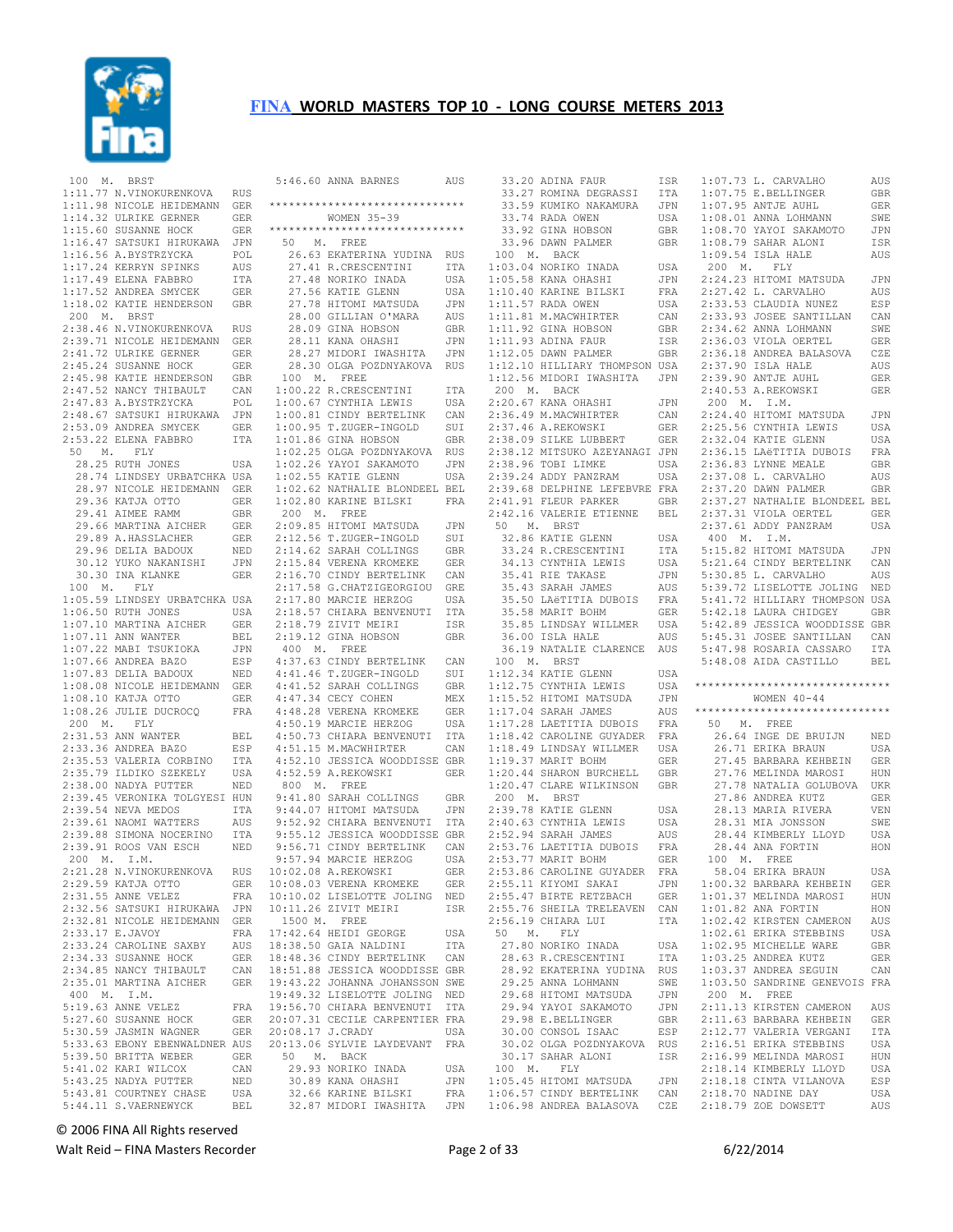

 100 M. BRST 1:11.77 N.VINOKURENKOVA RUS 1:11.98 NICOLE HEIDEMANN GER 1:14.32 ULRIKE GERNER GER 1:15.60 SUSANNE HOCK GER 1:16.47 SATSUKI HIRUKAWA JPN<br>1:16.56 A.BYSTRZYCKA POL 1:16.56 A.BYSTRZYCKA POL 1:17.24 KERRYN SPINKS AUS 1:17.49 ELENA FABBRO ITA 27.48 NORIKO INADA 1:17.52 ANDREA SMYCEK GER 27.56 KATIE GLENN 1:17.52 ANDREA SMYCEK 1:18.02 KATIE HENDERSON GBR 200 M. BRST 2:38.46 N.VINOKURENKOVA RUS 2:39.71 NICOLE HEIDEMANN GER 28.09 GINA HOBSON GBR 28.11 KANA OHASHI JPN 2:41.72 ULRIKE GERNER GER 2:45.24 SUSANNE HOCK GER 2:45.98 KATIE HENDERSON GBR 2:47.52 NANCY THIBAULT CAN 2:47.83 A.BYSTRZYCKA POL 2:48.67 SATSUKI HIRUKAWA JPN 2:53.09 ANDREA SMYCEK GER 2:53.22 ELENA FABBRO ITA 1:01.86 GINA HOBSON GBR 50 M. FLY 28.25 RUTH JONES USA 1:02.25 OLGA POZDNYAKOVA RUS 1:02.26 YAYOI SAKAMOTO JPN 28.74 LINDSEY URBATCHKA USA 28.97 NICOLE HEIDEMANN GER 1:02.55 KATIE GLENN USA 1:02.62 NATHALIE BLONDEEL BEL 29.36 KATJA OTTO GER 29.41 AIMEE RAMM GBR 29.66 MARTINA AICHER GER 29.89 A.HASSLACHER GER 29.96 DELIA BADOUX NED 30.12 YUKO NAKANISHI JPN 2:15.84 VERENA KROMEKE GER 30.30 INA KLANKE GER 100 M. FLY 1:05.59 LINDSEY URBATCHKA USA 1:06.50 RUTH JONES USA 2:18.57 CHIARA BENVENUTI ITA 1:07.10 MARTINA AICHER GER  $1:07.11$  ANN WANTER BEL<br> $1:07.22$  MABI TSUKIOKA JPN  $1:07.22$  MABI TSUKIOKA 1:07.66 ANDREA BAZO<br>1:07.83 DELIA BADOUX 1:07.83 DELIA BADOUX NED 1:08.08 NICOLE HEIDEMANN GER 4:41.46 T.ZUGER-INGOLD SUI 4:41.52 SARAH COLLINGS GBR 1:08.10 KATJA OTTO GER 1:08.26 JULIE DUCROCQ FRA 200 M. FLY 2:31.53 ANN WANTER BEL 2:33.36 ANDREA BAZO ESP 2:35.53 VALERIA CORBINO ITA 2:35.79 ILDIKO SZEKELY USA 4:52.10 JESSICA WOODDISSE GBR 4:52.59 A.REKOWSKI GER 2:38.00 NADYA PUTTER NED 2:39.45 VERONIKA TOLGYESI HUN 2:39.54 NEVA MEDOS ITA 2:39.61 NAOMI WATTERS AUS 9:44.07 HITOMI MATSUDA JPN 2:39.88 SIMONA NOCERINO ITA 9:52.92 CHIARA BENVENUTI ITA 9:55.12 JESSICA WOODDISSE GBR 2:39.91 ROOS VAN ESCH NED 9:56.71 CINDY BERTELINK CAN 200 M. I.M. 2:21.28 N.VINOKURENKOVA RUS 2:29.59 KATJA OTTO GER 2:31.55 ANNE VELEZ FRA 2:32.56 SATSUKI HIRUKAWA JPN 10:11.26 ZIVIT MEIRI ISR 2:32.81 NICOLE HEIDEMANN GER 2:33.17 E.JAVOY FRA<br>2:33.24 CAROLINE SAXBY AUS 2:33.24 CAROLINE SAXBY 2:34.33 SUSANNE HOCK GER<br>2:34.85 NANCY THIBAULT CAN  $2:34.85$  NANCY THIBAULT 2:35.01 MARTINA AICHER GER 19:43.22 JOHANNA JOHANSSON SWE 400 M. I.M. 5:19.63 ANNE VELEZ FRA 19:56.70 CHIARA BENVENUTI ITA 5:27.60 SUSANNE HOCK GER 5:30.59 JASMIN WAGNER GER 20:07.31 CECILE CARPENTIER FRA 20:08.17 J.CRADY USA 5:33.63 EBONY EBENWALDNER AUS 20:13.06 SYLVIE LAYDEVANT FRA 5:39.50 BRITTA WEBER GER<br>5:41.02 KARI WILCOX CAN 5:41.02 KARI WILCOX CAN 5:43.25 NADYA PUTTER NED<br>5:43.81 COURTNEY CHASE USA 5:43.81 COURTNEY CHASE USA<br>5:44.11 S.VAERNEWYCK BEL 5:44.11 S.VAERNEWYCK BEL

 5:46.60 ANNA BARNES AUS \*\*\*\*\*\*\*\*\*\*\*\*\*\*\*\*\*\*\*\*\*\*\*\*\*\*\*\*\*\* WOMEN 35-39 \*\*\*\*\*\*\*\*\*\*\*\*\*\*\*\*\*\*\*\*\*\*\*\*\*\*\*\*\*\* 50 M. FREE 26.63 EKATERINA YUDINA RUS 27.41 R.CRESCENTINI ITA 27.48 NORIKO INADA USA 27.56 KATIE GLENN USA 27.78 HITOMI MATSUDA JPN 28.00 GILLIAN O'MARA AUS 28.27 MIDORI IWASHITA JPN 28.30 OLGA POZDNYAKOVA RUS 100 M. FREE 1:00.22 R.CRESCENTINI ITA 1:00.67 CYNTHIA LEWIS USA 1:00.81 CINDY BERTELINK CAN 1:00.95 T.ZUGER-INGOLD SUI 1:02.80 KARINE BILSKI FRA 200 M. FREE 2:09.85 HITOMI MATSUDA JPN 2:12.56 T.ZUGER-INGOLD SUI 2:14.62 SARAH COLLINGS GBR 2:16.70 CINDY BERTELINK CAN 2:17.58 G.CHATZIGEORGIOU GRE<br>2:17.80 MARCIE HERZOG USA  $2:17.80$  MARCIE HERZOG 2:18.79 ZIVIT MEIRI ISR BEL 2:19.12 GINA HOBSON GBR 400 M. FREE JPN 400 M. FREE<br>ESP 4:37.63 CINDY BERTELINK CAN<br>NED 4:41.46 T.ZUGER-INGOLD SUI 4:47.34 CECY COHEN MEX 4:48.28 VERENA KROMEKE GER 4:50.19 MARCIE HERZOG USA 4:50.73 CHIARA BENVENUTI ITA 4:51.15 M.MACWHIRTER CAN 800 M. FREE 9:41.80 SARAH COLLINGS GBR 9:57.94 MARCIE HERZOG USA<br>|0·02 08 A REKOWSKI GER 10:02.08 A.REKOWSKI GER 10:08.03 VERENA KROMEKE GER 10:10.02 LISELOTTE JOLING NED 1500 M. FREE 17:42.64 HEIDI GEORGE USA  $18:38.50$  GAIA NALDINI GER 18:48.36 CINDY BERTELINK CAN 18:51.88 JESSICA WOODDISSE GBR 19:49.32 LISELOTTE JOLING NED 50 M. BACK 29.93 NORIKO INADA USA 30.89 KANA OHASHI JPN 32.66 KARINE BILSKI FRA 32.87 MIDORI IWASHITA JPN

| 33.20 ADINA FAUR                                   | ISR        |           | 1:07.73 L. CARVALHO                       | AUS        |
|----------------------------------------------------|------------|-----------|-------------------------------------------|------------|
| 33.27 ROMINA DEGRASSI                              | ITA        |           | 1:07.75 E.BELLINGER                       | GBR        |
| 33.59 KUMIKO NAKAMURA                              | JPN        |           | 1:07.95 ANTJE AUHL                        | GER        |
| 33.74 RADA OWEN                                    | USA        |           | $1:08.01$ ANNA LOHMANN                    | SWE        |
|                                                    |            |           |                                           |            |
| 33.92 GINA HOBSON                                  | GBR        |           | 1:08.70 YAYOI SAKAMOTO                    | JPN        |
| 33.96 DAWN PALMER                                  | GBR        |           | 1:08.79 SAHAR ALONI                       | ISR        |
| 100 M.<br><b>BACK</b>                              |            |           | 1:09.54 ISLA HALE                         | AUS        |
| 1:03.04 NORIKO INADA                               | USA        | 200 M.    | FLY                                       |            |
| 1:05.58 KANA OHASHI                                | JPN        |           | 2:24.23 HITOMI MATSUDA                    | JPN        |
| 1:10.40 KARINE BILSKI                              | FRA        |           | 2:27.42 L. CARVALHO                       | AUS        |
| 1:11.57 RADA OWEN                                  | USA        |           | 2:33.53 CLAUDIA NUNEZ                     | ESP        |
|                                                    |            |           |                                           |            |
| 1:11.81 M.MACWHIRTER                               | CAN        |           | 2:33.93 JOSEE SANTILLAN                   | CAN        |
| 1:11.92 GINA HOBSON                                | GBR        |           | 2:34.62 ANNA LOHMANN                      | SWE        |
| 1:11.93 ADINA FAUR                                 | ISR        |           | 2:36.03 VIOLA OERTEL                      | GER        |
| 1:12.05 DAWN PALMER                                | GBR        |           | 2:36.18 ANDREA BALASOVA                   | CZE        |
| 1:12.10 HILLIARY THOMPSON USA                      |            |           | 2:37.90 ISLA HALE                         | AUS        |
| 1:12.56 MIDORI IWASHITA                            | JPN        |           | 2:39.90 ANTJE AUHL                        | GER        |
| 200 M.                                             |            |           | 2:40.53 A.REKOWSKI                        |            |
| BACK                                               |            |           |                                           | GER        |
| 2:20.67 KANA OHASHI                                | JPN        | M.<br>200 | I.M.                                      |            |
| 2:36.49 M.MACWHIRTER                               | CAN        |           | 2:24.40 HITOMI MATSUDA                    | JPN        |
| 2:37.46 A.REKOWSKI                                 | GER        |           | 2:25.56 CYNTHIA LEWIS                     | USA        |
| 2:38.09 SILKE LUBBERT                              | GER        |           | 2:32.04 KATIE GLENN                       | USA        |
| 2:38.12 MITSUKO AZEYANAGI JPN                      |            |           | 2:36.15 LAëTITIA DUBOIS                   | FRA        |
| 2:38.96 TOBI LIMKE                                 |            |           | 2:36.83 LYNNE MEALE                       |            |
|                                                    | USA        |           |                                           | GBR        |
| 2:39.24 ADDY PANZRAM                               | USA        |           | 2:37.08 L. CARVALHO                       | AUS        |
| 2:39.68 DELPHINE LEFEBVRE FRA                      |            |           | 2:37.20 DAWN PALMER                       | GBR        |
| 2:41.91 FLEUR PARKER                               | GBR        |           | 2:37.27 NATHALIE BLONDEEL BEL             |            |
| 2:42.16 VALERIE ETIENNE                            | BEL        |           | 2:37.31 VIOLA OERTEL                      | GER        |
| 50<br>М.<br>BRST                                   |            |           | 2:37.61 ADDY PANZRAM                      | USA        |
| 32.86 KATIE GLENN                                  |            | 400 M.    | I.M.                                      |            |
|                                                    | USA        |           |                                           |            |
| 33.24 R.CRESCENTINI                                | ITA        |           | 5:15.82 HITOMI MATSUDA                    | JPN        |
| 34.13 CYNTHIA LEWIS                                | USA        |           | 5:21.64 CINDY BERTELINK                   | CAN        |
| 35.41 RIE TAKASE                                   | JPN        |           | 5:30.85 L. CARVALHO                       | AUS        |
| 35.43 SARAH JAMES                                  | AUS        |           | 5:39.72 LISELOTTE JOLING                  | NED        |
| 35.50 LAëTITIA DUBOIS                              | FRA        |           | 5:41.72 HILLIARY THOMPSON USA             |            |
|                                                    |            |           |                                           |            |
| 35.58 MARIT BOHM                                   | GER        |           | 5:42.18 LAURA CHIDGEY                     | GBR        |
| 35.85 LINDSAY WILLMER                              | USA        |           | 5:42.89 JESSICA WOODDISSE GBR             |            |
|                                                    |            |           |                                           |            |
| 36.00 ISLA HALE                                    | AUS        |           | 5:45.31 JOSEE SANTILLAN                   | CAN        |
| 36.19 NATALIE CLARENCE                             | AUS        |           | 5:47.98 ROSARIA CASSARO                   | ITA        |
| 100<br>М.                                          |            |           |                                           |            |
| BRST                                               |            |           | 5:48.08 AIDA CASTILLO                     | BEL        |
| 1:12.34 KATIE GLENN                                | USA        |           |                                           |            |
| 1:12.75 CYNTHIA LEWIS                              | USA        |           | ******************************            |            |
| 1:15.52 HITOMI MATSUDA                             | JPN        |           | WOMEN $40 - 44$                           |            |
| 1:17.04 SARAH JAMES                                | AUS        |           | ******************************            |            |
| 1:17.28 LAETITIA DUBOIS                            | FRA        | 50<br>М.  | FREE                                      |            |
| 1:18.42 CAROLINE GUYADER                           | FRA        |           | 26.64 INGE DE BRUIJN                      | NED        |
|                                                    |            |           |                                           | USA        |
| 1:18.49 LINDSAY WILLMER                            | USA        |           | 26.71 ERIKA BRAUN                         |            |
| 1:19.37 MARIT BOHM                                 | GER        |           | 27.45 BARBARA KEHBEIN                     | GER        |
| 1:20.44 SHARON BURCHELL                            | GBR        |           | 27.76 MELINDA MAROSI                      | HUN        |
| 1:20.47 CLARE WILKINSON                            | <b>GBR</b> |           | 27.78 NATALIA GOLUBOVA                    | <b>UKR</b> |
| 200 M. BRST                                        |            |           | 27.86 ANDREA KUTZ                         | GER        |
| 2:39.78 KATIE GLENN                                | USA        |           | 28.13 MARIA RIVERA                        | VEN        |
| 2:40.63 CYNTHIA LEWIS                              | USA        |           | 28.31 MIA JONSSON                         | SWE        |
|                                                    |            |           |                                           |            |
| 2:52.94 SARAH JAMES                                | AUS        |           | 28.44 KIMBERLY LLOYD                      | USA        |
| 2:53.76 LAETITIA DUBOIS                            | FRA        |           | 28.44 ANA FORTIN                          | HON        |
| 2:53.77 MARIT BOHM                                 | GER        | 100<br>М. | FREE                                      |            |
| 2:53.86 CAROLINE GUYADER                           | FRA        |           | 58.04 ERIKA BRAUN                         | USA        |
| 2:55.11 KIYOMI SAKAI                               | JPN        |           | 1:00.32 BARBARA KEHBEIN                   | GER        |
| 2:55.47 BIRTE RETZBACH                             | GER        |           | 1:01.37 MELINDA MAROSI                    | HUN        |
|                                                    |            |           |                                           |            |
| 2:55.76 SHEILA TRELEAVEN                           | CAN        |           | 1:01.82 ANA FORTIN                        | HON        |
| 2:56.19 CHIARA LUI                                 | ITA        |           | 1:02.42 KIRSTEN CAMERON                   | AUS        |
| 50<br>Μ.<br>FLY                                    |            |           | 1:02.61 ERIKA STEBBINS                    | USA        |
| 27.80 NORIKO INADA                                 | USA        |           | 1:02.95 MICHELLE WARE                     | GBR        |
| 28.63 R.CRESCENTINI                                | ITA        |           | 1:03.25 ANDREA KUTZ                       | GER        |
| 28.92 EKATERINA YUDINA                             | <b>RUS</b> |           | 1:03.37 ANDREA SEGUIN                     | CAN        |
| 29.25 ANNA LOHMANN                                 | SWE        |           | 1:03.50 SANDRINE GENEVOIS FRA             |            |
|                                                    |            |           |                                           |            |
| 29.68 HITOMI MATSUDA                               | JPN        | 200 M.    | FREE                                      |            |
| 29.94 YAYOI SAKAMOTO                               | JPN        |           | 2:11.13 KIRSTEN CAMERON                   | AUS        |
| 29.98 E.BELLINGER                                  | GBR        |           | 2:11.63 BARBARA KEHBEIN                   | GER        |
| 30.00 CONSOL ISAAC                                 | ESP        |           | 2:12.77 VALERIA VERGANI                   | ITA        |
| 30.02 OLGA POZDNYAKOVA                             | RUS        |           | 2:16.51 ERIKA STEBBINS                    | USA        |
| 30.17 SAHAR ALONI                                  | ISR        |           | 2:16.99 MELINDA MAROSI                    | HUN        |
| 100 M. FLY                                         |            |           | 2:18.14 KIMBERLY LLOYD                    | USA        |
|                                                    |            |           |                                           |            |
| 1:05.45 HITOMI MATSUDA                             | JPN        |           | 2:18.18 CINTA VILANOVA                    | ESP        |
| 1:06.57 CINDY BERTELINK<br>1:06.98 ANDREA BALASOVA | CAN<br>CZE |           | 2:18.70 NADINE DAY<br>2:18.79 ZOE DOWSETT | USA<br>AUS |

#### ANNA LOHMANN SWE YAYOI SAKAMOTO JPN 1:08 SAHAR ALONI ISR<br>1:31.2 HALE ALIS TSLA HALE  $FLY$  2:24.23 HITOMI MATSUDA JPN L. CARVALHO AUS CLAUDIA NUNEZ ESP 2:33.93 JOSEE SANTILLAN CAN 2000222 MARISTAN<br>2000221 ANNA LOHMANN SWE<br>200022 VIOLA OERTEL GER VIOLA OERTEL ANDREA BALASOVA CZE ISLA HALE 2:39.90 ANTJE AUHL GER 2:40.53 A.REKOWSKI GER I.M. HITOMI MATSUDA JPN<br>CYNTHIA LEWIS USA CYNTHIA LEWIS **KATIE GLENN USA**<br>LAËTITIA DUBOIS FRA LAëTITIA DUBOIS LYNNE MEALE GBR<br>L. CARVALHO AUS L. CARVALHO DAWN PALMER GBR NATHALIE BLONDEEL BEL 2:37.31 VIOLA OERTEL GER 2:37.61 ADDY PANZRAM USA 400 M. I.M. 5:15.82 HITOMI MATSUDA JPN CINDY BERTELINK CAN<br>L. CARVALHO AUS L. CARVALHO 5:39.72 LISELOTTE JOLING NED 5:41.72 HILLIARY THOMPSON USA LAURA CHIDGEY GBR 5:42.89 JESSICA WOODDISSE GBR 5:45.31 JOSEE SANTILLAN CAN 5:47.98 ROSARIA CASSARO ITA 5:48.08 AIDA CASTILLO BEL \*\*\*\*\*\*\*\*\*\*\*\*\*\*\*\*\*\*\*\*\*\*\*\*\*\*\*\*\*\*  $WOMEN$   $40-44$ \*\*\*\*\*\*\*\*\*\*\*\*\*\*\*\*\*\*\*\* 50 M. FREE INGE DE BRUIJN NED<br>ERIKA BRAUN USA ERIKA BRAUN BARBARA KEHBEIN GER<br>MELINDA MAROSI HUN MELINDA MAROSI NATALIA GOLUBOVA UKR<br>ANDREA KUTZ GER 27.86 ANDREA KUTZ GER 28.13 MARIA RIVERA VEN MIA JONSSON SWE KIMBERLY LLOYD USA<br>ANA FORTIN HON ANA FORTIN 100 M. FREE ERIKA BRAUN USA<br>BARBARA KEHBEIN GER BARBARA KEHBEIN GER<br>MELINDA MAROSI HUN MELINDA MAROSI ANA FORTIN HON<br>KIRSTEN CAMERON AUS KIRSTEN CAMERON ERIKA STEBBINS USA<br>MICHELLE WARE GBR MICHELLE WARE GBR<br>ANDREA KUTZ GER ANDREA KUTZ GER<br>ANDREA SEGUIN CAN ANDREA SEGUIN SANDRINE GENEVOIS FRA 200 M. FREE 2:11.13 KIRSTEN CAMERON AUS 2:11.63 BARBARA KEHBEIN GER VALERIA VERGANI ITA ERIKA STEBBINS USA<br>MELINDA MAROSI HUN MELINDA MAROSI HUN<br>KIMBERLY LLOYD HISA KIMBERLY LLOYD CINTA VILANOVA ESP<br>NADINE DAY USA NADINE DAY

© 2006 FINA All Rights reserved

Walt Reid – FINA Masters Recorder example and the Page 2 of 33 6/22/2014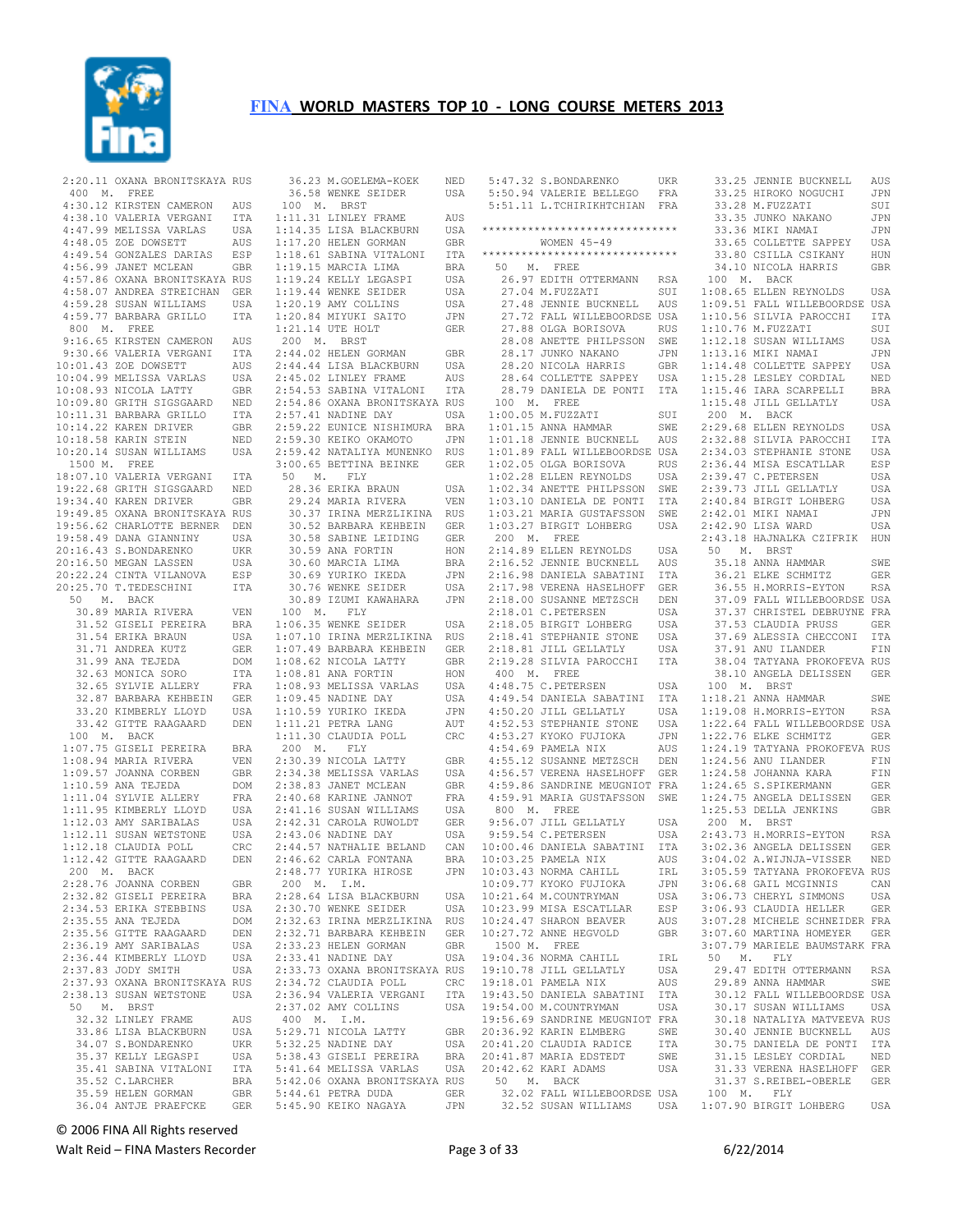

 2:20.11 OXANA BRONITSKAYA RUS 400 M. FREE 4:30.12 KIRSTEN CAMERON AUS 4:38.10 VALERIA VERGANI ITA 1:11.31 LINLEY FRAME AUS 4:47.99 MELISSA VARLAS USA 4:48.05 ZOE DOWSETT AUS 4:49.54 GONZALES DARIAS ESP 4:56.99 JANET MCLEAN GBR 4:57.86 OXANA BRONITSKAYA RUS 4:58.07 ANDREA STREICHAN GER 4:59.28 SUSAN WILLIAMS USA 4:59.77 BARBARA GRILLO ITA 800 M. FREE 9:16.65 KIRSTEN CAMERON AUS 9:30.66 VALERIA VERGANI ITA<br>0:01.43 ZOE DOWSETT AUS 10:01.43 ZOE DOWSETT AUS 10:04.99 MELISSA VARLAS USA 10:08.93 NICOLA LATTY GBR 10:09.80 GRITH SIGSGAARD NED 10:11.31 BARBARA GRILLO ITA<br>10:14.22 KAREN DRIVER GBR 10:14.22 KAREN DRIVER 10:18.58 KARIN STEIN NED<br>10:20.14 SUSAN WILLIAMS USA 10:20.14 SUSAN WILLIAMS USA 1500 M. FREE 18:07.10 VALERIA VERGANI ITA<br>19:22.68 GRITH SIGSGAARD NED<br>19:34.40 KAREN DRIVER<br>19:49.85 OXANA BRONITSKAYA GBR<br>19:56.62 CHARLOTTE BERNER DEN 19:58.49 DANA GIANNINY USA 20:16.43 S.BONDARENKO UKR 20:16.50 MEGAN LASSEN USA 20:22.24 CINTA VILANOVA ESP<br>20:25.70 T.TEDESCHINI ITA  $20:25.70$  T. TEDESCHINI 50 M. BACK 30.89 MARIA RIVERA 31.52 GISELI PEREIRA BRA  $31.54$  ERIKA BRAUN 31.71 ANDREA KUTZ GER 31.99 ANA TEJEDA DOM<br>32.63 MONICA SORO TTA 32.63 MONICA SORO ITA<br>32.65 SYLVIE ALLERY FRA 32.65 SYLVIE ALLERY 32.87 BARBARA KEHBEIN GER<br>33.20 KIMBERLY LLOYD USA 33.20 KIMBERLY LLOYD 33.42 GITTE RAAGAARD DEN 100 M. BACK 1:07.75 GISELI PEREIRA BRA 1:08.94 MARIA RIVERA VEN<br>1:09.57 JOANNA CORBEN GBR  $1:09.57$  JOANNA CORBEN 1:10.59 ANA TEJEDA DOM<br>1:11.04 SYLVIE ALLERY FRA 1:11.04 SYLVIE ALLERY FRA 1:11.95 KIMBERLY LLOYD USA<br>1:12.03 AMY SARIBALAS USA  $1:12.03$  AMY SARIBALAS 1:12.11 SUSAN WETSTONE USA<br>1:12.18 CLAUDIA POLL CRC  $1:12.18$  CLAUDIA POLL 1:12.42 GITTE RAAGAARD DEN 200 M. BACK 2:28.76 JOANNA CORBEN GBR<br>2:32.82 GISELI PEREIRA BRA 2:32.82 GISELI PEREIRA 2:32:02 GISSII LENSING BNA<br>2:34.53 ERIKA STEBBINS USA<br>2:35.55 ANA TEJEDA DOM  $2:35.55$  ANA TEJEDA 2:35.56 GITTE RAAGAARD DEN<br>2:36.19 AMY SARIBALAS USA 2:36.19 AMY SARIBALAS 2:36.44 KIMBERLY LLOYD USA<br>2:37.83 JODY SMITH USA  $2:37.83$  JODY SMITH 2:37.93 OXANA BRONITSKAYA RUS 2:38.13 SUSAN WETSTONE USA 50 M. BRST 32.32 LINLEY FRAME AUS 33.86 LISA BLACKBURN USA 5:29.71 NICOLA LATTY GBR 34.07 S.BONDARENKO UKR 35.37 KELLY LEGASPI USA 35.41 SABINA VITALONI ITA 35.52 C.LARCHER BRA 35.59 HELEN GORMAN GBR

 36.04 ANTJE PRAEFCKE GER 5:45.90 KEIKO NAGAYA JPN 36.23 M.GOELEMA-KOEK NED 36.58 WENKE SEIDER USA 100 M. BRST 1:14.35 LISA BLACKBURN USA 1:17.20 HELEN GORMAN GBR<br>1:17.20 HELEN GORMAN GBR<br>1:18.61 SABINA VITALONI ITA 1:18.61 SABINA VITALONI 1:19.15 MARCIA LIMA BRA 1:19.24 KELLY LEGASPI USA 1:19.44 WENKE SEIDER USA 1:20.19 AMY COLLINS USA 1:20.84 MIYUKI SAITO JPN 1:21.14 UTE HOLT GER 200 M. BRST 2:44.02 HELEN GORMAN GBR 2:44.44 LISA BLACKBURN USA 2:45.02 LINLEY FRAME AUS 2:54.53 SABINA VITALONI ITA 2:54.86 OXANA BRONITSKAYA RUS 2:57.41 NADINE DAY USA 2:59.22 EUNICE NISHIMURA BRA 2:59.30 KEIKO OKAMOTO JPN 2:59.42 NATALIYA MUNENKO RUS 3:00.65 BETTINA BEINKE GER 50 M. FLY<br>28.36 ERIKA BRAUN USA<br>29.24 MARIA RIVERA VEN<br>30.37 IRINA MERZLIKINA RUS<br>30.52 BARBARA KEHBEIN GER 30.52 BARBARA KEHBEIN GER<br>30.58 SABINE LEIDING GER 30.59 ANA FORTIN HON 30.60 MARCIA LIMA BRA 30.69 YURIKO IKEDA JPN 30.76 WENKE SEIDER USA<br>30.89 TZUMT KAWAHARA JPN 30.89 TZUMI KAWAHARA 100 M. FLY 1:06.35 WENKE SEIDER USA 1:07.10 IRINA MERZLIKINA RUS 1:07.49 BARBARA KEHBEIN GER 1:08.62 NICOLA LATTY GBR 1:08.81 ANA FORTIN HON<br>1:08.93 MELISSA VARLAS USA 1:00.01 ARELISSA VARLAS 1:09.45 NADINE DAY USA 1:10.59 YURIKO IKEDA JPN 1:11.21 PETRA LANG AUT 1:11.30 CLAUDIA POLL CRC 200 M. FLY VEN 2:30.39 NICOLA LATTY GBR<br>GBR 2:34.38 MELISSA VARLAS USA 2:34.38 MELISSA VARLAS 2:38.83 JANET MCLEAN GBR  $2:40.68$  KARINE JANNOT 2:41.16 SUSAN WILLIAMS USA 2:42.31 CAROLA RUWOLDT GER 2:42.31 CAROLA NONCLES<br>2:43.06 NADINE DAY USA 2:44.57 NATHALIE BELAND CAN 2:44.57 NATHABLE DEBANG CHANNEL<br>2:46.62 CARLA FONTANA BRA 2:48.77 YURIKA HIROSE JPN 200 M. I.M. 2:28.64 LISA BLACKBURN USA 2:30.70 WENKE SEIDER USA 2:32.63 IRINA MERZLIKINA RUS 2:32.71 BARBARA KEHBEIN GER<br>2:33.23 HELEN GORMAN GBR 2:33.23 HELEN GORMAN 2:33.41 NADINE DAY USA 2:33.73 OXANA BRONITSKAYA RUS 2:34.72 CLAUDIA POLL CRC 2:36.94 VALERIA VERGANI ITA 2:37.02 AMY COLLINS USA 400 M. I.M. 5:32.25 NADINE DAY USA 5:38.43 GISELI PEREIRA BRA 5:41.64 MELISSA VARLAS USA 5:42.06 OXANA BRONITSKAYA RUS<br>5:44.61 PETRA DUDA GER  $5:44.61$  PETRA DUDA

|           | 5:47.32 S.BONDARENKO                            | UKR        |           | 33.25 JENNIE BUCKNELL                                  | AUS        |
|-----------|-------------------------------------------------|------------|-----------|--------------------------------------------------------|------------|
|           | 5:50.94 VALERIE BELLEGO                         | FRA        |           | 33.25 HIROKO NOGUCHI                                   | JPN        |
|           | 5:51.11 L. TCHIRIKHTCHIAN                       | FRA        |           | 33.28 M.FUZZATI                                        | SUI        |
|           |                                                 |            |           | 33.35 JUNKO NAKANO                                     | JPN        |
|           | ******************************                  |            |           | 33.36 MIKI NAMAI                                       | JPN        |
|           | WOMEN $45 - 49$                                 |            |           | 33.65 COLLETTE SAPPEY                                  | USA        |
|           | ******************************                  |            |           | 33.80 CSILLA CSIKANY                                   | HUN        |
| 50<br>Μ.  | FREE                                            |            |           | 34.10 NICOLA HARRIS                                    | GBR        |
|           | 26.97 EDITH OTTERMANN                           | RSA        | 100<br>М. | <b>BACK</b>                                            |            |
|           | 27.04 M.FUZZATI                                 | SUI        |           | 1:08.65 ELLEN REYNOLDS                                 | USA        |
|           | 27.48 JENNIE BUCKNELL                           | AUS        |           | 1:09.51 FALL WILLEBOORDSE                              | USA        |
|           | 27.72 FALL WILLEBOORDSE USA                     |            |           | 1:10.56 SILVIA PAROCCHI                                | ITA        |
|           | 27.88 OLGA BORISOVA                             | RUS        |           | 1:10.76 M.FUZZATI                                      | SUI        |
|           | 28.08 ANETTE PHILPSSON                          | SWE        |           | 1:12.18 SUSAN WILLIAMS                                 | USA        |
|           | 28.17 JUNKO NAKANO                              | JPN        |           | 1:13.16 MIKI NAMAI                                     | JPN        |
|           | 28.20 NICOLA HARRIS                             | GBR        |           | 1:14.48 COLLETTE SAPPEY                                | USA        |
|           | 28.64 COLLETTE SAPPEY                           | USA        |           | 1:15.28 LESLEY CORDIAL                                 | NED        |
|           | 28.79 DANIELA DE PONTI                          | <b>ITA</b> |           | 1:15.46 IARA SCARPELLI                                 | <b>BRA</b> |
| 100<br>М. | FREE                                            |            |           | 1:15.48 JILL GELLATLY                                  | USA        |
|           | $1:00.05$ M. FUZZATI                            | SUI        | 200<br>М. | BACK                                                   |            |
|           | $1:01.15$ ANNA HAMMAR                           | SWE        |           | 2:29.68 ELLEN REYNOLDS                                 | USA        |
|           | 1:01.18 JENNIE BUCKNELL                         | AUS        |           | 2:32.88 SILVIA PAROCCHI                                | ITA        |
|           | 1:01.89 FALL WILLEBOORDSE USA                   |            |           | 2:34.03 STEPHANIE STONE                                | USA        |
|           | 1:02.05 OLGA BORISOVA                           | RUS        |           | 2:36.44 MISA ESCATLLAR                                 | ESP        |
|           | 1:02.28 ELLEN REYNOLDS                          | USA        |           | 2:39.47 C.PETERSEN                                     | USA        |
|           | 1:02.34 ANETTE PHILPSSON                        | SWE        |           | 2:39.73 JILL GELLATLY                                  | USA        |
|           | 1:03.10 DANIELA DE PONTI                        | ITA        |           | 2:40.84 BIRGIT LOHBERG                                 | USA        |
|           | 1:03.21 MARIA GUSTAFSSON                        | SWE        |           | 2:42.01 MIKI NAMAI                                     | JPN        |
|           | 1:03.27 BIRGIT LOHBERG                          | USA        |           | 2:42.90 LISA WARD                                      | USA        |
| 200 M.    | FREE                                            |            |           | 2:43.18 HAJNALKA CZIFRIK                               | HUN        |
|           | 2:14.89 ELLEN REYNOLDS                          | USA        | 50<br>Μ.  | BRST                                                   |            |
|           | 2:16.52 JENNIE BUCKNELL                         | AUS        |           | 35.18 ANNA HAMMAR                                      | SWE        |
|           | 2:16.98 DANIELA SABATINI                        | ITA        |           | 36.21 ELKE SCHMITZ                                     | GER        |
|           | 2:17.98 VERENA HASELHOFF                        | GER        |           | 36.55 H.MORRIS-EYTON                                   | RSA        |
|           | 2:18.00 SUSANNE METZSCH                         | DEN        |           | 37.09 FALL WILLEBOORDSE USA                            |            |
|           | 2:18.01 C. PETERSEN                             | USA        |           | 37.37 CHRISTEL DEBRUYNE FRA                            |            |
|           | 2:18.05 BIRGIT LOHBERG                          | USA        |           | 37.53 CLAUDIA PRUSS                                    | GER        |
|           | 2:18.41 STEPHANIE STONE                         | USA        |           | 37.69 ALESSIA CHECCONI                                 | ITA        |
|           | 2:18.81 JILL GELLATLY                           | USA        |           | 37.91 ANU ILANDER                                      | FIN        |
|           | 2:19.28 SILVIA PAROCCHI                         | ITA        |           | 38.04 TATYANA PROKOFEVA RUS                            |            |
| 400<br>М. | FREE                                            |            |           | 38.10 ANGELA DELISSEN                                  | GER        |
|           | 4:48.75 C. PETERSEN                             | USA        | 100<br>М. | BRST                                                   |            |
|           | 4:49.54 DANIELA SABATINI                        | ITA        |           | 1:18.21 ANNA HAMMAR                                    | SWE        |
|           | 4:50.20 JILL GELLATLY                           | USA        |           | 1:19.08 H.MORRIS-EYTON                                 | RSA        |
|           | 4:52.53 STEPHANIE STONE                         | USA        |           | 1:22.64 FALL WILLEBOORDSE USA                          |            |
|           | 4:53.27 KYOKO FUJIOKA                           | JPN        |           | 1:22.76 ELKE SCHMITZ                                   | GER        |
|           | 4:54.69 PAMELA NIX                              | AUS        |           | 1:24.19 TATYANA PROKOFEVA RUS                          |            |
|           | 4:55.12 SUSANNE METZSCH                         | DEN        |           | 1:24.56 ANU ILANDER                                    | FIN        |
|           | 4:56.57 VERENA HASELHOFF                        | GER        |           | 1:24.58 JOHANNA KARA                                   | FIN        |
|           | 4:59.86 SANDRINE MEUGNIOT FRA                   |            |           | 1:24.65 S.SPIKERMANN                                   | GER        |
|           | 4:59.91 MARIA GUSTAFSSON                        | SWE        |           | 1:24.75 ANGELA DELISSEN                                | GER        |
| 800<br>М. | ${\tt FREE}$<br>9:56.07 JILL GELLATLY           |            |           | 1:25.53 DELLA JENKINS                                  | GBR        |
|           | 9:59.54 C.PETERSEN                              | USA<br>USA | 200<br>М. | BRST<br>2:43.73 H.MORRIS-EYTON                         | <b>RSA</b> |
|           | 10:00.46 DANIELA SABATINI                       | ITA        |           | 3:02.36 ANGELA DELISSEN                                | GER        |
|           | 10:03.25 PAMELA NIX                             | AUS        |           | 3:04.02 A.WIJNJA-VISSER                                | NED        |
|           | 10:03.43 NORMA CAHILL                           |            |           |                                                        |            |
|           | 10:09.77 KYOKO FUJIOKA                          | IRL<br>JPN |           | 3:05.59 TATYANA PROKOFEVA RUS<br>3:06.68 GAIL MCGINNIS | CAN        |
|           | 10:21.64 M.COUNTRYMAN                           | USA        |           | 3:06.73 CHERYL SIMMONS                                 | USA        |
|           | 10:23.99 MISA ESCATLLAR                         | ESP        |           | 3:06.93 CLAUDIA HELLER                                 | GER        |
|           | 10:24.47 SHARON BEAVER                          | AUS        |           | 3:07.28 MICHELE SCHNEIDER FRA                          |            |
|           | 10:27.72 ANNE HEGVOLD                           | GBR        |           | 3:07.60 MARTINA HOMEYER                                | GER        |
| 1500 M.   | FREE                                            |            |           | 3:07.79 MARIELE BAUMSTARK FRA                          |            |
|           | 19:04.36 NORMA CAHILL                           | IRL        | 50<br>М.  | ${\rm FLY}$                                            |            |
|           | 19:10.78 JILL GELLATLY                          | USA        |           | 29.47 EDITH OTTERMANN                                  | <b>RSA</b> |
|           | 19:18.01 PAMELA NIX                             | AUS        |           | 29.89 ANNA HAMMAR                                      | SWE        |
|           | 19:43.50 DANIELA SABATINI                       | ITA        |           | 30.12 FALL WILLEBOORDSE USA                            |            |
|           | 19:54.00 M.COUNTRYMAN                           | USA        |           | 30.17 SUSAN WILLIAMS                                   | USA        |
|           | 19:56.69 SANDRINE MEUGNIOT FRA                  |            |           | 30.18 NATALIYA MATVEEVA RUS                            |            |
|           | 20:36.92 KARIN ELMBERG                          | SWE        |           | 30.40 JENNIE BUCKNELL                                  | AUS        |
|           | 20:41.20 CLAUDIA RADICE                         | ITA        |           | 30.75 DANIELA DE PONTI                                 | ITA        |
|           | 20:41.87 MARIA EDSTEDT                          | SWE        |           | 31.15 LESLEY CORDIAL                                   | NED        |
|           | 20:42.62 KARI ADAMS                             | USA        |           | 31.33 VERENA HASELHOFF                                 | GER        |
| 50        | M. BACK                                         |            |           | 31.37 S.REIBEL-OBERLE                                  | GER        |
|           | 32.02 FALL WILLEBOORDSE USA                     |            | 100 M.    | FLY                                                    |            |
|           | 32.52 SUSAN WILLIAMS USA 1:07.90 BIRGIT LOHBERG |            |           |                                                        | USA        |

© 2006 FINA All Rights reserved

Walt Reid – FINA Masters Recorder **Page 3 of 33** 6/22/2014 **Page 3 of 33** 6/22/2014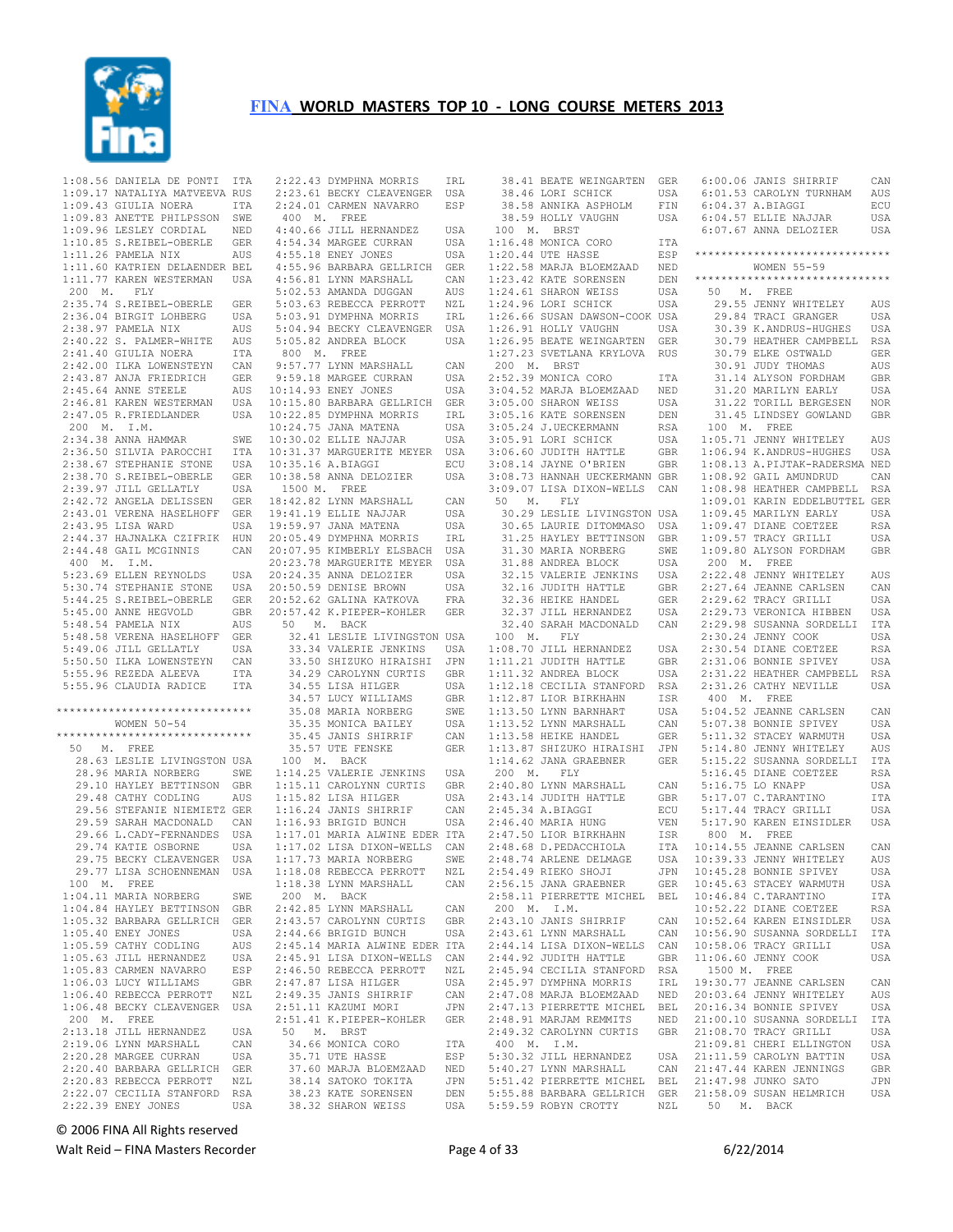

 1:08.56 DANIELA DE PONTI ITA 1:09.17 NATALIYA MATVEEVA RUS 1:09.43 GIULIA NOERA ITA 1:09.83 ANETTE PHILPSSON SWE 1:09.96 LESLEY CORDIAL NED 1:10.85 S.REIBEL-OBERLE GER<br>1:11.26 PAMELA NIX AUS 1:11.26 PAMELA NIX AUS 1:11.60 KATRIEN DELAENDER BEL 1:11.77 KAREN WESTERMAN USA 200 M. FLY 2:35.74 S.REIBEL-OBERLE GER 2:36.04 BIRGIT LOHBERG USA 2:38.97 PAMELA NIX AUS<br>2:40.22 S. PALMER-WHITE AUS  $2:40.22$  S. PALMER-WHITE 2:41.40 GIULIA NOERA ITA 2:42.00 ILKA LOWENSTEYN CAN 2:43.87 ANJA FRIEDRICH GER  $2:45.64$  ANNE STEELE 2:46.81 KAREN WESTERMAN 2:47.05 R.FRIEDLANDER 200 M. I.M. 2:34.38 ANNA HAMMAR SWE<br>2:36.50 STLVIA PAROCCHI TTA 2:36.50 SILVIA PAROCCHI 2:38.67 STEPHANIE STONE USA<br>2:38.70 S.REIBEL-OBERLE GER 2:38.70 S.REIBEL-OBERLE 2:39.97 JILL GELLATLY USA 2:42.72 ANGELA DELISSEN GER 2:43.01 VERENA HASELHOFF GER 2:43.95 LISA WARD USA 2:44.37 HAJNALKA CZIFRIK HUN 2:44.48 GAIL MCGINNIS CAN 400 M. I.M. 5:23.69 ELLEN REYNOLDS USA 5:44.25 S.REIBEL-OBERLE GER 5:45.00 ANNE HEGVOLD GBR<br>5:48.54 PAMELA NTX AUS 5:48.54 PAMELA NIX 5:48.58 VERENA HASELHOFF GER 5:49.06 JILL GELLATLY 5:50.50 ILKA LOWENSTEYN CAN<br>5:55.96 REZEDA ALEEVA 1TTA 5:55.96 REZEDA ALEEVA 5:55.96 CLAUDIA RADICE ITA \*\*\*\*\*\*\*\*\*\*\*\*\*\*\*\*\*\*\*\*\*\*\*\*\*\*\*\*\*\* WOMEN 50-54 \*\*\*\*\*\*\*\*\*\*\*\*\*\*\*\*\*\*\*\*\*\*\*\*\*\*\*\*\*\* 50 M. FREE 28.63 LESLIE LIVINGSTON USA<br>28.96 MARIA NORBERG SWE 28.96 MARIA NORBERG 29.10 HAYLEY BETTINSON GBR<br>29.48 CATHY CODLING AUS 29.48 CATHY CODLING 29.56 STEFANIE NIEMIETZ GER<br>29.59 SARAH MACDONALD - CAN 29.59 SARAH MACDONALD 29.66 L.CADY-FERNANDES USA<br>29.74 KATIE OSBORNE USA 29.74 KATIE OSBORNE 29.75 BECKY CLEAVENGER USA 29.77 LISA SCHOENNEMAN USA 100 M. FREE 1:04.11 MARIA NORBERG SWE 1:04.84 HAYLEY BETTINSON GBR 1:05.32 BARBARA GELLRICH GER 1:05.40 ENEY JONES USA<br>1:05.59 CATHY CODLING AUS 1:05.59 CATHY CODLING AUS 1:05.63 JILL HERNANDEZ USA<br>1:05.83 CARMEN NAVARRO ESP 1:05.83 CARMEN NAVARRO 1:06.03 LUCY WILLIAMS GBR 1:06.40 REBECCA PERROTT NZL 1:06.48 BECKY CLEAVENGER USA 200 M. FREE 2:13.18 JILL HERNANDEZ USA<br>2:19 06 LYNN MARSHALL CAN 2:19.06 LYNN MARSHALL CAN 2:20.28 MARGEE CURRAN USA 2:20.40 BARBARA GELLRICH GER 2:20.83 REBECCA PERROTT NZL 2:22.07 CECILIA STANFORD RSA 2:22.39 ENEY JONES USA

 5:30.74 STEPHANIE STONE USA 20:50.59 DENISE BROWN USA 2:22.43 DYMPHNA MORRIS IRL 2:23.61 BECKY CLEAVENGER USA 2:24.01 CARMEN NAVARRO ESP 4:40.66 JILL HERNANDEZ USA 4:54.34 MARGEE CURRAN USA<br>4:55.18 ENEY JONES USA  $4:55.18$  ENEY JONES 4:55.96 BARBARA GELLRICH GER 4:56.81 LYNN MARSHALL CAN 5:02.53 AMANDA DUGGAN AUS 5:03.63 REBECCA PERROTT NZL 5:03.91 DYMPHNA MORRIS IRL 5:04.94 BECKY CLEAVENGER USA 5:05.82 ANDREA BLOCK USA 800 M. FREE 9:57.77 LYNN MARSHALL CAN 9:59.18 MARGEE CURRAN USA 10:14.93 ENEY JONES USA 10:15.80 BARBARA GELLRICH GER USA 10:22.85 DYMPHNA MORRIS IRL<br>10:24.75 JANA MATENA USA  $10:22:30 = 1$ <br> $10:24.75$  JANA MATENA 10:30.02 ELLIE NAJJAR USA 10:31.37 MARGUERITE MEYER USA 10:35.16 A.BIAGGI ECU 10:38.58 ANNA DELOZIER USA 1500 M. FREE 18:42.82 LYNN MARSHALL CAN 19:41.19 ELLIE NAJJAR 19:59.97 JANA MATENA USA<br>20:05.49 DYMPHNA MORRIS IRL 20:05.49 DYMPHNA MORRIS 20:07.95 KIMBERLY ELSBACH USA 20:23.78 MARGUERITE MEYER USA<br>20:24.35 ANNA DELOZIER USA 20:23:75 ANNA DELOZIER USA<br>20:24.35 ANNA DELOZIER USA<br>20:50.59 DENISE BROWN USA 20:52.62 GALINA KATKOVA FRA 20:57.42 K.PIEPER-KOHLER GER<br>50 M. BACK 50 M. BACK 32.41 LESLIE LIVINGSTON USA<br>33.34 VALERIE JENKINS – USA 33.34 VALERIE JENKINS USA 33.50 SHIZUKO HIRAISHI JPN 34.29 CAROLYNN CURTIS GBR 34.55 LISA HILGER USA 34.57 LUCY WILLIAMS GBR<br>35.08 MARIA NORBERG SWE 34.57 LUCY WILLIAMS<br>35.08 MARIA NORBERG 35.35 MONICA BAILEY USA 35.45 JANIS SHIRRIF CAN<br>35.57 UTE FENSKE GER 35.57 UTE FENSKE 100 M. BACK 1:14.25 VALERIE JENKINS USA<br>1:15 11 CAROLYNN CURTIS GBR 1:15.11 CAROLYNN CURTIS GBR<br>1:15.82 LISA HILGER USA  $1:15.82$  LISA HILGER 1:16.24 JANIS SHIRRIF CAN 1:16.93 BRIGID BUNCH USA 1:17.01 MARIA ALWINE EDER ITA 1:17.02 LISA DIXON-WELLS CAN<br>1:17.73 MARIA NORBERG SWE 1:17.73 MARIA NORBERG SWE<br>1·18 08 REBECCA PERROTT NZL  $1:18.08$  REBECCA PERROTT 1:18.38 LYNN MARSHALL CAN 200 M. BACK 2:42.85 LYNN MARSHALL CAN<br>2:43.57 CAROLYNN CURTIS GBR 2:43.57 CAROLYNN CURTIS 2:44.66 BRIGID BUNCH USA 2:45.14 MARIA ALWINE EDER ITA 2:45.91 LISA DIXON-WELLS CAN<br>2:46.50 REBECCA PERROTT NZL 2:46.50 REBECCA PERROTT 2:47.87 LISA HILGER USA 2:47.87 Historical CAN<br>2:49.35 JANIS SHIRRIF CAN 2:51.11 KAZUMI MORI JPN 2:51.41 K.PIEPER-KOHLER GER 50 M. BRST 34.66 MONICA CORO ITA 35.71 UTE HASSE ESP 37.60 MARJA BLOEMZAAD NED 38.14 SATOKO TOKITA JPN<br>38.23 KATE SORENSEN DEN 38.23 KATE SORENSEN 38.32 SHARON WEISS

38.41 BEATE WEINGARTEN GER<br>38.46 LORI SCHICK USA<br>38.58 ANNIKA ASPHOLM FIN<br>38.59 HOLLY VAUGHN USA 100 M. BRST USA 1:16.48 MONICA CORO  $1:20.44$  UTE HASSE 1:22.58 MARJA BLOEMZAAD NED 1:23.42 KATE SORENSEN DEN 1:24.61 SHARON WEISS USA 1:24.96 LORI SCHICK USA 1:26.66 SUSAN DAWSON-COOK USA<br>1:26.91 HOLLY VAUGHN USA<br>1:26.91 HOLLY VAUGHN USA  $1:26.91$  HOLLY VAUGHN 1:26.95 BEATE WEINGARTEN GER 1:27.23 SVETLANA KRYLOVA RUS 200 M. BRST 2:52.39 MONICA CORO ITA 3:04.52 MARJA BLOEMZAAD NED 3:05.00 SHARON WEISS USA 3:05.16 KATE SORENSEN DEN 3:05.24 J.UECKERMANN RSA 3:05.91 LORI SCHICK  $3:06.60$  JUDITH HATTLE 3:08.14 JAYNE O'BRIEN 3:08.73 HANNAH UECKERMANN GBR 3:09.07 LISA DIXON-WELLS CAN 1:08.92 GAIL AMUNDRUD CAN 1:08.98 HEATHER CAMPBELL RSA 50 M. FLY 30.29 LESLIE LIVINGSTON USA 30.65 LAURIE DITOMMASO USA 31.25 HAYLEY BETTINSON GBR 31.30 MARIA NORBERG SWE 31.88 ANDREA BLOCK USA<br>32.15 VALERIE JENKINS USA 32.15 VALERIE JENKINS 32.16 JUDITH HATTLE GBR 32.36 HEIKE HANDEL 32.37 JILL HERNANDEZ USA<br>32.40 SARAH MACDONALD CAN 32.40 SARAH MACDONALD 100 M. FLY 1:08.70 JILL HERNANDEZ USA 1:11.21 JUDITH HATTLE GBR 1:08.70 JILL HERNANDEZ USA<br>1:11.21 JUDITH HATTLE GBR<br>1:11.32 ANDREA BLOCK USA<br>1:12.18 CECILIA STANFORD RSA 1:12.18 CECILIA STANFORD RSA<br>1:12.87 LIOR BIRKHAHN ISR<br>1:13.50 LYNN BARNHART USA 1:12.87 LIOR BIRKHAHN 1:12.57 LION BINNHART 1:13.52 LYNN MARSHALL CAN 1:13.58 HEIKE HANDEL GER 1:13.87 SHIZUKO HIRAISHI JPN 1:14.62 JANA GRAEBNER GER 200 M. FLY<br>2:40.80 LYNN MARSHALL 2:40.80 LYNN MARSHALL CAN 2:43.14 JUDITH HATTLE GBR 2:45.34 A.BIAGGI ECU 2:46.40 MARIA HUNG VEN 2:47.50 LIOR BIRKHAHN ISR 2:48.68 D.PEDACCHIOLA  $2:48.74$  ARLENE DELMAGE 2:54.49 RIEKO SHOJI JPN 2:56.15 JANA GRAEBNER GER 2:58.11 PIERRETTE MICHEL BEL 10:46.84 C.TARANTINO ITA 200 M. I.M. 2:43.10 JANIS SHIRRIF CAN  $2:43.61$  LYNN MARSHALL 2:44.14 LISA DIXON-WELLS CAN 2:44.92 JUDITH HATTLE GBR 2:45.94 CECILIA STANFORD RSA 2:45.97 DYMPHNA MORRIS IRL 19:30.77 JEANNE CARLSEN CAN 2:47.08 MARJA BLOEMZAAD NED 2:47.13 PIERRETTE MICHEL BEL 20:03.64 JENNY WHITELEY AUS 20:16.34 BONNIE SPIVEY USA 2:48.91 MARJAM REMMITS NED 2:49.32 CAROLYNN CURTIS GBR 21:00.10 SUSANNA SORDELLI ITA 21:08.70 TRACY GRILLI USA 400 M. I.M. 5:30.32 JILL HERNANDEZ 5:40.27 LYNN MARSHALL CAN 5:51.42 PIERRETTE MICHEL BEL 21:47.98 JUNKO SATO JPN 5:55.88 BARBARA GELLRICH GER 21:58.09 SUSAN HELMRICH USA 5:59.59 ROBYN CROTTY NZL 50 M. FREE

 6:00.06 JANIS SHIRRIF CAN 6:01.53 CAROLYN TURNHAM AUS 6:04.37 A.BIAGGI ECU 6:04.57 ELLIE NAJJAR USA 6:07.67 ANNA DELOZIER USA \*\*\*\*\*\*\*\*\*\*\*\*\*\*\*\*\*\*\*\*\*\*\*\*\*\*\*\*\*\* WOMEN 55-59 \*\*\*\*\*\*\*\*\*\*\*\*\*\*\*\*\*\*\*\*\*\*\*\*\*\*\*\*\*\* 29.55 JENNY WHITELEY AUS 29.84 TRACI GRANGER USA 30.39 K.ANDRUS-HUGHES USA 30.79 HEATHER CAMPBELL RSA 30.79 ELKE OSTWALD GER<br>30.91 JUDY THOMAS ALLS 30.91 JUDY THOMAS AUS 31.14 ALYSON FORDHAM GBR 31.20 MARILYN EARLY USA 31.22 TORILL BERGESEN NOR 31.45 LINDSEY GOWLAND GBR 100 M. FREE 1:05.71 JENNY WHITELEY AUS 1:06.94 K.ANDRUS-HUGHES USA 1:08.13 A.PIJTAK-RADERSMA NED 1:09.01 KARIN EDDELBUTTEL GER 1:09.45 MARILYN EARLY USA 1:09.47 DIANE COETZEE RSA 1:09.57 TRACY GRILLI USA 1:09.80 ALYSON FORDHAM GBR 200 M. FREE 2:22.48 JENNY WHITELEY AUS 2:27.64 JEANNE CARLSEN CAN<br>2:29.62 TRACY GRILLI USA  $2:29.62$  TRACY GRILLI 2:29.73 VERONICA HIBBEN USA<br>2:29.98 SUSANNA SORDELLI ITA 2:29.98 SUSANNA SORDELLI 2:30.24 JENNY COOK USA<br>2:30.54 DIANE COETZEE RSA  $2:30.54$  DIANE COETZEE 2:31.06 BONNIE SPIVEY USA 2:31.22 HEATHER CAMPBELL RSA<br>2:31.26 CATHY NEVILLE USA  $2:31.26$  CATHY NEVILLE 400 M. FREE 5:04.52 JEANNE CARLSEN CAN 5:07.38 BONNIE SPIVEY USA 5:11.32 STACEY WARMUTH USA 5:14.80 JENNY WHITELEY AUS 5:15.22 SUSANNA SORDELLI ITA 5:16.45 DIANE COETZEE RSA<br>CAN 5:16.75 LO KNAPP USA 5:16.75 LO KNAPP USA 5:17.07 C.TARANTINO ITA 5:17.44 TRACY GRILLI USA VEN 5:17.90 KAREN EINSIDLER USA 800 M. FREE 10:14.55 JEANNE CARLSEN CAN 10:39.33 JENNY WHITELEY AUS 10:45.28 BONNIE SPIVEY USA 10:45.63 STACEY WARMUTH USA 10:52.22 DIANE COETZEE RSA<br>10:52.64 KAREN EINSIDLER USA 10:52.64 KAREN EINSIDLER 10:56.90 SUSANNA SORDELLI ITA 10:58.06 TRACY GRILLI USA GBR 11:06.60 JENNY COOK USA 1500 M. FREE 21:09.81 CHERI ELLINGTON USA USA 21:11.59 CAROLYN BATTIN USA<br>CAN 21:47 44 KAREN JENNINGS GRR CAN 21:47.44 KAREN JENNINGS 50 M. BACK

© 2006 FINA All Rights reserved

Walt Reid – FINA Masters Recorder example and the Page 4 of 33 6/22/2014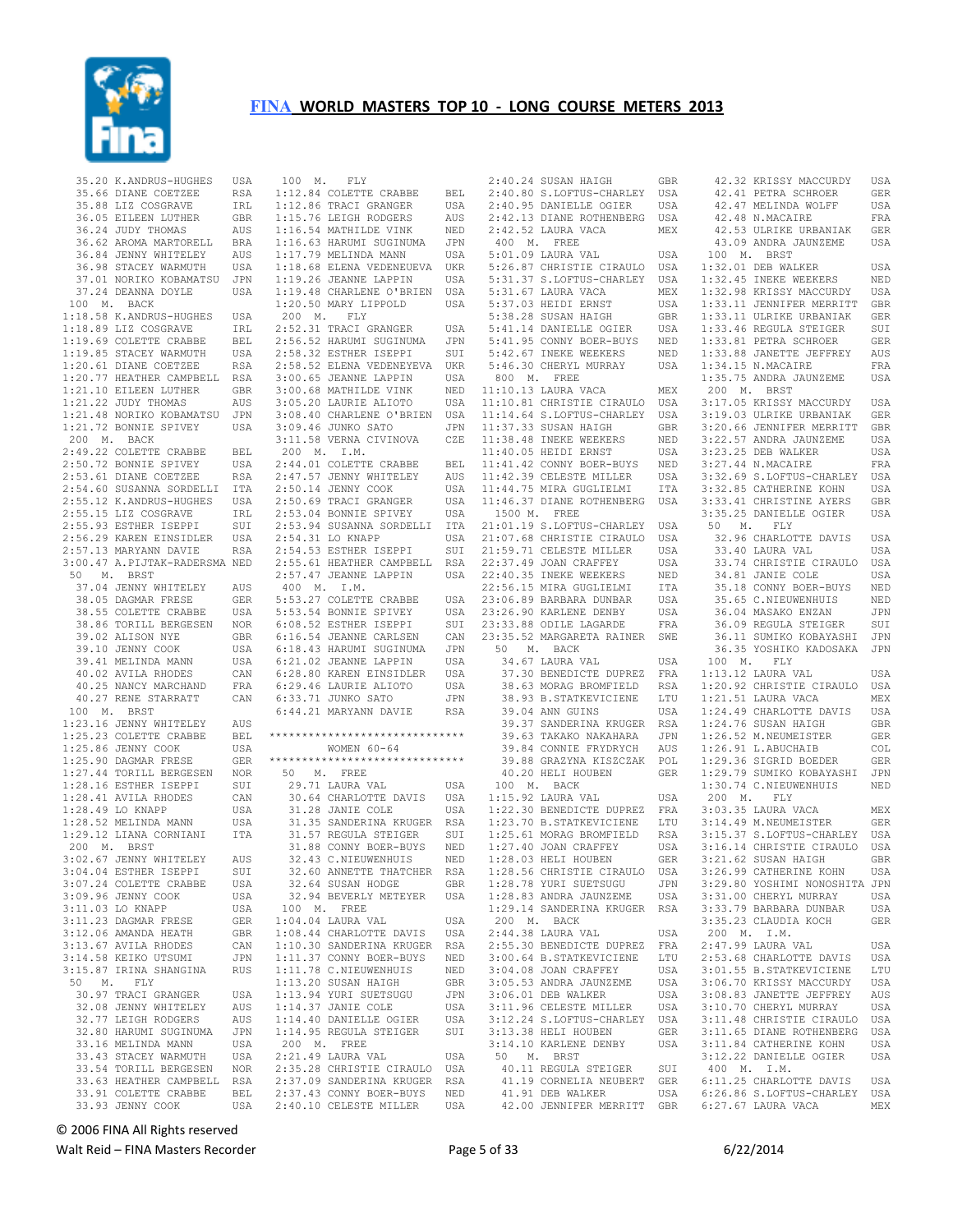

| 35.20 K.ANDRUS-HUGHES USA<br>35.66 DIANE COETZEE RSA<br>35.88 LIZ COSGRAVE IRL<br>36.05 EILEEN LUTHER GBR<br>36.24 JUDY THOMAS AUS<br>36.62 AROMA MARTORELL BRA<br>36.62 AROMA MARTORELL BRA<br>36.62 AL JENNY WHITELEY AUS                                                                          |             |
|------------------------------------------------------------------------------------------------------------------------------------------------------------------------------------------------------------------------------------------------------------------------------------------------------|-------------|
|                                                                                                                                                                                                                                                                                                      |             |
|                                                                                                                                                                                                                                                                                                      |             |
|                                                                                                                                                                                                                                                                                                      |             |
|                                                                                                                                                                                                                                                                                                      |             |
|                                                                                                                                                                                                                                                                                                      |             |
| 36.84 JENNY WHITELEY AUS<br>36.98 STACEY WARMUTH USA<br>37.01 NORIKO KOBAMATSU JPN                                                                                                                                                                                                                   |             |
|                                                                                                                                                                                                                                                                                                      |             |
|                                                                                                                                                                                                                                                                                                      |             |
| 37.24 DEANNA DOYLE                                                                                                                                                                                                                                                                                   | USA         |
| 100 M. BACK                                                                                                                                                                                                                                                                                          |             |
| 10 W. BACK THERE USA<br>1:18.58 K.ANDRUS-HUGHES USA<br>1:19.69 COLETTE CRABBE BEL<br>1:19.69 COLETTE CRABBE BEL<br>1:20.61 DIANE COETZEE RSA<br>1:20.77 HEATHER CAMPBELL RSA<br>1:21.10 EILEEN LUTHER GBR<br>1:21.22 JUDY THOMAS AUS                                                                 |             |
|                                                                                                                                                                                                                                                                                                      |             |
|                                                                                                                                                                                                                                                                                                      |             |
|                                                                                                                                                                                                                                                                                                      |             |
|                                                                                                                                                                                                                                                                                                      |             |
|                                                                                                                                                                                                                                                                                                      |             |
|                                                                                                                                                                                                                                                                                                      |             |
|                                                                                                                                                                                                                                                                                                      | JPN         |
| 1:21.48 NORIKO KOBAMATSU JPN<br>1:21.72 BONNIE SPIVEY USA                                                                                                                                                                                                                                            |             |
| 200 M. BACK                                                                                                                                                                                                                                                                                          |             |
| 200 M. BACK<br>2:49.2 COLETTE CRABBE BEL<br>2:50.72 BONNIE SPIVEY USA<br>2:50.72 BONNIE SPIVEY USA<br>2:53.61 DIANE COETZEE RSA<br>2:55.12 K.AMDRUS-HUGHES USA<br>2:55.15 LIZ COSGRAVE IRL<br>2:55.33 ESTHER ISEPPI SUI<br>2:56.29 KAREN EINSI                                                       |             |
|                                                                                                                                                                                                                                                                                                      |             |
|                                                                                                                                                                                                                                                                                                      |             |
|                                                                                                                                                                                                                                                                                                      |             |
|                                                                                                                                                                                                                                                                                                      |             |
|                                                                                                                                                                                                                                                                                                      |             |
|                                                                                                                                                                                                                                                                                                      |             |
|                                                                                                                                                                                                                                                                                                      |             |
|                                                                                                                                                                                                                                                                                                      |             |
| 3:00.47 A.PIJTAK-RADERSMA NED                                                                                                                                                                                                                                                                        |             |
| $50$ M. BRST                                                                                                                                                                                                                                                                                         |             |
|                                                                                                                                                                                                                                                                                                      |             |
|                                                                                                                                                                                                                                                                                                      |             |
|                                                                                                                                                                                                                                                                                                      | USA         |
|                                                                                                                                                                                                                                                                                                      |             |
|                                                                                                                                                                                                                                                                                                      | GBR         |
|                                                                                                                                                                                                                                                                                                      | USA         |
|                                                                                                                                                                                                                                                                                                      |             |
|                                                                                                                                                                                                                                                                                                      |             |
|                                                                                                                                                                                                                                                                                                      |             |
| 50 M. BRST<br>37.04 JEMNY WHITELEY<br>38.05 DAGMAR FRESE GER<br>38.55 COLETTE CRABBE USA<br>38.86 TORILL BERGESEN NOR<br>39.02 ALISON NYE GBR<br>39.10 JEMNY COOK USA<br>39.41 MELINDA MANN USA<br>40.02 AVILA RHODES CAN<br>40.25 NANCY MARCHAN                                                     |             |
| $\begin{tabular}{lllllllll} & $40121$ & $kmn-1$ & $100$ & $M, & $BRST$ \\[.05in] 1100$ & $M, & $BRST$ & $R, & $R, & $R$ \\ 1:23.16 & $JENNY$ & $MHTELEY$ & $RUSA$ & $BEL$ & $\\ 1:25.23 & $CDEFTE$ & $CRABBE$ & $BEL$ & $\\ 1:25 & $2$ & $T^{\text{NNNV}}$ & $COOK$ & $USA$ \\[.05in] \end{tabular}$ |             |
|                                                                                                                                                                                                                                                                                                      |             |
|                                                                                                                                                                                                                                                                                                      |             |
|                                                                                                                                                                                                                                                                                                      |             |
|                                                                                                                                                                                                                                                                                                      |             |
|                                                                                                                                                                                                                                                                                                      |             |
|                                                                                                                                                                                                                                                                                                      |             |
|                                                                                                                                                                                                                                                                                                      | CAN         |
|                                                                                                                                                                                                                                                                                                      | USA         |
|                                                                                                                                                                                                                                                                                                      |             |
|                                                                                                                                                                                                                                                                                                      |             |
|                                                                                                                                                                                                                                                                                                      |             |
| $200$ M. BRST                                                                                                                                                                                                                                                                                        |             |
| 3:02.67 JENNY WHITELEY AUS                                                                                                                                                                                                                                                                           |             |
| 3:04.04 ESTHER ISEPPI                                                                                                                                                                                                                                                                                | SUI         |
| 3:07.24 COLETTE CRABBE                                                                                                                                                                                                                                                                               | USA         |
| 3:09.96 JENNY COOK                                                                                                                                                                                                                                                                                   | USA         |
|                                                                                                                                                                                                                                                                                                      | USA         |
|                                                                                                                                                                                                                                                                                                      | ${\tt GER}$ |
| 3:11.03 LO KNAPP<br>3:11.23 DAGMAR FRESE<br>3:12.06 AMANDA HEATH                                                                                                                                                                                                                                     | GBR         |
| $3:13.67$ AVILA RHODES                                                                                                                                                                                                                                                                               | CAN         |
| 3:14.58 KEIKO UTSUMI                                                                                                                                                                                                                                                                                 | JPN         |
| 3:15.87 IRINA SHANGINA                                                                                                                                                                                                                                                                               | <b>RUS</b>  |
| 50 M. FLY                                                                                                                                                                                                                                                                                            |             |
| 30.97 TRACI GRANGER                                                                                                                                                                                                                                                                                  | USA         |
| 32.08 JENNY WHITELEY                                                                                                                                                                                                                                                                                 | AUS         |
| 32.77 LEIGH RODGERS                                                                                                                                                                                                                                                                                  | AUS         |
| 32.80 HARUMI SUGINUMA                                                                                                                                                                                                                                                                                | JPN         |
| 33.16 MELINDA MANN                                                                                                                                                                                                                                                                                   | USA         |
| 33.43 STACEY WARMUTH                                                                                                                                                                                                                                                                                 | USA         |
| 33.54 TORILL BERGESEN                                                                                                                                                                                                                                                                                | NOR         |
| 33.63 HEATHER CAMPBELL RSA<br>33.91 COLETTE CRABBE                                                                                                                                                                                                                                                   | BEL         |

 100 M. FLY 1:12.84 COLETTE CRABBE BEL 1:12.86 TRACI GRANGER USA 1:15.76 LEIGH RODGERS AUS 1:16.54 MATHILDE VINK NED 1:16.63 HARUMI SUGINUMA JPN<br>1:17.79 MELINDA MANN USA  $1:17.79$  MELINDA MANN 1:18.68 ELENA VEDENEUEVA UKR<br>1:19.26 JEANNE LAPPIN USA  $1:19.26$  JEANNE LAPPIN 1:19.48 CHARLENE O'BRIEN USA 1:20.50 MARY LIPPOLD USA 200 M. FLY 2:52.31 TRACI GRANGER USA 2:56.52 HARUMI SUGINUMA JPN 2:58.32 ESTHER ISEPPI SUI 2:58.52 ELENA VEDENEYEVA UKR 3:00.65 JEANNE LAPPIN USA 3:00.68 MATHILDE VINK NED 3:05.20 LAURIE ALIOTO USA 3:08.40 CHARLENE O'BRIEN USA<br>3:09.46 JUNKO SATO JPN  $3:09.46$  JUNKO SATO 3:11.58 VERNA CIVINOVA 200 M. I.M. 2:44.01 COLETTE CRABBE BEL<br>2:47.57 JENNY WHITELEY AUS  $2:47.57$  JENNY WHITELEY 2:50.14 JENNY COOK USA 2:50.69 TRACI GRANGER USA<br>2:53.04 BONNIE SPIVEY USA  $2:53.04$  BONNIE SPIVEY 2:53.94 SUSANNA SORDELLI ITA<br>2:54.31 LO KNAPP USA 2:54.31 LO KNAPP USA 2:54.53 ESTHER ISEPPI SUI 2:55.61 HEATHER CAMPBELL RSA<br>2:57.47 JEANNE LAPPIN USA  $2:57.47$  JEANNE LAPPIN 400 M. I.M. 5:53.27 COLETTE CRABBE USA 5:53.54 BONNIE SPIVEY USA<br>6:08.52 ESTHER ISEPPI SUI  $6:08.52$  ESTHER ISEPPI 6:16.54 JEANNE CARLSEN CAN  $6:18.43$  HARUMI SUGINUMA 6:21.02 JEANNE LAPPIN USA<br>6:28.80 KAREN EINSIDLER USA 6:28.80 KAREN EINSIDLER USA  $6:29.46$  LAURIE ALIOTO 6:33.71 JUNKO SATO JPN<br>6:44.21 MARYANN DAVIE RSA  $6:44.21$  MARYANN DAVIE \*\*\*\*\*\*\*\*\*\*\*\*\*\*\*\*\*\*\*\*\*\*\*\*\*\*\*\*\*\* WOMEN 60-64 \*\*\*\*\*\*\*\*\*\*\*\*\*\*\*\*\*\*\*\*\*\*\*\*\*\*\*\*\*\* 50 M. FREE 29.71 LAURA VAL USA<br>30.64 CHARLOTTE DAVIS USA 30.64 CHARLOTTE DAVIS 31.28 JANIE COLE USA 31.35 SANDERINA KRUGER RSA 31.57 REGULA STEIGER SUI<br>31.88 CONNY BOER-BUYS NED 31.88 CONNY BOER-BUYS NED<br>32.43 C.NIEUWENHUIS NED 32.43 C.NIEUWENHUIS 32.60 ANNETTE THATCHER RSA<br>32.64 SUSAN HODGE GBR 32.64 SUSAN HODGE GBR<br>32.94 BEVERLY METEYER USA 32.94 BEVERLY METEYER 100 M. FREE 1:04.04 LAURA VAL USA 1:08.44 CHARLOTTE DAVIS USA 1:10.30 SANDERINA KRUGER RSA 1:11.37 CONNY BOER-BUYS NED<br>1:11.78 C.NIEUWENHUIS NED 1:11.78 C.NIEUWENHUIS 1:13.20 SUSAN HAIGH GBR 1:13.94 YURI SUETSUGU JPN 1:14.37 JANIE COLE USA 1:14.40 DANIELLE OGIER USA 1:14.95 REGULA STEIGER SUI 200 M. FREE 2:21.49 LAURA VAL USA<br>2:35.28 CHRISTIE CIRAULO USA 2:35.28 CHRISTIE CIRAULO 2:37.09 SANDERINA KRUGER RSA<br>2:37.43 CONNY BOER-BUYS NED 2:37.43 CONNY BOER-BUYS 2:40.10 CELESTE MILLER USA

 2:40.24 SUSAN HAIGH GBR 2:40.80 S.LOFTUS-CHARLEY USA 2:40.95 DANIELLE OGIER USA 2:42.13 DIANE ROTHENBERG USA 2:42.52 LAURA VACA MEX 400 M. FREE 5:01.09 LAURA VAL USA 5:26.87 CHRISTIE CIRAULO USA<br>5:31.37 S.LOFTUS-CHARLEY USA 5:31.37 S.LOFTUS-CHARLEY 5:31.67 LAURA VACA MEX 5:37.03 HEIDI ERNST USA 5:38.28 SUSAN HAIGH GBR 5:41.14 DANIELLE OGIER USA<br>5:41.95 CONNY BOER-BUYS NED 5:41.95 CONNY BOER-BUYS 5:42.67 INEKE WEEKERS NED<br>5:46.30 CHERYL MURRAY USA 5:46.30 CHERYL MURRAY 800 M. FREE 11:10.13 LAURA VACA MEX 11:10.81 CHRISTIE CIRAULO USA 11:14.64 S.LOFTUS-CHARLEY USA<br>11:37.33 SUSAN HAIGH GBR  $11:37.33$  SUSAN HAIGH CZE 11:38.48 INEKE WEEKERS NED<br>11:40.05 HEIDI ERNST USA  $11:40.05$  HEIDI ERNST BEL 11:41.42 CONNY BOER-BUYS NED<br>AUS 11:42.39 CELESTE MILLER USA  $11:42.39$  CELESTE MILLER 11:44.75 MIRA GUGLIELMI ITA 11:46.37 DIANE ROTHENBERG USA 1500 M. FREE 21:01.19 S.LOFTUS-CHARLEY USA 21:07.68 CHRISTIE CIRAULO USA 21:59.71 CELESTE MILLER USA 22:37.49 JOAN CRAFFEY USA<br>22:40.35 INEKE WEEKERS NED 22:40.35 INEKE WEEKERS NED<br>22:56.15 MIRA GUGLIELMI TTA 22:56.15 MIRA GUGLIELMI ITA<br>23:06.89 BARBARA DUNBAR USA  $23:06.89$  BARBARA DUNBAR 23:26.90 KARLENE DENBY USA<br>23:33.88 ODILE LAGARDE FRA  $23:33.88$  ODILE LAGARDE 23:35.52 MARGARETA RAINER SWE 50 M. BACK ed<br>34.67 LAURA VAL USA<br>37.30 BENEDICTE DUPREZ FRA 37.30 BENEDICTE DUPREZ FRA 38.63 MORAG BROMFIELD 38.93 B.STATKEVICIENE LTU<br>39.04 ANN GUINS USA 39.04 ANN GUINS 39.37 SANDERINA KRUGER RSA 39.63 TAKAKO NAKAHARA JPN 39.84 CONNIE FRYDRYCH 39.88 GRAZYNA KISZCZAK POL<br>40.20 HELI HOUBEN GER 40.20 HELI HOUBEN GER 100 M. BACK 1:15.92 LAURA VAL USA 1:22.30 BENEDICTE DUPREZ FRA 1:23.70 B.STATKEVICIENE LTU 1:25.61 MORAG BROMFIELD RSA<br>1:27.40 JOAN CRAFFEY USA 1:27.40 JOAN CRAFFEY USA<br>1:28.03 HELI HOUBEN GER  $1:28.03$  HELI HOUBEN 1:28.56 CHRISTIE CIRAULO USA<br>1:28.78 YURI SUETSUGU JPN 1:28.78 YURI SUETSUGU JPN<br>1:28.78 YURI SUETSUGU JPN<br>1:28.83 ANDRA JAUNZEME USA  $1:28.83$  ANDRA JAUNZEME 1:29.14 SANDERINA KRUGER RSA 200 M. BACK 2:44.38 LAURA VAL USA 2:55.30 BENEDICTE DUPREZ FRA 3:00.64 B.STATKEVICIENE LTU 3:04.08 JOAN CRAFFEY USA 3:05.53 ANDRA JAUNZEME USA 3:06.01 DEB WALKER USA 3:11.96 CELESTE MILLER USA 3:12.24 S.LOFTUS-CHARLEY USA 3:13.38 HELI HOUBEN GER<br>3:14.10 KARLENE DENBY USA  $3:14.10$  KARLENE DENBY 50 M. BRST 40.11 REGULA STEIGER SUI 41.19 CORNELIA NEUBERT GER 41.91 DEB WALKER

 42.00 JENNIFER MERRITT GBR 6:27.67 LAURA VACA MEX 42.41 PETRA SCHROER GER 42.47 MELINDA WOLFF USA 42.48 N.MACAIRE FRA 42.53 ULRIKE URBANIAK GER 43.09 ANDRA JAUNZEME USA 100 M. BRST 1:32.01 DEB WALKER USA<br>1:32.45 INEKE WEEKERS NED 1:32.45 INEKE WEEKERS 1:32.98 KRISSY MACCURDY USA 1:33.11 JENNIFER MERRITT GBR 1:33.11 ULRIKE URBANIAK GER 1:33.46 REGULA STEIGER SUI 1:33.81 PETRA SCHROER 1:33.88 JANETTE JEFFREY AUS<br>1:34.15 N MACATRE RRA  $1:34.15$  N.MACAIRE 1:35.75 ANDRA JAUNZEME USA 200 M. BRST 3:17.05 KRISSY MACCURDY USA 3:19.03 ULRIKE URBANIAK GER<br>3:20.66 JENNIFER MERRITT GBR 3:20.66 JENNIFER MERRITT 3:22.57 ANDRA JAUNZEME USA<br>3:23.25 DEB WALKER USA  $3:23.25$  DEB WALKER 3:27.44 N.MACAIRE FRA<br>3:32.69 S.LOFTUS-CHARLEY USA 3:32.69 S.LOFTUS-CHARLEY 3:32.85 CATHERINE KOHN USA 3:33.41 CHRISTINE AYERS GBR 3:35.25 DANIELLE OGIER<br>50 M. FLY 50 M. FLY 32.96 CHARLOTTE DAVIS USA 33.40 LAURA VAL USA 33.74 CHRISTIE CIRAULO USA 34.81 JANIE COLE 35.18 CONNY BOER-BUYS NED<br>35.65 C.NIEUWENHUIS NED 35.65 C.NIEUWENHUIS NED 36.04 MASAKO ENZAN JPN<br>36.09 REGULA STEIGER SUI 36.09 REGULA STEIGER 36.11 SUMIKO KOBAYASHI JPN 36.35 YOSHIKO KADOSAKA JPN 100 M. FLY 1:13.12 LAURA VAL USA<br>1:20.92 CHRISTIE CIRAULO USA  $1:20.92$  CHRISTIE CIRAULO 1:21.51 LAURA VACA MEX<br>1:24.49 CHARLOTTE DAVIS USA 1:24.49 CHARLOTTE DAVIS USA 1:24.76 SUSAN HAIGH GBR 1:26.52 M.NEUMEISTER GER<br>1:26.91 L.ABUCHAIB COL  $1:26.91$  L.ABUCHAIB 1:29.36 SIGRID BOEDER GER<br>1:29.79 SUMIKO KOBAYASHI JPN 1:29.79 SUMIKO KOBAYASHI 1:30.74 C.NIEUWENHUIS NED<br>200 M. FLY 200 M. 3:03.35 LAURA VACA MEX<br>3:14.49 M.NEUMEISTER GER 3:14.49 M.NEUMEISTER GER 3:15.37 S.LOFTUS-CHARLEY USA 3:16.14 CHRISTIE CIRAULO USA 3:21.62 SUSAN HAIGH GBR<br>3:26 99 CATHERINE KOHN USA 3:26.99 CATHERINE KOHN 3:29.80 YOSHIMI NONOSHITA JPN<br>3:31 00 CHERYL MURRAY USA 3:31.00 CHERYL MURRAY 3:33.79 BARBARA DUNBAR USA<br>3:35.23 CLAUDIA KOCH GER 3:35.23 CLAUDIA KOCH GER 200 M. I.M. 2:47.99 LAURA VAL USA 2:53.68 CHARLOTTE DAVIS USA<br>3:01.55 B.STATKEVICIENE LTU 3:01.55 B.STATKEVICIENE 3:06.70 KRISSY MACCURDY USA 3:08.83 JANETTE JEFFREY AUS 3:10.70 CHERYL MURRAY USA 3:11.48 CHRISTIE CIRAULO USA 3:11.65 DIANE ROTHENBERG USA 3:11.84 CATHERINE KOHN USA 3:12.22 DANIELLE OGIER USA 400 M. I.M. 6:11.25 CHARLOTTE DAVIS USA 6:26.86 S.LOFTUS-CHARLEY USA

42.32 KRISSY MACCURDY USA

© 2006 FINA All Rights reserved

Walt Reid – FINA Masters Recorder example and the Page 5 of 33 6/22/2014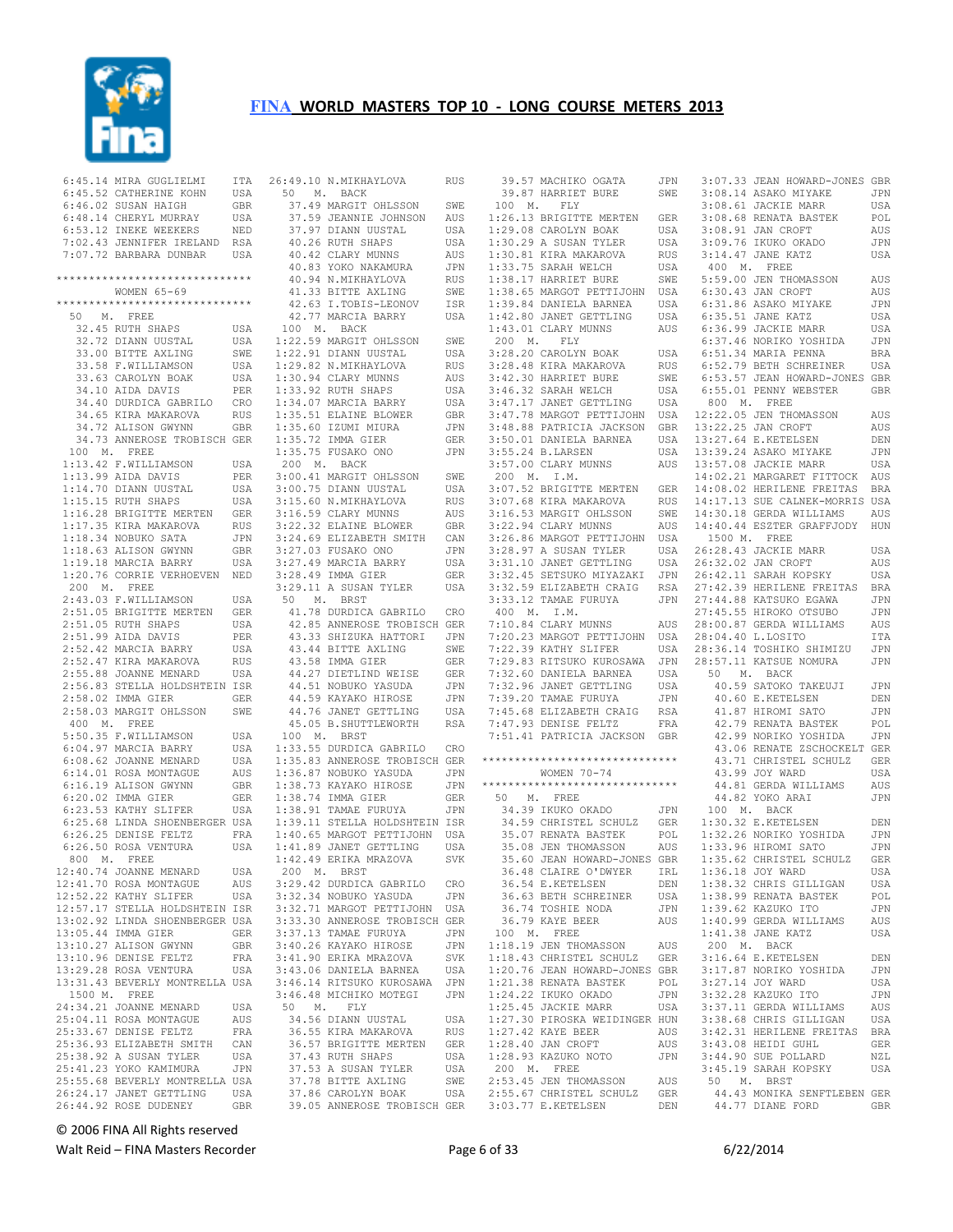

6:45.14 MIRA GUGLIELMI 6:45.52 CATHERINE KOHN USA 6:46.02 SUSAN HAIGH GBR 6:48.14 CHERYL MURRAY USA 6:53.12 INEKE WEEKERS NED 7:02.43 JENNIFER IRELAND RSA 7:07.72 BARBARA DUNBAR USA \*\*\*\*\*\*\*\*\*\*\*\*\*\*\*\*\*\*\*\*\*\*\*\*\*\*\*\*\*\* WOMEN 65-69 \*\*\*\*\*\*\*\*\*\*\*\*\*\*\*\*\*\*\*\*\*\*\*\*\*\*\*\*\*\* 50 M. FREE 32.45 RUTH SHAPS USA 32.72 DIANN UUSTAL 33.00 BITTE AXLING SWE<br>33.58 F.WILLIAMSON USA 33.58 F.WILLIAMSON 33.63 CAROLYN BOAK USA 34.10 AIDA DAVIS PER 34.40 DURDICA GABRILO CRO 34.40 DURDICA SEDERT RUS<br>34.65 KIRA MAKAROVA RUS<br>34.72 ALISON GWYNN GBR 34.72 ALISON GWYNN GBR 34.73 ANNEROSE TROBISCH GER 100 M. FREE 1:13.42 F.WILLIAMSON USA<br>1:13.99 ATDA DAVIS PER  $1:13.99$  AIDA DAVIS 1:14.70 DIANN UUSTAL USA 1:15.15 RUTH SHAPS USA 1:16.28 BRIGITTE MERTEN GER 1:17.35 KIRA MAKAROVA RUS<br>1:18.34 NOBUKO SATA JPN  $1:18.34$  NOBUKO SATA 1:18.63 ALISON GWYNN GBR 1:19.18 MARCIA BARRY USA 1:20.76 CORRIE VERHOEVEN NED 200 M. FREE 2:43.03 F.WILLIAMSON USA 2:51.05 BRIGITTE MERTEN GER<br>2:51.05 RUTH SHAPS USA 2:51.05 RUTH SHAPS USA 2:51.99 AIDA DAVIS PER 2:52.42 MARCIA BARRY USA 2:52.47 KIRA MAKAROVA RUS<br>2:55.88 JOANNE MENARD USA  $2:55.88$  JOANNE MENARD 2:56.83 STELLA HOLDSHTEIN ISR 2:58.02 IMMA GIER GER<br>2:58.03 MARGIT OHLSSON SWE 2:58.03 MARGIT OHLSSON 400 M. FREE 5:50.35 F.WILLIAMSON USA<br>6:04.97 MARCIA BARRY USA  $6:04.97$  MARCIA BARRY 6:08.62 JOANNE MENARD USA<br>6:14.01 ROSA MONTAGUE AUS  $6:14.01$  ROSA MONTAGUE 6:16.19 ALISON GWYNN GBR<br>6:20.02 IMMA GIER GER 6:20.02 IMMA GIER GER 6:23.53 KATHY SLIFER 6:25.68 LINDA SHOENBERGER USA 6:26.25 DENISE FELTZ FRA 6:26.50 ROSA VENTURA 800 M. FREE 12:40.74 JOANNE MENARD USA<br>12:41.70 ROSA MONTAGUE AUS 12:41.70 ROSA MONTAGUE AUS<br>12:52 22 KATHY SLIFER USA 12:52.22 KATHY SLIFER 12:57.17 STELLA HOLDSHTEIN ISR 13:02.92 LINDA SHOENBERGER USA 13:05.44 IMMA GIER GER<br>13:10.27 ALISON GWYNN GBR 13:10.27 ALISON GWYNN GBR<br>13:10.96 DENISE FELTZ FRA 13:10.96 DENISE FELTZ FRA 13:29.28 ROSA VENTURA USA 13:31.43 BEVERLY MONTRELLA USA 1500 M. FREE 24:34.21 JOANNE MENARD USA<br>25:04.11 ROSA MONTAGUE AUS 25:04.11 ROSA MONTAGUE AUS<br>25:33.67 DENISE FELTZ FRA 25:33.67 DENISE FELTZ 25:36.93 ELIZABETH SMITH CAN 25:38.92 A SUSAN TYLER USA<br>25:38.92 A SUSAN TYLER USA<br>25:41.23 YOKO KAMIMURA JPN 25:41.23 YOKO KAMIMURA 25:55.68 BEVERLY MONTRELLA USA 26:24.17 JANET GETTLING USA 26:44.92 ROSE DUDENEY GBR

26:49.10 N.MIKHAYLOVA RUS 50 M. BACK 37.49 MARGIT OHLSSON SWE 37.59 JEANNIE JOHNSON AUS 1:26.13 BRIGITTE MERTEN GER 37.97 DIANN UUSTAL USA 40.26 RUTH SHAPS USA 40.42 CLARY MUNNS AUS 40.83 YOKO NAKAMURA JPN 40.94 N.MIKHAYLOVA RUS 41.33 BITTE AXLING SWE 42.63 I.TOBIS-LEONOV ISR 42.77 MARCIA BARRY USA 100 M. BACK USA 1:22.59 MARGIT OHLSSON SWE 1:22.91 DIANN UUSTAL USA 1:29.82 N.MIKHAYLOVA RUS 1:30.94 CLARY MUNNS AUS 1:33.92 RUTH SHAPS USA 1:34.07 MARCIA BARRY USA 1:35.51 ELAINE BLOWER GBR  $1:35.60$  IZUMI MIURA 1:35.72 IMMA GIER GER  $1:35.75$  FUSAKO ONO 200 M. BACK 3:00.41 MARGIT OHLSSON SWE  $3:00.75$  DIANN UUSTAL 3:15.60 N.MIKHAYLOVA RUS  $3:16.59$  CLARY MUNNS 3:22.32 ELAINE BLOWER GBR 3:24.69 ELIZABETH SMITH CAN 3:27.03 FUSAKO ONO JPN 3:27.49 MARCIA BARRY USA 3:28.49 IMMA GIER GER 50 M. BRST<br>41.78 DURDICA GABRILO CRO<br>42.85 ANNEROSE TROBISCH GER<br>43.33 SHIZUKA HATTORI JPN 43.44 BITTE AXLING SWE 43.58 IMMA GIER GER 44.27 DIETLIND WEISE GER 44.51 NOBUKO YASUDA JPN 44.59 KAYAKO HIROSE JPN 44.76 JANET GETTLING USA 45.05 B.SHUTTLEWORTH RSA 100 M. BRST 1:33.55 DURDICA GABRILO CRO 1:33.55 DURDICA GABRILO CRO<br>1:35.83 ANNEROSE TROBISCH GER \*\*\*\*\*\*\*\*\*\*\*\*\*\*\*\*\*\*\*\*\*\*\*\*\*\*\*\*\*\* 1:36.87 NOBUKO YASUDA JPN GBR 1:38.73 KAYAKO HIROSE JPN<br>GER 1:38.74 IMMA GIER GER 1:38.74 IMMA GIER GER 1:38.91 TAMAE FURUYA JPN 1:39.11 STELLA HOLDSHTEIN ISR 1:39.11 315566.<br>1:40.65 MARGOT PETTIJOHN USA 200 M. BRST 3:29.42 DURDICA GABRILO CRO 3:32.34 NOBUKO YASUDA 3:32.71 MARGOT PETTIJOHN USA 3:33.30 ANNEROSE TROBISCH GER 3:37.13 TAMAE FURUYA JPN<br>3:40.26 KAYAKO HIROSE JPN 3:40.26 KAYAKO HIROSE 3:41.90 ERIKA MRAZOVA SVK<br>3:43.06 DANIELA BARNEA USA  $3:43.06$  DANIELA BARNEA 3:46.14 RITSUKO KUROSAWA JPN 3:46.48 MICHIKO MOTEGI JPN 50 M. FLY 34.56 DIANN UUSTAL USA<br>36.55 KIRA MAKAROVA RUS عدت المسافرة 34.56 STRA MAKAROVA<br>36.55 KIRA MAKAROVA RUS<br>36.57 BRIGITTE MERTEN GER 36.57 BRIGITTE MERTEN GER 37.43 RUTH SHAPS USA 37.53 A SUSAN TYLER USA 37.53 A SUBAN 1122.<br>37.78 BITTE AXLING SWE<br>37.86 CAROLYN BOAK USA 37.86 CAROLYN BOAK 39.05 ANNEROSE TROBISCH GER 3:03.77 E.KETELSEN

 39.57 MACHIKO OGATA JPN 39.87 HARRIET BURE SWE 3:08.14 ASAKO MIYAKE JPN 100 M. FLY 1:29.08 CAROLYN BOAK USA<br>1:30.29 A SUSAN TYLER USA 1:30.29 A SUSAN TYLER USA 1:30.29 A SUSAN 11000 ---<br>1:30.81 KIRA MAKAROVA RUS<br>1:33.75 SARAH WELCH USA<br>1:30.75 SARAH WELCH SWE 1:33.75 SARAH WELCH USA 1:38.17 HARRIET BURE SWE 1:39.84 DANIELA BARNEA USA 1:42.80 JANET GETTLING USA 1:43.01 CLARY MUNNS 200 M. FLY 3:28.20 CAROLYN BOAK USA 3:42.30 HARRIET BURE SWE  $3:46.32$  SARAH WELCH 3:50.01 DANIELA BARNEA USA 3:55.24 B.LARSEN USA 3:57.00 CLARY MUNNS AUS 200 M. I.M. 3:22.94 CLARY MUNNS AUS<br>3:26.86 MARGOT PETTIJOHN USA 3:26.86 MARGOT PETTIJOHN 3:28.88 FLANSSA ALLER<br>3:28.97 A SUSAN TYLER<br>3:31.10 JANET GETTLING 400 M. I.M.  $7:10.84$  CLARY MUNNS 7:32.60 DANIELA BARNEA USA 7:32.96 JANET GETTLING USA 7:39.20 TAMAE FURUYA JPN 7:45.68 ELIZABETH CRAIG RSA 7:47.93 DENISE FELTZ FRA 7:51.41 PATRICIA JACKSON GBR WOMEN 70-74 \*\*\*\*\*\*\*\*\*\*\*\*\*\*\*\*\*\*\*\*\*\*\*\*\*\*\*\*\*\* 50 M. FREE 34.39 IKUKO OKADO JPN 34.59 CHRISTEL SCHULZ 34.59 CHRISIEL SONS---<br>35.07 RENATA BASTEK<br>POLITICAL 36.63 BETH SCHREINER 36.63 BEIN SCHREINER<br>36.74 TOSHIE NODA 36.79 KAYE BEER 100 M. FREE 1:18.19 JEN THOMASSON AUS 1:18.43 CHRISTEL SCHULZ GER 1:20.76 JEAN HOWARD-JONES GBR 1:21.38 RENATA BASTEK POL<br>1:24.22 IKUKO OKADO JPN<br>1:25.45 JACKIE MARR USA 1:24.22 IKUKO OKADO JPN 1:25.45 JACKIE MARR USA 1:27.30 PIROSKA WEIDINGER HUN 1:27.42 KAYE BEER AUS 1:28.40 JAN CROFT AUS 1:28.93 KAZUKO NOTO JPN 200 M. FREE 2:53.45 JEN THOMASSON AUS 2:55.67 CHRISTEL SCHULZ GER 3:03.77 E.KETELSEN DEN

 3:29.11 A SUSAN TYLER USA 3:32.59 ELIZABETH CRAIG RSA 27:42.39 HERILENE FREITAS BRA 1:41.89 JANET GETTLING USA 1:42.49 ERIKA MRAZOVA SVK 35.08 JEN THOMASSON AUS 35.60 JEAN HOWARD-JONES GBR 1:33.96 HIROMI SATO JPN 1:35.62 CHRISTEL SCHULZ GER 1:38.65 MARGOT PETTIJOHN USA 6:30.43 JAN CROFT AUS 3:28.48 KIRA MAKAROVA RUS 6:52.79 BETH SCHREINER USA 3:47.17 JANET GETTLING USA 800 M. FREE<br>3:47.78 MARGOT PETTIJOHN USA 12:22.05 JEN THOMASSON AUS 3:48.88 PATRICIA JACKSON GBR 13:22.25 JAN CROFT AUS 3:07.52 BRIGITTE MERTEN GER 14:08.02 HERILENE FREITAS BRA 3:07.68 KIRA MAKAROVA RUS 3:16.53 MARGIT OHLSSON SWE 14:17.13 SUE CALNEK-MORRIS USA 14:30.18 GERDA WILLIAMS AUS 3:31.10 JANET GETTLING USA 3:32.45 SETSUKO MIYAZAKI JPN 26:32.02 JAN CROFT AUS 26:42.11 SARAH KOPSKY USA 3:33.12 TAMAE FURUYA JPN 27:44.88 KATSUKO EGAWA JPN 7:20.23 MARGOT PETTIJOHN USA 28:04.40 L.LOSITO ITA 7:22.39 KATHY SLIFER USA 7:29.83 RITSUKO KUROSAWA JPN 28:57.11 KATSUE NOMURA JPN 36.48 CLAIRE O'DWYER IRL 36.54 E.KETELSEN DEN 1:36.18 JOY WARD USA 1:38.32 CHRIS GILLIGAN USA 3:07.33 JEAN HOWARD-JONES GBR 3:08.61 JACKIE MARR USA 3:08.68 RENATA BASTEK POL 3:08.91 JAN CROFT AUS 3:09.76 IKUKO OKADO JPN<br>3:14.47 JANE KATZ USA  $3:14.47$  JANE KATZ 400 M. FREE 5:59.00 JEN THOMASSON AUS 6:31.86 ASAKO MIYAKE JPN 6:35.51 JANE KATZ USA AUS 6:36.99 JACKIE MARR USA<br>6:37 46 NORIKO YOSHIDA JPN 6:37.46 NORIKO YOSHIDA 6:51.34 MARIA PENNA BRA 6:53.57 JEAN HOWARD-JONES GBR 6:55.01 PENNY WEBSTER GBR 13:27.64 E.KETELSEN DEN 13:39.24 ASAKO MIYAKE JPN 13:57.08 JACKIE MARR USA 14:02.21 MARGARET FITTOCK AUS 14:40.44 ESZTER GRAFFJODY HUN 1500 M. FREE 26:28.43 JACKIE MARR USA 27:45.55 HIROKO OTSUBO JPN<br>28:00.87 GERDA WILLIAMS AUS AUS 28:00.87 GERDA WILLIAMS 28:36.14 TOSHIKO SHIMIZU JPN USA 50 M. BACK 40.59 SATOKO TAKEUJI JPN 40.60 E.KETELSEN DEN 41.87 HIROMI SATO JPN 42.79 RENATA BASTEK POL 42.99 NORIKO YOSHIDA JPN 43.06 RENATE ZSCHOCKELT GER 43.71 CHRISTEL SCHULZ GER<br>43.99 JOY WARD USA 43.99 JOY WARD 44.81 GERDA WILLIAMS AUS<br>44.82 YOKO ARAI JPN 44.82 YOKO ARAI 100 M. BACK 1:30.32 E.KETELSEN DEN 1:32.26 NORIKO YOSHIDA JPN 1:38.99 RENATA BASTEK POL USA 1:38.99 RENATA BASTEK POL<br>JPN 1:39.62 KAZUKO ITO JPN<br>AUS 1:40.99 GERDA WILLIAMS AUS 1:40.99 GERDA WILLIAMS AUS 1:41.38 JANE KATZ USA 200 M. BACK 3:16.64 E.KETELSEN DEN<br>3:17.87 NORIKO YOSHIDA JPN 3:17.87 NORIKO YOSHIDA 3:27.14 JOY WARD USA 3:32.28 KAZUKO ITO JPN 3:37.11 GERDA WILLIAMS AUS 3:38.68 CHRIS GILLIGAN USA 3:42.31 HERILENE FREITAS BRA<br>3:43.08 HEIDI GUHL GER 3:43.08 HEIDI GUHL GER  $3:44.90$  SUE POLLARD 3:45.19 SARAH KOPSKY USA 50 M. BRST 44.43 MONIKA SENFTLEBEN GER 44.43 MONIKA SENTILLE.<br>44.77 DIANE FORD GBR

© 2006 FINA All Rights reserved

Walt Reid – FINA Masters Recorder example and the Page 6 of 33 6/22/2014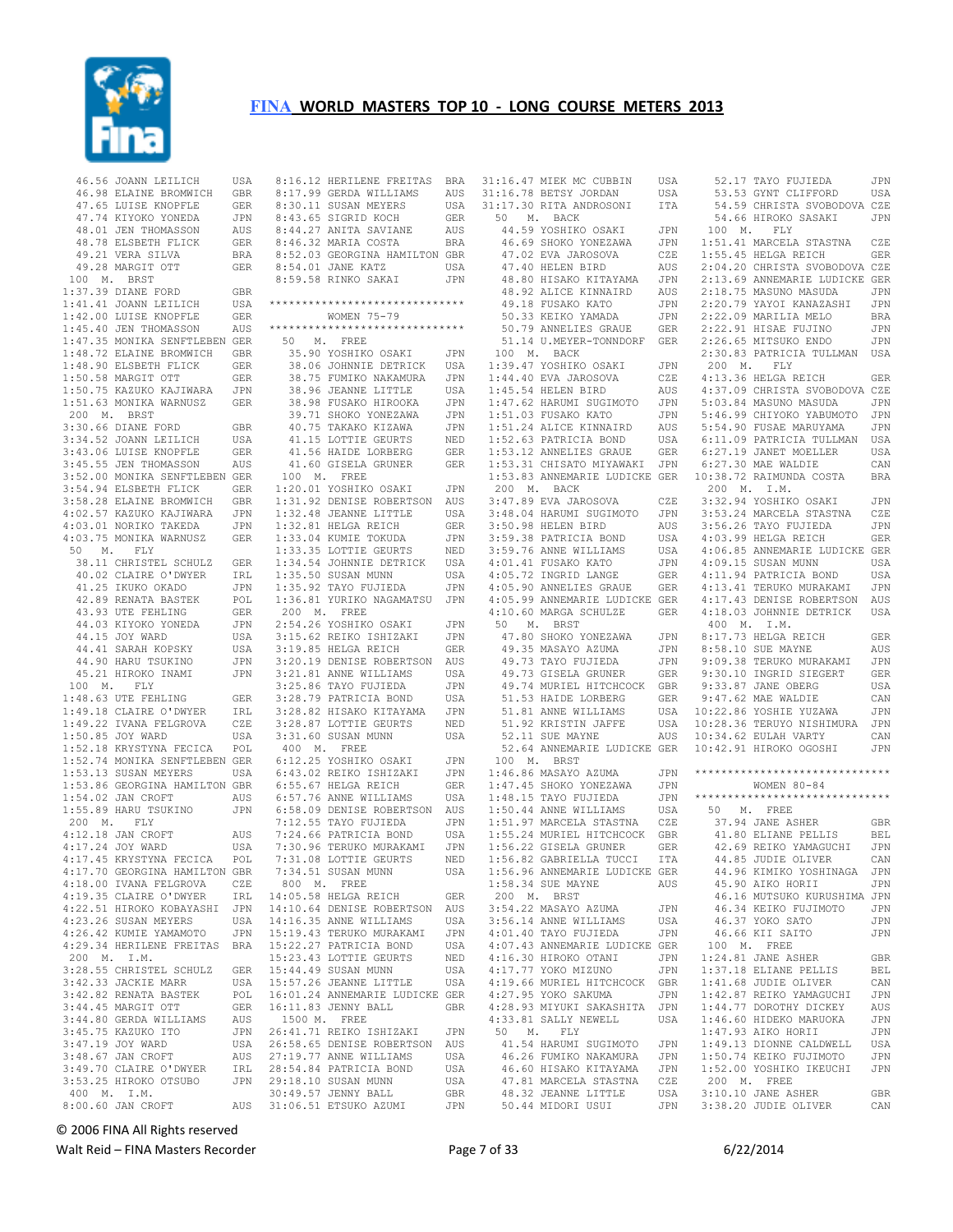

 46.56 JOANN LEILICH USA 46.98 ELAINE BROMWICH GBR<br>47.65 LUISE KNOPFLE GER 47.65 LUISE KNOPFLE GER<br>47.74 KIYOKO YONEDA JPN 47.74 KIYOKO YONEDA 48.01 JEN THOMASSON AUS 48.78 ELSBETH FLICK GER<br>49.21 VERA SILVA BRA 49.21 VERA SILVA 49.28 MARGIT OTT GER 100 M. BRST 1:37.39 DIANE FORD GBR 1:41.41 JOANN LEILICH USA 1:42.00 LUISE KNOPFLE GER 1:45.40 JEN THOMASSON AUS 1:47.35 MONIKA SENFTLEBEN GER 1:48.72 ELAINE BROMWICH GBR<br>1:48.90 ELSBETH FLICK GER 1:48.90 ELSBETH FLICK GER 1:50.58 MARGIT OTT GER 1:50.75 KAZUKO KAJIWARA JPN 1:51.63 MONIKA WARNUSZ GER 200 M. BRST 3:30.66 DIANE FORD GBR 3:34.52 JOANN LEILICH USA<br>3:43.06 LUISE KNOPFLE GER 3:43.06 LUISE KNOPFLE 3:45.55 JEN THOMASSON AUS 3:52.00 MONIKA SENFTLEBEN GER 3:54.94 ELSBETH FLICK GER 3:58.28 ELAINE BROMWICH GBR<br>4:02.57 KAZUKO KAJIWARA JPN 4:02.57 KAZUKO KAJIWARA 4:03.01 NORIKO TAKEDA JPN<br>4:03.75 MONIKA WARNUSZ GER 4:03.75 MONIKA WARNUSZ 50 M. FLY 38.11 CHRISTEL SCHULZ GER<br>40.02 CLAIRE O'DWYER IRL 40.02 CLAIRE O'DWYER IRL<br>41.25 IKUKO OKADO JPN 41.25 IKUKO OKADO JPN<br>42.89 RENATA BASTEK POL 42.89 RENATA BASTEK 43.93 UTE FEHLING GER<br>44.03 KIYOKO YONEDA JPN 44.03 KIYOKO YONEDA 44.15 JOY WARD USA<br>44.41 SARAH KOPSKY USA 44.41 SARAH KOPSKY ed<br>14.90 HARU TSUKINO JPN<br>15.21 HIROKO INAMI JPN 45.21 HIROKO INAMI 100 M. FLY 1:48.63 UTE FEHLING GER<br>1:49.18 CLAIRE O'DWYER IRL  $1:49.18$  CLAIRE O'DWYER 1:49.22 IVANA FELGROVA CZE 1:50.85 JOY WARD USA<br>1:52.18 KRYSTYNA FECICA POL 1:52.18 KRYSTYNA FECICA 1:52.74 MONIKA SENFTLEBEN GER<br>1:53.13 SUSAN MEYERS USA  $1:53.13$  SUSAN MEYERS 1:53.86 GEORGINA HAMILTON GBR<br>1:54.02 JAN CROFT AUS  $1:54.02$  JAN CROFT 1:55.89 HARU TSUKINO JPN 200 M. FLY 4:12.18 JAN CROFT AUS 4:17.24 JOY WARD USA<br>4:17.45 KRYSTYNA FECICA POL 4:17.45 KRYSTYNA FECICA 4:17.70 GEORGINA HAMILTON GBR 4:18.00 IVANA FELGROVA CZE<br>4:19.35 CLAIRE O'DWYER IRL 4:19.35 CLAIRE O'DWYER 4:22.51 HIROKO KOBAYASHI JPN 4:23.26 SUSAN MEYERS 4:26.42 KUMIE YAMAMOTO JPN 4:29.34 HERILENE FREITAS BRA 200 M. I.M. 3:28.55 CHRISTEL SCHULZ GER 3:42.33 JACKIE MARR USA 3:42.82 RENATA BASTEK POL 3:44.45 MARGIT OTT GER 3:44.80 GERDA WILLIAMS AUS<br>3:45.75 KAZUKO ITO JPN 3:45.75 KAZUKO ITO 3:47.19 JOY WARD USA 3:48.67 JAN CROFT AUS 3:49.70 CLAIRE O'DWYER IRL 3:53.25 HIROKO OTSUBO JPN 400 M. I.M. 8:00.60 JAN CROFT AUS

| 8:16.12 HERILENE FREITAS BRA                                                                                                                                                                  |            |
|-----------------------------------------------------------------------------------------------------------------------------------------------------------------------------------------------|------------|
| 8:17.99 GERDA WILLIAMS<br>8:30.11 SUSAN MEYERS<br>1.15 STORING MOON                                                                                                                           | AUS        |
| 8:30.11 SUSAN MEYERS<br>8:43.65 SIGRID KOCH                                                                                                                                                   | USA<br>GER |
|                                                                                                                                                                                               |            |
| 8:30.11 500000<br>8:43.65 SIGRID KOCH<br>8:44.27 ANITA SAVIANE                                                                                                                                | AUS        |
| 8:46.32 MARIA COSTA                                                                                                                                                                           | BRA        |
| 8:52.03 GEORGINA HAMILTON GBR                                                                                                                                                                 |            |
| 8:54.01 JANE KATZ                                                                                                                                                                             | USA        |
| 8:59.58 RINKO SAKAI                                                                                                                                                                           | JPN        |
|                                                                                                                                                                                               |            |
| ******************************                                                                                                                                                                |            |
| WOMEN 75-79                                                                                                                                                                                   |            |
| ******************************                                                                                                                                                                |            |
| 50 M. FREE                                                                                                                                                                                    |            |
| 35.90 YOSHIKO OSAKI (مدينة 35.90 YOSHIKO OSAKI (مدينة 38.06 JOHNNIE DETRICK (مدينة 39.15 )<br>38.75 FUMIKO NAKAMURA (مدينة مدينة 38.75 M)<br>2016 - المسلمان المسلمان المسلمان (مدينة 38.15 ) |            |
|                                                                                                                                                                                               |            |
|                                                                                                                                                                                               |            |
|                                                                                                                                                                                               |            |
|                                                                                                                                                                                               | JPN        |
| 38.96 JEANNE LITTLE<br>38.96 JEANNE LITTLE<br>38.98 FUSAKO HIROOKA<br>39.71 SHOKO YONEZAWA<br>41.15 LOTTLE GEURTS<br>41.56 HAIDE LORBERG<br>41.56 HAIDE LORBERG                               | JPN        |
|                                                                                                                                                                                               | JPN<br>NED |
|                                                                                                                                                                                               |            |
| 41.60 GISELA GRUNER                                                                                                                                                                           | GER<br>GER |
| 100 M. FREE                                                                                                                                                                                   |            |
| 1:20.01 YOSHIKO OSAKI                                                                                                                                                                         | JPN        |
| 1:31.92 DENISE ROBERTSON                                                                                                                                                                      | <b>AUS</b> |
|                                                                                                                                                                                               | USA        |
| 1:32.48 JEANNE LITTLE<br>1:32.81 HELGA REICH                                                                                                                                                  | GER        |
| $1:33.04$ KUMIE TOKUDA                                                                                                                                                                        | JPN        |
|                                                                                                                                                                                               | NED        |
| 1:33.35 LOTTIE GEURTS<br>1:33.35 LOTTIE GEURTS<br>1:34.54 JOHNNIE DETRICK                                                                                                                     | USA        |
|                                                                                                                                                                                               | USA        |
| 1:35.92 TAYO FUJIEDA<br>1:35.92 TAYO FUJIEDA<br>1:36.81 VIDEO                                                                                                                                 | JPN        |
| 1:36.81 YURIKO NAGAMATSU JPN                                                                                                                                                                  |            |
| 200 M. FREE                                                                                                                                                                                   |            |
| 2:54.26 YOSHIKO OSAKI                                                                                                                                                                         | JPN        |
| 3:15.62 REIKO ISHIZAKI                                                                                                                                                                        | JPN        |
| 3:19.85 HELGA REICH<br>3:20.19 DENISE ROBERTSON<br>3:21.81 ANNE WILLIAMS                                                                                                                      | GER        |
|                                                                                                                                                                                               | AUS        |
|                                                                                                                                                                                               | USA        |
| 3:25.86 TAYO FUJIEDA                                                                                                                                                                          | JPN        |
| 3:28.79 PATRICIA BOND                                                                                                                                                                         | USA        |
| 3:28.79 PATRICIA BOND<br>3:28.82 HISAKO KITAYAMA                                                                                                                                              | JPN        |
| 3:28.87 LOTTIE GEURTS                                                                                                                                                                         | NED        |
| 3:31.60 SUSAN MUNN                                                                                                                                                                            | USA        |
| 400 M. FREE                                                                                                                                                                                   |            |
| 6:12.25 YOSHIKO OSAKI                                                                                                                                                                         | JPN        |
| 6:43.02 REIKO ISHIZAKI                                                                                                                                                                        | JPN        |
| 6:55.67 HELGA REICH                                                                                                                                                                           | GER        |
| $6:57.76$ ANNE WILLIAMS                                                                                                                                                                       | USA        |
| 6:58.09 DENISE ROBERTSON                                                                                                                                                                      | AUS        |
| 7:12.55 TAYO FUJIEDA                                                                                                                                                                          | JPN        |
| 7:24.66 PATRICIA BOND<br>7:30 96 meruang BOND                                                                                                                                                 | USA<br>JPN |
| 7:30.96 TERUKO MURAKAMI<br>7:31.08 LOTTIE GEURTS<br>7:34.51 SUCAN MUNN                                                                                                                        | NED        |
| 7:34.51 SUSAN MUNN                                                                                                                                                                            | USA        |
| 800 M. FREE                                                                                                                                                                                   |            |
|                                                                                                                                                                                               | <b>GER</b> |
| 14:05.58 HELGA REICH<br>14:10.64 DENISE ROBERTSON                                                                                                                                             | AUS        |
| 14:16.35 ANNE WILLIAMS                                                                                                                                                                        | USA        |
| 15:19.43 TERUKO MURAKAMI                                                                                                                                                                      | JPN        |
|                                                                                                                                                                                               | USA        |
| 15:22.27 PATRICIA BOND<br>15:23.43 LOTTIE GEURTS                                                                                                                                              | NED        |
| 15:44.49 SUSAN MUNN                                                                                                                                                                           | USA        |
| 15:57.26 JEANNE LITTLE                                                                                                                                                                        |            |
|                                                                                                                                                                                               | USA        |
|                                                                                                                                                                                               |            |
| 16:01.24 ANNEMARIE LUDICKE GER<br>16:11.83 JENNY BALL                                                                                                                                         | <b>GBR</b> |
| 1500 M. FREE                                                                                                                                                                                  |            |
|                                                                                                                                                                                               | JPN        |
|                                                                                                                                                                                               | AUS        |
| 26:41.71 REIKO ISHIZAKI<br>26:58.65 DENISE ROBERTSON<br>27:19.77 ANNE WILLIAMS                                                                                                                | USA        |
| 28:54.84 PATRICIA BOND                                                                                                                                                                        | USA        |
|                                                                                                                                                                                               | USA        |
| 29:18.10 SUSAN MUNN<br>29:18.10 SUSAN MUNN<br>30:49.57 JENNY BALL<br>31:06.51 ETSUKO AZUMI                                                                                                    | GBR<br>JPN |

|             | 31:16.47 MIEK MC CUBBIN       | USA |           | 52.17 TAYO FUJIEDA             | JPN        |
|-------------|-------------------------------|-----|-----------|--------------------------------|------------|
|             | 31:16.78 BETSY JORDAN         | USA |           | 53.53 GYNT CLIFFORD            | USA        |
|             | 31:17.30 RITA ANDROSONI       | ITA |           | 54.59 CHRISTA SVOBODOVA CZE    |            |
| 50<br>М.    | BACK                          |     |           | 54.66 HIROKO SASAKI            | JPN        |
|             | 44.59 YOSHIKO OSAKI           | JPN | Μ.<br>100 | FLY                            |            |
|             | 46.69 SHOKO YONEZAWA          | JPN |           | 1:51.41 MARCELA STASTNA        | CZE        |
|             | 47.02 EVA JAROSOVA            | CZE |           | 1:55.45 HELGA REICH            | <b>GER</b> |
|             | 47.40 HELEN BIRD              | AUS |           | 2:04.20 CHRISTA SVOBODOVA CZE  |            |
|             | 48.80 HISAKO KITAYAMA         |     |           | 2:13.69 ANNEMARIE LUDICKE GER  |            |
|             |                               | JPN |           |                                |            |
|             | 48.92 ALICE KINNAIRD          | AUS |           | 2:18.75 MASUNO MASUDA          | JPN        |
|             | 49.18 FUSAKO KATO             | JPN |           | 2:20.79 YAYOI KANAZASHI        | JPN        |
|             | 50.33 KEIKO YAMADA            | JPN |           | 2:22.09 MARILIA MELO           | BRA        |
|             | 50.79 ANNELIES GRAUE          | GER |           | 2:22.91 HISAE FUJINO           | JPN        |
|             | 51.14 U.MEYER-TONNDORF        | GER |           | 2:26.65 MITSUKO ENDO           | JPN        |
| 100 M.      | BACK                          |     |           | 2:30.83 PATRICIA TULLMAN       | USA        |
|             | 1:39.47 YOSHIKO OSAKI         | JPN | М.<br>200 | FLY                            |            |
|             | 1:44.40 EVA JAROSOVA          | CZE |           | 4:13.36 HELGA REICH            | GER        |
|             | 1:45.54 HELEN BIRD            | AUS |           | 4:37.09 CHRISTA SVOBODOVA CZE  |            |
|             | 1:47.62 HARUMI SUGIMOTO       | JPN |           | 5:03.84 MASUNO MASUDA          | JPN        |
|             | 1:51.03 FUSAKO KATO           | JPN |           | 5:46.99 CHIYOKO YABUMOTO       | JPN        |
|             | 1:51.24 ALICE KINNAIRD        | AUS |           | 5:54.90 FUSAE MARUYAMA         | JPN        |
|             | 1:52.63 PATRICIA BOND         |     |           |                                |            |
|             |                               | USA |           | 6:11.09 PATRICIA TULLMAN       | USA        |
|             | 1:53.12 ANNELIES GRAUE        | GER |           | 6:27.19 JANET MOELLER          | USA        |
|             | 1:53.31 CHISATO MIYAWAKI      | JPN |           | 6:27.30 MAE WALDIE             | CAN        |
|             | 1:53.83 ANNEMARIE LUDICKE     | GER |           | 10:38.72 RAIMUNDA COSTA        | BRA        |
| 200<br>М.   | BACK                          |     | 200<br>М. | I.M.                           |            |
|             | 3:47.89 EVA JAROSOVA          | CZE |           | 3:32.94 YOSHIKO OSAKI          | JPN        |
|             | 3:48.04 HARUMI SUGIMOTO       | JPN |           | 3:53.24 MARCELA STASTNA        | CZE        |
|             | 3:50.98 HELEN BIRD            | AUS |           | 3:56.26 TAYO FUJIEDA           | JPN        |
|             | 3:59.38 PATRICIA BOND         | USA |           | 4:03.99 HELGA REICH            | <b>GER</b> |
|             | 3:59.76 ANNE WILLIAMS         | USA |           | 4:06.85 ANNEMARIE LUDICKE GER  |            |
|             | 4:01.41 FUSAKO KATO           | JPN |           | 4:09.15 SUSAN MUNN             | USA        |
|             | 4:05.72 INGRID LANGE          | GER |           | 4:11.94 PATRICIA BOND          | USA        |
|             |                               |     |           |                                |            |
|             | 4:05.90 ANNELIES GRAUE        | GER |           | 4:13.41 TERUKO MURAKAMI        | JPN        |
|             | 4:05.99 ANNEMARIE LUDICKE GER |     |           | 4:17.43 DENISE ROBERTSON       | AUS        |
|             | 4:10.60 MARGA SCHULZE         | GER |           | 4:18.03 JOHNNIE DETRICK        | USA        |
| 50          | M. BRST                       |     | 400<br>М. | I.M.                           |            |
|             | 47.80 SHOKO YONEZAWA          | JPN |           | 8:17.73 HELGA REICH            | GER        |
|             | 49.35 MASAYO AZUMA            | JPN |           | 8:58.10 SUE MAYNE              | AUS        |
|             | 49.73 TAYO FUJIEDA            | JPN |           | 9:09.38 TERUKO MURAKAMI        | JPN        |
|             | 49.73 GISELA GRUNER           | GER |           | 9:30.10 INGRID SIEGERT         | GER        |
|             | 49.74 MURIEL HITCHCOCK        | GBR |           | 9:33.87 JANE OBERG             | USA        |
|             | 51.53 HAIDE LORBERG           | GER |           | 9:47.62 MAE WALDIE             | CAN        |
|             | 51.81 ANNE WILLIAMS           | USA |           | 10:22.86 YOSHIE YUZAWA         | JPN        |
|             | 51.92 KRISTIN JAFFE           | USA |           | 10:28.36 TERUYO NISHIMURA      | JPN        |
|             | 52.11 SUE MAYNE               | AUS |           | 10:34.62 EULAH VARTY           | CAN        |
|             | 52.64 ANNEMARIE LUDICKE GER   |     |           |                                | JPN        |
|             |                               |     |           | 10:42.91 HIROKO OGOSHI         |            |
| 100<br>М.   | BRST                          |     |           | ****************************** |            |
|             | 1:46.86 MASAYO AZUMA          | JPN |           |                                |            |
|             | 1:47.45 SHOKO YONEZAWA        | JPN |           | WOMEN $80 - 84$                |            |
|             | 1:48.15 TAYO FUJIEDA          | JPN |           | ****************************** |            |
|             | 1:50.44 ANNE WILLIAMS         | USA | 50<br>М.  | FREE                           |            |
|             | 1:51.97 MARCELA STASTNA       | CZE |           | 37.94 JANE ASHER               | GBR        |
|             | 1:55.24 MURIEL HITCHCOCK      | GBR |           | 41.80 ELIANE PELLIS            | BEL        |
|             | 1:56.22 GISELA GRUNER         | GER |           | 42.69 REIKO YAMAGUCHI          | JPN        |
|             | 1:56.82 GABRIELLA TUCCI       | ITA |           | 44.85 JUDIE OLIVER             | CAN        |
|             | 1:56.96 ANNEMARIE LUDICKE GER |     |           | 44.96 KIMIKO YOSHINAGA         | JPN        |
|             | 1:58.34 SUE MAYNE             | AUS |           | 45.90 AIKO HORII               | JPN        |
| 200 M. BRST |                               |     |           | 46.16 MUTSUKO KURUSHIMA JPN    |            |
|             | 3:54.22 MASAYO AZUMA          |     |           | 46.34 KEIKO FUJIMOTO           |            |
|             |                               | JPN |           |                                | JPN        |
|             | 3:56.14 ANNE WILLIAMS         | USA |           | 46.37 YOKO SATO                | JPN        |
|             | 4:01.40 TAYO FUJIEDA          | JPN |           | 46.66 KII SAITO                | JPN        |
|             | 4:07.43 ANNEMARIE LUDICKE GER |     | 100 M.    | FREE                           |            |
|             | 4:16.30 HIROKO OTANI          | JPN |           | 1:24.81 JANE ASHER             | GBR        |
|             | 4:17.77 YOKO MIZUNO           | JPN |           | 1:37.18 ELIANE PELLIS          | BEL        |
|             | 4:19.66 MURIEL HITCHCOCK      | GBR |           | 1:41.68 JUDIE OLIVER           | CAN        |
|             | 4:27.95 YOKO SAKUMA           | JPN |           | 1:42.87 REIKO YAMAGUCHI        | JPN        |
|             | 4:28.93 MIYUKI SAKASHITA      | JPN |           | 1:44.77 DOROTHY DICKEY         | AUS        |
|             | 4:33.81 SALLY NEWELL          | USA |           | 1:46.60 HIDEKO MARUOKA         | JPN        |
| М.<br>50    | ${\rm FLY}$                   |     |           | 1:47.93 AIKO HORII             | JPN        |
|             | 41.54 HARUMI SUGIMOTO         | JPN |           | 1:49.13 DIONNE CALDWELL        | USA        |
|             |                               |     |           |                                |            |
|             | 46.26 FUMIKO NAKAMURA         | JPN |           | 1:50.74 KEIKO FUJIMOTO         | JPN        |
|             | 46.60 HISAKO KITAYAMA         | JPN |           | 1:52.00 YOSHIKO IKEUCHI        | JPN        |
|             | 47.81 MARCELA STASTNA         | CZE | 200 M.    | FREE                           |            |
|             | 48.32 JEANNE LITTLE           | USA |           | 3:10.10 JANE ASHER             | GBR        |
|             | 50.44 MIDORI USUI             | JPN |           | 3:38.20 JUDIE OLIVER           | CAN        |

© 2006 FINA All Rights reserved

Walt Reid – FINA Masters Recorder example and the Page 7 of 33 6/22/2014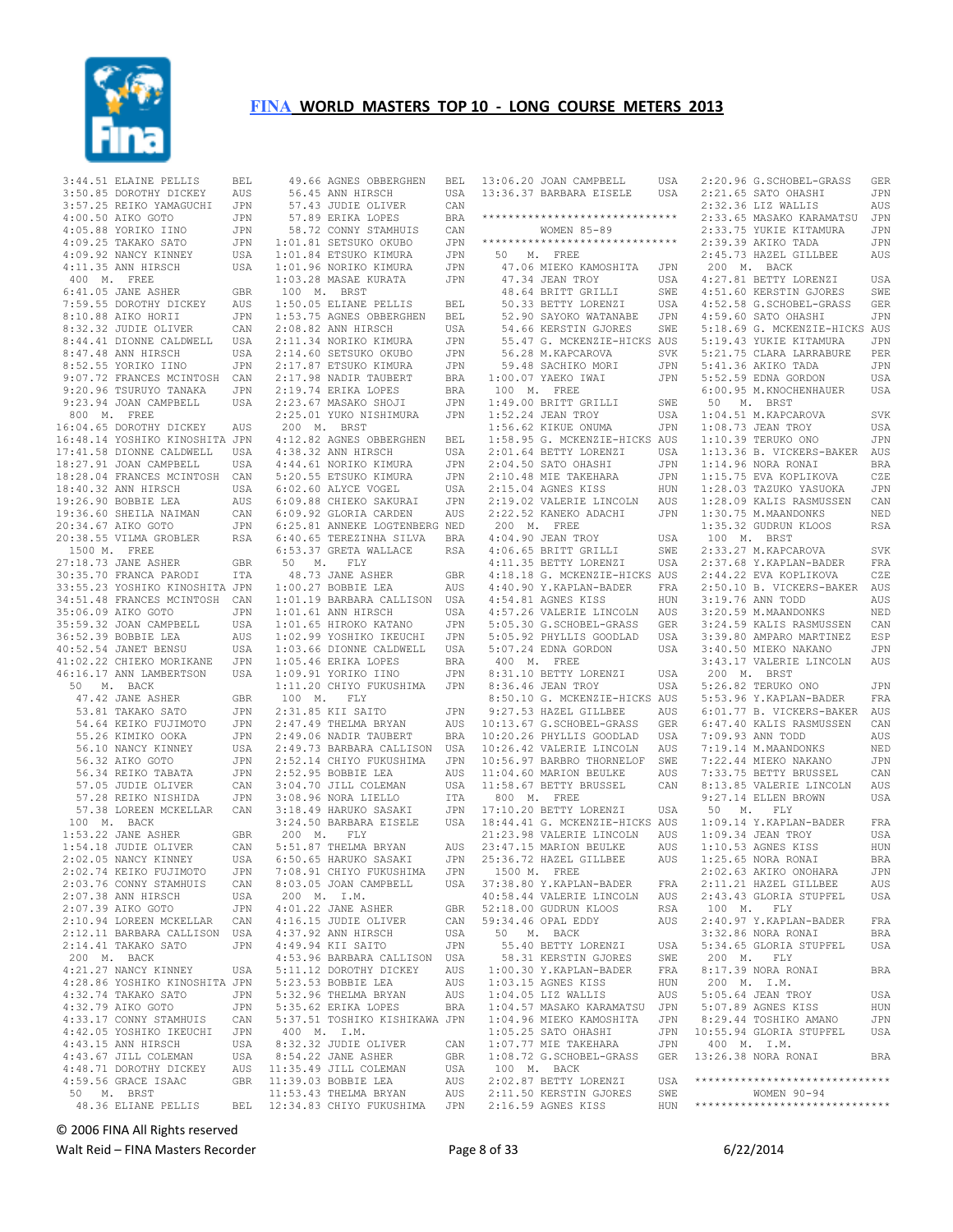

|              | 3:44.51 ELAINE PELLIS                                                          | BEL        |                                         |
|--------------|--------------------------------------------------------------------------------|------------|-----------------------------------------|
|              | 3:50.85 DOROTHY DICKEY<br>3:57.25 REIKO YAMAGUCHI JPN                          | AUS        |                                         |
|              | 4:00.50 AIKO GOTO                                                              | JPN        |                                         |
|              | 4:05.88 YORIKO IINO                                                            | JPN        |                                         |
|              | 4:09.25 TAKAKO SATO                                                            | JPN        | $\mathbf{1}$ :                          |
|              | 4:09.92 NANCY KINNEY                                                           | USA        | $\mathbf{1}$ :                          |
|              | 4:11.35 ANN HIRSCH                                                             | USA        | 1:                                      |
| 400 M. FREE  |                                                                                |            | $\mathbf{1}$ :                          |
|              | $6:41.05$ JANE ASHER                                                           | GBR        | Ĵ                                       |
|              | 7:59.55 DOROTHY DICKEY<br>8:10.88 AIKO HORII                                   | AUS<br>JPN | $\mathbf{1}$ :<br>$1$ :                 |
|              | 8:32.32 JUDIE OLIVER                                                           | CAN        | $\mathbf{2}:$                           |
|              | 8:44.41 DIONNE CALDWELL                                                        | USA        | $\mathbf{2}:$                           |
|              | 8:47.48 ANN HIRSCH                                                             | USA        | 2:                                      |
|              | 8:52.55 YORIKO IINO                                                            | JPN        | $\mathbf{2}$ :                          |
|              | 9:07.72 FRANCES MCINTOSH CAN                                                   |            | $\mathbf{2}:$                           |
|              | 9:20.96 TSURUYO TANAKA                                                         | JPN        | $\mathbf{2}$ :                          |
| 800 M. FREE  | 9:23.94 JOAN CAMPBELL                                                          | USA        | $\mathbf{2}:$<br>$\overline{2}$ :       |
|              | 16:04.65 DOROTHY DICKEY AUS                                                    |            | ź                                       |
|              | 16:48.14 YOSHIKO KINOSHITA JPN                                                 |            | 4:                                      |
|              | 17:41.58 DIONNE CALDWELL USA<br>18:27.91 JOAN CAMPBELL USA                     |            | 4:                                      |
|              | 18:27.91 JOAN CAMPBELL                                                         |            | 4:                                      |
|              | 18:28.04 FRANCES MCINTOSH CAN                                                  |            | 5:                                      |
|              | 18:40.32 ANN HIRSCH                                                            | USA        | 6:                                      |
|              | 19:26.90 BOBBIE LEA<br>19:36.60 SHEILA NAIMAN                                  | AUS        | 6:                                      |
|              | 20:34.67 AIKO GOTO                                                             | CAN<br>JPN | 6:<br>6:                                |
|              | 20:38.55 VILMA GROBLER                                                         | RSA        | 6:                                      |
| 1500 M. FREE |                                                                                |            | 6:                                      |
|              | 27:18.73 JANE ASHER                                                            | GBR        | Į                                       |
|              | 30:35.70 FRANCA PARODI<br>33.55.70 FRANCA PARODI                               | ITA        |                                         |
|              | 33:55.23 YOSHIKO KINOSHITA JPN                                                 |            | 1:                                      |
|              | 34:51.48 FRANCES MCINTOSH CAN                                                  |            | $\mathbf{1}$ :                          |
|              | 35:06.09 AIKO GOTO                                                             | JPN<br>USA | 1:                                      |
|              | 35:59.32 JOAN CAMPBELL<br>36:52.39 BOBBIE LEA                                  | AUS        | $\mathbf{1}$ :<br>$\mathbf{1}$ :        |
|              | 40:52.54 JANET BENSU                                                           | USA        | $1$ :                                   |
|              |                                                                                | JPN        | $1$ :                                   |
|              | 41:02.22 CHIEKO MORIKANE<br>46:16.17 ANN LAMBERTSON<br>46:16.17 ANN LAMBERTSON | USA        | $\mathbf{1}$ :                          |
|              | 50 M. BACK                                                                     |            | $1\,$                                   |
|              | 47.42 JANE ASHER                                                               | GBR        | Ĵ                                       |
|              | 53.81 TAKAKO SATO                                                              | JPN        | 2:<br>2:                                |
|              | 54.64 KEIKO FUJIMOTO<br>55.26 KIMIKO OOKA                                      | JPN<br>JPN | $\overline{2}$ :                        |
|              | 56.10 NANCY KINNEY                                                             | USA        | $\mathbf{2}:$                           |
|              | 56.32 AIKO GOTO                                                                | JPN        | $\overline{2}$ :                        |
|              | 56.34 REIKO TABATA<br>57.05 JUDIE OLIVER<br>57.05 JUDIE OLIVER                 | JPN        | $\mathbf{2}:$                           |
|              |                                                                                | CAN        | $\mathfrak{Z}$ :                        |
|              | 57.28 REIKO NISHIDA                                                            | JPN        | 3:                                      |
|              | 57.38 LOREEN MCKELLAR CAN                                                      |            | $\mathbf{3}:$                           |
|              | 100 M. BACK<br>1:53.22 JANE ASHER                                              | GBR        | $\mathbf{3}$ :<br>$\tilde{\phantom{a}}$ |
|              | 1:54.18 JUDIE OLIVER                                                           | CAN        | 5:                                      |
|              | 2:02.05 NANCY KINNEY                                                           | USA        | 6:                                      |
|              | 2:02.74 KEIKO FUJIMOTO                                                         | JPN        | 7:                                      |
|              | 2:03.76 CONNY STAMHUIS                                                         | CAN        | 8:                                      |
|              | 2:07.38 ANN HIRSCH                                                             | USA        | ź                                       |
|              | 2:07.39 AIKO GOTO                                                              | JPN        | 4:                                      |
|              | 2:10.94 LOREEN MCKELLAR                                                        | CAN        | 4:                                      |
|              | 2:12.11 BARBARA CALLISON USA<br>2:14.41 TAKAKO SATO                            |            | 4:<br>4:                                |
|              | 200 M. BACK                                                                    | JPN        | $\overline{4}$ :                        |
|              | 4:21.27 NANCY KINNEY                                                           | USA        | 5:                                      |
|              | 4:28.86 YOSHIKO KINOSHITA JPN                                                  |            | 5:                                      |
|              | 4:32.74 TAKAKO SATO                                                            | JPN        | 5:                                      |
|              | 4:32.79 AIKO GOTO                                                              | JPN        | 5:                                      |
|              | 4:33.17 CONNY STAMHUIS                                                         | CAN        | 5:                                      |
|              | 4:42.05 YOSHIKO IKEUCHI                                                        | JPN        | $\overline{\phantom{a}}$                |
|              | 4:43.15 ANN HIRSCH<br>4:43.67 JILL COLEMAN                                     | USA<br>USA | 8:<br>8:                                |
|              | 4:48.71 DOROTHY DICKEY                                                         | AUS        | 11                                      |
|              | 4:59.56 GRACE ISAAC                                                            | GBR        | 11:                                     |
|              | 50 M. BRST                                                                     |            | 11:                                     |
|              | 48.36 ELIANE PELLIS                                                            | BEL        | 12:                                     |

|                        | $\begin{tabular}{llllll} $49.66 & \texttt{AGNES} & \texttt{BBERGHEN} & \texttt{BEL} \\ $56.45 & \texttt{ANN HIRST} & & \texttt{USA} \\ $57.43 & \texttt{JUDIE} & \texttt{OLIVER} & \texttt{CAN} \\ $57.89 & \texttt{ERIKA LOPES} & \texttt{BRR} \\ $8.72 & \texttt{CONNY STAMHUIS} & \texttt{CAR} \\ $1:01.81 & \texttt{SETSUKO OKUBO} & \texttt{JPN} \\ $1:01.84 & \texttt{ETSUKO KIMURA} & \texttt{JPN} \\ $1:01.96 & \$ |                   |
|------------------------|----------------------------------------------------------------------------------------------------------------------------------------------------------------------------------------------------------------------------------------------------------------------------------------------------------------------------------------------------------------------------------------------------------------------------|-------------------|
|                        |                                                                                                                                                                                                                                                                                                                                                                                                                            |                   |
|                        |                                                                                                                                                                                                                                                                                                                                                                                                                            |                   |
|                        |                                                                                                                                                                                                                                                                                                                                                                                                                            |                   |
|                        |                                                                                                                                                                                                                                                                                                                                                                                                                            |                   |
|                        |                                                                                                                                                                                                                                                                                                                                                                                                                            |                   |
|                        |                                                                                                                                                                                                                                                                                                                                                                                                                            |                   |
|                        |                                                                                                                                                                                                                                                                                                                                                                                                                            |                   |
| $100$ M. BRST          |                                                                                                                                                                                                                                                                                                                                                                                                                            |                   |
|                        | 1:50.05 ELIANE PELLIS                                                                                                                                                                                                                                                                                                                                                                                                      | BEL               |
|                        | 1:53.75 AGNES OBBERGHEN BEL                                                                                                                                                                                                                                                                                                                                                                                                |                   |
|                        |                                                                                                                                                                                                                                                                                                                                                                                                                            |                   |
|                        |                                                                                                                                                                                                                                                                                                                                                                                                                            |                   |
|                        | 1:30.73 AGNES UBBEKUREN BELLONGER<br>2:08.82 ANN HIRSCH USA<br>2:11.34 NORIKO KIMURA JPN<br>2:11.37 ETSUKO CKUBO JPN<br>2:17.87 ETSUKO KIMURA JPN<br>2:17.98 NADIR TAUBERT BRA<br>2:19.74 ERIKA LOPES BRA<br>2:23.67 MASAKO SHOJI JPN<br>2:23.                                                                                                                                                                             |                   |
|                        |                                                                                                                                                                                                                                                                                                                                                                                                                            |                   |
|                        |                                                                                                                                                                                                                                                                                                                                                                                                                            |                   |
|                        |                                                                                                                                                                                                                                                                                                                                                                                                                            |                   |
|                        |                                                                                                                                                                                                                                                                                                                                                                                                                            |                   |
|                        | 200 M. BRST                                                                                                                                                                                                                                                                                                                                                                                                                |                   |
|                        | $4:12.82$ AGNES OBBERGHEN BEL                                                                                                                                                                                                                                                                                                                                                                                              |                   |
|                        |                                                                                                                                                                                                                                                                                                                                                                                                                            | USA               |
|                        |                                                                                                                                                                                                                                                                                                                                                                                                                            |                   |
|                        | 4:38.32 ANN HIRSCH<br>4:44.61 NORIKO KIMURA<br>5:20.55 ETSUKO KIMURA<br>6:02.60 ALYCE VOGEL                                                                                                                                                                                                                                                                                                                                | JPN<br>JPN        |
|                        | 6:02.60 ALYCE VOGEL USA<br>6:09.88 CHIEKO SAKURAI JPN<br>6:09.92 GLORIA CARDEN AUS                                                                                                                                                                                                                                                                                                                                         |                   |
|                        |                                                                                                                                                                                                                                                                                                                                                                                                                            |                   |
|                        |                                                                                                                                                                                                                                                                                                                                                                                                                            |                   |
|                        |                                                                                                                                                                                                                                                                                                                                                                                                                            |                   |
|                        | 6:25.81 ANNEKE LOGTENBERG NED<br>6:40.65 TEREZINHA SILVA BRA<br>6:53.37 GRETA WALLACE RSA                                                                                                                                                                                                                                                                                                                                  |                   |
|                        |                                                                                                                                                                                                                                                                                                                                                                                                                            |                   |
|                        | 50 M. FLY<br>48.73 JANE ASHER<br>1:00.27 BOBBIE LEA                                                                                                                                                                                                                                                                                                                                                                        | GBR               |
|                        |                                                                                                                                                                                                                                                                                                                                                                                                                            | AUS               |
|                        |                                                                                                                                                                                                                                                                                                                                                                                                                            | nss<br>USA<br>USA |
|                        |                                                                                                                                                                                                                                                                                                                                                                                                                            |                   |
|                        |                                                                                                                                                                                                                                                                                                                                                                                                                            |                   |
|                        |                                                                                                                                                                                                                                                                                                                                                                                                                            |                   |
|                        | 1:01.19 BARBARA CALLISON USA<br>1:01.19 BARBARA CALLISON USA<br>1:01.65 HIROKO KATANO JPN<br>1:02.99 YOSHIKO KATANO JPN<br>1:03.66 DIONNE CALDWELL USA<br>1:03.66 ERIKA LOPES BRA<br>1:09.91 YORIKO IINO JPN<br>1:09.91 YORIKO IINO JPN                                                                                                                                                                                    |                   |
|                        |                                                                                                                                                                                                                                                                                                                                                                                                                            |                   |
|                        |                                                                                                                                                                                                                                                                                                                                                                                                                            |                   |
|                        | 1:11.20 CHIYO FUKUSHIMA                                                                                                                                                                                                                                                                                                                                                                                                    | JPN               |
| $100$ $\,$ M. $\,$ FLY |                                                                                                                                                                                                                                                                                                                                                                                                                            |                   |
|                        | 2:31.85 KII SAITO<br>2:47.49 THELMA BRYAN AUS<br>2:49.06 NADIR TAUBERT BRA<br>2:49.73 BARBARA CALLISON USA<br>2:49.73 BARBARA CALLISON USA                                                                                                                                                                                                                                                                                 |                   |
|                        |                                                                                                                                                                                                                                                                                                                                                                                                                            |                   |
|                        | 2:49.00<br>2:52.14 CHIYO FUKUSHIMA<br>2:52.14 CHIYO FUKUSHIMA<br>2:52.95 BOBBIE LEA<br>3:04.70 JILL COLEMAN<br>00 96 NORA LIELLO                                                                                                                                                                                                                                                                                           |                   |
|                        |                                                                                                                                                                                                                                                                                                                                                                                                                            |                   |
|                        |                                                                                                                                                                                                                                                                                                                                                                                                                            |                   |
|                        |                                                                                                                                                                                                                                                                                                                                                                                                                            | AUS<br>USA<br>ITA |
|                        |                                                                                                                                                                                                                                                                                                                                                                                                                            |                   |
|                        | 3:18.49 HARUKO SASAKI JPN<br>3:24.50 BARBARA EISELE USA                                                                                                                                                                                                                                                                                                                                                                    | JPN               |
|                        | 200 M. FLY                                                                                                                                                                                                                                                                                                                                                                                                                 |                   |
|                        |                                                                                                                                                                                                                                                                                                                                                                                                                            |                   |
|                        | 2.51.87 THELMA BRYAN AUS<br>6:50.65 HARUKO SASAKI JPN                                                                                                                                                                                                                                                                                                                                                                      |                   |
|                        | 7:08.91 CHIYO FUKUSHIMA                                                                                                                                                                                                                                                                                                                                                                                                    | JPN               |
|                        | 8:03.05 JOAN CAMPBELL                                                                                                                                                                                                                                                                                                                                                                                                      | USA               |
|                        | 200 M. I.M.                                                                                                                                                                                                                                                                                                                                                                                                                |                   |
|                        | $4:01.22$ JANE ASHER                                                                                                                                                                                                                                                                                                                                                                                                       | <b>GBR</b>        |
|                        | 4:16.15 JUDIE OLIVER                                                                                                                                                                                                                                                                                                                                                                                                       | CAN               |
|                        | 4:37.92 ANN HIRSCH                                                                                                                                                                                                                                                                                                                                                                                                         | USA               |
|                        | 4:49.94 KII SAITO<br>4:53.96 BARBARA CALLISON<br>5:11.12 DOROTHY DICKEY<br>5:23.53 BOBBIE LEA                                                                                                                                                                                                                                                                                                                              | JPN               |
|                        |                                                                                                                                                                                                                                                                                                                                                                                                                            | USA<br>AUS        |
|                        |                                                                                                                                                                                                                                                                                                                                                                                                                            | AUS               |
|                        |                                                                                                                                                                                                                                                                                                                                                                                                                            | AUS               |
|                        | 5:32.96 THELMA BRYAN<br>5:35.62 ERIKA LOPES                                                                                                                                                                                                                                                                                                                                                                                | BRA               |
|                        | 5:37.51 TOSHIKO KISHIKAWA JPN<br>400 M. I.M.                                                                                                                                                                                                                                                                                                                                                                               |                   |
|                        |                                                                                                                                                                                                                                                                                                                                                                                                                            |                   |
|                        | 8:32.32 JUDIE OLIVER                                                                                                                                                                                                                                                                                                                                                                                                       | CAN               |
|                        | $8:54.22$ JANE ASHER                                                                                                                                                                                                                                                                                                                                                                                                       | GBR               |
|                        | 11:35.49 JILL COLEMAN                                                                                                                                                                                                                                                                                                                                                                                                      | USA               |
|                        | 11:39.03 BOBBIE LEA<br>11:53.43 THELMA BRYAN                                                                                                                                                                                                                                                                                                                                                                               | AUS               |
|                        | 12:34.83 CHIYO FUKUSHIMA                                                                                                                                                                                                                                                                                                                                                                                                   | AUS<br>JPN        |
|                        |                                                                                                                                                                                                                                                                                                                                                                                                                            |                   |

|              | 13:06.20 JOAN CAMPBELL                           | USA | $\overline{2}$ :         |
|--------------|--------------------------------------------------|-----|--------------------------|
|              | 13:36.37 BARBARA EISELE USA                      |     | 2:                       |
|              |                                                  |     | $\overline{2}$ :         |
|              | ******************************                   |     |                          |
|              |                                                  |     | $\mathbf{2}:$            |
|              | WOMEN 85-89                                      |     | 2:                       |
|              | ******************************                   |     | $\overline{2}$ :         |
|              | 50 M. FREE                                       |     | $\overline{2}$ :         |
|              |                                                  |     |                          |
|              | 47.06 MIEKO KAMOSHITA                            | JPN | ź                        |
|              | 47.34 JEAN TROY                                  | USA | 4:                       |
|              | 48.64 BRITT GRILLI                               | SWE | 4:                       |
|              | 50.33 BETTY LORENZI                              | USA | 4:                       |
|              | 52.90 SAYOKO WATANABE                            | JPN | $\overline{4}$ :         |
|              |                                                  |     |                          |
|              | 54.66 KERSTIN GJORES                             | SWE | 5:                       |
|              | 55.47 G. MCKENZIE-HICKS AUS                      |     | 5:                       |
|              | 56.28 M. KAPCAROVA                               | SVK | $5:$                     |
|              | 59.48 SACHIKO MORI                               | JPN | 5:                       |
|              | 1:00.07 YAEKO IWAI                               | JPN | 5:                       |
|              |                                                  |     |                          |
| 100 M. FREE  |                                                  |     | 6:                       |
|              | 1:49.00 BRITT GRILLI                             | SWE | Ę                        |
|              | 1:52.24 JEAN TROY                                | USA | $1$ :                    |
|              | 1:56.62 KIKUE ONUMA                              | JPN | $\mathbf{1}$ :           |
|              | 1:58.95 G. MCKENZIE-HICKS                        |     |                          |
|              |                                                  | AUS | 1:                       |
|              | 2:01.64 BETTY LORENZI                            | USA | $\mathbf{1}$ :           |
|              | 2:04.50 SATO OHASHI                              | JPN | $1\!$                    |
|              | 2:10.48 MIE TAKEHARA                             | JPN | $\mathbf{1}$ :           |
|              | 2:15.04 AGNES KISS                               | HUN | $1$ :                    |
|              |                                                  |     |                          |
|              | 2:19.02 VALERIE LINCOLN                          | AUS | $1$ :                    |
|              | 2:22.52 KANEKO ADACHI                            | JPN | 1:                       |
|              | 200 M. FREE                                      |     | 1:                       |
|              | 4:04.90 JEAN TROY                                | USA | $\mathbf{1}$             |
|              | 4:06.65 BRITT GRILLI                             | SWE | $\overline{2}$ :         |
|              | 4:11.35 BETTY LORENZI                            | USA |                          |
|              |                                                  |     | $\overline{2}$ :         |
|              | 4:18.18 G. MCKENZIE-HICKS AUS                    |     | 2:                       |
|              | 4:40.90 Y. KAPLAN-BADER                          | FRA | $\overline{2}$ :         |
| 4:54.81      | AGNES KISS                                       | HUN | $\mathbf{3}:$            |
|              | 4:57.26 VALERIE LINCOLN                          | AUS | $\mathbf{3}:$            |
|              | 5:05.30 G.SCHOBEL-GRASS                          | GER | 3:                       |
|              | 5:05.92 PHYLLIS GOODLAD                          | USA | 3:                       |
|              |                                                  |     |                          |
|              | 5:07.24 EDNA GORDON                              | USA | 3:                       |
| 400 M. FREE  |                                                  |     | 3:                       |
|              | 8:31.10 BETTY LORENZI                            | USA | ź                        |
|              | 8:36.46 JEAN TROY                                | USA | 5:                       |
|              | 8:50.10 G. MCKENZIE-HICKS AUS                    |     | 5:                       |
|              |                                                  |     |                          |
|              | 9:27.53 HAZEL GILLBEE                            | AUS | 6:                       |
|              | 10:13.67 G.SCHOBEL-GRASS                         | GER | 6:                       |
|              | 10:20.26 PHYLLIS GOODLAD                         | USA | 7:                       |
|              | 10:26.42 VALERIE LINCOLN                         | AUS | 7:                       |
|              | 10:56.97 BARBRO THORNELOF                        | SWE | 7:                       |
|              |                                                  |     |                          |
|              | 11:04.60 MARION BEULKE                           | AUS | 7:                       |
|              | 11:58.67 BETTY BRUSSEL                           | CAN | 8:                       |
| 800 M. FREE  |                                                  |     | 9:                       |
|              | 17:10.20 BETTY LORENZI                           | USA | ŗ,                       |
|              | 18:44.41 G. MCKENZIE-HICKS AUS                   |     | $\mathbf{1}$ :           |
|              |                                                  |     |                          |
|              | 21:23.98 VALERIE LINCOLN AUS                     |     | $1$ :                    |
|              | 23:47.15 MARION BEULKE<br>25:36.72 HAZEL GILLBEE | AUS | $1$ :                    |
|              |                                                  | AUS | 1:                       |
| 1500 M. FREE |                                                  |     | $\mathbf{2}$ :           |
|              | 37:38.80 Y.KAPLAN-BADER                          | FRA | 2:                       |
|              | 40:58.44 VALERIE LINCOLN                         | AUS | $\overline{2}$ :         |
|              |                                                  |     |                          |
|              | 52:18.00 GUDRUN KLOOS                            | RSA | 1                        |
|              | 59:34.46 OPAL EDDY                               | AUS | $\overline{2}$ :         |
|              | 50 M. BACK                                       |     | 3:                       |
|              | 55.40 BETTY LORENZI                              | USA | 5:                       |
|              | 58.31 KERSTIN GJORES                             | SWE | ź                        |
|              | $1:00.30$ Y. KAPLAN-BADER                        | FRA |                          |
|              |                                                  |     | 8:                       |
|              | 1:03.15 AGNES KISS                               | HUN | ź                        |
|              | 1:04.05 LIZ WALLIS                               | AUS | 5:                       |
|              | 1:04.57 MASAKO KARAMATSU JPN                     |     | 5:                       |
|              | 1:04.96 MIEKO KAMOSHITA                          | JPN | 8:                       |
|              | 1:05.25 SATO OHASHI                              | JPN | 10:                      |
|              | $1:07.77$ MIE TAKEHARA                           | JPN | $\overline{\phantom{a}}$ |
|              |                                                  |     |                          |
|              | 1:08.72 G.SCHOBEL-GRASS                          | GER | 13:                      |
|              | 100 M. BACK                                      |     |                          |
|              | 2:02.87 BETTY LORENZI                            | USA | $\star \star \star$      |
|              | 2:11.50 KERSTIN GJORES                           | SWE |                          |
|              | 2:16.59 AGNES KISS                               | HUN | $***$                    |
|              |                                                  |     |                          |

|              | 2:20.96 G.SCHOBEL-GRASS                                                                           | GER                         |
|--------------|---------------------------------------------------------------------------------------------------|-----------------------------|
|              | 2:21.65 SATO OHASHI                                                                               | JPN                         |
|              | 2:32.36 LIZ WALLIS AUS<br>2:33.65 MASAKO KARAMATSU JPN                                            |                             |
|              |                                                                                                   |                             |
|              |                                                                                                   | JPN                         |
|              |                                                                                                   | JPN                         |
|              | 2:33.75 YUKIE KITAMURA<br>2:39.39 AKIKO TADA<br>2:45.73 HAZEL GILLBEE                             |                             |
|              |                                                                                                   | AUS                         |
| 200 M. BACK  |                                                                                                   |                             |
|              | 4:27.81 BETTY LORENZI<br>4:51.60 KERSTIN GJORES<br>4:52.58 G.SCHOBEL-GRASS<br>4:59.60 SATO OHASHI | USA                         |
|              |                                                                                                   | SWE                         |
|              |                                                                                                   | GER                         |
|              |                                                                                                   | JPN                         |
|              | 5:18.69 G. MCKENZIE-HICKS AUS                                                                     |                             |
|              | 5:19.43 YUKIE KITAMURA                                                                            | JPN                         |
|              |                                                                                                   |                             |
|              | 5:21.75 CLARA LARRABURE PER<br>5:41.36 AKIKO TADA JPN<br>5:52 ANIMA CARDAN JPN                    |                             |
|              |                                                                                                   |                             |
|              | 5:52.59 EDNA GORDON                                                                               | USA                         |
|              | 6:00.95 M.KNOCHENHAUER USA                                                                        |                             |
| 50 M. BRST   |                                                                                                   |                             |
|              | 1:04.51 M. KAPCAROVA<br>1:08.73 JEAN TROY                                                         | SVK                         |
|              |                                                                                                   | USA                         |
|              | 1:00:00 02:00 000<br>1:10.39 TERUKO ONO<br>1:13.36 B. VICKERS-BAKER                               | $_{\rm JPN}$                |
|              |                                                                                                   | AUS                         |
|              |                                                                                                   |                             |
|              | 1:14.96 NORA RONAI<br>1:15.75 EVA KOPLIKOVA<br>1:28.03 TAZUKO YASUOKA                             | BRA                         |
|              |                                                                                                   | CZE                         |
|              |                                                                                                   | JPN                         |
|              |                                                                                                   | CAN                         |
|              |                                                                                                   | NED                         |
|              | 1:28.09 KALIS RASMUSSEN<br>1:30.75 M.MAANDONKS<br>1:35.32 GUDRUN KLOOS                            | RSA                         |
| 100 M. BRST  |                                                                                                   |                             |
|              | 2:33.27 M. KAPCAROVA                                                                              | SVK                         |
|              | 2:37.68 Y.KAPLAN-BADER<br>2:44.22 EVA KOPLIKOVA<br>2:44.22 EVA KOPLIKOVA                          |                             |
|              |                                                                                                   | FRA                         |
|              |                                                                                                   | CZE                         |
|              | 2:50.10 B. VICKERS-BAKER AUS                                                                      |                             |
|              | 3:19.76 ANN TODD                                                                                  | AUS                         |
|              | 3:20.59 M.MAANDONKS                                                                               | NED                         |
|              | 3:24.59 KALIS RASMUSSEN CAN<br>3:24.59 KALIS RASMUSSEN CAN<br>3:39.80 AMPARO MARTINEZ ESP         |                             |
|              |                                                                                                   |                             |
|              | 3:40.50 MIEKO NAKANO                                                                              | JPN                         |
|              | 3:43.17 VALERIE LINCOLN AUS                                                                       |                             |
|              |                                                                                                   |                             |
|              |                                                                                                   |                             |
| 200 M. BRST  |                                                                                                   |                             |
|              | 5:26.82 TERUKO ONO                                                                                | JPN                         |
|              | 5:53.96 Y.KAPLAN-BADER                                                                            | FRA                         |
|              |                                                                                                   |                             |
|              | 6:01.77 B. VICKERS-BAKER AUS                                                                      | CAN                         |
|              | 6:47.40 KALIS RASMUSSEN<br>7.09.93 ANN TODD                                                       |                             |
|              | 7:09.93 ANN TODD                                                                                  | AUS                         |
|              |                                                                                                   | $\mathop{\rm NED}\nolimits$ |
|              | 7:19.14 M.MAANDONKS<br>7:22.44 MIEKO NAKANO                                                       | JPN                         |
|              |                                                                                                   |                             |
|              | 7:33.75 BETTY BRUSSEL CAN<br>8:13.85 VALERIE LINCOLN AUS                                          |                             |
|              | 9:27.14 ELLEN BROWN                                                                               | USA                         |
| 50 M. FLY    |                                                                                                   |                             |
|              |                                                                                                   |                             |
|              |                                                                                                   |                             |
|              |                                                                                                   |                             |
|              |                                                                                                   |                             |
|              |                                                                                                   |                             |
|              | 2:02.63 AKIKO ONOHARA                                                                             | JPN                         |
|              | 2:11.21 HAZEL GILLBEE                                                                             | AUS                         |
|              | 2:43.43 GLORIA STUPFEL                                                                            | USA                         |
| $100$ M. FLY |                                                                                                   |                             |
|              |                                                                                                   | FRA                         |
|              | 2:40.97 Y.KAPLAN-BADER<br>3:32.86 NORA RONAI                                                      | BRA                         |
|              | 5:34.65 GLORIA STUPFEL                                                                            | USA                         |
|              |                                                                                                   |                             |
| 200 M. FLY   |                                                                                                   | BRA                         |
|              | 8:17.39 NORA RONAI                                                                                |                             |
| 200 M. I.M.  |                                                                                                   |                             |
|              |                                                                                                   | USA                         |
|              | 5:05.64 JEAN TROY<br>5:07.89 AGNES KISS                                                           | HUN                         |
|              |                                                                                                   | JPN                         |
|              |                                                                                                   | USA                         |
|              | 8:29.44 TOSHIKO AMANO<br>10:55.94 GLORIA STUPFEL<br>400 M. I.M.                                   |                             |
|              | 13:26.38 NORA RONAI                                                                               | <b>BRA</b>                  |
|              |                                                                                                   |                             |
|              | *****************************                                                                     |                             |
|              | WOMEN 90-94                                                                                       |                             |
|              | *****************************                                                                     |                             |

© 2006 FINA All Rights reserved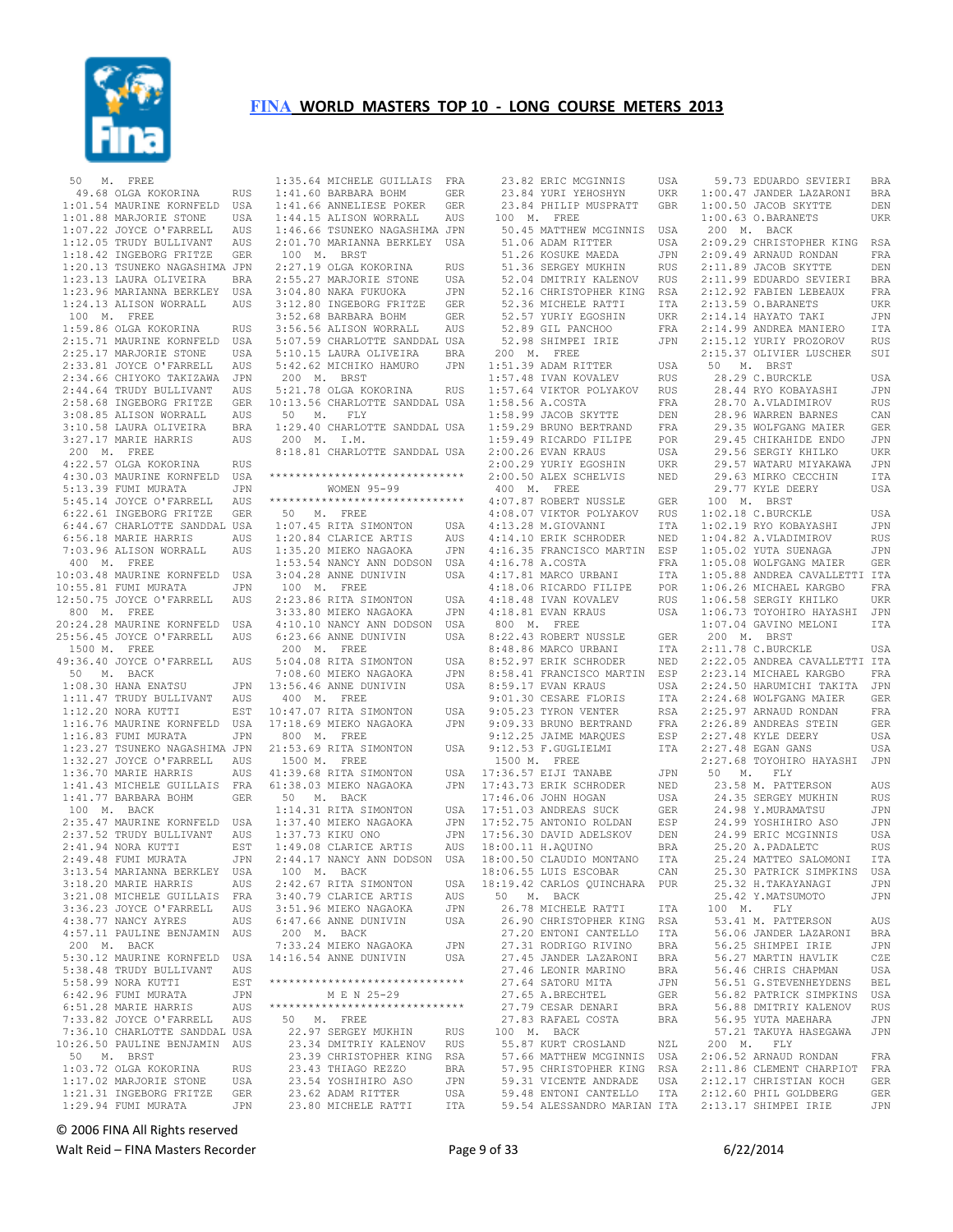

 50 M. FREE 49.68 OLGA KOKORINA RUS 1:41.60 BARBARA BOHM GER 1:01.54 MAURINE KORNFELD USA 1:01.88 MARJORIE STONE USA 1:07.22 JOYCE O'FARRELL AUS 1:12.05 TRUDY BULLIVANT AUS<br>1:18.42 INGEBORG FRITZE GER 1:18.42 INGEBORG FRITZE GER 1:20.13 TSUNEKO NAGASHIMA JPN<br>1:23.13 LAURA OLIVEIRA REA 1:23.13 LAURA OLIVEIRA BRA 1:23.96 MARIANNA BERKLEY USA 1:24.13 ALISON WORRALL AUS 100 M. FREE 1:59.86 OLGA KOKORINA RUS 2:15.71 MAURINE KORNFELD USA 2:25.17 MARJORIE STONE USA 2:33.81 JOYCE O'FARRELL AUS 2:34.66 CHIYOKO TAKIZAWA JPN 2:44.64 TRUDY BULLIVANT AUS 2:58.68 INGEBORG FRITZE GER 3:08.85 ALISON WORRALL AUS<br>3:10.58 LAURA OLIVEIRA BRA 3:10.58 LAURA OLIVEIRA BRA 3:27.17 MARIE HARRIS AUS 200 M. FREE 4:22.57 OLGA KOKORINA RUS 4:30.03 MAURINE KORNFELD USA<br>5:13.39 FUMI MURATA JPN  $5:13.39$  FUMI MURATA 5:45.14 JOYCE O'FARRELL AUS 6:22.61 INGEBORG FRITZE GER 6:44.67 CHARLOTTE SANDDAL USA 6:56.18 MARIE HARRIS AUS 7:03.96 ALISON WORRALL AUS 400 M. FREE 10:03.48 MAURINE KORNFELD USA 10:55.81 FUMI MURATA JPN<br>12:50.75 JOYCE O'FARRELL AUS 12:50.75 JOYCE O'FARRELL AUS 800 M. FREE 20:24.28 MAURINE KORNFELD USA 25:56.45 JOYCE O'FARRELL AUS 1500 M. FREE 49:36.40 JOYCE O'FARRELL AUS 50 M. BACK 1:08.30 HANA ENATSU JPN 1:11.47 TRUDY BULLIVANT AUS<br>1:12.20 NORA KUTTI EST 1:12.20 NORA KUTTI EST 1:16.76 MAURINE KORNFELD USA 1:16.83 FUMI MURATA JPN 1:23.27 TSUNEKO NAGASHIMA JPN 1:32.27 JOYCE O'FARRELL AUS<br>1:36.70 MARTE HARRIS AUS  $1:36.70$  MARTE HARRIS 1:41.43 MICHELE GUILLAIS FRA 1:41.77 BARBARA BOHM GER 100 M. BACK 2:35.47 MAURINE KORNFELD USA 2:37.52 TRUDY BULLIVANT AUS 2:41.94 NORA KUTTI EST<br>2:49.48 FUMI MURATA JPN  $2:49.48$  FUMI MURATA 3:13.54 MARIANNA BERKLEY USA  $3:18.20$  MARTE HARRIS 3:21.08 MICHELE GUILLAIS FRA 3:36.23 JOYCE O'FARRELL AUS<br>4:38.77 NANCY AYRES AUS 4:38.77 NANCY AYRES 4:57.11 PAULINE BENJAMIN AUS 200 M. BACK 5:30.12 MAURINE KORNFELD USA 5:38.48 TRUDY BULLIVANT AUS 5:58.99 NORA KUTTI EST 6:42.96 FUMI MURATA JPN 6:51.28 MARIE HARRIS AUS 7:33.82 JOYCE O'FARRELL AUS 7:36.10 CHARLOTTE SANDDAL USA 10:26.50 PAULINE BENJAMIN AUS<br>50 M. BRST 50 M. BRST 1:03.72 OLGA KOKORINA RUS 1:17.02 MARJORIE STONE USA 1:21.31 INGEBORG FRITZE GER 1:29.94 FUMI MURATA JPN

 1:35.64 MICHELE GUILLAIS FRA 1:41.66 ANNELIESE POKER GER 1:44.15 ALISON WORRALL AUS 1:46.66 TSUNEKO NAGASHIMA JPN 2:01.70 MARIANNA BERKLEY USA 100 M. BRST 2:27.19 OLGA KOKORINA RUS<br>2:55.27 MARJORIE STONE USA 2:55.27 MARJORIE STONE<br>3.04.28 US 3:04.80 NAKA FUKUOKA JPN 3:12.80 INGEBORG FRITZE GER 3:52.68 BARBARA BOHM GER 3:56.56 ALISON WORRALL AUS 5:07.59 CHARLOTTE SANDDAL USA 5:10.15 LAURA OLIVEIRA BRA<br>5:42.62 MICHIKO HAMURO JPN 5:42.62 MICHIKO HAMURO 200 M. BRST 5:21.78 OLGA KOKORINA RUS 10:13.56 CHARLOTTE SANDDAL USA 50 M. FLY 1:29.40 CHARLOTTE SANDDAL USA 200 M. I.M. 8:18.81 CHARLOTTE SANDDAL USA \*\*\*\*\*\*\*\*\*\*\*\*\*\*\*\*\*\*\*\*\*\*\*\*\*\*\*\*\*\* WOMEN 95-99 \*\*\*\*\*\*\*\*\*\*\*\*\*\*\*\*\*\*\*\*\*\*\*\*\*\*\*\*\*\* 50 M. FREE 1:07.45 RITA SIMONTON USA 1:20.84 CLARICE ARTIS AUS 1:35.20 MIEKO NAGAOKA JPN 1:53.54 NANCY ANN DODSON USA 3:04.28 ANNE DUNIVIN USA 100 M. FREE 2:23.86 RITA SIMONTON USA 3:33.80 MIEKO NAGAOKA JPN 4:10.10 NANCY ANN DODSON USA 6:23.66 ANNE DUNIVIN USA 8:22.43 ROBERT NUSSLE GER 200 M. FREE -<br>5:04.08 RITA SIMONTON USA<br>7:08.60 MIEKO NAGAOKA JPN 7:08.60 MIEKO NAGAOKA JPN 13:56.46 ANNE DUNIVIN USA 400 M. FREE  $10:47.07$  RITA SIMONTON 17:18.69 MIEKO NAGAOKA JPN 9:09.33 BRUNO BERTRAND FRA 800 M. FREE 21:53.69 RITA SIMONTON USA 1500 M. FREE 50 M. BACK 1:14.31 RITA SIMONTON USA<br>1:37.40 MIEKO NAGAOKA JPN 1:37.40 MIEKO NAGAOKA JPN 1:37.73 KIKU ONO 1:49.08 CLARICE ARTIS AUS 2:44.17 NANCY ANN DODSON USA 100 M. BACK 2:42.67 RITA SIMONTON USA<br>3:40.79 CLARICE ARTIS AUS 3:40.79 CLARICE ARTIS 3:51.96 MIEKO NAGAOKA JPN<br>6:47.66 ANNE DUNIVIN USA  $6:47.66$  ANNE DUNIVIN 200 M. BACK 7:33.24 MIEKO NAGAOKA JPN  $14:16.54$  ANNE DUNIVIN \*\*\*\*\*\*\*\*\*\*\*\*\*\*\*\*\*\*\*\*\*\*\*\*\*\*\*\*\*\* M E N 25-29 \*\*\*\*\*\*\*\*\*\*\*\*\*\*\*\*\*\*\*\*\*\*\*\*\*\*\*\*\*\* 50 M. FREE 22.97 SERGEY MUKHIN RUS 23.34 DMITRIY KALENOV RUS 23.39 CHRISTOPHER KING RSA 23.43 THIAGO REZZO BRA 23.54 YOSHIHIRO ASO JPN 23.62 ADAM RITTER USA 23.80 MICHELE RATTI ITA

 23.82 ERIC MCGINNIS USA 23.84 YURI YEHOSHYN UKR 59.73 EDUARDO SEVIERI BRA 1:00.47 JANDER LAZARONI BRA 23.84 PHILIP MUSPRATT GBR 100 M. FREE 50.45 MATTHEW MCGINNIS USA 51.26 KOSUKE MAEDA JPN 51.36 SERGEY MUKHIN RUS<br>52.04 DMITRIY KALENOV RUS 52.04 DMITRIY KALENOV 52.36 MICHELE RATTI ITA 52.57 YURIY EGOSHIN UKR 52.36 MICHELE RATTI TTA<br>52.36 MICHELE RATTI TTA<br>52.57 YURIY EGOSHIN UKR<br>52.89 GIL PANCHOO FRA 32.03 GIB INNONCO<br>52.98 SHIMPEI IRIE 200 M. FREE 1:51.39 ADAM RITTER USA 1:57.48 IVAN KOVALEV RUS<br>1:57.64 VIKTOR POLYAKOV RUS 1:57.64 VIKTOR POLYAKOV 1:58.56 A.COSTA FRA 1:58.99 JACOB SKYTTE DEN 1:59.29 BRUNO BERTRAND FRA<br>1:59.49 RICARDO FILIPE POR 1:59.49 RICARDO FILIPE POR 2:00.26 EVAN KRAUS USA 2:00.29 YURIY EGOSHIN UKR<br>2:00.50 ALEX SCHELVIS NED 2:00.50 ALEX SCHELVIS 400 M. FREE 4:07.87 ROBERT NUSSLE GER 4:13.28 M.GIOVANNI ITA 4:14.10 ERIK SCHRODER NED 4:16.35 FRANCISCO MARTIN ESP 4:16.78 A.COSTA FRA 4:17.81 MARCO URBANI ITA 4:18.06 RICARDO FILIPE POR 4:18.48 IVAN KOVALEV RUS  $4:18.81$  EVAN KRAUS 800 M. FREE 8:48.86 MARCO URBANI<br>8:52.97 ERIK SCHRODER 8:52.97 ERIK SCHRODER NED<br>8:58.41 FRANCISCO MARTIN ESP<br>8:59.17 EVAN KRAUS USA<br>9:01.30 CESARE FLORIS ITA USA 9:05.23 TYRON VENTER 9:12.25 JAIME MARQUES 9:12.53 F.GUGLIELMI 1500 M. FREE 17:46.06 JOHN HOGAN USA USA 17:51.03 ANDREAS SUCK GER<br>17:52.75 ANDREAS SUCK GER<br>17:52.75 ANTONIO ROLDAN ESP 17:52.75 ANTONIO ROLDAN 17:56.30 DAVID ADELSKOV DEN<br>18:00.11 H.AQUINO BRA<br>18:00.50 CLAUDIO MONTANO ITA 18:00.11 H.AQUINO BRA  $18:00.50$  CLAUDIO MONTANO 18:06.55 LUIS ESCOBAR CAN 18:19.42 CARLOS QUINCHARA PUR 50 M. BACK 26.78 MICHELE RATTI ITA 26.90 CHRISTOPHER KING RSA 27.20 ENTONI CANTELLO ITA 27.31 RODRIGO RIVINO BRA 27.45 JANDER LAZARONI BRA<br>27.46 LEONIR MARINO BRA  $27.46$  LEONIR MARINO 27.64 SATORU MITA JPN<br>27.65 A.BRECHTEL GER<br>27.79 CESAR DENARI BRA 27.65 A.BRECHTEL 27.79 CESAR DENARI BRA<br>27.83 RAFAEL COSTA BRA 27.83 RAFAEL COSTA BRA 100 M. BACK

41:39.68 RITA SIMONTON USA 61:38.03 MIEKO NAGAOKA JPN 17:36.57 EIJI TANABE JPN 17:43.73 ERIK SCHRODER NED 50 M. FLY 23.58 M. PATTERSON AUS 51.06 ADAM RITTER USA 2:09.29 CHRISTOPHER KING RSA 52.16 CHRISTOPHER KING RSA 2:12.92 FABIEN LEBEAUX FRA 4:08.07 VIKTOR POLYAKOV RUS 1:02.18 C.BURCKLE USA 55.87 KURT CROSLAND NZL 57.66 MATTHEW MCGINNIS USA 200 M. FLY 2:06.52 ARNAUD RONDAN FRA 57.95 CHRISTOPHER KING RSA 2:11.86 CLEMENT CHARPIOT FRA<br>59.31 VICENTE ANDRADE USA 2:12.17 CHRISTIAN KOCH GER<br>59.54 ALESSANDRO MARIAN ITA 2:13.17 SHIMPEI IRIE GER<br>59.54 ALESSANDRO MARIAN ITA 2:13.17 SHIMPEI IRIE JPN GBR 1:00.50 JACOB SKYTTE DEN 1:00.63 O.BARANETS UKR 200 M. BACK 2:09.49 ARNAUD RONDAN FRA 2:11.89 JACOB SKYTTE DEN<br>2:11.99 EDUARDO SEVIERI BRA 2:11.99 EDUARDO SEVIERI 2:13.59 O.BARANETS UKR 2:14.14 HAYATO TAKI JPN 2:14.99 ANDREA MANIERO ITA 2:15.12 YURIY PROZOROV RUS 2:15.37 OLIVIER LUSCHER SUI 50 M. BRST 28.29 C.BURCKLE USA 28.44 RYO KOBAYASHI JPN 28.70 A.VLADIMIROV RUS 28.96 WARREN BARNES CAN<br>29.35 WOLFGANG MAIER GER 29.35 WOLFGANG MAIER 29.45 CHIKAHIDE ENDO JPN<br>29.56 SERGIY KHILKO LUKR 29.56 SERGIY KHILKO 29.57 WATARU MIYAKAWA JPN 29.63 MIRKO CECCHIN ITA 29.77 KYLE DEERY USA 100 M. BRST 1:02.19 RYO KOBAYASHI JPN 1:04.82 A.VLADIMIROV RUS 1:05.02 YUTA SUENAGA JPN 1:05.08 WOLFGANG MAIER GER 1:05.88 ANDREA CAVALLETTI ITA POR 1:06.26 MICHAEL KARGBO FRA<br>RUS 1:06.58 SERGIY KHILKO UKR 1:06.58 SERGIY KHILKO UKR 1:06.73 TOYOHIRO HAYASHI JPN<br>1:07.04 GAVINO MELONI TTA  $1:07.04$  GAVINO MELONI 200 M. BRST 2:11.78 C.BURCKLE USA<br>2:22.05 ANDREA CAVALLETTI ITA 2:23.14 MICHAEL KARGBO FRA 2:24.50 HARUMICHI TAKITA JPN 2:24.68 WOLFGANG MAIER GER 1.<br>17A 2:24.68 WOLFGANG MAIER GER<br>125.97 ARNAUD RONDAN FRA 2:26.89 ANDREAS STEIN GER 2:27.48 KYLE DEERY USA 2:27.48 EGAN GANS USA 2:27.68 TOYOHIRO HAYASHI JPN 24.35 SERGEY MUKHIN RUS 24.98 Y.MURAMATSU JPN 24.99 YOSHIHIRO ASO JPN 24.99 ERIC MCGINNIS USA 25.20 A.PADALETC RUS 25.24 MATTEO SALOMONI ITA 25.30 PATRICK SIMPKINS USA 25.32 H.TAKAYANAGI JPN<br>25.42 Y MATSUMOTO JPN 25.42 Y.MATSUMOTO 100 M. FLY 53.41 M. PATTERSON AUS 56.06 JANDER LAZARONI BRA<br>56.25 SHIMPEI IRIE JPN 56.25 SHIMPEI IRIE 56.27 MARTIN HAVLIK CZE<br>56.46 CHRIS CHAPMAN USA 56.46 CHRIS CHAPMAN 56.51 G.STEVENHEYDENS BEL 56.82 PATRICK SIMPKINS USA 56.88 DMITRIY KALENOV RUS 56.95 YUTA MAEHARA JPN 57.21 TAKUYA HASEGAWA JPN 2:11.86 CLEMENT CHARPIOT FRA 2:12.17 CHRISTIAN KOCH GER<br>2:12.60 PHIL GOLDBERG GER

© 2006 FINA All Rights reserved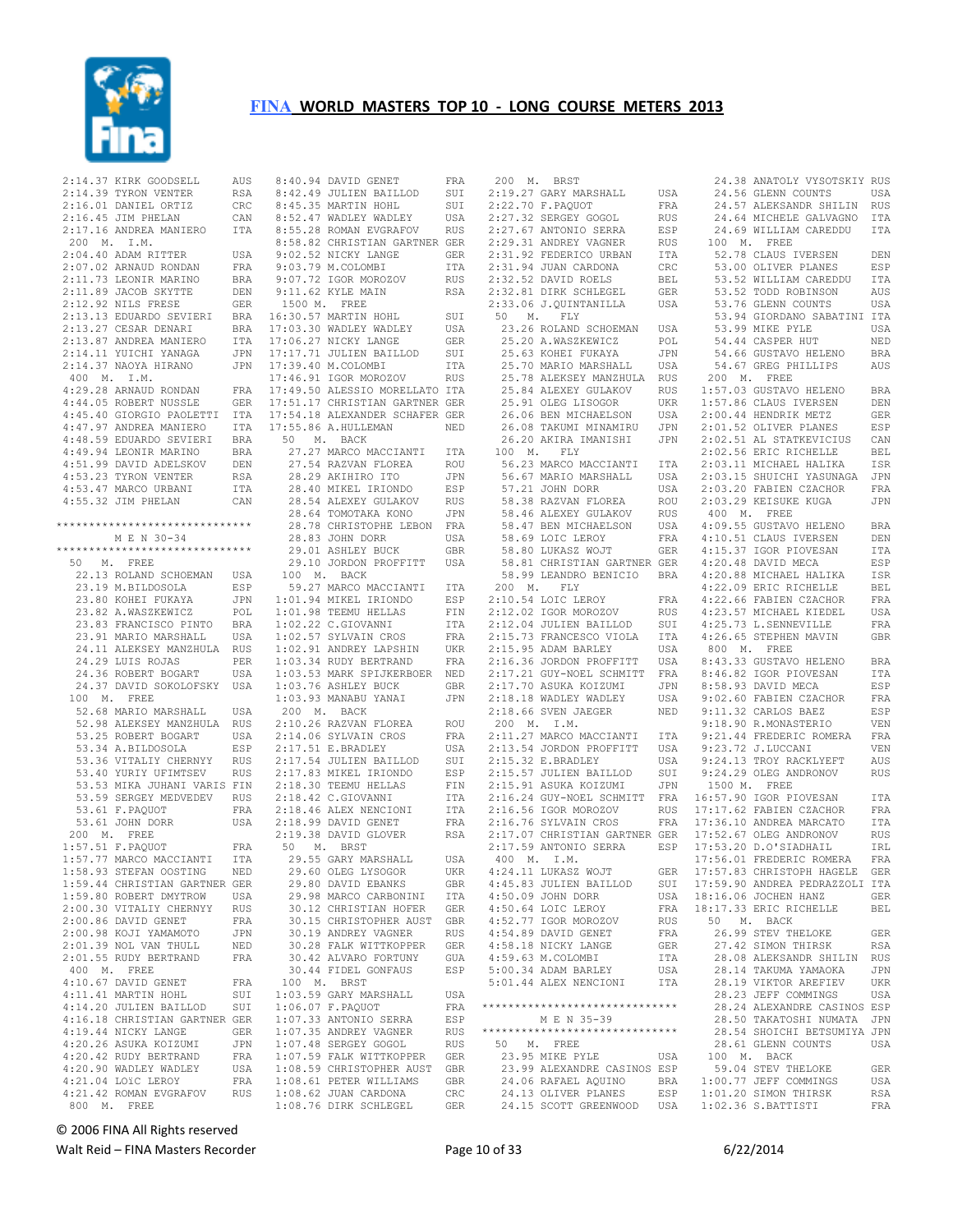

 2:14.37 KIRK GOODSELL AUS 2:14.39 TYRON VENTER RSA 2:16.01 DANIEL ORTIZ CRC 2:16.45 JIM PHELAN CAN 2:17.16 ANDREA MANIERO ITA 200 M. I.M. 2:04.40 ADAM RITTER USA 2:07.02 ARNAUD RONDAN FRA<br>2:11.73 LEONIR MARINO BRA  $2:11.73$  LEONIR MARINO  $2:11.89$  JACOB SKYTTE 2:12.92 NILS FRESE GER 2:13.13 EDUARDO SEVIERI 2:13.27 CESAR DENARI BRA 2:13.87 ANDREA MANIERO 2:14.11 YUICHI YANAGA JPN 2:14.37 NAOYA HIRANO JPN 400 M. I.M. 4:29.28 ARNAUD RONDAN FRA 17:49.50 ALESSIO MORELLATO ITA 4:44.05 ROBERT NUSSLE GER 4:45.40 GIORGIO PAOLETTI ITA 17:54.18 ALEXANDER SCHAFER GER 4:47.97 ANDREA MANIERO ITA 4:48.59 EDUARDO SEVIERI BRA<br>4:49.94 LEONIR MARINO BRA 4:49.94 LEONIR MARINO BRA 4:51.99 DAVID ADELSKOV DEN<br>4:53.23 TYRON VENTER RSA 4:53.23 TYRON VENTER RSA 4:53.47 MARCO URBANI ITA 4:55.32 JIM PHELAN CAN \*\*\*\*\*\*\*\*\*\*\*\*\*\*\*\*\*\*\*\*\*\*\*\*\*\*\*\*\*\* M E N 30-34 \*\*\*\*\*\*\*\*\*\*\*\*\*\*\*\*\*\*\*\*\*\*\*\*\*\*\*\*\*\* 50 M. FREE 22.13 ROLAND SCHOEMAN USA 23.19 M.BILDOSOLA ESP 23.80 KOHEI FUKAYA JPN 23.82 A.WASZKEWICZ POL<br>23.83 FRANCISCO PINTO BRA 23.83 FRANCISCO PINTO 23.91 MARIO MARSHALL USA 24.11 ALEKSEY MANZHULA RUS 24.29 LUIS ROJAS PER 24.36 ROBERT BOGART USA 24.37 DAVID SOKOLOFSKY USA 100 M. FREE 52.68 MARIO MARSHALL USA 52.98 ALEKSEY MANZHULA RUS 53.25 ROBERT BOGART USA<br>53.34 A.BILDOSOLA ESP 53.34 A.BILDOSOLA 53.36 VITALIY CHERNYY RUS<br>53.40 YURIY UFIMTSEV RUS 53.40 YURIY UFIMTSEV RUS 53.53 MIKA JUHANI VARIS FIN 53.59 SERGEY MEDVEDEV RUS 53.61 F.PAQUOT FRA 53.61 JOHN DORR USA 200 M. FREE 1:57.51 F.PAQUOT FRA 1:57.77 MARCO MACCIANTI ITA<br>1:58.93 STEFAN OOSTING NED 1:58.93 STEFAN OOSTING 1:59.44 CHRISTIAN GARTNER GER 1:59.80 ROBERT DMYTROW USA 2:00.30 VITALIY CHERNYY RUS<br>2:00.86 DAVID GENET FRA  $2:00.86$  DAVID GENET 2:00.98 KOJI YAMAMOTO JPN<br>2:01.39 NOL VAN THULL NED 2:01.39 NOL VAN THULL NED 2:01.55 RUDY BERTRAND FRA 400 M. FREE 4:10.67 DAVID GENET FRA 4:11.41 MARTIN HOHL SUI 4:14.20 JULIEN BAILLOD SUI 4:16.18 CHRISTIAN GARTNER GER 4:19.44 NICKY LANGE GER 4:20.26 ASUKA KOIZUMI JPN 4:20.42 RUDY BERTRAND FRA<br>4:20.90 WADLEY WADLEY USA 4:20.90 WADLEY WADLEY 4:21.04 LOïC LEROY FRA<br>4:21.42 ROMAN EVGRAFOV RUS 4:21.42 ROMAN EVGRAFOV RUS 800 M. FREE

 8:40.94 DAVID GENET FRA 8:45.35 MARTIN HOHL SUI 8:52.47 WADLEY WADLEY USA 8:55.28 ROMAN EVGRAFOV RUS 8:58.82 CHRISTIAN GARTNER GER 9:02.52 NICKY LANGE GER 9:03.79 M.COLOMBI ITA<br>9:07.72 TGOR MOROZOV RUS 9:07.72 IGOR MOROZOV RUS DEN 9:11.62 KYLE MAIN 1500 M. FREE end the contract of the series of the series of the suite of the suite of the suite of the suite of the suite o<br>Suite of the suite of the suite of the suite of the suite of the suite of the suite of the suite of the suite 17:03.30 WADLEY WADLEY USA<br>17:06.27 NICKY LANGE GER ITA 17:06.27 NICKY LANGE 17:17.71 JULIEN BAILLOD SUI<br>17:39.40 M.COLOMBI TTA JPN 17:39.40 M.COLOMBI 17:46.91 IGOR MOROZOV RUS 17:51.17 CHRISTIAN GARTNER GER 17:55.86 A.HULLEMAN NED 50 M. BACK 27.27 MARCO MACCIANTI ITA 27.54 RAZVAN FLOREA ROU 28.29 AKIHIRO ITO JPN 28.40 MIKEL IRIONDO ESP 28.54 ALEXEY GULAKOV RUS 28.64 TOMOTAKA KONO JPN 28.78 CHRISTOPHE LEBON FRA 28.83 JOHN DORR USA 29.01 ASHLEY BUCK GBR 29.10 JORDON PROFFITT USA 100 M. BACK 59.27 MARCO MACCIANTI ITA<br>:01.94 MIKEL IRIONDO ESP 1:01.94 MIKEL IRIONDO ESP 1:01.98 TEEMU HELLAS FIN 1:02.22 C.GIOVANNI ITA 1:02.57 SYLVAIN CROS FRA<br>1:02.91 ANDREY LAPSHIN UKR  $1:02.91$  ANDREY LAPSHIN 1:03.34 RUDY BERTRAND FRA 1:03.53 MARK SPIJKERBOER NED 1:03.33 mann bitchcolor -----<br>1:03.76 ASHLEY BUCK GBR 1:03.93 MANABU YANAI JPN 200 M. BACK 2:10.26 RAZVAN FLOREA ROU 2:14.06 SYLVAIN CROS FRA<br>2:17.51 E.BRADLEY USA  $2:17.51$  E.BRADLEY 2:17.54 JULIEN BAILLOD SUI<br>2:17.83 MIKEL IRIONDO FSP 2:17.83 MIKEL IRIONDO ESP<br>2:18.30 TEEMU HELLAS FIN 2:18.30 TEEMU HELLAS FIN<br>2:18.42 C.GIOVANNI TTA  $2:18.42$  C.GIOVANNI 2:18.46 ALEX NENCIONI 2:18.99 DAVID GENET FRA 2:19.38 DAVID GLOVER RSA 50 M. BRST 29.55 GARY MARSHALL USA<br>29.60 OLEG LYSOGOR UKR 29.60 OLEG LYSOGOR UKR 29.80 DAVID EBANKS GBR 29.98 MARCO CARBONINI ITA 30.12 CHRISTIAN HOFER GER 30.15 CHRISTOPHER AUST GBR 30.19 ANDREY VAGNER RUS<br>30.28 FALK WITTKOPPER GER 30.28 FALK WITTKOPPER GER NED 30.28 FALK WITTKOPPER GER<br>FRA 30.42 ALVARO FORTUNY GUA<br>30.44 FIDEL GONFAUS ESP 30.44 FIDEL GONFAUS 100 M. BRST 1:03.59 GARY MARSHALL USA 1:06.07 F.PAQUOT FRA 1:07.33 ANTONIO SERRA ESP 1:07.35 ANDREY VAGNER RUS 1:07.48 SERGEY GOGOL RUS 1:07.59 FALK WITTKOPPER GER 1:08.59 CHRISTOPHER AUST GBR 1:08.61 PETER WILLIAMS GBR<br>1:08.62 THAN CARDONA CRC  $1:08.62$  JUAN CARDONA 1:08.76 DIRK SCHLEGEL GER

 200 M. BRST 2:22.70 F.PAQUOT FRA 2:27.32 SERGEY GOGOL RUS 2:27.67 ANTONIO SERRA ESP 2:29.31 ANDREY VAGNER RUS<br>2:31.92 FEDERICO URBAN TTA 2:31.92 FEDERICO URBAN 2:31.94 JUAN CARDONA CRC<br>2:32.52 DAVID ROELS BEL 2:32.52 DAVID ROELS BEL<br>2:32.81 DIRK SCHLEGEL GER RSA 2:32.81 DIRK SCHLEGEL GER<br>2:33.06 J.QUINTANILLA USA 2:33.06 J.QUINTANILLA  $50$  M. FLY 23.26 ROLAND SCHOEMAN USA<br>25.20 A.WASZKEWICZ POL<br>25.63 KOHEI FUKAYA JPN<br>25.70 MARIO MARSHALL USA 25.78 ALEKSEY MANZHULA RUS 25.84 ALEXEY GULAKOV RUS 25.91 OLEG LISOGOR 25.51 OLEG LISOGOR<br>26.06 BEN MICHAELSON 26.08 TAKUMI MINAMIRU 100 M. FLY 56.23 MARCO MACCIANTI ITA 56.67 MARIO MARSHALL USA 57.21 JOHN DORR USA 58.38 RAZVAN FLOREA ROU 58.46 ALEXEY GULAKOV RUS 58.47 BEN MICHAELSON 58.47 BEN MICHAELSON<br>58.69 LOIC LEROY<br>58.80 LUKASZ WOJT 58.80 LUKASZ WOJT GER 58.81 CHRISTIAN GARTNER GER 58.99 LEANDRO BENICIO BRA 200 M. FLY<br>2:10.54 LOIC LEROY 2:10.54 LOIC LEROY FRA 2:12.02 IGOR MOROZOV RUS 2:12.04 JULIEN BAILLOD SUI  $2:15.95$  ADAM BARLEY 2:16.36 JORDON PROFFITT 2:17.70 ASUKA KOIZUMI<br>2:18.18 WADLEY WADLEY  $2:18.66$  SVEN JAEGER 200 M. I.M. 2:11.27 MARCO MACCIANTI 2:13.54 JORDON PROFFITT  $2:15.32$  E.BRADLEY 2:15.57 JULIEN BAILLOD SUI<br>2:15.91 ASUKA KOIZUMI JPN 2:15.91 ASUKA KOIZUMI 4:50.09 JOHN DORR USA 4:50.64 LOIC LEROY FRA 4:52.77 IGOR MOROZOV RUS 50<br>4:54.99 DAVID CENET REA 4:54.89 DAVID GENET FRA 4:58.18 NICKY LANGE GER 4:59.63 M.COLOMBI ITA 5:00.34 ADAM BARLEY USA 5:01.44 ALEX NENCIONI ITA \*\*\*\*\*\*\*\*\*\*\*\*\*\*\*\*\*\*\*\*\*\*\*\*\*\*\*\*\*\* M E N 35-39 \*\*\*\*\*\*\*\*\*\*\*\*\*\*\*\*\*\*\*\*\*\*\*\*\*\*\*\*\*\* 50 M. FREE 23.95 MIKE PYLE USA 23.99 ALEXANDRE CASINOS ESP 24.06 RAFAEL AQUINO BRA 24.13 OLIVER PLANES ESP 24.15 SCOTT GREENWOOD USA

 8:42.49 JULIEN BAILLOD SUI 2:19.27 GARY MARSHALL USA 24.56 GLENN COUNTS USA 26.20 AKIRA IMANISHI JPN 2:02.51 AL STATKEVICIUS CAN 2:15.73 FRANCESCO VIOLA ITA 4:26.65 STEPHEN MAVIN GBR 2:17.21 GUY-NOEL SCHMITT FRA 2:17.70 ASUKA KOIZUMI JPN 8:58.93 DAVID MECA ESP 2:16.24 GUY-NOEL SCHMITT FRA 16:57.90 IGOR PIOVESAN ITA 2:16.56 IGOR MOROZOV RUS 17:17.62 FABIEN CZACHOR FRA 2:16.76 SYLVAIN CROS FRA 2:17.07 CHRISTIAN GARTNER GER 17:36.10 ANDREA MARCATO ITA 17:52.67 OLEG ANDRONOV RUS 2:17.59 ANTONIO SERRA ESP 400 M. I.M. 17:53.20 D.O'SIADHAIL IRL 17:56.01 FREDERIC ROMERA FRA 4:24.11 LUKASZ WOJT GER 4:45.83 JULIEN BAILLOD SUI 17:57.83 CHRISTOPH HAGELE GER 17:59.90 ANDREA PEDRAZZOLI ITA 24.38 ANATOLY VYSOTSKIY RUS 24.57 ALEKSANDR SHILIN RUS 24.64 MICHELE GALVAGNO ITA 24.69 WILLIAM CAREDDU ITA 100 M. FREE 52.78 CLAUS IVERSEN DEN 53.00 OLIVER PLANES ESP<br>53.52 WILLIAM CAREDDU ITA 53.52 WILLIAM CAREDDU 53.52 TODD ROBINSON AUS 53.76 GLENN COUNTS USA 53.94 GIORDANO SABATINI ITA 53.99 MIKE PYLE USA<br>53.99 MIKE PYLE USA<br>54.44 CASPER HUT NED 54.44 CASPER HUT 54.66 GUSTAVO HELENO BRA<br>54.67 GREG PHILLIPS AUS 54.67 GREG PHILLIPS 200 M. FREE RUS 1:57.03 GUSTAVO HELENO BRA 1:57.86 CLAUS IVERSEN DEN 2:00.44 HENDRIK METZ GER 2:01.52 OLIVER PLANES ESP 2:02.56 ERIC RICHELLE BEL ITA 2:03.11 MICHAEL HALIKA ISR<br>USA 2:03.15 SHUICHI YASUNAGA JPN<br>USA 2:03.20 FABIEN CZACHOR FRA 2:03.15 SHUICHI YASUNAGA JPN 2:03.20 FABIEN CZACHOR FRA 2:03.29 KEISUKE KUGA JPN 400 M. FREE 4:09.55 GUSTAVO HELENO BRA 4:10.51 CLAUS IVERSEN DEN 4:15.37 IGOR PIOVESAN ITA 4:20.48 DAVID MECA ESP<br>4:20.88 MICHAEL HALIKA ISR 4:20.88 MICHAEL HALIKA 4:22.09 ERIC RICHELLE BEL<br>4:22.66 FABIEN CZACHOR FRA 4:22.66 FABIEN CZACHOR FRA 4:23.57 MICHAEL KIEDEL USA 4:25.73 L.SENNEVILLE FRA 800 M. FREE 8:43.33 GUSTAVO HELENO BRA 8:46.82 IGOR PIOVESAN ITA<br>8:58.93 DAVID MECA ESP 9:02.60 FABIEN CZACHOR FRA<br>9:11.32 CARLOS BAEZ FSP USA 9:02.60 FABIEN CZACHOR<br>NED 9:11.32 CARLOS BAEZ 9:18.90 R.MONASTERIO VEN ITA 9:21.44 FREDERIC ROMERA FRA 9:23.72 J.LUCCANI VEN 9:24.13 TROY RACKLYEFT AUS 9:24.29 OLEG ANDRONOV RUS 1500 M. FREE 18:16.06 JOCHEN HANZ GER 18:17.33 ERIC RICHELLE BEL 50 M. BACK 26.99 STEV THELOKE GER 27.42 SIMON THIRSK %1.59.63 M.COLOMBI TTA 28.08 ALEKSANDR SHILIN RUS<br>28.14 TAKUMA YAMAOKA JPN 5:01.44 ALEX NENCIONI TTA 28.19 VIKTOR AREFIEV UKR 28.14 TAKUMA YAMAOKA 28.19 VIKTOR AREFIEV UKR 28.23 JEFF COMMINGS USA 28.24 ALEXANDRE CASINOS ESP 28.50 TAKATOSHI NUMATA JPN 28.54 SHOICHI BETSUMIYA JPN 28.61 GLENN COUNTS USA USA 100 M. BACK 59.04 STEV THELOKE GER 1:00.77 JEFF COMMINGS USA 1:01.20 SIMON THIRSK RSA 1:02.36 S.BATTISTI FRA

© 2006 FINA All Rights reserved

Walt Reid – FINA Masters Recorder example and the Page 10 of 33 6/22/2014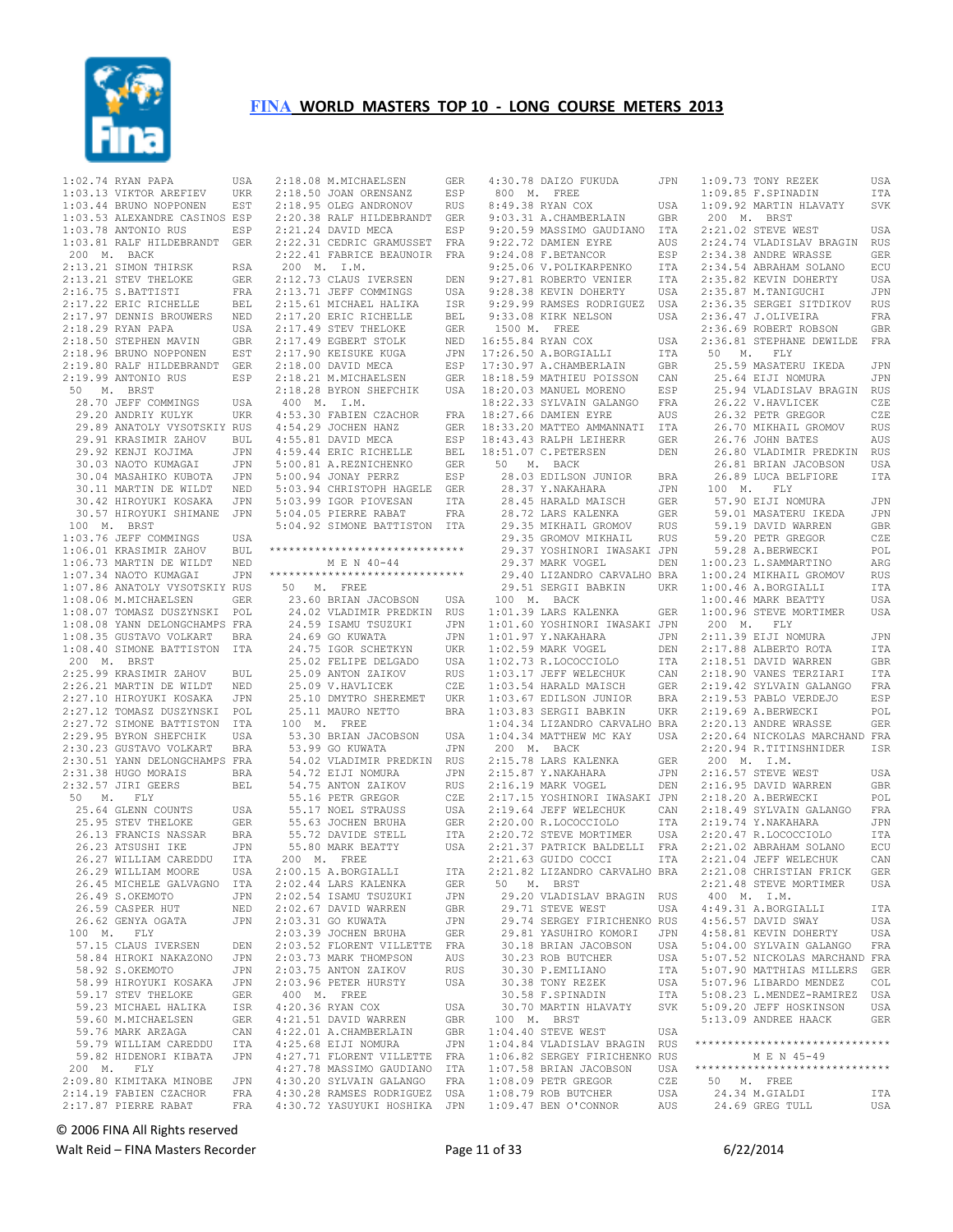

 1:02.74 RYAN PAPA USA 1:03.13 VIKTOR AREFIEV UKR 1:03.44 BRUNO NOPPONEN EST 1:03.53 ALEXANDRE CASINOS ESP 1:03.78 ANTONIO RUS ESP 1:03.81 RALF HILDEBRANDT GER 200 M. BACK 2:13.21 SIMON THIRSK RSA<br>2:13.21 STEV THELOKE GER 2:13.21 STEV THELOKE 2:16.75 S.BATTISTI FRA 2:17.22 ERIC RICHELLE BEL 2:17.97 DENNIS BROUWERS NED 2:18.29 RYAN PAPA USA<br>2:18.50 STEPHEN MAVIN GBR  $2:18.50$  STEPHEN MAVIN 2:18.96 BRUNO NOPPONEN EST 2:19.80 RALF HILDEBRANDT GER 2:19.99 ANTONIO RUS ESP 50 M. BRST 28.70 JEFF COMMINGS USA 29.20 ANDRIY KULYK UKR 29.20 ANDRIY KULYK UKR<br>29.89 ANATOLY VYSOTSKIY RUS 29.91 KRASIMIR ZAHOV BUL<br>29.92 KENJI KOJIMA JPN 29.92 KENJI KOJIMA JPN<br>30.03 NAOTO KUMAGAI JPN 30.03 NAOTO KUMAGAI JPN<br>30.04 MASAHIKO KUBOTA JPN 30.04 MASAHIKO KUBOTA 30.11 MARTIN DE WILDT NED 30.42 HIROYUKI KOSAKA JPN 30.57 HIROYUKI SHIMANE JPN 100 M. BRST 1:03.76 JEFF COMMINGS USA 1:06.01 KRASIMIR ZAHOV BUL 1:06.73 MARTIN DE WILDT NED<br>1:07.34 NAOTO KUMAGAI JPN  $1:07.34$  NAOTO KUMAGAI 1:07.86 ANATOLY VYSOTSKIY RUS<br>1:08.06 M.MICHAELSEN GER 1:08.06 M.MICHAELSEN GER 1:08.07 TOMASZ DUSZYNSKI POL 1:08.08 YANN DELONGCHAMPS FRA 1:08.35 GUSTAVO VOLKART BRA 1:08.40 SIMONE BATTISTON ITA 200 M. BRST 2:25.99 KRASIMIR ZAHOV BUL 2:26.21 MARTIN DE WILDT NED 2:27.10 HIROYUKI KOSAKA JPN 2:27.12 TOMASZ DUSZYNSKI POL 2:27.72 SIMONE BATTISTON ITA 2:29.95 BYRON SHEFCHIK USA<br>2:30.23 GUSTAVO VOLKART BRA 2:30.23 GUSTAVO VOLKART 2:30.51 YANN DELONGCHAMPS FRA 2:31.38 HUGO MORAIS BRA 2:32.57 JIRI GEERS BEL 50 M. FLY 25.64 GLENN COUNTS USA<br>25.95 STEV THELOKE GER 25.95 STEV THELOKE 26.13 FRANCIS NASSAR BRA<br>26.23 ATSUSHI IKE JPN 26.23 ATSUSHI IKE 26.27 WILLIAM CAREDDU ITA 26.29 WILLIAM MOORE USA 26.45 MICHELE GALVAGNO ITA<br>26.49 S OKEMOTO 1PN 26.49 S.OKEMOTO JPN 26.59 CASPER HUT NED 26.62 GENYA OGATA JPN 100 M. FLY 57.15 CLAUS IVERSEN DEN 58.84 HIROKI NAKAZONO JPN 58.92 S.OKEMOTO 58.99 HIROYUKI KOSAKA JPN 59.17 STEV THELOKE GER 59.23 MICHAEL HALIKA ISR 59.60 M.MICHAELSEN GER 59.76 MARK ARZAGA 59.79 WILLIAM CAREDDU ITA 59.82 HIDENORI KIBATA JPN 200 M. FLY 2:09.80 KIMITAKA MINOBE JPN<br>2:14.19 FABIEN CZACHOR FRA 2:14.19 FABIEN CZACHOR  $2:17.87$  PIERRE RABAT

 2:18.08 M.MICHAELSEN GER 2:18.50 JOAN ORENSANZ ESP 2:18.95 OLEG ANDRONOV RUS 2:20.38 RALF HILDEBRANDT GER 2:21.24 DAVID MECA ESP 2:22.31 CEDRIC GRAMUSSET FRA 2:22.41 FABRICE BEAUNOIR FRA 200 M. I.M. 2:12.73 CLAUS IVERSEN DEN 2:15.61 MICHAEL HALIKA ISR 2:17.20 ERIC RICHELLE BEL 2:17.49 STEV THELOKE GER 2:17.49 EGBERT STOLK NED 2:17.90 KEISUKE KUGA JPN 2:18.00 DAVID MECA ESP<br>2:18.21 M.MICHAELSEN GER 2:18.21 M.MICHAELSEN 400 M. I.M. 4:54.29 JOCHEN HANZ GER 4:55.81 DAVID MECA ESP<br>4:59.44 ERIC RICHELLE BEL 4:59.44 ERIC RICHELLE 5:00.81 A.REZNICHENKO GER<br>5:00.94 JONAY PERRZ RSP 5:00.94 JONAY PERRZ 5:03.94 CHRISTOPH HAGELE GER 5:03.99 IGOR PIOVESAN ITA 5:04.05 PIERRE RABAT FRA 5:04.92 SIMONE BATTISTON ITA \*\*\*\*\*\*\*\*\*\*\*\*\*\*\*\*\*\*\*\*\*\*\*\*\*\*\*\*\*\* M E N 40-44 \*\*\*\*\*\*\*\*\*\*\*\*\*\*\*\*\*\*\*\*\*\*\*\*\*\*\*\*\*\* 50 M. FREE 24.59 ISAMU TSUZUKI JPN 24.69 GO KUWATA JPN<br>24.75 IGOR SCHETKYN UKR 24.75 IGOR SCHETKYN UKR 25.02 FELIPE DELGADO USA 25.09 ANTON ZAIKOV RUS<br>25.09 ANTON ZAIKOV RUS<br>25.09 V.HAVLICEK CZE 25.09 ANION ZAINOW<br>25.09 V.HAVLICEK 25.10 DMYTRO SHEREMET UKR 25.11 MAURO NETTO BRA 100 M. FREE 53.30 BRIAN JACOBSON USA 53.99 GO KUWATA 54.02 VLADIMIR PREDKIN RUS<br>54.72 ETJI NOMURA - JPN 54.72 EIJI NOMURA 54.75 ANTON ZAIKOV RUS<br>55.16 PETR GREGOR CZE 55.16 PETR GREGOR 55.17 NOEL STRAUSS USA<br>55.63 JOCHEN BRUHA GER 55.63 JOCHEN BRUHA GER 55.72 DAVIDE STELL ITA 55.80 MARK BEATTY USA 200 M. FREE 2:00.15 A.BORGIALLI ITA<br>2:02.44 LARS KALENKA GER 2:02.44 LARS KALENKA GER<br>2:02.54 ISAMII TSUZUKI JPN 2:02.54 ISAMU TSUZUKI 2:02.67 DAVID WARREN GBR<br>2:03.31 GO KUWATA JPN 2:03.31 GO KUWATA 2:03.39 JOCHEN BRUHA GER 2:03.52 FLORENT VILLETTE FRA 2:03.73 MARK THOMPSON AUS<br>2:03.75 ANTON ZAIKOV RUS 2:03.75 ANTON ZAIKOV RUS 2:03.96 PETER HURSTY USA 400 M. FREE 4:20.36 RYAN COX USA<br>4:20.36 RYAN COX USA<br>4:21 51 DAVID WARREN GRR 4:21.51 DAVID WARREN GBR 4:22.01 A.CHAMBERLAIN GBR 4:25.68 EIJI NOMURA JPN 4:27.71 FLORENT VILLETTE FRA 4:27.78 MASSIMO GAUDIANO ITA 4:30.20 SYLVAIN GALANGO FRA 4:30.28 RAMSES RODRIGUEZ USA 4:30.72 YASUYUKI HOSHIKA JPN

 2:13.71 JEFF COMMINGS USA 9:28.38 KEVIN DOHERTY USA 2:18.28 BYRON SHEFCHIK USA 18:20.03 MANUEL MORENO ESP 4:53.30 FABIEN CZACHOR FRA 18:27.66 DAMIEN EYRE AUS 23.60 BRIAN JACOBSON USA 24.02 VLADIMIR PREDKIN RUS 100 M. BACK 1:01.39 LARS KALENKA GER 4:30.78 DAIZO FUKUDA 800 M. FREE 8:49.38 RYAN COX USA 9:03.31 A.CHAMBERLAIN GBR 200 M. BRST<br>9:20.59 MASSIMO GAUDIANO ITA 2:21.02 STEVE W 9:22.72 DAMIEN EYRE AUS<br>9:24.08 F.BETANCOR F.SP  $9:24.08$  F. BETANCOR 9:25.06 V.POLIKARPENKO ITA<br>9:27.81 ROBERTO VENIER ITA 9:27.81 ROBERTO VENIER 9:29.99 RAMSES RODRIGUEZ  $9:33.08$  KIRK NELSON 1500 M. FREE NED 16:55.84 RYAN COX USA 2:36.<br>JPN 17:26.50 A.BORGIALLI ITA 50<br>ESP 17:30.97 A.CHAMBERLAIN GBR 25.  $17:26.50$  A.BORGIALLI ESP 17:30.97 A.CHAMBERLAIN 18:18.59 MATHIEU POISSON CAN 18:22.33 SYLVAIN GALANGO FRA 18:33.20 MATTEO AMMANNATI ITA 18:43.43 RALPH LEIHERR GER<br>18:51.07 C.PETERSEN DEN 18:51.07 C.PETERSEN 50 M. BACK 28.03 EDILSON JUNIOR BRA 28.37 Y.NAKAHARA JPN 100 M. FLY 28.45 HARALD MAISCH GER 28.72 LARS KALENKA GER 29.35 MIKHAIL GROMOV RUS 29.35 GROMOV MIKHAIL RUS 29.37 YOSHINORI IWASAKI JPN 29.37 MARK VOGEL DEN<br>29.40 LIZANDRO CARVALHO BRA<br>29.51 SERGII BABKIN UKR 1:01.60 YOSHINORI IWASAKI JPN 1:02.59 MARK VOGEL DEN 1:02.73 R.LOCOCCIOLO ITA 1:03.17 JEFF WELECHUK CAN 1:03.54 HARALD MAISCH 1:03.67 EDILSON JUNIOR BRA 1:03.83 SERGII BABKIN UKR 200 M. BACK 2:15.78 LARS KALENKA GER 2:15.87 Y.NAKAHARA JPN 2:16.19 MARK VOGEL DEN 2:17.15 YOSHINORI IWASAKI JPN 2.12.04 JEFF WELECHUK CAN<br>2:20.00 R.LOCOCCIOLO ITA<br>2:20.72 STEVE MORTIMER USA 2:20.72 STEVE MORTIMER USA 2:21.37 PATRICK BALDELLI FRA 2:21.63 GUIDO COCCI ITA 2:21.82 LIZANDRO CARVALHO BRA 50 M. BRST 29.20 VLADISLAV BRAGIN RUS 29.71 STEVE WEST USA 29.74 SERGEY FIRICHENKO RUS 29.81 YASUHIRO KOMORI JPN<br>30.18 BRIAN JACOBSON USA<br>30.23 ROB BUTCHER USA 30.18 BRIAN JACOBSON 30.23 ROB BUTCHER USA<br>30.30 P.EMILLIANO ITA 30.30 P.EMILIANO 30.38 TONY REZEK 100 M. BRST 1:04.40 STEVE WEST USA 1:04.84 VLADISLAV BRAGIN RUS 1:06.82 SERGEY FIRICHENKO RUS 1:07.58 BRIAN JACOBSON USA 1:08.09 PETR GREGOR CZE<br>1:08.79 ROB BUTCHER USA

 1:01.97 Y.NAKAHARA JPN 2:11.39 EIJI NOMURA JPN 1:04.34 LIZANDRO CARVALHO BRA 1:04.34 MATTHEW MC KAY USA 2:20.13 ANDRE WRASSE GER 2:20.64 NICKOLAS MARCHAND FRA 2:19.64 JEFF WELECHUK CAN 2:18.49 SYLVAIN GALANGO FRA 30.58 F.SPINADIN ITA 30.70 MARTIN HLAVATY SVK 5:09.20 JEFF HOSKINSON USA 1:08.79 ROB BUTCHER USA 1:09.47 BEN O'CONNOR AUS 24.34 M.GIALDI ITA 24.69 GREG TULL USA 1:09.73 TONY REZEK USA 1:09.85 F.SPINADIN ITA 1:09.92 MARTIN HLAVATY SVK 2:21.02 STEVE WEST USA AUS 2:24.74 VLADISLAV BRAGIN RUS<br>ESP 2:34.38 ANDRE WRASSE GER  $2:34.38$  ANDRE WRASSE ITA 2:34.54 ABRAHAM SOLANO ECU<br>TTA 2:35.82 KEVIN DOHERTY USA  $2:35.82$  KEVIN DOHERTY 2:35.87 M.TANIGUCHI JPN 2:36.35 SERGEI SITDIKOV RUS USA 2:36.35 SERGEI SITDIKOV RUS<br>USA 2:36.47 J.OLIVEIRA FRA 2:36.69 ROBERT ROBSON GBR 2:36.81 STEPHANE DEWILDE FRA 50 M. FLY 25.59 MASATERU IKEDA JPN 25.64 EIJI NOMURA JPN 25.94 VLADISLAV BRAGIN RUS 26.22 V.HAVLICEK CZE 26.32 PETR GREGOR CZE<br>26.70 MIKHAIL GROMOV RUS 26.70 MIKHAIL GROMOV 26.76 JOHN BATES AUS<br>26.80 VLADIMIR PREDKIN RUS 26.80 VLADIMIR PREDKIN 26.81 BRIAN JACOBSON USA 26.89 LUCA BELFIORE ITA GER 57.90 EIJI NOMURA JPN<br>GER 59.01 MASATERU IKEDA JPN 59.01 MASATERU IKEDA JPN ENTREASED IN THE SALE OF SUITE SERRIES SERRIES GERRIES SERRIES SERRIES SERRIES SERRIES SERRIES SERRIES SERRIES<br>STRIES STRIES SERRIES SERRIES SERRIES SERRIES SERRIES SERRIES SERRIES SERRIES SERRIES SERRIES SERRIES SERRIES 59.20 PETR GREGOR 59.28 A.BERWECKI POL 1:00.23 L.SAMMARTINO ARG 1:00.24 MIKHAIL GROMOV RUS 1:00.46 A.BORGIALLI ITA 1:00.46 MARK BEATTY USA GER 1:00.96 STEVE MORTIMER USA<br>JPN 200 M. FLY 200 M. 2:17.88 ALBERTO ROTA ITA DEN 2:17.88 ALBERTO ROTA ITA<br>DEN 2:17.88 ALBERTO ROTA ITA<br>ITA 2:18.51 DAVID WARREN GBR 2:18.90 VANES TERZIARI ITA 2:19.42 SYLVAIN GALANGO FRA 2:19.53 PABLO VERDEJO ESP ERA 2:19.53 PABLO VERDEJU<br>
DRA 2:19.69 A.BERWECKI POL<br>
COLL COLLER PRASSE GER 2:20.94 R.TITINSHNIDER ISR 200 M. I.M. 2:16.57 STEVE WEST USA DEN 2:16.95 DAVID WARREN GBR<br>JPN 2:18.20 A.BERWECKT POL 2:18.20 A.BERWECKI 2:19.74 Y.NAKAHARA JPN<br>2:20.47 R.LOCOCCIOLO ITA 2:20.47 R.LOCOCCIOLO ITA 2:21.02 ABRAHAM SOLANO ECU 2:21.04 JEFF WELECHUK CAN 2:21.08 CHRISTIAN FRICK GER<br>2:21.48 STEVE MORTIMER USA 2:21.48 STEVE MORTIMER 400 M. I.M. 4:49.31 A.BORGIALLI ITA  $4:56.57$  DAVID SWAY 4:58.81 KEVIN DOHERTY USA<br>5:04.00 SYLVAIN GALANGO FRA 5:04.00 SYLVAIN GALANGO 5:07.52 NICKOLAS MARCHAND FRA 5:07.90 MATTHIAS MILLERS GER 5:07.96 LIBARDO MENDEZ COL 5:08.23 L.MENDEZ-RAMIREZ USA 5:13.09 ANDREE HAACK GER \*\*\*\*\*\*\*\*\*\*\*\*\*\*\*\*\*\*\*\*\*\*\*\*\*\*\*\*\*\* M E N 45-49 \*\*\*\*\*\*\*\*\*\*\*\*\*\*\*\*\*\*\*\*\*\*\*\*\*\*\*\*\*\* 50 M. FREE

© 2006 FINA All Rights reserved

Walt Reid – FINA Masters Recorder and Equation 2012 12:00:00 Page 11 of 33 6/22/2014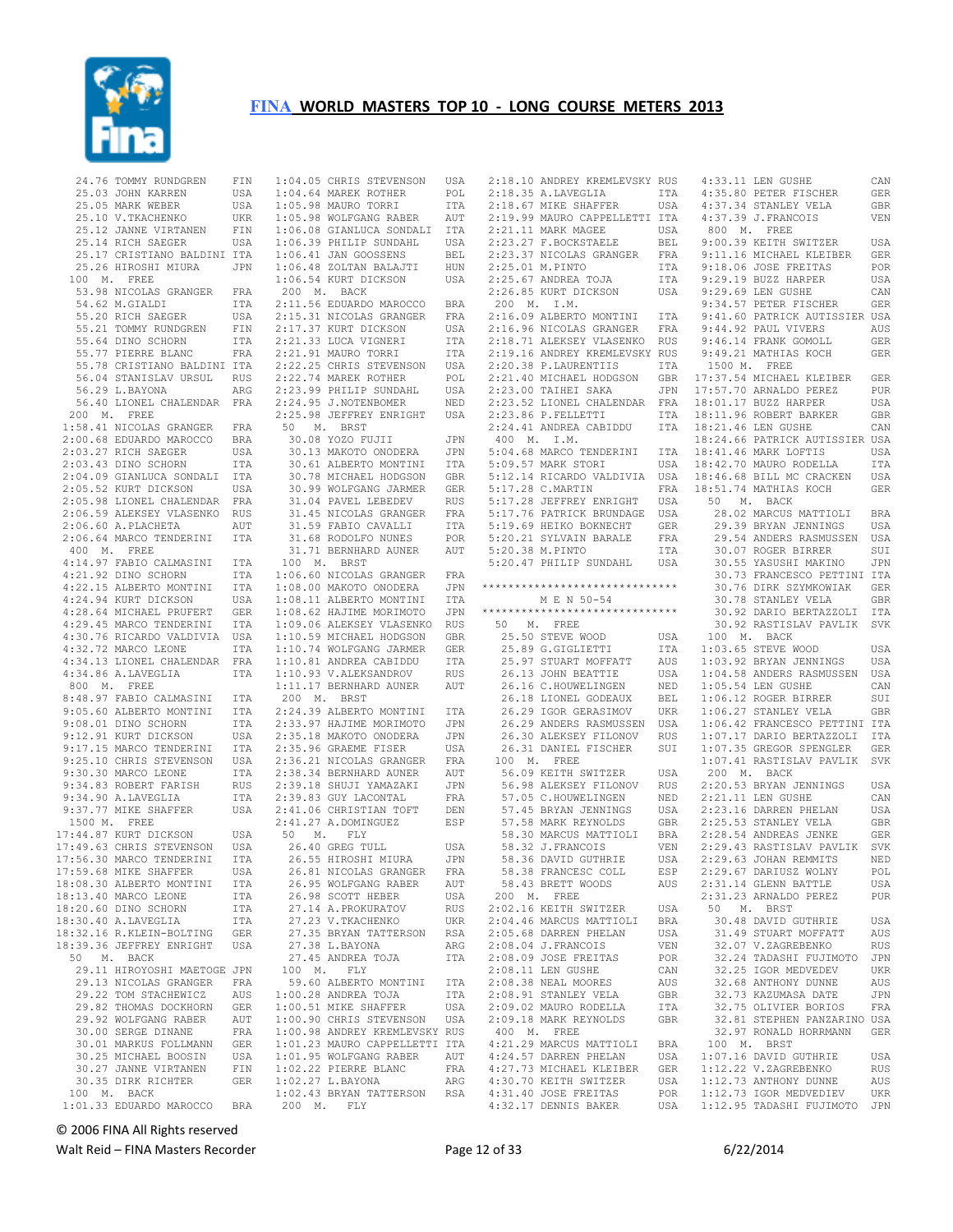

|               | 24.76 TOMMY RUNDGREN<br>25.03 JOHN KARREN<br>25.05 MARK WEBER<br>25.10 V.TKACHENKO UKR<br>25.12 JANNE VIRTANEN FIN<br>25.12 JANNE VIRTANEN FIN<br>25.14 RICH SAEGER USA                                          |            |
|---------------|------------------------------------------------------------------------------------------------------------------------------------------------------------------------------------------------------------------|------------|
|               |                                                                                                                                                                                                                  |            |
|               | 25.17 CRISTIANO BALDINI ITA<br>25.26 HIROSHI MIURA JPN                                                                                                                                                           |            |
|               |                                                                                                                                                                                                                  |            |
|               | 100 M. FREE                                                                                                                                                                                                      |            |
|               |                                                                                                                                                                                                                  |            |
|               |                                                                                                                                                                                                                  |            |
|               |                                                                                                                                                                                                                  |            |
|               | 53.98 NICOLAS GRANGER FRA<br>54.62 M.GIALDI ITA<br>55.20 RICH SAEGER USA                                                                                                                                         |            |
|               |                                                                                                                                                                                                                  |            |
|               |                                                                                                                                                                                                                  |            |
|               | 55.21 TOMMY RUNDGREN FIN<br>55.64 DINO SCHORN ITA<br>55.77 PIERRE BLANC FRA                                                                                                                                      |            |
|               |                                                                                                                                                                                                                  |            |
|               | 55.78 CRISTIANO BALDINI ITA<br>56.04 STANISLAV URSUL RUS                                                                                                                                                         |            |
|               |                                                                                                                                                                                                                  |            |
|               |                                                                                                                                                                                                                  |            |
|               | 56.29 L.BAYONA                                                                                                                                                                                                   | ARG        |
|               | 56.40 LIONEL CHALENDAR FRA                                                                                                                                                                                       |            |
|               | 200 M. FREE                                                                                                                                                                                                      |            |
|               |                                                                                                                                                                                                                  |            |
|               |                                                                                                                                                                                                                  |            |
|               | 1:58.41 NICOLAS GRANGER<br>2:00.68 EDUARDO MAROCCO BRA<br>2:03.27 RICH SAEGER USA<br>2:03.43 DINO SCHORN ITA                                                                                                     |            |
|               |                                                                                                                                                                                                                  |            |
|               |                                                                                                                                                                                                                  |            |
|               |                                                                                                                                                                                                                  |            |
|               | 2:04.09 GIANLUCA SONDALI ITA<br>2:05.52 KURT DICKSON USA<br>2:05.98 LIONEL CHALENDAR FRA                                                                                                                         |            |
|               |                                                                                                                                                                                                                  |            |
|               |                                                                                                                                                                                                                  |            |
|               | 2:06.59 ALEKSEY VLASENKO RUS<br>2:06.60 A.PLACHETA AUT<br>2:06.64 MARCO TENDERINI ITA                                                                                                                            |            |
|               |                                                                                                                                                                                                                  |            |
|               |                                                                                                                                                                                                                  |            |
|               |                                                                                                                                                                                                                  |            |
|               | $400$ M. FREE                                                                                                                                                                                                    |            |
|               |                                                                                                                                                                                                                  |            |
|               | 4:14.97 FABIO CALMASINI ITA<br>4:21.92 DINO SCHORN ITA                                                                                                                                                           |            |
|               |                                                                                                                                                                                                                  |            |
|               | 4:21.92 DINO SCHORN ITA<br>4:22.15 ALBERTO MONTINI ITA<br>4:28.64 MURT DICKSON USA<br>4:28.64 MICHAEL PRUFERT GER<br>4:29.45 MARCO TENDERINI ITA<br>4:30.76 RICARDO UALDIVIA USA<br>4:34.13 ITOMET CULTERINE ITA |            |
|               |                                                                                                                                                                                                                  |            |
|               |                                                                                                                                                                                                                  |            |
|               |                                                                                                                                                                                                                  |            |
|               |                                                                                                                                                                                                                  |            |
|               |                                                                                                                                                                                                                  |            |
|               |                                                                                                                                                                                                                  |            |
|               |                                                                                                                                                                                                                  | FRA        |
|               | 4:34.13 LIONEL CHALENDAR                                                                                                                                                                                         |            |
|               | $4:34.86$ A.LAVEGLIA                                                                                                                                                                                             | ITA        |
| $800$ M. FREE |                                                                                                                                                                                                                  |            |
|               | 8:48.97 FABIO CALMASINI ITA<br>9:05.60 ALBERTO MONTINI ITA<br>9:08.01 DINO SCHORN ITA<br>9:12.91 KURT DICKSON USA                                                                                                |            |
|               |                                                                                                                                                                                                                  |            |
|               |                                                                                                                                                                                                                  |            |
|               |                                                                                                                                                                                                                  |            |
|               |                                                                                                                                                                                                                  |            |
|               | 9:17.15 MARCO TENDERINA –<br>9:25.10 CHRIS STEVENSON – USA<br>11 MARCO TEONE – ITA                                                                                                                               |            |
|               |                                                                                                                                                                                                                  |            |
|               | 9:30.30 MARCO LEONE                                                                                                                                                                                              |            |
|               |                                                                                                                                                                                                                  |            |
|               |                                                                                                                                                                                                                  | RUS        |
|               |                                                                                                                                                                                                                  | ITA        |
|               | 9:34.83 ROBERT FARISH<br>9:34.90 A.LAVEGLIA<br>9:37.77 MIKE SHAFFER                                                                                                                                              | USA        |
| 1500 M. FREE  |                                                                                                                                                                                                                  |            |
|               | 1500 M. FREE<br>17:44.87 KURT DICKSON USA<br>17:49.63 CHRIS STEVENSON USA<br>17:56 30 MARCO TENDERINI ITA                                                                                                        |            |
|               |                                                                                                                                                                                                                  |            |
|               |                                                                                                                                                                                                                  |            |
|               |                                                                                                                                                                                                                  |            |
|               |                                                                                                                                                                                                                  |            |
|               | 17:56.30 MARCO TENDERINI                                                                                                                                                                                         |            |
|               | 17:59.68 MIKE SHAFFER                                                                                                                                                                                            | USA        |
|               | 18:08.30 ALBERTO MONTINI                                                                                                                                                                                         | ITA        |
|               | 18:13.40 MARCO LEONE                                                                                                                                                                                             | ITA        |
|               |                                                                                                                                                                                                                  | <b>ITA</b> |
|               | 18:20.60 DINO SCHORN                                                                                                                                                                                             |            |
|               | 18:30.40 A.LAVEGLIA                                                                                                                                                                                              | ITA        |
|               | 18:32.16 R.KLEIN-BOLTING                                                                                                                                                                                         | GER        |
|               | 18:39.36 JEFFREY ENRIGHT                                                                                                                                                                                         | USA        |
|               |                                                                                                                                                                                                                  |            |
|               | 50 M. BACK                                                                                                                                                                                                       |            |
|               | 29.11 HIROYOSHI MAETOGE JPN                                                                                                                                                                                      |            |
|               | 29.13 NICOLAS GRANGER                                                                                                                                                                                            | FRA        |
|               | 29.22 TOM STACHEWICZ                                                                                                                                                                                             | AUS        |
|               |                                                                                                                                                                                                                  | GER        |
|               |                                                                                                                                                                                                                  |            |
|               | 29.82 THOMAS DOCKHORN<br>29.92 WOLFGANG RABER                                                                                                                                                                    | AUT        |
|               | 30.00 SERGE DINANE                                                                                                                                                                                               | FRA        |
|               | 30.01 MARKUS FOLLMANN                                                                                                                                                                                            | GER        |
|               |                                                                                                                                                                                                                  | USA        |
|               | 30.25 MICHAEL BOOSIN                                                                                                                                                                                             |            |
|               |                                                                                                                                                                                                                  | FIN        |
|               | BUUSIN<br>30.27 JANNE VIRTANEN<br>30.35 DIRM RIGH<br>30.35 DIRK RICHTER                                                                                                                                          | GER        |
|               | 100 M. BACK                                                                                                                                                                                                      |            |
|               | 1:01.33 EDUARDO MAROCCO                                                                                                                                                                                          | <b>BRA</b> |

1:04.05 CHRIS STEVENSON USA<br>1:04.64 MAREK ROTHER POL<br>1:05.98 MAURO TORRI TTA<br>1:05.98 MOLFGANG RABER AUT 1:06.08 GIANLUCA SONDALI ITA 1:06.39 PHILIP SUNDAHL USA<br>1:06.41 JAN GOOSSENS BEL  $1:06.41$  JAN GOOSSENS 1:06.48 ZOLTAN BALAJTI HUN<br>1:06.54 KURT DICKSON USA 1:06.54 KURT DICKSON 200 M. BACK 2:11.56 EDUARDO MAROCCO BRA 2:15.31 NICOLAS GRANGER FRA 2:17.37 KURT DICKSON USA 2:21.33 LUCA VIGNERI ITA 2:21.91 MAURO TORRI ITA 2:22.25 CHRIS STEVENSON USA 2:22.74 MAREK ROTHER POL 2:23.99 PHILIP SUNDAHL USA 2:24.95 J.NOTENBOMER NED 2:25.98 JEFFREY ENRIGHT USA 50 M. BRST 30.08 YOZO FUJII JPN 30.13 MAKOTO ONODERA JPN 30.61 ALBERTO MONTINI ITA 5:09.57 MARK STORI USA 30.78 MICHAEL HODGSON GBR 30.99 WOLFGANG JARMER GER 31.04 PAVEL LEBEDEV RUS 31.45 NICOLAS GRANGER FRA 31.59 FABIO CAVALLI ITA 31.68 RODOLFO NUNES POR 31.71 BERNHARD AUNER AUT 100 M. BRST 1:06.60 NICOLAS GRANGER FRA 1:08.00 MAKOTO ONODERA JPN 1:08.11 ALBERTO MONTINI ITA  $1:08.62$  HAJIME MORIMOTO 1:09.06 ALEKSEY VLASENKO RUS 1:10.59 MICHAEL HODGSON GBR<br>1:10.74 WOLFGANG JARMER GER  $1:10.74$  WOLFGANG JARMER 1:10.81 ANDREA CABIDDU ITA 200 M. BRST 2:24.39 ALBERTO MONTINI ITA 2:33.97 HAJIME MORIMOTO JPN<br>2:35.18 MAKOTO ONODERA JPN 2:35.18 MAKOTO ONODERA JPN<br>2:35.96 GRAEME FISER USA  $2:35.96$  GRAEME FISER 2:36.21 NICOLAS GRANGER FRA<br>2:38.34 BERNHARD AUNER AUT 2:38.34 BERNHARD AUNER AUT 2:39.18 SHUJI YAMAZAKI JPN 2:39.83 GUY LACONTAL FRA 2:41.06 CHRISTIAN TOFT DEN 2:41.27 A.DOMINGUEZ ESP 50 M. FLY 26.40 GREG TULL USA 26.55 HIROSHI MIURA JPN<br>26.81 NICOLAS GRANGER FRA 26.81 NICOLAS GRANGER FRA<br>26.95 WOLFGANG RABER AUT 26.95 WOLFGANG RABER AUT<br>26.98 SCOTT HEBER USA 26.98 SCOTT HEBER USA 27.14 A.PROKURATOV RUS 27.23 V.TKACHENKO UKR 27.35 BRYAN TATTERSON RSA 27.38 L.BAYONA ARG 27.45 ANDREA TOJA ITA 2:08.04 J.FRANCOIS VEN 2:08.09 JOSE FREITAS POR 100 M. FLY 59.60 ALBERTO MONTINI ITA 1:00.28 ANDREA TOJA ITA 1:00.51 MIKE SHAFFER USA 1:00.90 CHRIS STEVENSON USA 1:00.98 ANDREY KREMLEVSKY RUS 1:01.23 MAURO CAPPELLETTI ITA 1:01.95 WOLFGANG RABER AUT<br>1:02.22 PIERRE BLANC FRA  $1:01.93$  Women with  $\cdot$  1:02.27 L.BAYONA ARG 1:02.43 BRYAN TATTERSON RSA 200 M. FLY

 2:18.10 ANDREY KREMLEVSKY RUS 2:18.35 A.LAVEGLIA ITA 2:18.67 MIKE SHAFFER USA 2:19.99 MAURO CAPPELLETTI ITA 2:21.11 MARK MAGEE USA<br>2:23.27 F.BOCKSTAELE BEL 2:23.37 NICOLAS GRANGER FRA 2:25.01 M.PINTO ITA 2:25.01 M.PINTO<br>2:25.67 ANDREA TOJA 200 M. I.M. 2:16.09 ALBERTO MONTINI ITA 2:16.96 NICOLAS GRANGER FRA 2:18.71 ALEKSEY VLASENKO RUS 2:15.10 INCHER INCHERAGILE NOT 2:21.40 MICHAEL HODGSON GBR 2:23.00 TAIHEI SAKA JPN 2:23.52 LIONEL CHALENDAR FRA 2:23.86 P.FELLETTI ITA 2:24.41 ANDREA CABIDDU ITA 5:19.69 HEIKO BOKNECHT GER 5:20.21 SYLVAIN BARALE FRA 5:20.38 M.PINTO ITA 5:20.47 PHILIP SUNDAHL USA \*\*\*\*\*\*\*\*\*\*\*\*\*\*\*\*\*\*\*\*\*\*\*\*\*\*\*\*\*\* M E N 50-54 ====<br>JPN \*\*\*\*\*\*\*\*\*\*\*\*\*\*\*\*\*\*\*\*\*\*\*\*\*\*\*\*\*\* 50 M. FREE<br>50 M. FREE<br>25.50 STRIE MOCT 25.50 STEVE WOOD USA 25.89 G.GIGLIETTI ITA 25.97 STUART MOFFATT AUS  $26.18$  LIONEL GODEAUX 26.18 LIONEL GODEAUX<br>26.29 IGOR GERASIMOV 26.29 ANDERS RASMUSSEN USA 26.30 ALEKSEY FILONOV RUS 26.31 DANIEL FISCHER SUI 100 M. FREE 56.09 KEITH SWITZER USA 57.05 C.HOUWELINGEN NED 57.45 BRYAN JENNINGS 58.32 J.FRANCOIS 58.32 J.FRANCOIS<br>58.36 DAVID GUTHRIE 200 M. FREE eus – 2:02.16 KEITH SWITZER – USA<br>UKR – 2:04.46 MARCUS MATTIOLI – BRA 2:04.46 MARCUS MATTIOLI 2:05.68 DARREN PHELAN USA 2:08.11 LEN GUSHE CAN 2:08.38 NEAL MOORES AUS 2:08.91 STANLEY VELA GBR<br>2:08.91 STANLEY VELA GBR<br>2:09.02 MAURO RODELLA ITA 2:09.02 MAURO RODELLA 2:09.18 MARK REYNOLDS GBR 400 M. FREE 4:21.29 MARCUS MATTIOLI BRA 4:24.57 DARREN PHELAN 4:27.73 MICHAEL KLEIBER GER<br>4:30.70 KEITH SWITZER USA<br>4:31.40 JOSE FREITAS POR<br>4:32.17 DENNIS BAKER USA

 1:10.93 V.ALEKSANDROV RUS 1:11.17 BERNHARD AUNER AUT 26.13 JOHN BEATTIE USA 26.16 C.HOUWELINGEN NED 1:04.58 ANDERS RASMUSSEN USA 1:05.54 LEN GUSHE CAN 2:26.85 KURT DICKSON USA 9:29.69 LEN GUSHE CAN 2:19.16 ANDREY KREMLEVSKY RUS 9:49.21 MATHIAS KOCH GER 400 M. I.M. 5:04.68 MARCO TENDERINI ITA 18:24.66 PATRICK AUTISSIER USA 18:41.46 MARK LOFTIS USA 5:12.14 RICARDO VALDIVIA USA 18:46.68 BILL MC CRACKEN USA<br>5:17.28 C.MARTIN FRA 18:51.74 MATHIAS KOCH GER<br>5:17.28 JEFFREY ENRIGHT USA 50 M. BACK 5:17.28 JEFFREY ENRIGHT USA 5:17.76 PATRICK BRUNDAGE USA 28.02 MARCUS MATTIOLI BRA 56.98 ALEKSEY FILONOV RUS 2:20.53 BRYAN JENNINGS USA 57.58 MARK REYNOLDS GBR 58.30 MARCUS MATTIOLI BRA 2:25.53 STANLEY VELA GBR 2:28.54 ANDREAS JENKE GER 58.38 FRANCESC COLL ESP 58.43 BRETT WOODS AUS 2:31.14 GLENN BATTLE USA 4:33.11 LEN GUSHE CAN 4:35.80 PETER FISCHER GER 4:37.34 STANLEY VELA GBR 4:37.39 J.FRANCOIS VEN 800 M. FREE 9:00.39 KEITH SWITZER USA 9:11.16 MICHAEL KLEIBER GER 9:18.06 JOSE FREITAS POR 9:29.19 BUZZ HARPER USA 9:34.57 PETER FISCHER GER 9:41.60 PATRICK AUTISSIER USA 9:44.92 PAUL VIVERS AUS 9:46.14 FRANK GOMOLL GER 1500 M. FREE 17:37.54 MICHAEL KLEIBER GER 17:57.70 ARNALDO PEREZ PUR 18:01.17 BUZZ HARPER USA 18:11.96 ROBERT BARKER GBR 18:21.46 LEN GUSHE CAN 18:42.70 MAURO RODELLA ITA 29.39 BRYAN JENNINGS USA 29.54 ANDERS RASMUSSEN USA 30.07 ROGER BIRRER SUI 30.55 YASUSHI MAKINO JPN 30.73 FRANCESCO PETTINI ITA 30.76 DIRK SZYMKOWIAK GER<br>30.78 STANLEY VELA GBR 30.78 STANLEY VELA GBR 30.92 DARIO BERTAZZOLI ITA 30.92 RASTISLAV PAVLIK SVK 100 M. BACK 1:03.65 STEVE WOOD USA 1:03.92 BRYAN JENNINGS USA 1:06.12 ROGER BIRRER SUI 1:06.27 STANLEY VELA GBR 1:06.42 FRANCESCO PETTINI ITA 1:07.17 DARIO BERTAZZOLI ITA 1:07.35 GREGOR SPENGLER GER 1:07.41 RASTISLAV PAVLIK SVK 200 M. BACK 2:21.11 LEN GUSHE CAN USA 2:23.16 DARREN PHELAN USA 2:29.43 RASTISLAV PAVLIK SVK 2:29.63 JOHAN REMMITS NED 2:29.67 DARIUSZ WOLNY POL<br>2:29.67 DARIUSZ WOLNY POL<br>2:31.14 GLENN BATTLE USA 2:31.23 ARNALDO PEREZ PUR 50 M. BRST 30.48 DAVID GUTHRIE USA 31.49 STUART MOFFATT AUS<br>32.07 V.ZAGREBENKO RUS 32.07 V.ZAGREBENKO RUS 32.24 TADASHI FUJIMOTO JPN<br>32.25 IGOR MEDVEDEV UKR 32.25 IGOR MEDVEDEV 32.68 ANTHONY DUNNE AUS 32.73 KAZUMASA DATE JPN 32.75 OLIVIER BORIOS FRA 32.81 STEPHEN PANZARINO USA 32.97 RONALD HORRMANN GER 100 M. BRST USA 1:07.16 DAVID GUTHRIE 1:12.22 V.ZAGREBENKO RUS<br>1:12.73 ANTHONY DUNNE AUS<br>1:12.73 IGOR MEDVEDIEV UKR<br>1:12.95 TADASHI FUJIMOTO JPN

© 2006 FINA All Rights reserved

Walt Reid – FINA Masters Recorder example and the Page 12 of 33 6/22/2014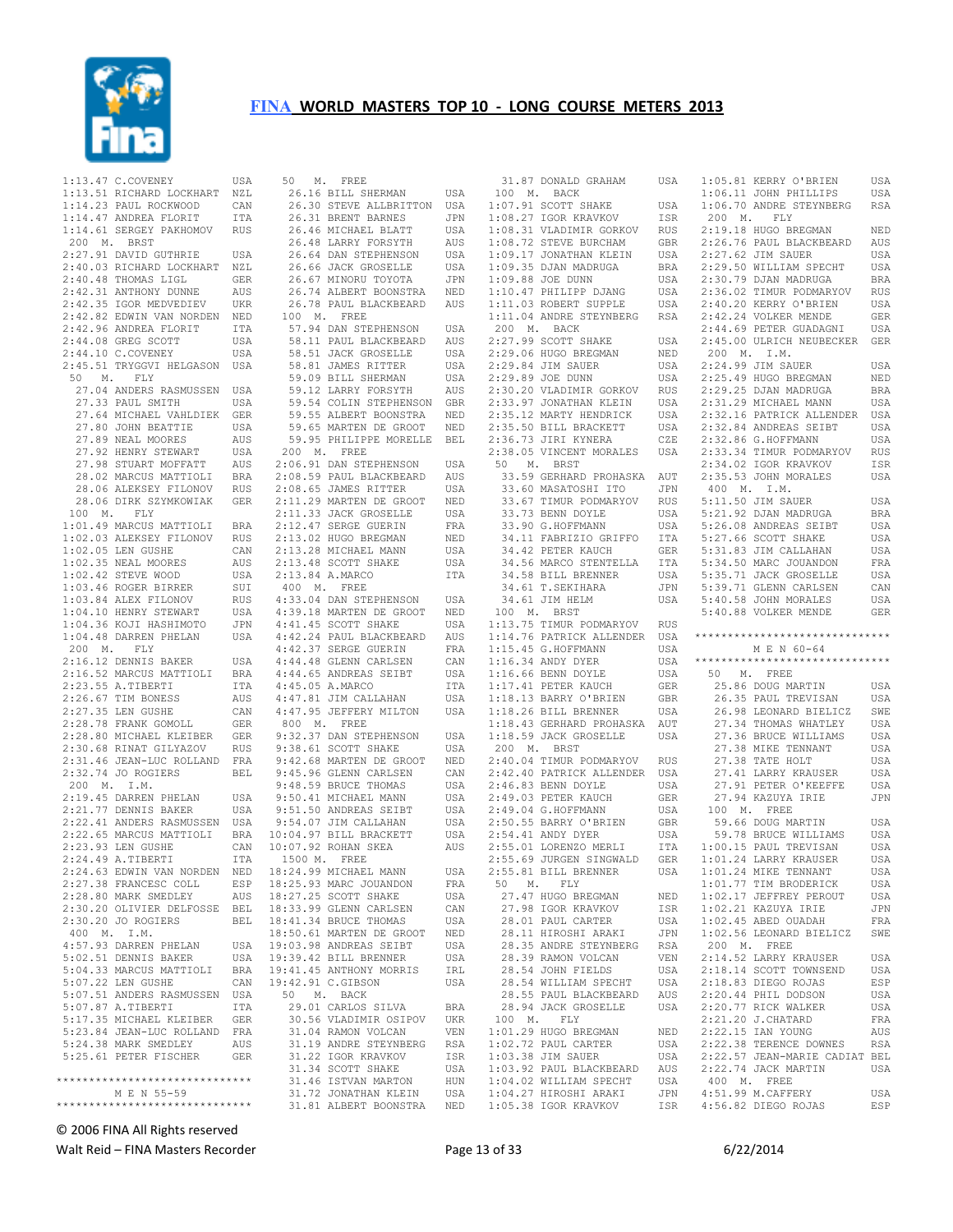

| 1:13.47 C.COVENEY                                                             | USA                     |
|-------------------------------------------------------------------------------|-------------------------|
|                                                                               |                         |
|                                                                               | NZL                     |
|                                                                               | CAN                     |
| 1:13.51 RICHARD LOCKHART<br>1:14.23 PAUL ROCKWOOD<br>1:14.47 ANDREA FLORIT    | ITA                     |
| 1:14.61 SERGEY PAKHOMOV                                                       |                         |
|                                                                               | <b>RUS</b>              |
| 200 M. BRST                                                                   |                         |
| 2:27.91 DAVID GUTHRIE                                                         | USA                     |
| 2:40.03 RICHARD LOCKHART                                                      | NZL                     |
|                                                                               |                         |
|                                                                               | GER                     |
| 2:40.48 THOMAS LIGL<br>2:42.31 ANTHONY DUNNE<br>2:42.35 IGOR MEDVEDIEV        | AUS                     |
|                                                                               | UKR                     |
|                                                                               |                         |
|                                                                               | NED                     |
| 2:42.82 EDWIN VAN NORDEN<br>2:42.96 ANDREA FLORIT                             | ITA                     |
| 2:44.08 GREG SCOTT                                                            | USA                     |
| 2:44.10 C.COVENEY                                                             | <b>USA</b>              |
|                                                                               |                         |
| 2:45.51 TRYGGVI HELGASON                                                      | USA                     |
| 50 M. FLY                                                                     |                         |
| 27.04 ANDERS RASMUSSEN                                                        | USA                     |
|                                                                               |                         |
| 27.33 PAUL SMITH                                                              | USA                     |
| 27.64 MICHAEL VAHLDIEK                                                        | GER                     |
| 27.80 JOHN BEATTIE                                                            | USA                     |
|                                                                               |                         |
| 27.89 NEAL MOORES<br>27.92 HENRY STEWART<br>27.98 STUART MOFFATT              | AUS                     |
|                                                                               | USA                     |
|                                                                               | AUS                     |
|                                                                               | <b>BRA</b>              |
|                                                                               |                         |
| 28.02 MARCUS MATTIOLI<br>28.06 ALEKSEY FILONOV                                | <b>RUS</b>              |
| 28.06 DIRK SZYMKOWIAK                                                         | GER                     |
|                                                                               |                         |
| 100 M. FLY                                                                    |                         |
| 1:01.49 MARCUS MATTIOLI                                                       | BRA                     |
|                                                                               | RUS                     |
| 1:02.03 ALEKSEY FILONOV<br>1:02 05 LEN GUSHE                                  |                         |
|                                                                               | CAN                     |
| 1:02.05 LEN GUSHE<br>1:02.35 NEAL MOORES<br>1:02.42 STEVE WOOD                | AUS                     |
|                                                                               | USA                     |
| 1:03.46 ROGER BIRRER<br>1:03.84 ALEX FILONOV<br>1:04.10 HENRY STEWART         | SUI                     |
|                                                                               |                         |
|                                                                               | <b>RUS</b>              |
|                                                                               | USA                     |
| 1:04.36 KOJI HASHIMOTO                                                        | JPN                     |
|                                                                               |                         |
| $1:04.48$ DARREN PHELAN                                                       | USA                     |
| 200 M. FLY<br>2:16.12 DENNIS BAKER                                            |                         |
|                                                                               | USA                     |
| 2:16.52 MARCUS MATTIOLI                                                       |                         |
|                                                                               | BRA                     |
| 2:23.55 A.TIBERTI                                                             | ITA                     |
| 2:26.67 TIM BONESS<br>2:27.35 LEN GUSHE<br>2:28.78 FRANK GOMOLL               | AUS                     |
|                                                                               | CAN                     |
|                                                                               |                         |
|                                                                               | GER                     |
|                                                                               | GER                     |
|                                                                               | RUS                     |
| 2:28.80 MICHAEL KLEIBER<br>2:30.68 RINAT GILYAZOV<br>2:31.46 JEAN-LUC ROLLAND | $_{\rm FRA}$            |
|                                                                               |                         |
| 2:32.74 JO ROGIERS                                                            | BEL                     |
| 200 M. I.M.                                                                   |                         |
| 2:19.45 DARREN PHELAN                                                         | USA                     |
|                                                                               |                         |
|                                                                               |                         |
|                                                                               | USA                     |
|                                                                               | USA                     |
|                                                                               | <b>BRA</b>              |
| 2:21.77 DENNIS BAKER<br>2:22.41 ANDERS RASMUSSEN<br>2:22.65 MARCUS MATTIOLI   |                         |
| 2:23.93 LEN GUSHE                                                             | CAN                     |
| 2:24.49 A.TIBERTI                                                             | ITA                     |
| 2:24.63 EDWIN VAN NORDEN                                                      |                         |
|                                                                               | $\mathop{\mathtt{NED}}$ |
| 2:27.38 FRANCESC COLL                                                         | ESP                     |
| 2:28.80 MARK SMEDLEY                                                          | AUS                     |
|                                                                               |                         |
| 2:30.20 OLIVIER DELFOSSE BEL                                                  | BEL                     |
| 2:30.20 JO ROGIERS                                                            |                         |
| 400 M. I.M.                                                                   |                         |
| 4:57.93 DARREN PHELAN                                                         | USA                     |
|                                                                               | USA                     |
| 5:02.51 DENNIS BAKER                                                          |                         |
| 5:04.33 MARCUS MATTIOLI                                                       | <b>BRA</b>              |
| 5:07.22 LEN GUSHE                                                             | CAN                     |
|                                                                               |                         |
|                                                                               | USA                     |
| 5:07.51 ANDERS RASMUSSEN<br>5:07.87 A.TIBERTI                                 | ITA                     |
|                                                                               |                         |
|                                                                               |                         |
| 5:07.87 A.TIBERTI<br>5:17.35 MICHAEL KLEIBER GER<br>1000 TRAN-LUC ROLLAND FRA |                         |
| 5:24.38 MARK SMEDLEY                                                          | AUS                     |
| 5:25.61 PETER FISCHER GER                                                     |                         |
|                                                                               |                         |
| *****************************                                                 |                         |
|                                                                               |                         |
| M E N 55-59<br>******************************                                 |                         |

|                   | 50 M. FREE        |                                                                                                                                                                                                                                                  |              |
|-------------------|-------------------|--------------------------------------------------------------------------------------------------------------------------------------------------------------------------------------------------------------------------------------------------|--------------|
|                   |                   | 26.16 BILL SHERMAN                                                                                                                                                                                                                               | USA          |
|                   |                   |                                                                                                                                                                                                                                                  |              |
|                   |                   |                                                                                                                                                                                                                                                  |              |
|                   |                   |                                                                                                                                                                                                                                                  |              |
|                   |                   |                                                                                                                                                                                                                                                  |              |
|                   |                   | 26.30 STEVE ALLBRITTON USA<br>26.30 STEVE ALLBRITTON USA<br>26.31 BRENT BARNES JPN<br>26.46 MICHAEL BLATT USA<br>26.48 LARRY FORSYTH AUS<br>26.64 DAN STEPHENSON USA                                                                             |              |
|                   |                   |                                                                                                                                                                                                                                                  |              |
|                   |                   |                                                                                                                                                                                                                                                  |              |
|                   |                   | 26.66 JACK GROSELLE USA 26.67 MINORU TOYOTA JPN 26.74 ALBERT BOONSTRA NED                                                                                                                                                                        |              |
|                   |                   |                                                                                                                                                                                                                                                  |              |
|                   |                   | 26.78 PAUL BLACKBEARD                                                                                                                                                                                                                            | AUS          |
|                   | 100 M. FREE       |                                                                                                                                                                                                                                                  |              |
|                   |                   | 00 M. FREE<br>58.11 PAUL BLACKBEARD AUS<br>58.11 PAUL BLACKBEARD AUS<br>58.51 JACK GROSELLE USA<br>58.81 JAMES RITTER USA<br>59.09 BILL SHERMAN USA<br>59.12 LARRY FORSYTH AUS<br>59.54 COLIN STEPHENSON GBR<br>59.55 ALBERT BOONSTRA NED<br>59. |              |
|                   |                   |                                                                                                                                                                                                                                                  |              |
|                   |                   |                                                                                                                                                                                                                                                  |              |
|                   |                   |                                                                                                                                                                                                                                                  |              |
|                   |                   |                                                                                                                                                                                                                                                  |              |
|                   |                   |                                                                                                                                                                                                                                                  |              |
|                   |                   |                                                                                                                                                                                                                                                  |              |
|                   |                   |                                                                                                                                                                                                                                                  |              |
|                   |                   |                                                                                                                                                                                                                                                  |              |
|                   |                   | 59.95 PHILIPPE MORELLE BEL                                                                                                                                                                                                                       |              |
|                   | 200 M. FREE       |                                                                                                                                                                                                                                                  |              |
|                   |                   | 2:06.91 DAN STEPHENSON USA<br>2:08.59 PAUL BLACKBEARD AUS                                                                                                                                                                                        |              |
|                   |                   |                                                                                                                                                                                                                                                  |              |
|                   |                   | 2:08.65 JAMES RITTER                                                                                                                                                                                                                             | USA          |
|                   |                   |                                                                                                                                                                                                                                                  |              |
|                   |                   |                                                                                                                                                                                                                                                  |              |
|                   |                   |                                                                                                                                                                                                                                                  |              |
|                   |                   |                                                                                                                                                                                                                                                  |              |
|                   |                   |                                                                                                                                                                                                                                                  |              |
|                   |                   | 2.00.00 DAPIDS NITLEN USA<br>2.11.29 MARTEN DE GROOT NED<br>2.12.47 SERGE GUERIN FRA<br>2.13.02 HUGO BREGMAN NED<br>2.13.28 MICHAEL MANN USA<br>2.13.48 SCOTT SHAKE USA<br>2.13.48 A MARCO                                                       |              |
|                   | 2:13.84 A.MARCO   |                                                                                                                                                                                                                                                  | ITA          |
|                   | 400 M. FREE       |                                                                                                                                                                                                                                                  |              |
|                   |                   | 4:33.04 DAN STEPHENSON                                                                                                                                                                                                                           | USA          |
|                   |                   | 4:39.18 MARTEN DE GROOT NED<br>4:41.45 SCOTT SHAKE USA<br>4:42.24 PAUL BLACKBEARD AUS<br>4:42.37 SERGE GUERIN FRA<br>4:44.48 GLENN CARLSEN CAN<br>4:44.65 ANDREAS SEIBT USA<br>4:44.65 ANDREAS SEIBT USA                                         |              |
|                   |                   |                                                                                                                                                                                                                                                  | USA          |
|                   |                   |                                                                                                                                                                                                                                                  |              |
|                   |                   |                                                                                                                                                                                                                                                  |              |
|                   |                   |                                                                                                                                                                                                                                                  | CAN          |
|                   |                   |                                                                                                                                                                                                                                                  |              |
|                   |                   |                                                                                                                                                                                                                                                  | ITA          |
|                   | $4:45.05$ A.MARCO | 4:47.81 JIM CALLAHAN USA<br>4:47.95 JEFFERY MILTON USA                                                                                                                                                                                           | USA          |
|                   |                   |                                                                                                                                                                                                                                                  |              |
|                   | 800 M. FREE       |                                                                                                                                                                                                                                                  |              |
|                   |                   |                                                                                                                                                                                                                                                  | USA          |
|                   |                   | 9:32.37 DAN STEPHENSON<br>9:38.61 SCOTT SHAKE                                                                                                                                                                                                    | USA          |
|                   |                   |                                                                                                                                                                                                                                                  | $_{\rm NED}$ |
|                   |                   |                                                                                                                                                                                                                                                  |              |
|                   |                   |                                                                                                                                                                                                                                                  | CAN          |
|                   |                   |                                                                                                                                                                                                                                                  | USA          |
|                   |                   |                                                                                                                                                                                                                                                  | USA          |
|                   |                   |                                                                                                                                                                                                                                                  | $_{\tt USA}$ |
|                   |                   |                                                                                                                                                                                                                                                  | USA          |
|                   |                   | 9:30.01 SCOTT SHAKE<br>9:42.68 MARTEN DE GROOT<br>9:45.96 GLENN CARLSEN<br>9:48.59 BRUCE THOMAS<br>9:50.41 MICHAEL MANN<br>9:51.50 ANDREAS SEIBT<br>9:54.07 JIM CALLAHAN<br>10:07.92 ROHAN SKEA                                                  | USA          |
|                   |                   | 10:07.92 ROHAN SKEA                                                                                                                                                                                                                              | AUS          |
| 1500 M. FREE      |                   |                                                                                                                                                                                                                                                  |              |
|                   |                   | 18:24.99 MICHAEL MANN                                                                                                                                                                                                                            | USA          |
|                   |                   | 18:25.93 MARC JOUANDON                                                                                                                                                                                                                           | FRA          |
|                   |                   | 18:27.25 SCOTT SHAKE                                                                                                                                                                                                                             | USA          |
|                   |                   | 18:33.99 GLENN CARLSEN                                                                                                                                                                                                                           | CAN          |
|                   |                   | 18:41.34 BRUCE THOMAS                                                                                                                                                                                                                            | USA          |
|                   |                   | 18:50.61 MARTEN DE GROOT                                                                                                                                                                                                                         | NED          |
|                   |                   | 19:03.98 ANDREAS SEIBT                                                                                                                                                                                                                           | USA          |
|                   |                   | 19:39.42 BILL BRENNER                                                                                                                                                                                                                            | USA          |
|                   |                   | 19:41.45 ANTHONY MORRIS                                                                                                                                                                                                                          | IRL          |
| 19:42.91 C.GIBSON |                   |                                                                                                                                                                                                                                                  | USA          |
|                   | 50 M. BACK        |                                                                                                                                                                                                                                                  |              |
|                   |                   | 29.01 CARLOS SILVA                                                                                                                                                                                                                               | BRA          |
|                   |                   | 30.56 VLADIMIR OSIPOV                                                                                                                                                                                                                            | <b>UKR</b>   |
|                   |                   | 31.04 RAMON VOLCAN                                                                                                                                                                                                                               | VEN          |
|                   |                   | 31.19 ANDRE STEYNBERG                                                                                                                                                                                                                            | <b>RSA</b>   |
|                   |                   | 31.22 IGOR KRAVKOV                                                                                                                                                                                                                               | ISR          |
|                   |                   | 31.34 SCOTT SHAKE                                                                                                                                                                                                                                | USA          |
|                   |                   | 31.46 ISTVAN MARTON                                                                                                                                                                                                                              | HUN          |
|                   |                   | 31.72 JONATHAN KLEIN                                                                                                                                                                                                                             | USA          |
|                   |                   | 31.81 ALBERT BOONSTRA                                                                                                                                                                                                                            | NED          |

| 31.87 DONALD GRAHAM                                                                                                                                         | USA        |
|-------------------------------------------------------------------------------------------------------------------------------------------------------------|------------|
| 100 M. BACK                                                                                                                                                 |            |
|                                                                                                                                                             | USA        |
|                                                                                                                                                             | ISR        |
|                                                                                                                                                             | RUS        |
|                                                                                                                                                             | GBR        |
| 1:07.91 SCOTT SHAKE<br>1:08.27 IGOR KRAVKOV<br>1:08.31 VLADIMIR GORKOV<br>1:08.72 STEVE BURCHAM<br>1:09.17 JONATHAN KLEIN                                   | USA        |
| 1:09.17 JONATHAN ALL-109.35 DJAN MADRUGA<br>1:09.88 JOE DUNN<br>1:10.47 PHILIPP DJANG<br>1:10.47 PAPER SUPPLE                                               | <b>BRA</b> |
|                                                                                                                                                             | USA        |
|                                                                                                                                                             | USA        |
| 1:11.03 ROBERT SUPPLE                                                                                                                                       | USA        |
| 1:11.04 ANDRE STEYNBERG RSA                                                                                                                                 |            |
| $200$ M. BACK                                                                                                                                               |            |
| 2:27.99 SCOTT SHAKE                                                                                                                                         | USA        |
|                                                                                                                                                             | NED        |
| 2:29.06 HUGO BREGMAN<br>2:29.84 JIM SAUER                                                                                                                   | USA        |
|                                                                                                                                                             | USA        |
| 2:29.89 JOE DUNN<br>2:30.20 VLADIMIR GORKOV<br>2:33.97 JONATHAN KLEIN                                                                                       | RUS        |
|                                                                                                                                                             | USA        |
| 2:35.12 MARTY HENDRICK                                                                                                                                      |            |
|                                                                                                                                                             | USA        |
| 2:35.50 BILL BRACKETT<br>2:36.73 JIRI KYNERA                                                                                                                | USA        |
|                                                                                                                                                             | CZE        |
| 2:38.05 VINCENT MORALES<br>50 M. BRST                                                                                                                       | USA        |
|                                                                                                                                                             |            |
| 33.59 GERHARD PROHASKA AUT                                                                                                                                  |            |
| 33.60 MASATOSHI ITO                                                                                                                                         | JPN        |
| 33.67 TIMUR PODMARYOV<br>33.73 BENN DOYLE                                                                                                                   | <b>RUS</b> |
|                                                                                                                                                             | USA        |
| 33.90 G.HOFFMANN                                                                                                                                            | USA        |
|                                                                                                                                                             | ITA        |
| 34.11 FABRIZIO GRIFFO<br>34.42 PETER KAUCH                                                                                                                  | GER        |
|                                                                                                                                                             | ITA        |
|                                                                                                                                                             | USA        |
|                                                                                                                                                             | JPN        |
| 34.56 MARCO STENTELLA<br>34.58 BILL BRENNER<br>34.61 T.SEKIHARA<br>34.61 JIM HELM                                                                           | USA        |
| 100 M. BRST                                                                                                                                                 |            |
| 1:13.75 TIMUR PODMARYOV                                                                                                                                     | RUS        |
| 1:14.76 PATRICK ALLENDER                                                                                                                                    | USA        |
|                                                                                                                                                             | USA        |
|                                                                                                                                                             | USA        |
|                                                                                                                                                             | USA        |
|                                                                                                                                                             | GER        |
|                                                                                                                                                             | GBR        |
| 1:15.45 G.HOFFMANN<br>1:15.45 G.HOFFMANN<br>1:16.34 ANDY DYER<br>1:16.66 BENN DOYLE<br>1:17.41 PETER KAUCH<br>1:18.13 BARRY O'BRIEN<br>1:18.26 BILL BRENNER | USA        |
| 1:18.43 GERHARD PROHASKA                                                                                                                                    | AUT        |
| 1:18.59 JACK GROSELLE                                                                                                                                       | USA        |
| 200 M. BRST                                                                                                                                                 |            |
| 2:40.04 TIMUR PODMARYOV                                                                                                                                     | RUS        |
| 2:42.40 PATRICK ALLENDER USA                                                                                                                                |            |
| 2:46.83 BENN DOYLE                                                                                                                                          | USA        |
|                                                                                                                                                             | GER        |
| 2:49.03 PETER KAUCH<br>2:49.04 G.HOFFMANN                                                                                                                   | USA        |
| 2:50.55 BARRY O'BRIEN                                                                                                                                       | GBR        |
|                                                                                                                                                             |            |
| 2:54.41 ANDY DYER<br>$2:55.01$ LORENZO MERLI                                                                                                                | USA        |
| 2:55.69 JURGEN SINGWALD                                                                                                                                     | ITA        |
|                                                                                                                                                             | <b>GER</b> |
| 2:55.81 BILL BRENNER                                                                                                                                        | USA        |
| 50 M. FLY                                                                                                                                                   | NED        |
| 27.47 HUGO BREGMAN<br>IGOR KRAVKOV<br>27.98                                                                                                                 |            |
|                                                                                                                                                             |            |
|                                                                                                                                                             | ISR        |
|                                                                                                                                                             | USA        |
| 28.01 PAUL CARTER<br>28.11 HIROSHI ARAKI                                                                                                                    | JPN        |
| 28.35 ANDRE STEYNBERG                                                                                                                                       | RSA        |
| 28.39 RAMON VOLCAN                                                                                                                                          | VEN        |
|                                                                                                                                                             | USA        |
| 28.54 JOHN FIELDS<br>28.54 WILLIAM SPECHT                                                                                                                   | USA        |
| 28.55 PAUL BLACKBEARD                                                                                                                                       | AUS        |
| 28.94 JACK GROSELLE                                                                                                                                         | USA        |
| 100 M.<br><b>FLY</b>                                                                                                                                        |            |
| $1:01.29$ HUGO BREGMAN                                                                                                                                      | NED        |
| 1:02.72 PAUL CARTER                                                                                                                                         | USA        |
| 1:03.38 JIM SAUER                                                                                                                                           | USA        |
| 1:03.92 PAUL BLACKBEARD                                                                                                                                     | AUS        |
| 1:04.02 WILLIAM SPECHT<br>1:04.27 HIROSHI ARAKI                                                                                                             | USA<br>JPN |

ISA  $_{\rm ISA}$ 1:05.81 KERRY O'BRIEN USA<br>1:06.11 JOHN PHILLIPS USA  $1:06.11$  JOHN PHILLIPS 1:06.70 ANDRE STEYNBERG RSA 200 M. FLY 2:19.18 HUGO BREGMAN NED 2:26.76 PAUL BLACKBEARD AUS<br>2:27.62 JIM SAUER USA  $2:27.62$  JIM SAUER 2:29.50 WILLIAM SPECHT USA<br>2:30.79 DJAN MADRUGA BRA  $2:30.79$  DJAN MADRUGA 2:36.02 TIMUR PODMARYOV RUS 2:40.20 KERRY O'BRIEN USA 2:42.24 VOLKER MENDE GER 2:44.69 PETER GUADAGNI USA 2:45.00 ULRICH NEUBECKER GER 200 M. I.M. 2:24.99 JIM SAUER USA 2:25.49 HUGO BREGMAN NED 2:29.25 DJAN MADRUGA BRA 2:31.29 MICHAEL MANN USA 2:32.16 PATRICK ALLENDER USA<br>2:32.84 ANDREAS SEIBT USA 2:32.84 ANDREAS SEIBT 2:32.86 G.HOFFMANN USA<br>2:33.34 TIMUR PODMARYOV RUS 2:33.34 TIMUR PODMARYOV 2:34.02 IGOR KRAVKOV ISR 2:35.53 JOHN MORALES USA 400 M. I.M. 5:11.50 JIM SAUER USA<br>5:21.92 DJAN MADRUGA BRA 5:21.92 DJAN MADRUGA 5:26.08 ANDREAS SEIBT USA<br>5:27.66 SCOTT SHAKE USA  $5:27.66$  SCOTT SHAKE 5:31.83 JIM CALLAHAN USA 5:34.50 MARC JOUANDON FRA<br>5:35.71 JACK GROSELLE USA 5:35.71 JACK GROSELLE USA<br>5:39.71 GLENN CARLSEN CAN 5:39.71 GLENN CARLSEN CAN<br>5:40.58 JOHN MORALES USA  $5:40.58$  JOHN MORALES 5:40.88 VOLKER MENDE GER \*\*\*\*\*\*\*\*\*\*\*\*\*\*\*\*\*\*\*\*\*\*\*\*\*\*\*\*\*\* M E N 60-64 \*\*\*\*\*\*\*\*\*\*\*\*\*\*\*\*\*\*\*\*\*\*\*\*\*\*\*\*\*\* 50 M. FREE 25.86 DOUG MARTIN USA 26.35 PAUL TREVISAN USA<br>26.98 LEONARD BIELICZ SWE 26.98 LEONARD BIELICZ 27.34 THOMAS WHATLEY USA 27.36 BRUCE WILLIAMS USA<br>27.38 MIKE TENNANT USA 27.38 MIKE TENNANT 27.38 TATE HOLT USA<br>27.41 LARRY KRAUSER USA 27.41 LARRY KRAUSER 27.91 PETER O'KEEFFE USA<br>27.94 KAZUYA IRIE JPN 27.94 KAZUYA IRIE 100 M. FREE 59.66 DOUG MARTIN USA 59.78 BRUCE WILLIAMS USA<br>:00.15 PAUL TREVISAN USA 1:00.15 PAUL TREVISAN USA<br>1:01.24 LARRY KRAUSER USA 1:01.24 LARRY KRAUSER USA<br>1:01.24 MIKE TENNANT USA 1:01.24 MIKE TENNANT USA<br>1:01.77 TIM BRODERICK USA 1:01.77 TIM BRODERICK USA<br>1:02.17 JEFFREY PEROUT USA  $1:02.17$  JEFFREY PEROUT 1:02.21 KAZUYA IRIE JPN  $1:02.45$  ABED OUADAH 1:02.56 LEONARD BIELICZ SWE 200 M. FREE 2:14.52 LARRY KRAUSER USA<br>2:18.14 SCOTT TOWNSEND USA 2:18.14 SCOTT TOWNSEND USA<br>2:18.83 DIEGO ROJAS ESP  $2:18.83$  DIEGO ROJAS 2:20.44 PHIL DODSON USA 2:20.77 RICK WALKER USA 2:21.20 J.CHATARD FRA 2:22.15 IAN YOUNG AUS 2:22.38 TERENCE DOWNES RSA 2:22.57 JEAN-MARIE CADIAT BEL 2:22.74 JACK MARTIN USA 400 M. FREE 4:51.99 M.CAFFERY USA 4:56.82 DIEGO ROJAS ESP

© 2006 FINA All Rights reserved

Walt Reid – FINA Masters Recorder example and the Page 13 of 33 6/22/2014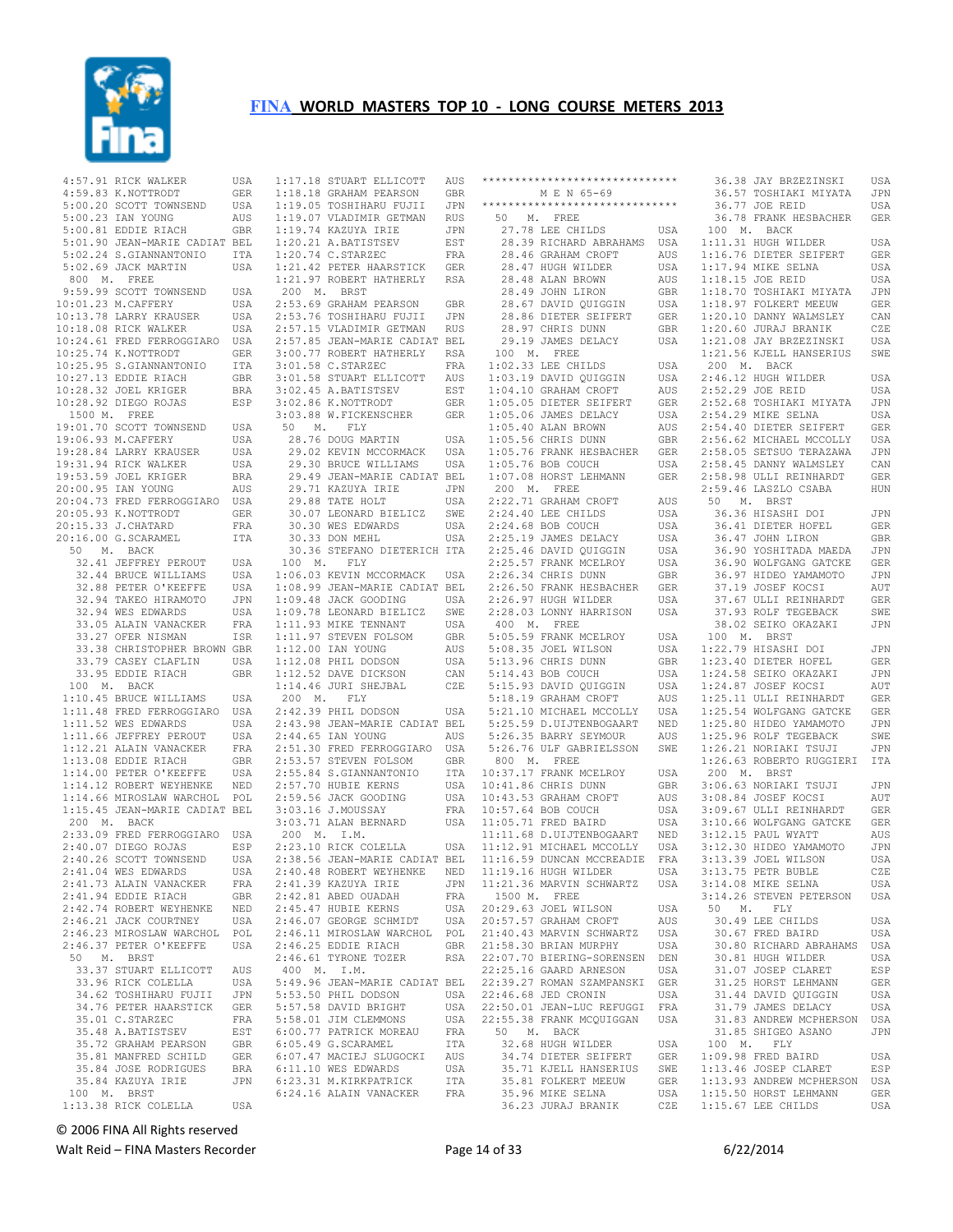

|           | 4:57.91 RICK WALKER           | USA        |             | 1:17.18 STUART ELLICOTT       | AUS | **             |
|-----------|-------------------------------|------------|-------------|-------------------------------|-----|----------------|
|           | 4:59.83 K.NOTTRODT            | GER        |             | 1:18.18 GRAHAM PEARSON        | GBR |                |
|           |                               |            |             |                               |     | **             |
|           | 5:00.20 SCOTT TOWNSEND        | USA        |             | 1:19.05 TOSHIHARU FUJII       | JPN |                |
|           | 5:00.23 IAN YOUNG             | AUS        |             | 1:19.07 VLADIMIR GETMAN       | RUS |                |
|           | 5:00.81 EDDIE RIACH           | GBR        |             | 1:19.74 KAZUYA IRIE           | JPN |                |
|           | 5:01.90 JEAN-MARIE CADIAT BEL |            |             | 1:20.21 A.BATISTSEV           | EST |                |
|           |                               |            |             |                               |     |                |
|           | 5:02.24 S.GIANNANTONIO        | ITA        |             | 1:20.74 C.STARZEC             | FRA |                |
|           | 5:02.69 JACK MARTIN           | USA        |             | 1:21.42 PETER HAARSTICK       | GER |                |
|           | 800 M. FREE                   |            |             | 1:21.97 ROBERT HATHERLY       | RSA |                |
|           | 9:59.99 SCOTT TOWNSEND        | USA        | Μ.<br>200   | <b>BRST</b>                   |     |                |
|           |                               |            |             |                               |     |                |
|           | 10:01.23 M. CAFFERY           | USA        |             | 2:53.69 GRAHAM PEARSON        | GBR |                |
|           | 10:13.78 LARRY KRAUSER        | USA        |             | 2:53.76 TOSHIHARU FUJII       | JPN |                |
|           | 10:18.08 RICK WALKER          | USA        |             | 2:57.15 VLADIMIR GETMAN       | RUS |                |
|           | 10:24.61 FRED FERROGGIARO     | USA        |             | 2:57.85 JEAN-MARIE CADIAT BEL |     |                |
|           | 10:25.74 K.NOTTRODT           | GER        |             | 3:00.77 ROBERT HATHERLY       | RSA |                |
|           |                               |            |             |                               |     |                |
|           | 10:25.95 S.GIANNANTONIO       | ITA        |             | 3:01.58 C.STARZEC             | FRA | 1              |
|           | 10:27.13 EDDIE RIACH          | GBR        |             | 3:01.58 STUART ELLICOTT       | AUS | 1              |
|           | 10:28.32 JOEL KRIGER          | BRA        |             | 3:02.45 A.BATISTSEV           | EST | 1              |
|           | 10:28.92 DIEGO ROJAS          | ESP        |             | 3:02.86 K.NOTTRODT            | GER | 1              |
|           | FREE                          |            |             |                               |     | 1              |
| 1500 M.   |                               |            |             | 3:03.88 W.FICKENSCHER         | GER |                |
|           | 19:01.70 SCOTT TOWNSEND       | USA        | 50<br>Μ.    | FLY                           |     | 1              |
|           | 19:06.93 M. CAFFERY           | USA        |             | 28.76 DOUG MARTIN             | USA | 1              |
|           | 19:28.84 LARRY KRAUSER        | USA        |             | 29.02 KEVIN MCCORMACK         | USA | 1              |
|           | 19:31.94 RICK WALKER          | USA        |             | 29.30 BRUCE WILLIAMS          | USA | 1              |
|           | 19:53.59 JOEL KRIGER          | BRA        |             | 29.49 JEAN-MARIE CADIAT BEL   |     | 1              |
|           | 20:00.95 IAN YOUNG            |            |             |                               |     |                |
|           |                               | AUS        |             | 29.71 KAZUYA IRIE             | JPN |                |
|           | 20:04.73 FRED FERROGGIARO     | USA        |             | 29.88 TATE HOLT               | USA | 2              |
|           | 20:05.93 K.NOTTRODT           | GER        |             | 30.07 LEONARD BIELICZ         | SWE | $\overline{c}$ |
|           | 20:15.33 J.CHATARD            | FRA        |             | 30.30 WES EDWARDS             | USA | $\overline{c}$ |
|           | 20:16.00 G.SCARAMEL           | ITA        |             | 30.33 DON MEHL                | USA | $\overline{c}$ |
| 50        | M. BACK                       |            |             | 30.36 STEFANO DIETERICH ITA   |     | $\overline{c}$ |
|           | 32.41 JEFFREY PEROUT          | USA        | 100<br>М.   | FLY                           |     | $\overline{c}$ |
|           |                               |            |             |                               |     |                |
|           | 32.44 BRUCE WILLIAMS          | USA        |             | 1:06.03 KEVIN MCCORMACK       | USA | $\overline{c}$ |
|           | 32.88 PETER O'KEEFFE          | USA        |             | 1:08.99 JEAN-MARIE CADIAT BEL |     | $\overline{c}$ |
|           | 32.94 TAKEO HIRAMOTO          | JPN        |             | 1:09.48 JACK GOODING          | USA | $\overline{c}$ |
|           | 32.94 WES EDWARDS             | USA        |             | 1:09.78 LEONARD BIELICZ       | SWE | $\overline{c}$ |
|           | 33.05 ALAIN VANACKER          | FRA        |             | 1:11.93 MIKE TENNANT          | USA |                |
|           | 33.27 OFER NISMAN             | ISR        |             | 1:11.97 STEVEN FOLSOM         | GBR | 5              |
|           | 33.38 CHRISTOPHER BROWN GBR   |            |             | 1:12.00 IAN YOUNG             | AUS | 5              |
|           |                               |            |             |                               |     |                |
|           | 33.79 CASEY CLAFLIN           | USA        |             | 1:12.08 PHIL DODSON           | USA | 5              |
|           | 33.95 EDDIE RIACH             | <b>GBR</b> |             | 1:12.52 DAVE DICKSON          | CAN | 5              |
| 100       | M. BACK                       |            |             | 1:14.46 JURI SHEJBAL          | CZE | 5              |
|           | 1:10.45 BRUCE WILLIAMS        | USA        | 200<br>М.   | FLY                           |     | 5              |
|           | 1:11.48 FRED FERROGGIARO      | USA        |             | 2:42.39 PHIL DODSON           | USA | 5              |
|           | 1:11.52 WES EDWARDS           | USA        |             | 2:43.98 JEAN-MARIE CADIAT BEL |     | 5              |
|           |                               |            |             |                               |     |                |
|           | 1:11.66 JEFFREY PEROUT        | USA        |             | 2:44.65 IAN YOUNG             | AUS | 5              |
|           | 1:12.21 ALAIN VANACKER        | FRA        |             | 2:51.30 FRED FERROGGIARO      | USA | 5              |
|           | 1:13.08 EDDIE RIACH           | GBR        |             | 2:53.57 STEVEN FOLSOM         | GBR |                |
|           | 1:14.00 PETER O'KEEFFE        | USA        |             | 2:55.84 S.GIANNANTONIO        | ITA | 10             |
|           | 1:14.12 ROBERT WEYHENKE       | NED        |             | 2:57.70 HUBIE KERNS           | USA | 10             |
|           |                               |            |             |                               |     |                |
|           | 1:14.66 MIROSLAW WARCHOL      | POL        |             | 2:59.56 JACK GOODING          | USA | 10             |
|           | 1:15.45 JEAN-MARIE CADIAT BEL |            |             | 3:03.16 J.MOUSSAY             | FRA | 10             |
| М.<br>200 | <b>BACK</b>                   |            |             | 3:03.71 ALAN BERNARD          | USA | 11             |
|           | 2:33.09 FRED FERROGGIARO      | USA        | 200<br>М.   | I.M.                          |     | 11             |
|           | 2:40.07 DIEGO ROJAS           | ESP        |             | 2:23.10 RICK COLELLA          | USA | 11             |
|           | 2:40.26 SCOTT TOWNSEND        | USA        |             | 2:38.56 JEAN-MARIE CADIAT BEL |     | 11             |
|           | 2:41.04 WES EDWARDS           | USA        |             |                               |     | 11             |
|           |                               |            |             | 2:40.48 ROBERT WEYHENKE       | NED |                |
|           | 2:41.73 ALAIN VANACKER        | FRA        |             | 2:41.39 KAZUYA IRIE           | JPN | 11             |
|           | 2:41.94 EDDIE RIACH           | GBR        |             | 2:42.81 ABED OUADAH           | FRA |                |
|           | 2:42.74 ROBERT WEYHENKE       | NED        |             | 2:45.47 HUBIE KERNS           | USA | 20             |
|           | 2:46.21 JACK COURTNEY         | USA        |             | 2:46.07 GEORGE SCHMIDT        | USA | 20             |
|           | 2:46.23 MIROSLAW WARCHOL POL  |            |             | 2:46.11 MIROSLAW WARCHOL POL  |     | 21             |
|           | 2:46.37 PETER O'KEEFFE        | USA        |             | 2:46.25 EDDIE RIACH           | GBR | 21             |
| 50        | M. BRST                       |            |             | 2:46.61 TYRONE TOZER          |     | 22             |
|           |                               |            |             |                               | RSA |                |
|           | 33.37 STUART ELLICOTT         | AUS        | 400 M. I.M. |                               |     | 22             |
|           | 33.96 RICK COLELLA            | USA        |             | 5:49.96 JEAN-MARIE CADIAT BEL |     | 22             |
|           | 34.62 TOSHIHARU FUJII         | JPN        |             | 5:53.50 PHIL DODSON           | USA | 22             |
|           | 34.76 PETER HAARSTICK         | GER        |             | 5:57.58 DAVID BRIGHT          | USA | 22             |
|           | 35.01 C.STARZEC               | FRA        |             | 5:58.01 JIM CLEMMONS          | USA | 22             |
|           | 35.48 A.BATISTSEV             | EST        |             | 6:00.77 PATRICK MOREAU        | FRA |                |
|           | 35.72 GRAHAM PEARSON          | GBR        |             | 6:05.49 G.SCARAMEL            | ITA |                |
|           |                               |            |             |                               |     |                |
|           | 35.81 MANFRED SCHILD          | GER        |             | 6:07.47 MACIEJ SLUGOCKI       | AUS |                |
|           | 35.84 JOSE RODRIGUES          | BRA        |             | 6:11.10 WES EDWARDS           | USA |                |
|           | 35.84 KAZUYA IRIE             | JPN        |             | 6:23.31 M.KIRKPATRICK         | ITA |                |
|           | 100 M. BRST                   |            |             | 6:24.16 ALAIN VANACKER        | FRA |                |
|           | 1:13.38 RICK COLELLA          | USA        |             |                               |     |                |
|           |                               |            |             |                               |     |                |

|             | 1:18.18 GRAHAM PEARSON<br>1:19.18 GRAHAM PEARSON<br>1:19.07 VLADIMIR GETMAN RUS<br>1:19.74 KAZUYA IRIE JPN<br>1:20.21 A.BATISTSEV PST<br>1:20.74 C.STARZEC FRA                                                                    |              |
|-------------|-----------------------------------------------------------------------------------------------------------------------------------------------------------------------------------------------------------------------------------|--------------|
|             |                                                                                                                                                                                                                                   |              |
|             |                                                                                                                                                                                                                                   |              |
|             |                                                                                                                                                                                                                                   |              |
|             |                                                                                                                                                                                                                                   |              |
|             | $1:20.74$ C.STARZEC                                                                                                                                                                                                               | FRA          |
|             | 1:21.42 PETER HAARSTICK GER<br>1:21.97 ROBERT HATHERLY RSA                                                                                                                                                                        |              |
|             |                                                                                                                                                                                                                                   |              |
| 200 M. BRST |                                                                                                                                                                                                                                   |              |
|             | 2:53.69 GRAHAM PEARSON                                                                                                                                                                                                            | GBR          |
|             | 2:53.76 TOSHIHARU FUJII JPN<br>2:53.76 TOSHIHARU FUJII JPN<br>2:57.15 VLADIMIR GETMAN RUS                                                                                                                                         |              |
|             |                                                                                                                                                                                                                                   |              |
|             |                                                                                                                                                                                                                                   |              |
|             | 2:57.85 JEAN-MARIE CADIAT BEL<br>3:00.77 ROBERT HATHERLY RSA                                                                                                                                                                      |              |
|             |                                                                                                                                                                                                                                   |              |
|             | 3:01.58 C.STARZEC                                                                                                                                                                                                                 | FRA          |
|             | 3:01.58 STUART ELLICOTT AUS<br>3:02.45 A.BATISTSEV EST<br>3:02.86 K.NOTTRODT GER                                                                                                                                                  |              |
|             |                                                                                                                                                                                                                                   |              |
|             | 3:02.86 K.NOTTRODT                                                                                                                                                                                                                | GER          |
|             | 3:03.88 W.FICKENSCHER                                                                                                                                                                                                             | GER          |
|             | 50 M. FLY<br>28.76 DOUG MARTIN                                                                                                                                                                                                    |              |
|             |                                                                                                                                                                                                                                   | USA          |
|             | 29.02 KEVIN MCCORMACK USA<br>29.02 KEVIN MCCORMACK USA<br>29.30 BRUCE WILLIAMS USA<br>29.49 JEAN-MARIE CADIAT BEL<br>29.71 KAZUYA IRIE JPN                                                                                        |              |
|             |                                                                                                                                                                                                                                   |              |
|             |                                                                                                                                                                                                                                   |              |
|             |                                                                                                                                                                                                                                   |              |
|             | 29.71 KAZUYA IRIE JPN<br>29.88 TATE HOLT USA<br>30.07 LEONARD BIELICZ SWE                                                                                                                                                         | USA          |
|             |                                                                                                                                                                                                                                   |              |
|             |                                                                                                                                                                                                                                   |              |
|             | 30.07 LEVING.<br>30.30 WES EDWARDS                                                                                                                                                                                                | USA          |
|             | 30.33 DON MEHL USA<br>30.36 STEFANO DIETERICH ITA                                                                                                                                                                                 | USA          |
|             |                                                                                                                                                                                                                                   |              |
|             | 100 M. FLY                                                                                                                                                                                                                        |              |
|             |                                                                                                                                                                                                                                   |              |
|             |                                                                                                                                                                                                                                   |              |
|             |                                                                                                                                                                                                                                   |              |
|             |                                                                                                                                                                                                                                   |              |
|             | 1:06.03 KEVIN MCCORMACK USA<br>1:08.99 JEAN-MARIE CADIAT BEL<br>1:09.48 JACK GOODING USA<br>1:09.78 LEONARD BIELICZ SWE<br>1:11.93 MIKE TENNANIT USA                                                                              |              |
|             | 1:11.97 STEVEN FOLSOM<br>1:12.00 IAN YOUNG<br>1:12.08 PHIL DODSON<br>1:12.52 DAVE DICKSON                                                                                                                                         | GBR          |
|             |                                                                                                                                                                                                                                   | AUS          |
|             |                                                                                                                                                                                                                                   | USA          |
|             |                                                                                                                                                                                                                                   | CAN          |
|             | $1:14.46$ JURI SHEJBAL                                                                                                                                                                                                            | CZE          |
|             |                                                                                                                                                                                                                                   |              |
|             | 200 M. FLY<br>2:42.39 PHIL DODSON                                                                                                                                                                                                 | USA          |
|             | 2:43.98 JEAN-MARIE CADIAT BEL                                                                                                                                                                                                     |              |
|             |                                                                                                                                                                                                                                   |              |
|             |                                                                                                                                                                                                                                   |              |
|             | 2:43.98 JEAN YOUNG<br>2:51.30 FRED FERROGGIARO USA<br>2:51.30 FRED FERROGGIARO USA<br>2:53.57 STEVEN FOLSOM GBR<br>2:55.84 S.GIANNANTONIO ITA<br>2:59.56 JACK GOODING USA<br>2:59.56 JACK GOODING USA<br>2:59.56 JACK GOODING USA |              |
|             |                                                                                                                                                                                                                                   |              |
|             |                                                                                                                                                                                                                                   |              |
|             |                                                                                                                                                                                                                                   |              |
|             |                                                                                                                                                                                                                                   |              |
|             | 3:03.16 J.MOUSSAY                                                                                                                                                                                                                 | FRA          |
|             | 3:03.71 ALAN BERNARD                                                                                                                                                                                                              | USA          |
| 200 M. I.M. |                                                                                                                                                                                                                                   |              |
|             | USA<br>2:23.10 RICK COLELLA USA<br>2:38.56 JEAN-MARIE CADIAT BEL<br>2:40.48 ROBERT WEYHENKE NED                                                                                                                                   |              |
|             |                                                                                                                                                                                                                                   |              |
|             |                                                                                                                                                                                                                                   |              |
|             | 2:41.39 KAZUYA IRIE                                                                                                                                                                                                               | JPN          |
|             | 2:42.81 ABED OUADAH                                                                                                                                                                                                               | FRA          |
|             | 2:45.47 HUBIE KERNS                                                                                                                                                                                                               | USA          |
|             | 2:46.07 GEORGE SCHMIDT                                                                                                                                                                                                            | USA          |
|             | 2:46.11 MIROSLAW WARCHOL                                                                                                                                                                                                          | $_{\tt POL}$ |
|             | 2:46.25 EDDIE RIACH                                                                                                                                                                                                               | <b>GBR</b>   |
|             | 2:46.61 TYRONE TOZER                                                                                                                                                                                                              | RSA          |
|             | 400 M. I.M.                                                                                                                                                                                                                       |              |
|             |                                                                                                                                                                                                                                   |              |
|             | 5:49.96 JEAN-MARIE CADIAT BEL<br>5:53.50 PHIL DODSON USA                                                                                                                                                                          |              |
|             |                                                                                                                                                                                                                                   |              |
|             | 5:57.58 DAVID BRIGHT                                                                                                                                                                                                              | USA          |
|             | 5:58.01 JIM CLEMMONS<br>6:00.77 PATRICK MOREAU                                                                                                                                                                                    | USA          |
|             |                                                                                                                                                                                                                                   | FRA          |
|             | $6:05.49$ G. SCARAMEL                                                                                                                                                                                                             | ITA          |
|             | 6:07.47 MACIEJ SLUGOCKI                                                                                                                                                                                                           | AUS          |
|             | $6:11.10$ WES EDWARDS                                                                                                                                                                                                             | USA          |
|             | 6:23.31 M.KIRKPATRICK                                                                                                                                                                                                             | ITA          |
|             | 6:24.16 ALAIN VANACKER                                                                                                                                                                                                            | FRA          |
|             |                                                                                                                                                                                                                                   |              |

|  |  | *****************************                                                                                                                                                                                                                                                                                                                                                                               |             |
|--|--|-------------------------------------------------------------------------------------------------------------------------------------------------------------------------------------------------------------------------------------------------------------------------------------------------------------------------------------------------------------------------------------------------------------|-------------|
|  |  | M E N 65-69                                                                                                                                                                                                                                                                                                                                                                                                 |             |
|  |  | ******************************                                                                                                                                                                                                                                                                                                                                                                              |             |
|  |  | 50 M. FREE                                                                                                                                                                                                                                                                                                                                                                                                  |             |
|  |  | 27.78 LEE CHILDS                                                                                                                                                                                                                                                                                                                                                                                            | USA         |
|  |  |                                                                                                                                                                                                                                                                                                                                                                                                             |             |
|  |  |                                                                                                                                                                                                                                                                                                                                                                                                             |             |
|  |  |                                                                                                                                                                                                                                                                                                                                                                                                             |             |
|  |  |                                                                                                                                                                                                                                                                                                                                                                                                             |             |
|  |  |                                                                                                                                                                                                                                                                                                                                                                                                             |             |
|  |  |                                                                                                                                                                                                                                                                                                                                                                                                             |             |
|  |  | 27.78 LEE CHILDER<br>28.39 RICHARD ABRAHAMS USA<br>28.46 GRAHAM CROFT AUS<br>28.46 ALAN BROWN AUS<br>28.48 ALAN BROWN AUS<br>28.49 JOHN LIRON GBR<br>28.67 DAVID QUIGGIN USA<br>28.86 DIETER SEIFERT GER<br>28.97 CHRIS DUNN GBR<br>29.19 JAMES                                                                                                                                                             |             |
|  |  |                                                                                                                                                                                                                                                                                                                                                                                                             |             |
|  |  |                                                                                                                                                                                                                                                                                                                                                                                                             |             |
|  |  | $100$ M. FREE                                                                                                                                                                                                                                                                                                                                                                                               |             |
|  |  | 100 M. FREE<br>1:03.33 LEE CHILDS<br>1:03.19 DAVID QUIGGIN<br>1:04.10 GRAHAM CROFT<br>1:05.05 DIETER SEIFERT<br>1:05.06 JAMES DEIRTY<br>1:05.40 ALAN BROWN<br>1:05.56 CHRIS DUNN<br>1:05.76 FRANK HESBACHER<br>1:05.76 BOB COUCH<br>1:07.08 HORST LEHMANN<br>20                                                                                                                                             | USA         |
|  |  |                                                                                                                                                                                                                                                                                                                                                                                                             | USA         |
|  |  |                                                                                                                                                                                                                                                                                                                                                                                                             | AUS         |
|  |  |                                                                                                                                                                                                                                                                                                                                                                                                             | GER         |
|  |  |                                                                                                                                                                                                                                                                                                                                                                                                             | USA         |
|  |  |                                                                                                                                                                                                                                                                                                                                                                                                             | AUS         |
|  |  |                                                                                                                                                                                                                                                                                                                                                                                                             | GBR         |
|  |  |                                                                                                                                                                                                                                                                                                                                                                                                             | ${\tt GER}$ |
|  |  |                                                                                                                                                                                                                                                                                                                                                                                                             | USA         |
|  |  |                                                                                                                                                                                                                                                                                                                                                                                                             | GER         |
|  |  | $200$ M. FREE                                                                                                                                                                                                                                                                                                                                                                                               |             |
|  |  |                                                                                                                                                                                                                                                                                                                                                                                                             |             |
|  |  |                                                                                                                                                                                                                                                                                                                                                                                                             |             |
|  |  |                                                                                                                                                                                                                                                                                                                                                                                                             |             |
|  |  |                                                                                                                                                                                                                                                                                                                                                                                                             |             |
|  |  |                                                                                                                                                                                                                                                                                                                                                                                                             |             |
|  |  |                                                                                                                                                                                                                                                                                                                                                                                                             |             |
|  |  |                                                                                                                                                                                                                                                                                                                                                                                                             |             |
|  |  | $\begin{tabular}{llllll} 200 & \text{M.} & \text{FREE} \\ 2:22.71 & \text{GRAHAM CROFT} & \text{AUS} \\ 2:24.40 & \text{LEE CHLDS} & \text{USA} \\ 2:24.68 & \text{BOB COUCH} & \text{USA} \\ 2:25.19 & \text{JAMES DELACY} & \text{USA} \\ 2:25.19 & \text{JAMES DELACY} & \text{USA} \\ 2:25.57 & \text{FRANK MCELROY} & \text{USA} \\ 2:26.34 & \text{CHRIS DUNN} & \text{GER} \\ 2:26.50 & \text{FRANK$ |             |
|  |  |                                                                                                                                                                                                                                                                                                                                                                                                             |             |
|  |  |                                                                                                                                                                                                                                                                                                                                                                                                             |             |
|  |  |                                                                                                                                                                                                                                                                                                                                                                                                             |             |
|  |  |                                                                                                                                                                                                                                                                                                                                                                                                             | USA         |
|  |  |                                                                                                                                                                                                                                                                                                                                                                                                             | USA         |
|  |  |                                                                                                                                                                                                                                                                                                                                                                                                             | GBR         |
|  |  |                                                                                                                                                                                                                                                                                                                                                                                                             | USA         |
|  |  |                                                                                                                                                                                                                                                                                                                                                                                                             | USA         |
|  |  |                                                                                                                                                                                                                                                                                                                                                                                                             | AUS         |
|  |  |                                                                                                                                                                                                                                                                                                                                                                                                             |             |
|  |  | 5:25.59 D.UIJTENBOGAART NED<br>5:26.35 BARRY SEYMOUR AUS<br>5:26.76 ULF GABRIELSSON SWE                                                                                                                                                                                                                                                                                                                     |             |
|  |  |                                                                                                                                                                                                                                                                                                                                                                                                             |             |
|  |  |                                                                                                                                                                                                                                                                                                                                                                                                             |             |
|  |  | 800 M. FREE                                                                                                                                                                                                                                                                                                                                                                                                 |             |
|  |  |                                                                                                                                                                                                                                                                                                                                                                                                             | USA         |
|  |  | 10:37.17 FRANK MCELROY<br>10:41.86 CHRIS DUNN                                                                                                                                                                                                                                                                                                                                                               | GBR         |
|  |  |                                                                                                                                                                                                                                                                                                                                                                                                             |             |
|  |  |                                                                                                                                                                                                                                                                                                                                                                                                             |             |
|  |  |                                                                                                                                                                                                                                                                                                                                                                                                             |             |
|  |  |                                                                                                                                                                                                                                                                                                                                                                                                             |             |
|  |  | CBR (CHAIS DUNN GER<br>10:43.53 GRAHAM CROFT AUS<br>10:57.64 BOB COUCH USA<br>11:05.71 FRED BAIRD USA<br>11:11.68 D.UIJTENBOGAART NED<br>11:16.59 DUNCAN MCCREADIE FRA<br>11:19.16 HUGH WILDFR ITSA                                                                                                                                                                                                         |             |
|  |  |                                                                                                                                                                                                                                                                                                                                                                                                             |             |
|  |  | 11:19.16 HUGH WILDER                                                                                                                                                                                                                                                                                                                                                                                        | USA         |
|  |  | 11:21.36 MARVIN SCHWARTZ                                                                                                                                                                                                                                                                                                                                                                                    | USA         |
|  |  | 1500 M. FREE                                                                                                                                                                                                                                                                                                                                                                                                |             |
|  |  | 20:29.63 JOEL WILSON                                                                                                                                                                                                                                                                                                                                                                                        | USA         |
|  |  | 20:57.57 GRAHAM CROFT                                                                                                                                                                                                                                                                                                                                                                                       | AUS         |
|  |  | 21:40.43 MARVIN SCHWARTZ<br>21:58.30 BRIAN MURPHY<br>22:07.70 BIERING-SORENSEN                                                                                                                                                                                                                                                                                                                              | USA         |
|  |  |                                                                                                                                                                                                                                                                                                                                                                                                             | USA         |
|  |  |                                                                                                                                                                                                                                                                                                                                                                                                             | DEN         |
|  |  | 22:25.16 GAARD ARNESON USA<br>22:39.27 ROMAN SZAMPANSKI GER<br>22:46.68 JED CRONIN USA                                                                                                                                                                                                                                                                                                                      |             |
|  |  |                                                                                                                                                                                                                                                                                                                                                                                                             |             |
|  |  |                                                                                                                                                                                                                                                                                                                                                                                                             |             |
|  |  | 22:50.01 JEAN-LUC REFUGGI<br>22:55.38 FRANK MCQUIGGAN                                                                                                                                                                                                                                                                                                                                                       | FRA         |
|  |  |                                                                                                                                                                                                                                                                                                                                                                                                             | USA         |
|  |  | 50 M. BACK                                                                                                                                                                                                                                                                                                                                                                                                  |             |
|  |  | 32.68 HUGH WILDER<br>34.74 DIETER SEIFERT                                                                                                                                                                                                                                                                                                                                                                   | USA         |
|  |  |                                                                                                                                                                                                                                                                                                                                                                                                             | GER<br>SWE  |
|  |  |                                                                                                                                                                                                                                                                                                                                                                                                             |             |
|  |  | 35.71 KJELL HANSERIUS<br>35.81 FOLKERT MEEUW<br>35.96 MIKE SELNA                                                                                                                                                                                                                                                                                                                                            | GER<br>USA  |
|  |  | 36.23 JURAJ BRANIK                                                                                                                                                                                                                                                                                                                                                                                          | CZE         |
|  |  |                                                                                                                                                                                                                                                                                                                                                                                                             |             |

36.38 JAY BRZEZINSKI USA<br>36.57 TOSHIAKI MIYATA JPN 36.57 TOSHIAKI MIYATA 36.77 JOE REID USA 36.78 FRANK HESBACHER GER 100 M. BACK 1:11.31 HUGH WILDER USA<br>1:16.76 DIETER SEIFERT GER 1:16.76 DIETER SEIFERT 1:17.94 MIKE SELNA USA<br>1:18.15 JOE REID USA  $1:18.15$  JOE REID 1:18.70 TOSHIAKI MIYATA JPN 1:18.97 FOLKERT MEEUW GER 1:20.10 DANNY WALMSLEY CAN 1:20.60 JURAJ BRANIK CZE<br>1:21.08 JAY BRZEZINSKI USA 1:21.08 JAY BRZEZINSKI 1:21.56 KJELL HANSERIUS SWE 200 M. BACK 2:46.12 HUGH WILDER USA 2:52.29 JOE REID USA 2:52.68 TOSHIAKI MIYATA JPN 2:54.29 MIKE SELNA USA<br>2:54.40 DIETER SEIFERT GER  $2:54.40$  DIETER SEIFERT 2:56.62 MICHAEL MCCOLLY USA<br>2:58.05 SETSUO TERAZAWA JPN 2:58.05 SETSUO TERAZAWA 2:58.45 DANNY WALMSLEY CAN<br>2:58.98 ULLI REINHARDT GER 2:58.98 ULLI REINHARDT 2:59.46 LASZLO CSABA HUN 50 M. BRST 36.36 HISASHI DOI JPN 36.41 DIETER HOFEL GER<br>36.47 JOHN LIRON GBR 36.47 JOHN LIRON GBR 36.90 YOSHITADA MAEDA JPN 36.90 WOLFGANG GATCKE GER 36.97 HIDEO YAMAMOTO JPN 37.19 JOSEF KOCSI AUT<br>37.67 ULLI REINHARDT GER 37.67 ULLI REINHARDT 37.93 ROLF TEGEBACK SWE<br>38.02 SEIKO OKAZAKI JPN 38.02 SEIKO OKAZAKI 100 M. BRST 1:22.79 HISASHI DOI JPN 1:23.40 DIETER HOFEL GER<br>1:24.58 SEIKO OKAZAKI JPN 1:24.58 SEIKO OKAZAKI JPN<br>1:24.87 JOSEF KOCSI AUT  $1:24.87$  JOSEF KOCSI 1:25.11 ULLI REINHARDT GER<br>1:25.54 WOLFGANG GATCKE GER 1:25.54 WOLFGANG GATCKE 1:25.80 HIDEO YAMAMOTO JPN 1:25.96 ROLF TEGEBACK SWE<br>1:26.21 NORIAKI TSUJI JPN  $1:26.21$  NORIAKI TSUJI 1:26.63 ROBERTO RUGGIERI ITA 200 M. BRST 3:06.63 NORIAKI TSUJI JPN<br>3:08.84 JOSEF KOCSI AUT 3:08.84 JOSEF KOCSI 3:09.67 ULLI REINHARDT GER 3:10.66 WOLFGANG GATCKE 3:12.15 PAUL WYATT AUS<br>3:12.30 HIDEO YAMAMOTO JPN 3:12.30 HIDEO YAMAMOTO JPN 3:13.39 JOEL WILSON USA<br>3:13.75 PETR BUBLE CZE 3:13.75 PETR BUBLE CZE<br>3:14.08 MIKE SELNA USA  $3:14.08$  MIKE SELNA 3:14.26 STEVEN PETERSON USA 50 M. FLY 30.49 LEE CHILDS USA 30.67 FRED BAIRD USA<br>30.80 RICHARD ABRAHAMS USA 30.80 RICHARD ABRAHAMS 30.81 HUGH WILDER USA<br>31.07 JOSEP CLARET ESP 31.07 JOSEP CLARET ESP<br>31.25 HORST LEHMANN GER 31.25 HORST LEHMANN GER 31.44 DAVID QUIGGIN 31.79 JAMES DELACY USA 31.83 ANDREW MCPHERSON USA 31.85 SHIGEO ASANO JPN 100 M. FLY 1:09.98 FRED BAIRD USA<br>1:13.46 JOSEP CLARET ESP  $1:13.46$  JOSEP CLARET 1:13.93 ANDREW MCPHERSON USA 1:15.50 HORST LEHMANN CZE 1:15.67 LEE CHILDS USA

## © 2006 FINA All Rights reserved

Walt Reid – FINA Masters Recorder example and the Page 14 of 33 6/22/2014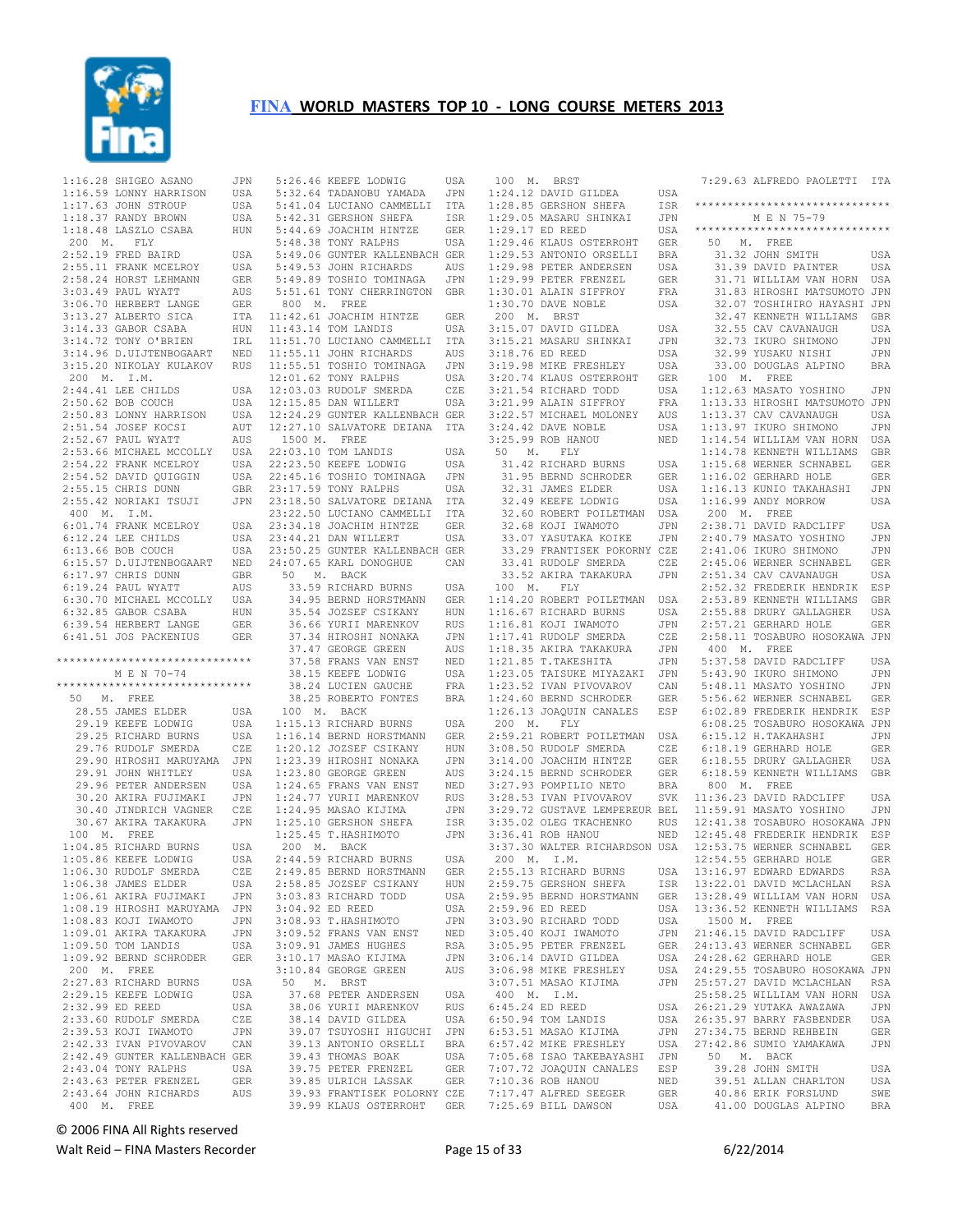

 1:16.28 SHIGEO ASANO JPN 1:16.59 LONNY HARRISON USA 1:17.63 JOHN STROUP USA 1:18.37 RANDY BROWN USA 1:18.48 LASZLO CSABA HUN 200 M. FLY 2:52.19 FRED BAIRD USA 2:55.11 FRANK MCELROY USA<br>2:58.24 HORST LEHMANN GER 2:58.24 HORST LEHMANN GER 3:03.49 PAUL WYATT AUS 3:06.70 HERBERT LANGE GER 3:13.27 ALBERTO SICA 3:14.33 GABOR CSABA HUN  $3:14.72$  TONY O'BRIEN 3:14.96 D.UIJTENBOGAART NED 3:15.20 NIKOLAY KULAKOV RUS 11:55.11 JOHN RICHARDS AUS 11:55.51 TOSHIO TOMINAGA JPN 200 M. I.M.  $2:44.41$  LEE CHILDS  $2:50.62$  BOB COUCH 2:50.83 LONNY HARRISON USA<br>2:51.54 JOSEF KOCSI AUT 2:51.54 JOSEF KOCSI 2:52.67 PAUL WYATT AUS<br>2:53.66 MICHAEL MCCOLLY USA 2:53.66 MICHAEL MCCOLLY 2:54.22 FRANK MCELROY  $2:54.52$  DAVID QUIGGIN  $2:55.15$  CHRIS DUNN 2:55.42 NORIAKI TSUJI 400 M. I.M.  $6:01.74$  FRANK MCELROY  $6:12.24$  LEE CHILDS 6:13.66 BOB COUCH USA 6:15.57 D.UIJTENBOGAART NED 6:17.97 CHRIS DUNN GBR 6:17.97 CHRIS DUNN GER<br>6:19.24 PAUL WYATT AUS<br>6:30.70 MICHAEL MCCOLLY USA 6:30.70 MICHAEL MCCOLLY 6:32.85 GABOR CSABA HUN<br>6:39.54 HERBERT LANGE GER 6:39.54 HERBERT LANGE 6:41.51 JOS PACKENIUS GER \*\*\*\*\*\*\*\*\*\*\*\*\*\*\*\*\*\*\*\*\*\*\*\*\*\*\*\*\*\* M E N 70-74 \*\*\*\*\*\*\*\*\*\*\*\*\*\*\*\*\*\*\*\*\*\*\*\*\*\*\*\*\*\* 50 M. FREE 28.55 JAMES ELDER USA 29.19 KEEFE LODWIG USA 29.25 RICHARD BURNS USA<br>29.76 RUDOLF SMERDA CZE 29.76 RUDOLF SMERDA 29.90 HIROSHI MARUYAMA JPN<br>29.91 JOHN WHITLEY USA 29.91 JOHN WHITLEY 29.96 PETER ANDERSEN USA<br>30.20 AKIRA FUJIMAKI JPN 30.20 AKIRA FUJIMAKI 30.40 JINDRICH VAGNER CZE 30.67 AKIRA TAKAKURA JPN 100 M. FREE 1:04.85 RICHARD BURNS USA<br>1:05.86 KEEFE LODWIG USA 1:05.86 KEEFE LODWIG USA<br>1:06.30 RUDOLF SMERDA CZE 1:06.30 RUDOLF SMERDA CZE<br>1:06.38 JAMES ELDER USA  $1:06.38$  JAMES ELDER USA<br> $1:06.61$  AKIRA FUJIMAKI JPN  $1:06.61$  AKIRA FUJIMAKI 1:08.19 HIROSHI MARUYAMA JPN  $1:08.83$  KOJI IWAMOTO 1:09.01 AKIRA TAKAKURA JPN  $1:09.50$  TOM LANDIS 1:09.92 BERND SCHRODER GER 200 M. FREE 2:27.83 RICHARD BURNS USA 2:29.15 KEEFE LODWIG USA 2:32.99 ED REED USA 2:33.60 RUDOLF SMERDA CZE<br>2:39.53 KOJI IWAMOTO JPN  $2:39.53$  KOJI IWAMOTO 2:42.33 IVAN PIVOVAROV CAN 2:42.49 GUNTER KALLENBACH GER  $2:43.04$  TONY RALPHS 2:43.63 PETER FRENZEL GER 2:43.64 JOHN RICHARDS AUS 400 M. FREE

 5:26.46 KEEFE LODWIG USA 5:32.64 TADANOBU YAMADA JPN 5:41.04 LUCIANO CAMMELLI ITA 5:42.31 GERSHON SHEFA ISR 5:44.69 JOACHIM HINTZE GER 5:48.38 TONY RALPHS USA 5:49.06 GUNTER KALLENBACH GER 5:49.53 JOHN RICHARDS AUS 5:49.89 TOSHIO TOMINAGA JPN 5:51.61 TONY CHERRINGTON GBR 800 M. FREE 11:42.61 JOACHIM HINTZE GER 11:43.14 TOM LANDIS USA 11:51.70 LUCIANO CAMMELLI ITA 12:01.62 TONY RALPHS USA USA 12:03.03 RUDOLF SMERDA CZE USA 12:15.85 DAN WILLERT USA 12:24.29 GUNTER KALLENBACH GER 12:27.10 SALVATORE DEIANA ITA 1500 M. FREE 22:03.10 TOM LANDIS USA USA 22:23.50 KEEFE LODWIG USA<br>USA 22:45.16 TOSHIO TOMINAGA JPN USA 22:45.16 TOSHIO TOMINAGA GBR 23:17.59 TONY RALPHS USA 23:18.50 SALVATORE DEIANA ITA 23:22.50 LUCIANO CAMMELLI ITA 23:34.18 JOACHIM HINTZE GER 23:44.21 DAN WILLERT USA 23:50.25 GUNTER KALLENBACH GER 24:07.65 KARL DONOGHUE CAN 50 M. BACK<br>33.59 RICHARD BURNS USA<br>34.95 BERND HORSTMANN GER<br>35.54 JOZSEF CSIKANY HUN<br>36.66 YURII MARENKOV RUS .<br>37.34 HIROSHI NONAKA JPN<br>37.47 GEORGE GREEN AUS 37.47 GEORGE GREEN 37.47 GEORGE GREEN – AOS<br>37.58 FRANS VAN ENST – NED<br>38.15 KEEFE LODWIG – USA 38.15 KEEFE LODWIG USA 38.24 LUCIEN GAUCHE FRA 38.25 ROBERTO FONTES BRA 100 M. BACK 1:15.13 RICHARD BURNS USA 1:16.14 BERND HORSTMANN GER  $1:20.12$  JOZSEF CSIKANY 1:23.39 HIROSHI NONAKA JPN<br>1:23.80 GEORGE GREEN AUS  $1:23.80$  GEORGE GREEN 1:24.65 FRANS VAN ENST NED<br>1:24.77 YURII MARENKOV RUS 1:24.77 YURII MARENKOV RUS 1:24.95 MASAO KIJIMA JPN<br>1:25.10 GERSHON SHEFA ISR<br>1:25.45 T.HASHIMOTO JPN  $1:25.10$  GERSHON SHEFA  $1:25.45$  T.HASHIMOTO 200 M. BACK 2:44.59 RICHARD BURNS USA<br>2:49 85 BERND HORSTMANN GER 2:49.85 BERND HORSTMANN GER<br>2:58.85 JOZSEF CSIKANY HUN 2:58.85 JOZSEF CSIKANY HUN<br>3:03.83 RICHARD TODD USA 3:03.83 RICHARD TODD 3:04.92 ED REED USA<br>3:08.93 T.HASHIMOTO JPN 3:08.93 T.HASHIMOTO 3:09.52 FRANS VAN ENST NED<br>3:09.91 JAMES HUGHES RSA 3:09.91 JAMES HUGHES GER 3:10.17 MASAO KIJIMA JPN 3:10.84 GEORGE GREEN AUS 50 M. BRST 37.68 PETER ANDERSEN USA 38.06 YURII MARENKOV RUS 38.14 DAVID GILDEA USA 39.07 TSUYOSHI HIGUCHI JPN 39.13 ANTONIO ORSELLI BRA -----<br>39.43 THOMAS BOAK USA<br>39.75 PETER FRENZEL GER 39.75 PETER FRENZEL 39.85 ULRICH LASSAK GER 39.93 FRANTISEK POLORNY CZE 39.99 KLAUS OSTERROHT GER

 100 M. BRST 1:24.12 DAVID GILDEA USA 1:28.85 GERSHON SHEFA ISR 1:29.05 MASARU SHINKAI JPN  $1:29.17$  ED REED 1:29.46 KLAUS OSTERROHT GER<br>1:29.53 ANTONIO ORSELLI BRA 1:29.53 ANTONIO ORSELLI BRA 1:29.98 PETER ANDERSEN USA<br>1:29.99 PETER FRENZEL GER 1:29.99 PETER FRENZEL GER 1:30.01 ALAIN SIFFROY 1:30.70 DAVE NOBLE USA 200 M. BRST 3:15.07 DAVID GILDEA USA 3:15.21 MASARU SHINKAI JPN<br>3:18.76 ED REED USA<br>3:19.98 MIKE FRESHLEY USA 3:18.76 ED REED<br>3:19.98 MIKE FRESHLEY 3:19.98 MIKE FRESHLEY USA 3:20.74 KLAUS OSTERROHT GER 3:21.54 RICHARD TODD USA 3:21.99 ALAIN SIFFROY FRA<br>
3:22.57 MICHAEL MOLONEY AUS<br>
3:24.42 DAVE NOBLE USA<br>
3:25.99 ROB HANOU NED<br>
50 M. FLY 50 M. FLY<br>31.42 RICHARD BURNS 31.42 RICHAND DOWN-<br>31.95 BERND SCHRODER 32.31 JAMES ELDER USA 32.49 KEEFE LODWIG USA 32.60 ROBERT POILETMAN USA 32.68 KOJI IWAMOTO 32.00 ROOT INAHOIO<br>33.07 YASUTAKA KOIKE 33.29 FRANTISEK POKORNY CZE 33.41 RUDOLF SMERDA CZE<br>33.52 AKIRA TAKAKURA JPN 33.52 AKIRA TAKAKURA 100 M. FLY 1:14.20 ROBERT POILETMAN USA HUN 1:16.67 RICHARD BURNS USA<br>RUS 1:16.81 KOJI IWAMOTO JPN  $1:16.81$  KOJI IWAMOTO 1:17.41 RUDOLF SMERDA 1:18.35 AKIRA TAKAKURA<br>1:21.85 T.TAKESHITA 1:21.85 T.TAKESHITA JPN 1:23.05 TAISUKE MIYAZAKI JPN 1:23.52 IVAN PIVOVAROV CAN 5:43.90 IKURO SHIMONO JPN 5:48.11 MASATO YOSHINO JPN 1:24.60 BERND SCHRODER GER 1:26.13 JOAQUIN CANALES ESP 200 M. FLY 2:59.21 ROBERT POILETMAN USA 6:15.12 H.TAKAHASHI JPN 3:08.50 RUDOLF SMERDA CZE<br>3:14 00 JOACHIM HINTZE GER 3:14.00 JOACHIM HINTZE GER<br>3:24.15 BERND SCHRODER GER 3:24.15 BERND SCHRODER 3:27.93 POMPILIO NETO BRA 3:28.53 IVAN PIVOVAROV 3:29.72 GUSTAVE LEMPEREUR BEL 11:59.91 MASATO YOSHINO JPN 3:35.02 OLEG TKACHENKO RUS 12:41.38 TOSABURO HOSOKAWA JPN<br>3:36.41 ROB HANOU NED 12:45.48 FREDERIK HENDRIK ESP 3:37.30 WALTER RICHARDSON USA 12:53.75 WERNER SCHNABEL GER 200 M. I.M. 2:55.13 RICHARD BURNS 2:59.75 GERSHON SHEFA 2:59.95 BERND HORSTMANN 2:59.96 ED REED USA<br>3:03.90 RICHARD TODD USA 3:03.90 RICHARD TODD 3:05.40 KOJI IWAMOTO 3:05.95 PETER FRENZEL GER 3:06.14 DAVID GILDEA 3:06.98 MIKE FRESHLEY 3:07.51 MASAO KIJIMA 400 M. I.M.  $6:45.24$  ED REED  $6:50.94$  TOM LANDIS 6:53.51 MASAO KIJIMA 6:57.42 MIKE FRESHLEY 7:05.68 ISAO TAKEBAYASHI JPN 7:07.72 JOAQUIN CANALES ESP 7:10.36 ROB HANOU NED<br>7:17.47 ALFRED SEEGER GER 7:17.47 ALFRED SEEGER GER  $7:25.69$  BILL DAWSON

 7:29.63 ALFREDO PAOLETTI ITA \*\*\*\*\*\*\*\*\*\*\*\*\*\*\*\*\*\*\*\*\*\*\*\*\*\*\*\*\*\* M E N 75-79 \*\*\*\*\*\*\*\*\*\*\*\*\*\*\*\*\*\*\*\*\*\*\*\*\*\*\*\*\*\* 50 M. FREE<br>31.32 JOHN SMITH 31.32 JOHN SMITH USA 31.39 DAVID PAINTER USA 31.71 WILLIAM VAN HORN USA 31.83 HIROSHI MATSUMOTO JPN 32.07 TOSHIHIRO HAYASHI JPN 32.47 KENNETH WILLIAMS GBR 32.55 CAV CAVANAUGH USA<br>32.73 IKURO SHIMONO JPN 32.73 IKURO SHIMONO 32.99 YUSAKU NISHI JPN 33.00 DOUGLAS ALPINO BRA 100 M. FREE 1:12.63 MASATO YOSHINO JPN 1:13.33 HIROSHI MATSUMOTO JPN<br>1:13.37 CAV CAVANAUGH USA<br>1:13.97 IKURO SHIMONO JPN<br>1:14.54 WILLIAM VAN HORN USA<br>1:14.78 KENNETH WILLIAMS GBR USA 1:15.68 WERNER SCHNABEL GER<br>GER 1:16.02 GERHARD HOLE GER 1:16.02 GERHARD HOLE GER 1:16.13 KUNIO TAKAHASHI JPN 1:16.99 ANDY MORROW USA 200 M. FREE 2:38.71 DAVID RADCLIFF USA 2:40.79 MASATO YOSHINO JPN 2:41.06 IKURO SHIMONO JPN 2:45.06 WERNER SCHNABEL GER<br>2:51.34 CAV CAVANAUGH USA 2:51.34 CAV CAVANAUGH 2:52.32 FREDERIK HENDRIK ESP<br>2:53.89 KENNETH WILLIAMS GBR 2:53.89 KENNETH WILLIAMS 2:55.88 DRURY GALLAGHER USA<br>2:57.21 GERHARD HOLE GER  $2:57.21$  GERHARD HOLE 2:58.11 TOSABURO HOSOKAWA JPN 400 M. FREE 5:37.58 DAVID RADCLIFF USA 5:56.62 WERNER SCHNABEL GER 6:02.89 FREDERIK HENDRIK ESP 6:08.25 TOSABURO HOSOKAWA JPN 6:18.19 GERHARD HOLE GER GER 6:18.55 DRURY GALLAGHER USA 6:18.59 KENNETH WILLIAMS GBR 800 M. FREE SVK 11:36.23 DAVID RADCLIFF USA 12:54.55 GERHARD HOLE GER<br>13:16 97 EDWARD EDWARDS RSA 13:16.97 EDWARD EDWARDS RSA 13:22.01 DAVID MCLACHLAN RSA 13:28.49 WILLIAM VAN HORN USA 13:36.52 KENNETH WILLIAMS RSA 1500 M. FREE 21:46.15 DAVID RADCLIFF USA 24:13.43 WERNER SCHNABEL GER 24:28.62 GERHARD HOLE GER 24:29.55 TOSABURO HOSOKAWA JPN 25:57.27 DAVID MCLACHLAN RSA 25:58.25 WILLIAM VAN HORN USA 26:21.29 YUTAKA AWAZAWA JPN 26:35.97 BARRY FASBENDER USA 27:34.75 BERND REHBEIN GER USA 27:42.86 SUMIO YAMAKAWA JPN 50 M. BACK 39.28 JOHN SMITH USA 39.51 ALLAN CHARLTON USA<br>40.86 ERIK FORSLUND SWE 40.86 ERIK FORSLUND 41.00 DOUGLAS ALPINO BRA

© 2006 FINA All Rights reserved

Walt Reid – FINA Masters Recorder example and the Page 15 of 33 6/22/2014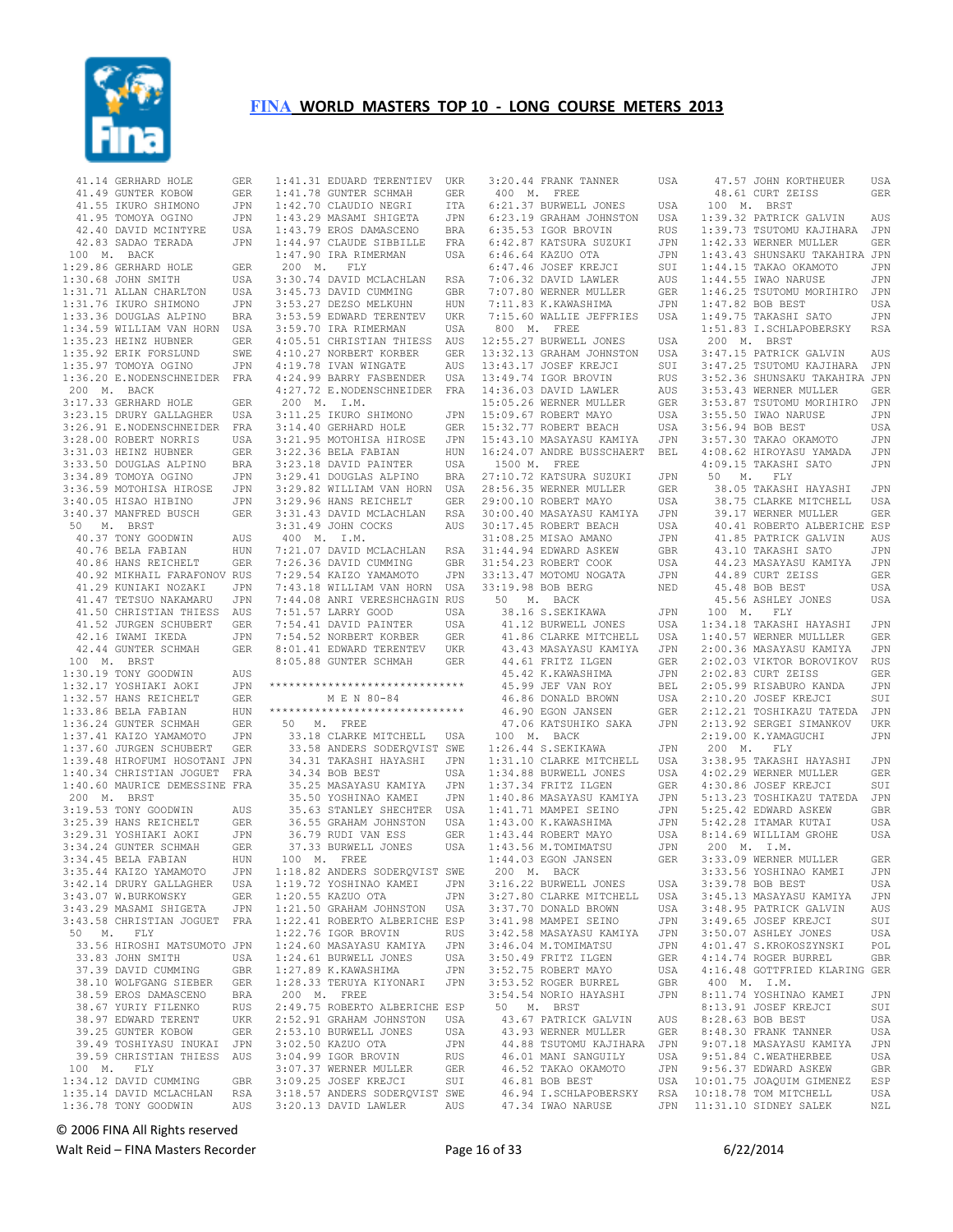

 41.14 GERHARD HOLE GER 41.49 GUNTER KOBOW GER 41.55 IKURO SHIMONO JPN 41.95 TOMOYA OGINO JPN 42.40 DAVID MCINTYRE USA 42.83 SADAO TERADA JPN 100 M. BACK 1:29.86 GERHARD HOLE GER<br>1:30.68 JOHN SMITH USA  $1:30.68$  JOHN SMITH 1:31.71 ALLAN CHARLTON USA 1:31.76 IKURO SHIMONO JPN 1:33.36 DOUGLAS ALPINO BRA 1:34.59 WILLIAM VAN HORN USA 1:35.23 HEINZ HUBNER GER 1:35.92 ERIK FORSLUND SWE<br>1:35.97 TOMOYA OGINO JPN  $1:35.97$  TOMOYA OGINO 1:36.20 E.NODENSCHNEIDER FRA 200 M. BACK 3:17.33 GERHARD HOLE GER 3:23.15 DRURY GALLAGHER USA 3:26.91 E.NODENSCHNEIDER FRA 3:28.00 ROBERT NORRIS USA<br>3:31.03 HEINZ HUBNER GER  $3:31.03$  HEINZ HUBNER 3:33.50 DOUGLAS ALPINO BRA<br>3:34.89 TOMOYA OGINO JPN 3:34.89 TOMOYA OGINO 3:36.59 MOTOHISA HIROSE JPN 3:40.05 HISAO HIBINO JPN 3:40.37 MANFRED BUSCH GER 50 M. BRST 40.37 TONY GOODWIN AUS 40.76 BELA FABIAN HUN<br>40.86 HANS REICHELT GER 40.86 HANS REICHELT GER 40.92 MIKHAIL FARAFONOV RUS 41.29 KUNIAKI NOZAKI JPN<br>41.47 TETSUO NAKAMARU JPN 41.47 TETSUO NAKAMARU 41.50 CHRISTIAN THIESS AUS 41.52 JURGEN SCHUBERT GER 42.16 IWAMI IKEDA JPN<br>42.44 GUNTER SCHMAH GER 42.44 GUNTER SCHMAH 100 M. BRST 1:30.19 TONY GOODWIN AUS 1:32.17 YOSHIAKI AOKI 1:32.57 HANS REICHELT GER<br>1:33.86 BELA FABIAN HUN  $1:33.86$  BELA FABIAN 1:36.24 GUNTER SCHMAH GER 1:37.41 KAIZO YAMAMOTO JPN<br>1:37.60 JURGEN SCHUBERT GER 1:37.60 JURGEN SCHUBERT 1:39.48 HIROFUMI HOSOTANI JPN 1:40.34 CHRISTIAN JOGUET FRA 1:40.60 MAURICE DEMESSINE FRA 200 M. BRST 3:19.53 TONY GOODWIN AUS<br>3:25.39 HANS REICHELT GER 3:25.39 HANS REICHELT GER 3:29.31 YOSHIAKI AOKI JPN 3:34.24 GUNTER SCHMAH GER<br>3:34.45 BELA FABIAN HUN  $3:34.45$  BELA FABIAN HUN<br> $3:35$  44 KAIZO YAMAMOTO JPN 3:35.44 KAIZO YAMAMOTO JPN<br>3:42.14 DRURY GALLAGHER USA 3:42.14 DRURY GALLAGHER USA<br>3:43 07 W BURKOWSKY GER 3:43.07 W.BURKOWSKY 3:43.29 MASAMI SHIGETA JPN 3:43.58 CHRISTIAN JOGUET FRA 50 M. FLY 33.56 HIROSHI MATSUMOTO JPN 33.83 JOHN SMITH USA<br>37.39 DAVID CUMMING GBR 37.39 DAVID CUMMING GBR 38.10 WOLFGANG SIEBER GER 38.59 EROS DAMASCENO BRA 38.67 YURIY FILENKO RUS<br>38.97 EDWARD TERENT UKR 38.97 EDWARD TERENT 39.25 GUNTER KOBOW GER 39.49 TOSHIYASU INUKAI JPN 39.59 CHRISTIAN THIESS AUS 100 M. FLY 1:34.12 DAVID CUMMING GBR<br>1:35.14 DAVID MCLACHLAN RSA 1:35.14 DAVID MCLACHLAN 1:36.78 TONY GOODWIN AUS

 1:41.31 EDUARD TERENTIEV UKR 1:41.78 GUNTER SCHMAH GER 1:42.70 CLAUDIO NEGRI ITA 1:43.29 MASAMI SHIGETA JPN 1:43.79 EROS DAMASCENO BRA 1:44.97 CLAUDE SIBBILLE FRA 1:47.90 IRA RIMERMAN USA 200 M. FLY 3:30.74 DAVID MCLACHLAN RSA 3:45.73 DAVID CUMMING GBR 3:53.27 DEZSO MELKUHN HUN 3:53.59 EDWARD TERENTEV UKR 3:59.70 IRA RIMERMAN USA 4:05.51 CHRISTIAN THIESS AUS 4:10.27 NORBERT KORBER GER 4:19.78 IVAN WINGATE AUS 4:24.99 BARRY FASBENDER USA 4:27.72 E.NODENSCHNEIDER FRA 14:36.03 DAVID LAWLER AUS 200 M. I.M. 3:11.25 IKURO SHIMONO JPN<br>3:14.40 GERHARD HOLE GER  $3:14.40$  GERHARD HOLE 3:21.95 MOTOHISA HIROSE JPN<br>3:22.36 BELA FABIAN HUN  $3:22.36$  BELA FABIAN 3:23.18 DAVID PAINTER USA<br>3:29.41 DOUGLAS ALPINO BRA 3:29.41 DOUGLAS ALPINO BRA 3:29.82 WILLIAM VAN HORN USA 3:29.96 HANS REICHELT GER 3:31.43 DAVID MCLACHLAN RSA 3:31.49 JOHN COCKS AUS 400 M. I.M. 7:21.07 DAVID MCLACHLAN RSA 7:26.36 DAVID CUMMING GBR<br>7:29.54 KAIZO YAMAMOTO JPN 7:29.54 KAIZO YAMAMOTO 7:43.18 WILLIAM VAN HORN USA 7:44.08 ANRI VERESHCHAGIN RUS 7:51.57 LARRY GOOD USA<br>7:54.41 DAVID PAINTER USA 7:54.41 DAVID PAINTER 7:54.52 NORBERT KORBER GER 8:01.41 EDWARD TERENTEV UKR 8:05.88 GUNTER SCHMAH GER \*\*\*\*\*\*\*\*\*\*\*\*\*\*\*\*\*\*\*\*\*\*\*\*\*\*\*\*\*\* M E N 80-84 \*\*\*\*\*\*\*\*\*\*\*\*\*\*\*\*\*\*\*\*\*\*\*\*\*\*\*\*\*\* 50 M. FREE 33.18 CLARKE MITCHELL USA 33.58 ANDERS SODERQVIST SWE 34.31 TAKASHI HAYASHI JPN 34.34 BOB BEST USA 35.25 MASAYASU KAMIYA JPN 35.50 YOSHINAO KAMEI 35.63 STANLEY SHECHTER USA 36.55 GRAHAM JOHNSTON USA 36.79 RUDI VAN ESS GER 37.33 BURWELL JONES USA 100 M. FREE 1:18.82 ANDERS SODERQVIST SWE 1:19.72 YOSHINAO KAMEI JPN  $1:20.55$  KAZUO OTA 1:21.50 GRAHAM JOHNSTON USA 1:22.41 ROBERTO ALBERICHE ESP 1:22.76 IGOR BROVIN RUS<br>1:24.60 MASAYASU KAMIYA JPN  $1:24.60$  MASAYASU KAMIYA 1:24.61 BURWELL JONES USA  $1:27.89$  K. KAWASHIMA 1:28.33 TERUYA KIYONARI JPN 200 M. FREE 2:49.75 ROBERTO ALBERICHE ESP 2:52.91 GRAHAM JOHNSTON USA 2:53.10 BURWELL JONES USA<br>3:02 50 KAZUO OTA JPN 3:02.50 KAZUO OTA JPN<br>3:04.99 JGOR BROVIN RUS 3:04.99 IGOR BROVIN RUS<br>3:04.99 IGOR BROVIN RUS<br>3:07.37 WERNER MULLER GER 3:07.37 WERNER MULLER 3:09.25 JOSEF KREJCI SUI 3:18.57 ANDERS SODERQVIST SWE

3:20.13 DAVID LAWLER AUS

 3:20.44 FRANK TANNER USA 400 M. FREE 6:21.37 BURWELL JONES USA 6:23.19 GRAHAM JOHNSTON USA 6:35.53 IGOR BROVIN 6:42.87 KATSURA SUZUKI JPN 6:46.64 KAZUO OTA JPN 6:40.04 NAZOO OIA COFN<br>6:47.46 JOSEF KREJCI SUI<br>7:06.32 DAVID LAWLER AUS  $7:06.32$  DAVID LAWLER 800 M. FREE 12:55.27 BURWELL JONES USA<br>13:32.13 GRAHAM JOHNSTON USA<br>13:43.17 JOSEF KREJCI SUI 13:32.13 GRAHAM JOHNSTON AUS 13:43.17 JOSEF KREJCI 13:49.74 IGOR BROVIN RUS<br>14:36.03 DAVID LAWLER AUS 15:05.26 WERNER MULLER GER JPN 15:09.67 ROBERT MAYO USA<br>GER 15:32.77 ROBERT BEACH USA 15:32.77 ROBERT BEACH 1500 M. FREE 27:10.72 KATSURA SUZUKI JPN 28:56.35 WERNER MULLER GER 29:00.10 ROBERT MAYO USA 30:00.40 MASAYASU KAMIYA JPN 30:17.45 ROBERT BEACH USA<br>31:08.25 MISAO AMANO JPN 31:08.25 MISAO AMANO JPN<br>31:44.94 EDWARD ASKEW GBR  $31:44.94$  EDWARD ASKEW 31:54.23 ROBERT COOK USA 33:13.47 MOTOMU NOGATA JPN 33:19.98 BOB BERG NED 50 M. BACK<br>50 M. BACK<br>38.16 S.SEKIKAWA 38.16 S.SEKIKAWA JPN 41.12 BURWELL JONES USA 41.86 CLARKE MITCHELL USA 43.43 MASAYASU KAMIYA JPN 44.61 FRITZ ILGEN GER 45.42 K.KAWASHIMA JPN 45.99 JEF VAN ROY BEL 15.42 K.KAWASHIMA JPN<br>45.42 K.KAWASHIMA JPN<br>46.86 DONALD BROWN USA 46.90 EGON JANSEN 47.06 KATSUHIKO SAKA 100 M. BACK 1:26.44 S.SEKIKAWA JPN 1:31.10 CLARKE MITCHELL USA<br>1:34.88 BURWELL JONES USA 1:31.10 CHANNE --- .<br>1:34.88 BURWELL JONES USA<br>1:37.34 FRITZ LLGEN GER 1:37.34 FRITZ ILGEN GER<br>1:40.86 MASAYASU KAMIYA JPN 1:40.86 MASAYASU KAMIYA JPN 1:41.71 MAMPEI SEINO 1:43.00 K.KAWASHIMA JPN<br>1:43.44 ROBERT MAYO USA 1:43.44 ROBERT MAYO USA<br>1:43.56 M.TOMIMATSU JPN<br>1:44.03 EGON JANSEN GER 1:43.56 M.TOMIMATSU JPN 1:44.03 EGON JANSEN GER 200 M. BACK 3:16.22 BURWELL JONES USA<br>3:27.80 CLARKE MITCHELL USA<br>3:37.70 DONALD BROWN USA 3:27.80 CLARKE MITCHELL 3:37.70 DONALD BROWN USA<br>3:41.98 MAMPEI SEINO JPN 3:41.98 MAMPEI SEINO JPN 3:42.58 MASAYASU KAMIYA JPN 3:46.04 M.TOMIMATSU JPN 3:50.49 FRITZ ILGEN GER 3:52.75 ROBERT MAYO USA<br>3:53.52 ROGER BURREL GBR 3:53.52 ROGER BURREL GBR<br>3:54.54 NORIO HAYASHI JPN 3:54.54 NORIO HAYASHI 50 M. BRST 43.67 PATRICK GALVIN AUS 43.93 WERNER MULLER GER 44.88 TSUTOMU KAJIHARA JPN 46.01 MANI SANGUILY USA 46.52 TAKAO OKAMOTO JPN 46.81 BOB BEST

 7:07.80 WERNER MULLER GER 1:46.25 TSUTOMU MORIHIRO JPN 7:11.83 K.KAWASHIMA JPN 7:15.60 WALLIE JEFFRIES USA 1:47.82 BOB BEST USA 1:49.75 TAKASHI SATO JPN 15:43.10 MASAYASU KAMIYA JPN 3:57.30 TAKAO OKAMOTO JPN<br>16:24.07 ANDRE BUSSCHAERT BEL 4:08.62 HIROYASU YAMADA JPN 46.94 I.SCHLAPOBERSKY RSA 47.34 IWAO NARUSE JPN 10:18.78 TOM MITCHELL USA 11:31.10 SIDNEY SALEK NZL 47.57 JOHN KORTHEUER USA 48.61 CURT ZEISS GER 100 M. BRST 1:39.32 PATRICK GALVIN AUS 1:39.73 TSUTOMU KAJIHARA JPN NUS 1:39.73 TSUTOMU NAULILLER GER<br>JPN 1:42.33 WERNER MULLER GER 1:43.43 SHUNSAKU TAKAHIRA JPN 1:44.15 TAKAO OKAMOTO JPN<br>1:44.55 TWAO NARUSE JPN  $1:44.55$  IWAO NARUSE 1:51.83 I.SCHLAPOBERSKY RSA 200 M. BRST 3:47.15 PATRICK GALVIN AUS 3:47.25 TSUTOMU KAJIHARA JPN 3:52.36 SHUNSAKU TAKAHIRA JPN<br>3:53.43 WERNER MULLER GER 3:53.43 WERNER MULLER GER 3:53.87 TSUTOMU MORIHIRO JPN 3:55.50 IWAO NARUSE JPN<br>3:56.94 BOB BEST USA  $3:56.94$  BOB BEST 4:08.62 HIROYASU YAMADA JPN 4:09.15 TAKASHI SATO JPN<br>50 M. FLY  $50$  38.05 TAKASHI HAYASHI JPN 38.75 CLARKE MITCHELL USA<br>39.17 WERNER MULLER GER 39.17 WERNER MULLER GER 40.41 ROBERTO ALBERICHE ESP 41.85 PATRICK GALVIN AUS 43.10 TAKASHI SATO JPN 44.23 MASAYASU KAMIYA JPN 11.25 ......<br>44.89 CURT ZEISS 45.48 BOB BEST USA<br>45.56 ASHLEY JONES USA 45.56 ASHLEY JONES 100 M. FLY 1:34.18 TAKASHI HAYASHI JPN 1:40.57 WERNER MULLLER GER 32:00.36 MASAYASU KAMIYA JPN 2:00.36 MASAYASU KAMIYA JPN 2:02.03 VIKTOR BOROVIKOV RUS<br>2:02.83 CURT ZEISS GER 2:02.83 CURT ZEISS GER<br>2:05.99 RISABURO KANDA JPN  $2:05.99$  RISABURO KANDA 2:10.20 JOSEF KREJCI SUI 2:12.21 TOSHIKAZU TATEDA JPN 2:13.92 SERGEI SIMANKOV UKR 2:19.00 K.YAMAGUCHI JPN 200 M. FLY 3:38.95 TAKASHI HAYASHI JPN<br>4:02.29 WERNER MULLER GER ererichen<br>4:02.29 WERNER MULLER GER<br>4:30 86 JOSEF KREJCI SUI 4:30.86 JOSEF KREJCI SUI<br>5:13.23 TOSHIKAZU TATEDA JPN  $5:13.23$  TOSHIKAZU TATEDA 5:25.42 EDWARD ASKEW GBR 5:42.28 ITAMAR KUTAI USA 8:14.69 WILLIAM GROHE USA 200 M. I.M. 3:33.09 WERNER MULLER GER<br>3:33.56 YOSHINAO KAMEI JPN 3:33.56 YOSHINAO KAMEI USA 3:39.78 BOB BEST USA<br>USA 3:45 13 MASAYASU KAMIYA JPN 3:45.13 MASAYASU KAMIYA 3:48.95 PATRICK GALVIN AUS<br>3:49.65 JOSEF KREJCI SUI 3:49.65 JOSEF KREJCI 3:50.07 ASHLEY JONES USA<br>4:01.47 S.KROKOSZYNSKI POL 4:01.47 S.KROKOSZYNSKI POL 4:14.74 ROGER BURREL GBR 4:16.48 GOTTFRIED KLARING GER 400 M. I.M. 8:11.74 YOSHINAO KAMEI JPN 8:13.91 JOSEF KREJCI SUI 8:28.63 BOB BEST USA 8:48.30 FRANK TANNER USA<br>9:07 18 MASAYASU KAMIYA JEN 9:07.18 MASAYASU KAMIYA 9:51.84 C.WEATHERBEE USA<br>9:56.37 EDWARD ASKEW GBR 9:56.37 EDWARD ASKEW USA 10:01.75 JOAQUIM GIMENEZ ESP<br>RSA 10:18 78 TOM MITCHELL USA

© 2006 FINA All Rights reserved

Walt Reid – FINA Masters Recorder example and the Page 16 of 33 6/22/2014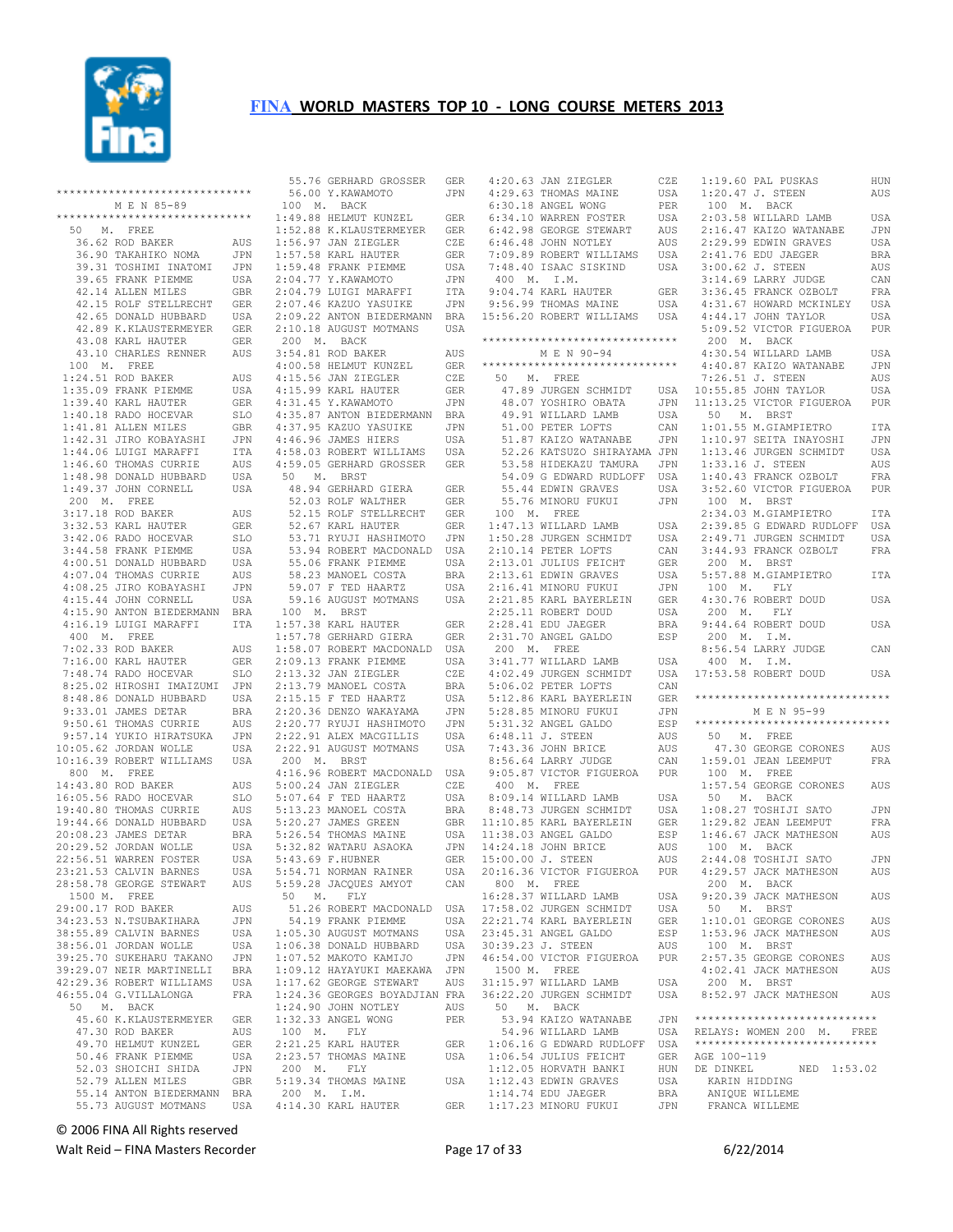

| ******************************                                                                                                                                  |                      |
|-----------------------------------------------------------------------------------------------------------------------------------------------------------------|----------------------|
| M E N 85-89                                                                                                                                                     |                      |
| ******************************                                                                                                                                  |                      |
| 50 M. FREE                                                                                                                                                      |                      |
| 36.62 ROD BAKER                                                                                                                                                 | AUS                  |
|                                                                                                                                                                 | JPN                  |
|                                                                                                                                                                 | JPN                  |
| 36.90 TAKAHIKO NOMA<br>39.31 TOSHIMI INATOMI<br>39.65 FRANK PIEMME                                                                                              | USA                  |
| 42.14 ALLEN MILES                                                                                                                                               | <b>GBR</b>           |
| 42.14 ALLEN MILES<br>42.15 ROLF STELLRECHT                                                                                                                      | GER                  |
| 42.65 DONALD HUBBARD USA<br>42.89 K.KLAUSTERMEYER GER                                                                                                           |                      |
|                                                                                                                                                                 |                      |
| 43.08 KARL HAUTER                                                                                                                                               | <b>GER</b>           |
| 43.10 CHARLES RENNER                                                                                                                                            | AUS                  |
| 100 M. FREE                                                                                                                                                     |                      |
|                                                                                                                                                                 | AUS                  |
|                                                                                                                                                                 | USA                  |
| 1:39.40 KARL HAUTER                                                                                                                                             | GER                  |
| 1:40.18 RADO HOCEVAR                                                                                                                                            | SLO                  |
| $1:41.81$ ALLEN MILES                                                                                                                                           | <b>GBR</b>           |
| 1:42.31 JIRO KOBAYASHI<br>1:44.06 LUIGI MARAFFI<br>1:46.60 THOMAS CURRIE<br>1:48.98 DONALD HUBBARD<br>1:49.37 JOHN CORNELL                                      | JPN                  |
|                                                                                                                                                                 | ITA                  |
|                                                                                                                                                                 | AUS                  |
|                                                                                                                                                                 | USA                  |
|                                                                                                                                                                 | USA                  |
| 200 M. FREE                                                                                                                                                     |                      |
| 200 M.<br>3:17.18 ROD BAKER<br>3:32.53 KARL HAUTER<br>10 M6 RADO HOCEVAR                                                                                        | AUS                  |
|                                                                                                                                                                 | GER                  |
|                                                                                                                                                                 | SLO                  |
|                                                                                                                                                                 | USA                  |
|                                                                                                                                                                 | USA                  |
|                                                                                                                                                                 | AUS                  |
|                                                                                                                                                                 | JPN                  |
| 9.20.20 MHz<br>3.42.06 RADO HOCEVAR<br>3.44.58 FRANK PIEMME<br>4.00.51 DONALD HUBBARD<br>4.07.04 THOMAS CURRIE<br>4.15.44 JOHN CORNASHI<br>4.15.44 JOHN CORNELL | USA                  |
| 4:15.90 ANTON BIEDERMANN                                                                                                                                        | <b>BRA</b>           |
| 4:16.19 LUIGI MARAFFI                                                                                                                                           | ITA                  |
| $400$ M. FREE                                                                                                                                                   |                      |
| 7:02.33 ROD BAKER                                                                                                                                               | AUS                  |
| 7:16.00 KARL HAUTER                                                                                                                                             | GER                  |
| 7:16.00 KARL HAUTER<br>7:48.74 RADO HOCEVAR<br>8:25.02 HIROSHI IMAIZUMI                                                                                         | SLO                  |
|                                                                                                                                                                 | JPN                  |
| 8:25.02 111100<br>8:48.86 DONALD HUBBARD<br>1113 DEER DEER                                                                                                      | USA                  |
|                                                                                                                                                                 | <b>BRA</b>           |
| 9:33.01 JAMES DETAR<br>9:50.61 THOMAS CURRIE<br>9:57.14 YUKIO HIRATSUKA<br>10:05.62 JORDAN WOLLE                                                                | AUS                  |
|                                                                                                                                                                 | JPN                  |
|                                                                                                                                                                 | USA                  |
| 10:16.39 ROBERT WILLIAMS USA                                                                                                                                    |                      |
| 800 M. FREE                                                                                                                                                     |                      |
|                                                                                                                                                                 | AUS                  |
| 14:43.80 ROD BAKER<br>16:05.56 RADO HOCEVAR<br>16:05.56 RADO HOCEVAR                                                                                            | SLO                  |
|                                                                                                                                                                 | AUS                  |
| 19:44.66 DONALD HUBBARD<br>20:08.23 JAMES DETAR                                                                                                                 | USA                  |
|                                                                                                                                                                 | <b>BRA</b>           |
| 20:29.52 JORDAN WOLLE                                                                                                                                           | USA                  |
|                                                                                                                                                                 | USA                  |
| 22:56.51 WARREN FOSTER<br>23:21.53 CALVIN BARNES                                                                                                                | <b>USA</b>           |
| 28:58.78 GEORGE STEWART                                                                                                                                         | $\mathop{\rm AUS}$   |
| 1500 M. FREE                                                                                                                                                    |                      |
| 29:00.17 ROD BAKER                                                                                                                                              | AUS                  |
| 34:23.53 N.TSUBAKIHARA                                                                                                                                          | <b>JPN</b>           |
| 38:55.89 CALVIN BARNES                                                                                                                                          | USA                  |
| 38:56.01 JORDAN WOLLE                                                                                                                                           | <b>USA</b>           |
| 39:25.70 SUKEHARU TAKANO                                                                                                                                        | JPN                  |
| 39:29.07 NEIR MARTINELLI                                                                                                                                        | <b>BRA</b>           |
| 42:29.36 ROBERT WILLIAMS                                                                                                                                        | USA                  |
| 46:55.04 G.VILLALONGA                                                                                                                                           | FRA                  |
| 50 M. BACK                                                                                                                                                      |                      |
| 45.60 K.KLAUSTERMEYER                                                                                                                                           | GER                  |
| 47.30 ROD BAKER                                                                                                                                                 | AUS                  |
| 49.70 HELMUT KUNZEL                                                                                                                                             | GER                  |
| 50.46 FRANK PIEMME                                                                                                                                              | USA                  |
| 52.03 SHOICHI SHIDA                                                                                                                                             | JPN                  |
| 52.79 ALLEN MILES                                                                                                                                               | $\operatorname{GBR}$ |
| 55.14 ANTON BIEDERMANN                                                                                                                                          | BRA                  |
| 55.73 AUGUST MOTMANS                                                                                                                                            | USA                  |

| 55.76 GERHARD GROSSER GER<br>56.00 Y.KAWAMOTO JPN                                                                                                                                                                                                                         |                |
|---------------------------------------------------------------------------------------------------------------------------------------------------------------------------------------------------------------------------------------------------------------------------|----------------|
| 56.00 Y.KAWAMOTO                                                                                                                                                                                                                                                          | JPN            |
|                                                                                                                                                                                                                                                                           |                |
| 100 M. BACK<br>100 M. BACK<br>1:52.88 HELMUT KUNZEL<br>1:52.88 K.KLAUSTERMEYER<br>1:56.97 JAN ZIEGLER<br>1:57.58 KARL HAUTER<br>1:59.48 FRANK PIEMME<br>2:04.77 Y.KAWAMOTO<br>2:04.79 LUIGI MARAFFI<br>2:07.46 KAZUO YASUIKE                                              |                |
|                                                                                                                                                                                                                                                                           | ${\tt GER}$    |
|                                                                                                                                                                                                                                                                           |                |
|                                                                                                                                                                                                                                                                           | GER            |
|                                                                                                                                                                                                                                                                           | CZE            |
|                                                                                                                                                                                                                                                                           | GER            |
|                                                                                                                                                                                                                                                                           |                |
|                                                                                                                                                                                                                                                                           | USA            |
|                                                                                                                                                                                                                                                                           | $\mathtt{JPN}$ |
|                                                                                                                                                                                                                                                                           |                |
|                                                                                                                                                                                                                                                                           | ITA            |
|                                                                                                                                                                                                                                                                           | JPN            |
|                                                                                                                                                                                                                                                                           |                |
| 2:09.22 ANTON BIEDERMANN BRA                                                                                                                                                                                                                                              |                |
| $2:10.18$ AUGUST MOTMANS                                                                                                                                                                                                                                                  | USA            |
| 200 M. BACK                                                                                                                                                                                                                                                               |                |
|                                                                                                                                                                                                                                                                           |                |
| 3:54.81 ROD BAKER<br>4:00.58 HELMUT KUNZEL                                                                                                                                                                                                                                | AUS            |
|                                                                                                                                                                                                                                                                           | GER            |
| $4:15.56$ JAN ZIEGLER                                                                                                                                                                                                                                                     |                |
| 1.000 MAR ZIEGLER<br>4:15.99 KARL HAUTER<br>4:31.45 Y.KAWAMOTO<br>4:35.87 AMERIC                                                                                                                                                                                          | CZE            |
|                                                                                                                                                                                                                                                                           | GER            |
|                                                                                                                                                                                                                                                                           | JPN            |
|                                                                                                                                                                                                                                                                           |                |
| 4:35.87 ANTON BIEDERMANN                                                                                                                                                                                                                                                  | BRA            |
| 4:37.95 KAZUO YASUIKE<br>4:46.96 JAMES HIERS                                                                                                                                                                                                                              | JPN            |
|                                                                                                                                                                                                                                                                           |                |
|                                                                                                                                                                                                                                                                           | USA            |
| 4:58.03 ROBERT WILLIAMS                                                                                                                                                                                                                                                   | USA            |
| 4:59.05 GERHARD GROSSER GER                                                                                                                                                                                                                                               |                |
|                                                                                                                                                                                                                                                                           |                |
| 50 M. BRST                                                                                                                                                                                                                                                                |                |
|                                                                                                                                                                                                                                                                           |                |
| 48.94 GERHARD GIERA<br>52.03 ROLF WALTHER                                                                                                                                                                                                                                 | GER            |
|                                                                                                                                                                                                                                                                           | GER            |
| 52.15 ROLF STELLRECHT                                                                                                                                                                                                                                                     | GER            |
|                                                                                                                                                                                                                                                                           |                |
|                                                                                                                                                                                                                                                                           | GER            |
|                                                                                                                                                                                                                                                                           | JPN            |
| 52.67 KARL HAUTER<br>53.71 RYUJI HASHIMOTO<br>53.94 ROBERT MACDONALD<br>55.06 FRANK PIEMME<br>58.23 MANOEL COSTA<br>59.07 F TED HAARTZ                                                                                                                                    |                |
|                                                                                                                                                                                                                                                                           | USA            |
|                                                                                                                                                                                                                                                                           | USA            |
|                                                                                                                                                                                                                                                                           | BRA            |
|                                                                                                                                                                                                                                                                           |                |
|                                                                                                                                                                                                                                                                           | USA            |
| 59.16 AUGUST MOTMANS                                                                                                                                                                                                                                                      | USA            |
|                                                                                                                                                                                                                                                                           |                |
| 100 M. BRST                                                                                                                                                                                                                                                               |                |
|                                                                                                                                                                                                                                                                           |                |
|                                                                                                                                                                                                                                                                           |                |
|                                                                                                                                                                                                                                                                           |                |
|                                                                                                                                                                                                                                                                           |                |
|                                                                                                                                                                                                                                                                           |                |
|                                                                                                                                                                                                                                                                           |                |
|                                                                                                                                                                                                                                                                           |                |
|                                                                                                                                                                                                                                                                           |                |
|                                                                                                                                                                                                                                                                           |                |
|                                                                                                                                                                                                                                                                           |                |
|                                                                                                                                                                                                                                                                           |                |
|                                                                                                                                                                                                                                                                           |                |
|                                                                                                                                                                                                                                                                           |                |
|                                                                                                                                                                                                                                                                           | JPN            |
|                                                                                                                                                                                                                                                                           | USA            |
|                                                                                                                                                                                                                                                                           |                |
| 2:20.77 RYUJI HASHIMOTO<br>2:22.91 ALEX MACGILLIS<br>2:22.91 AUGUST MOTMANS                                                                                                                                                                                               | USA            |
| 200 M. BRST                                                                                                                                                                                                                                                               |                |
|                                                                                                                                                                                                                                                                           |                |
|                                                                                                                                                                                                                                                                           |                |
|                                                                                                                                                                                                                                                                           |                |
|                                                                                                                                                                                                                                                                           |                |
|                                                                                                                                                                                                                                                                           |                |
|                                                                                                                                                                                                                                                                           |                |
|                                                                                                                                                                                                                                                                           |                |
|                                                                                                                                                                                                                                                                           |                |
|                                                                                                                                                                                                                                                                           |                |
|                                                                                                                                                                                                                                                                           |                |
|                                                                                                                                                                                                                                                                           |                |
|                                                                                                                                                                                                                                                                           |                |
| 200 M. BRST<br>4:16.96 ROBERT MACDONALD USA<br>5:00.24 JAN ZIEGLER CZE<br>5:07.64 F TED HAARTZ USA<br>5:13.23 MANOEL COSTA BRA<br>5:20.27 JAMES GREEN GBR<br>5:26.54 THOMAS MAINE USA<br>5:38.82 MATARU ASAOKA JPN<br>5:43.69 F.HUBNER GER<br>5:<br>5:54.71 NORMAN RAINER | USA            |
| 5:59.28 JACQUES AMYOT                                                                                                                                                                                                                                                     | CAN            |
|                                                                                                                                                                                                                                                                           |                |
| 50 M. FLY                                                                                                                                                                                                                                                                 |                |
| 51.26 ROBERT MACDONALD                                                                                                                                                                                                                                                    | USA            |
| 54.19 FRANK PIEMME                                                                                                                                                                                                                                                        | USA            |
|                                                                                                                                                                                                                                                                           |                |
| $1:05.30$ AUGUST MOTMANS                                                                                                                                                                                                                                                  | USA            |
|                                                                                                                                                                                                                                                                           | USA            |
|                                                                                                                                                                                                                                                                           |                |
| 1:06.38 DONALD HUBBARD<br>1:07.52 MAKOTO KAMIJO                                                                                                                                                                                                                           | JPN            |
|                                                                                                                                                                                                                                                                           |                |
|                                                                                                                                                                                                                                                                           |                |
| 1:09.12 HAYAYUKI MAEKAWA JPN<br>1:17.62 GEORGE STEWART AUS                                                                                                                                                                                                                |                |
| 1:24.36 GEORGES BOYADJIAN FRA                                                                                                                                                                                                                                             |                |
| $1:24.90$ JOHN NOTLEY                                                                                                                                                                                                                                                     | AUS            |
|                                                                                                                                                                                                                                                                           |                |
| 1:32.33 ANGEL WONG                                                                                                                                                                                                                                                        | PER            |
| 100 M. FLY                                                                                                                                                                                                                                                                |                |
|                                                                                                                                                                                                                                                                           | GER            |
| $2:21.25$ KARL HAUTER                                                                                                                                                                                                                                                     |                |
| 2:23.57 THOMAS MAINE                                                                                                                                                                                                                                                      | USA            |
| 200 M. FLY                                                                                                                                                                                                                                                                |                |
|                                                                                                                                                                                                                                                                           |                |
| 5:19.34 THOMAS MAINE                                                                                                                                                                                                                                                      | USA            |
| 200 M. I.M.<br>4:14.30 KARL HAUTER                                                                                                                                                                                                                                        | <b>GER</b>     |

| $\begin{tabular}{llllll} \textbf{0.13}\qquad \textbf{0.24}\qquad \textbf{0.35}\qquad \textbf{0.46}\qquad \textbf{0.57}\qquad \textbf{0.67}\qquad \textbf{0.78}\qquad \textbf{0.78}\qquad \textbf{0.89}\qquad \textbf{0.78}\qquad \textbf{0.89}\qquad \textbf{0.78}\qquad \textbf{0.78}\qquad \textbf{0.78}\qquad \textbf{0.78}\qquad \textbf{0.78}\qquad \textbf{0.78}\qquad \textbf{0.78}\qquad \textbf{0.78}\qquad \text$ |                   |
|-----------------------------------------------------------------------------------------------------------------------------------------------------------------------------------------------------------------------------------------------------------------------------------------------------------------------------------------------------------------------------------------------------------------------------|-------------------|
|                                                                                                                                                                                                                                                                                                                                                                                                                             | USA<br>PER<br>USA |
|                                                                                                                                                                                                                                                                                                                                                                                                                             |                   |
|                                                                                                                                                                                                                                                                                                                                                                                                                             |                   |
|                                                                                                                                                                                                                                                                                                                                                                                                                             |                   |
|                                                                                                                                                                                                                                                                                                                                                                                                                             |                   |
| 6:34.10 WARKEN FOSTER<br>6:46.48 GDRGE STEWART AUS<br>6:46.48 JOHN NOTLEY AUS<br>7:09.89 ROBERT WILLIAMS USA<br>7:48.40 ISAAC SISKIND USA<br>400 M. I.M.<br>9:56.99 THOMAS MAINE USA<br>9:56.99 THOMAS MAINE USA                                                                                                                                                                                                            |                   |
|                                                                                                                                                                                                                                                                                                                                                                                                                             |                   |
|                                                                                                                                                                                                                                                                                                                                                                                                                             |                   |
|                                                                                                                                                                                                                                                                                                                                                                                                                             |                   |
|                                                                                                                                                                                                                                                                                                                                                                                                                             |                   |
| 15:56.20 ROBERT WILLIAMS USA                                                                                                                                                                                                                                                                                                                                                                                                |                   |
|                                                                                                                                                                                                                                                                                                                                                                                                                             |                   |
| ******************************                                                                                                                                                                                                                                                                                                                                                                                              |                   |
| M E N 90-94                                                                                                                                                                                                                                                                                                                                                                                                                 |                   |
| *****************************                                                                                                                                                                                                                                                                                                                                                                                               |                   |
| 50 M. FREE                                                                                                                                                                                                                                                                                                                                                                                                                  |                   |
|                                                                                                                                                                                                                                                                                                                                                                                                                             |                   |
|                                                                                                                                                                                                                                                                                                                                                                                                                             |                   |
|                                                                                                                                                                                                                                                                                                                                                                                                                             |                   |
| 47.89 JURGEN SCHMIDT USA<br>48.07 YOSHIRO OBATA JPN<br>49.91 WILLARD LAMB USA<br>51.00 PETER LOFTS CAN<br>51.87 KAIZO WATANABE JPN                                                                                                                                                                                                                                                                                          | CAN               |
|                                                                                                                                                                                                                                                                                                                                                                                                                             |                   |
| 52.26 KATSUZO SHIRAYAMA JPN<br>53.58 HIDEKAZU TAMURA JPN                                                                                                                                                                                                                                                                                                                                                                    |                   |
|                                                                                                                                                                                                                                                                                                                                                                                                                             |                   |
|                                                                                                                                                                                                                                                                                                                                                                                                                             |                   |
| 54.09 G EDWARD RUDLOFF USA<br>55.44 EDWIN GRAVES USA<br>55.76 MINORU FUKUI JPN<br>56.76 MINORU FUKUI JPN                                                                                                                                                                                                                                                                                                                    | JPN               |
| $[55.76 \text{ MINORU FUKUI} \hspace{1.5cm} \text{JPN} \hspace{1.5cm} \text{JPN} \hspace{1.5cm} \text{JON} \hspace{1.5cm} \text{JON} \hspace{1.5cm} \text{JOM} \hspace{1.5cm} \text{USA} \hspace{1.5cm} \text{1:47.13 WILLAND LAMB} \hspace{1.5cm} \text{USA} \hspace{1.5cm} \text{USA} \hspace{1.5cm} \text{1:50.28 JURGEN SCHMIDT} \hspace{1.5cm} \text{USA} \hspace{1.5cm} \text{Z:10.1$                                 |                   |
|                                                                                                                                                                                                                                                                                                                                                                                                                             | USA               |
|                                                                                                                                                                                                                                                                                                                                                                                                                             | USA               |
|                                                                                                                                                                                                                                                                                                                                                                                                                             | CAN               |
|                                                                                                                                                                                                                                                                                                                                                                                                                             |                   |
|                                                                                                                                                                                                                                                                                                                                                                                                                             |                   |
|                                                                                                                                                                                                                                                                                                                                                                                                                             |                   |
|                                                                                                                                                                                                                                                                                                                                                                                                                             |                   |
|                                                                                                                                                                                                                                                                                                                                                                                                                             |                   |
|                                                                                                                                                                                                                                                                                                                                                                                                                             |                   |
|                                                                                                                                                                                                                                                                                                                                                                                                                             |                   |
| 200 M. FREE                                                                                                                                                                                                                                                                                                                                                                                                                 |                   |
| 200 M. FREE<br>3:41.77 WILLARD LAMB<br>4:02.49 JURGEN SCHMIDT<br>5:06.02 PETER LOFTS<br>5:22.86 KARL BAYERLEIN<br>5:23.85 MINORU FUKUI<br>5:31.32 ANGEL GALDO<br>6:48.11 J. STEEN<br>7:43.36 JOHN BRICE<br>8:56.64 LARRY JUDGE<br>8:56.64 LARRY JU                                                                                                                                                                          | USA               |
|                                                                                                                                                                                                                                                                                                                                                                                                                             | USA               |
|                                                                                                                                                                                                                                                                                                                                                                                                                             | CAN               |
|                                                                                                                                                                                                                                                                                                                                                                                                                             | GER               |
|                                                                                                                                                                                                                                                                                                                                                                                                                             | JPN               |
|                                                                                                                                                                                                                                                                                                                                                                                                                             | ESP               |
|                                                                                                                                                                                                                                                                                                                                                                                                                             | AUS               |
|                                                                                                                                                                                                                                                                                                                                                                                                                             | AUS               |
|                                                                                                                                                                                                                                                                                                                                                                                                                             | CAN               |
|                                                                                                                                                                                                                                                                                                                                                                                                                             |                   |
| 8:56.64 LARKY JUDGE CAN<br>9:05.87 VICTOR FIGUEROA PUR<br>400 M. FREE<br>8:09.14 WILLARD LAMB USA<br>8:48.73 JURGEN SCHMIDT USA<br>11:10.85 KARL BAYERLEIN GER                                                                                                                                                                                                                                                              |                   |
|                                                                                                                                                                                                                                                                                                                                                                                                                             |                   |
|                                                                                                                                                                                                                                                                                                                                                                                                                             | USA               |
|                                                                                                                                                                                                                                                                                                                                                                                                                             |                   |
|                                                                                                                                                                                                                                                                                                                                                                                                                             | ESP               |
|                                                                                                                                                                                                                                                                                                                                                                                                                             | AUS               |
| 11:38.03 ANGEL GALDO<br>14:24.18 JOHN BRICE<br>15:00.00 J. STEEN                                                                                                                                                                                                                                                                                                                                                            | AUS               |
| 20:16.36 VICTOR FIGUEROA                                                                                                                                                                                                                                                                                                                                                                                                    | PUR               |
| 800 M. FREE                                                                                                                                                                                                                                                                                                                                                                                                                 |                   |
| 16:28.37 WILLARD LAMB<br>17:58.02 JURGEN SCHMIDT                                                                                                                                                                                                                                                                                                                                                                            | USA               |
|                                                                                                                                                                                                                                                                                                                                                                                                                             | USA               |
| 22:21.74 KARL BAYERLEIN<br>23:45.31 ANGEL GALDO                                                                                                                                                                                                                                                                                                                                                                             | GER               |
|                                                                                                                                                                                                                                                                                                                                                                                                                             | ESP               |
| 30:39.23 J. STEEN                                                                                                                                                                                                                                                                                                                                                                                                           | AUS               |
| 46:54.00 VICTOR FIGUEROA                                                                                                                                                                                                                                                                                                                                                                                                    | PUR               |
| 1500 M. FREE                                                                                                                                                                                                                                                                                                                                                                                                                |                   |
| 31:15.97 WILLARD LAMB                                                                                                                                                                                                                                                                                                                                                                                                       | USA               |
| 36:22.20 JURGEN SCHMIDT                                                                                                                                                                                                                                                                                                                                                                                                     | USA               |
| 50 M. BACK                                                                                                                                                                                                                                                                                                                                                                                                                  |                   |
| 53.94 KAIZO WATANABE                                                                                                                                                                                                                                                                                                                                                                                                        | JPN               |
| 54.96 WILLARD LAMB                                                                                                                                                                                                                                                                                                                                                                                                          | USA               |
| 1:06.16 G EDWARD RUDLOFF USA                                                                                                                                                                                                                                                                                                                                                                                                |                   |
| 1:06.54 JULIUS FEICHT                                                                                                                                                                                                                                                                                                                                                                                                       | GER<br>HUN        |
| $1:12.05$ HORVATH BANKI<br>$1:12.43$ EDWIN GRAVES                                                                                                                                                                                                                                                                                                                                                                           | USA               |
| $1:14.74$ EDU JAEGER                                                                                                                                                                                                                                                                                                                                                                                                        | BRA               |
| 1:17.23 MINORU FUKUI                                                                                                                                                                                                                                                                                                                                                                                                        | JPN               |
|                                                                                                                                                                                                                                                                                                                                                                                                                             |                   |

| $1:19.60$ PAL PUSKAS                                                                                                                                                | HUN        |
|---------------------------------------------------------------------------------------------------------------------------------------------------------------------|------------|
| 1:20.47 J. STEEN                                                                                                                                                    | AUS        |
| 100 M. BACK                                                                                                                                                         |            |
| 100 M. BACA<br>2:03.58 WILLARD LAMB<br>2:16.47 KAIZO WATANABE<br>2:29.99 EDWIN GRAVES                                                                               | USA<br>JPN |
|                                                                                                                                                                     | USA        |
| 2:41.76 EDU JAEGER<br>3:00.62 J. STEEN<br>3:14.69 LARRY JUDGE<br>3:36.45 FRANCK OZBOLT<br>4:31.67 HOWARD MCKINLEY<br>4:44.17 JOHN TAYLOR<br>5:09.52 VICTOR FIGUEROA | BRA        |
|                                                                                                                                                                     | AUS        |
|                                                                                                                                                                     | CAN        |
|                                                                                                                                                                     | FRA        |
|                                                                                                                                                                     | USA<br>USA |
|                                                                                                                                                                     | PUR        |
| 200 M. BACK                                                                                                                                                         |            |
|                                                                                                                                                                     | USA        |
| 4:30.54 WILLARD LAMB<br>4:40.87 KAIZO WATANABE                                                                                                                      | JPN        |
| 7:26.51 J. STEEN                                                                                                                                                    | AUS        |
| 7:26.51 J. STEEN<br>10:55.85 JOHN TAYLOR<br>11:13.25 VICTOR FIGUEROA                                                                                                | USA        |
| 50 M. BRST                                                                                                                                                          | PUR        |
| 1:01.55 M.GIAMPIETRO                                                                                                                                                | ITA        |
| $1:10.97$ SEITA INAYOSHI                                                                                                                                            | JPN        |
| $1:13.46$ JURGEN SCHMIDT                                                                                                                                            | USA        |
|                                                                                                                                                                     | AUS        |
|                                                                                                                                                                     | FRA        |
| 1:33.16 J. STEEN<br>1:40.43 FRANCK OZBOLT<br>3:52.60 VICTOR FIGUEROA<br>100 M. BRST                                                                                 | PUR        |
| 2:34.03 M.GIAMPIETRO                                                                                                                                                |            |
|                                                                                                                                                                     | ITA        |
|                                                                                                                                                                     | USA<br>USA |
| 2:39.85 G EDWARD RUDLOFF<br>2:49.71 JURGEN SCHMIDT<br>3:44.93 FRANCK OZBOLT                                                                                         | FRA        |
|                                                                                                                                                                     |            |
| - 200 M. BRST<br>5:57.88 M.GIAMPIETRO                                                                                                                               | ITA        |
| 100 M. FLY<br>4:30.76 ROBERT DOUD                                                                                                                                   |            |
| $200$ M. FLY                                                                                                                                                        | USA        |
| 9:44.64 ROBERT DOUD                                                                                                                                                 | USA        |
| 200 M. I.M.                                                                                                                                                         |            |
| 8:56.54 LARRY JUDGE                                                                                                                                                 | CAN        |
| $400 \quad {\rm M}$ . ${\rm I}$ .<br>M .                                                                                                                            |            |
| 17:53.58 ROBERT DOUD                                                                                                                                                | USA        |
| ******************************                                                                                                                                      |            |
| M E N 95-99                                                                                                                                                         |            |
| *****************************                                                                                                                                       |            |
| 50 M. FREE                                                                                                                                                          |            |
| 47.30 GEORGE CORONES                                                                                                                                                | AUS        |
| $1:59.01$ JEAN LEEMPUT                                                                                                                                              | FRA        |
| 100 M. FREE<br>1:57.54 GEORGE CORONES AUS                                                                                                                           |            |
| 50 M. BACK                                                                                                                                                          |            |
|                                                                                                                                                                     | JPN        |
|                                                                                                                                                                     | FRA        |
| 1:08.27 TOSHIJI SATO<br>1:29.82 JEAN LEEMPUT<br>1:46.67 JACK MATHESON                                                                                               | AUS        |
| 100 M. BACK                                                                                                                                                         |            |
| 2:44.08 TOSHIJI SATO                                                                                                                                                | JPN<br>AUS |
| 4:29.57 JACK MATHESON<br>$200$ M. BACK                                                                                                                              |            |
| 9:20.39 JACK MATHESON                                                                                                                                               | AUS        |
| 50 M. BRST                                                                                                                                                          |            |
| 1:10.01 GEORGE CORONES<br>1:53.96 JACK MATHESON                                                                                                                     | AUS        |
|                                                                                                                                                                     | AUS        |
| 100 M. BRST                                                                                                                                                         |            |
| 2:57.35 GEORGE CORONES<br>4:02.41 JACK MATHESON                                                                                                                     | AUS<br>AUS |
| $200$ M. BRST                                                                                                                                                       |            |
| 8:52.97 JACK MATHESON                                                                                                                                               | AUS        |
|                                                                                                                                                                     |            |
| ****************************                                                                                                                                        |            |
| RELAYS: WOMEN 200 M. FREE<br>****************************                                                                                                           |            |
| AGE 100-119                                                                                                                                                         |            |
| NED 1:53.02<br>DE DINKEL                                                                                                                                            |            |
| KARIN HIDDING                                                                                                                                                       |            |
|                                                                                                                                                                     |            |
| ANIQUE WILLEME                                                                                                                                                      |            |
| FRANCA WILLEME                                                                                                                                                      |            |

© 2006 FINA All Rights reserved

Walt Reid – FINA Masters Recorder and Equation of 22/2014 Page 17 of 33 6/22/2014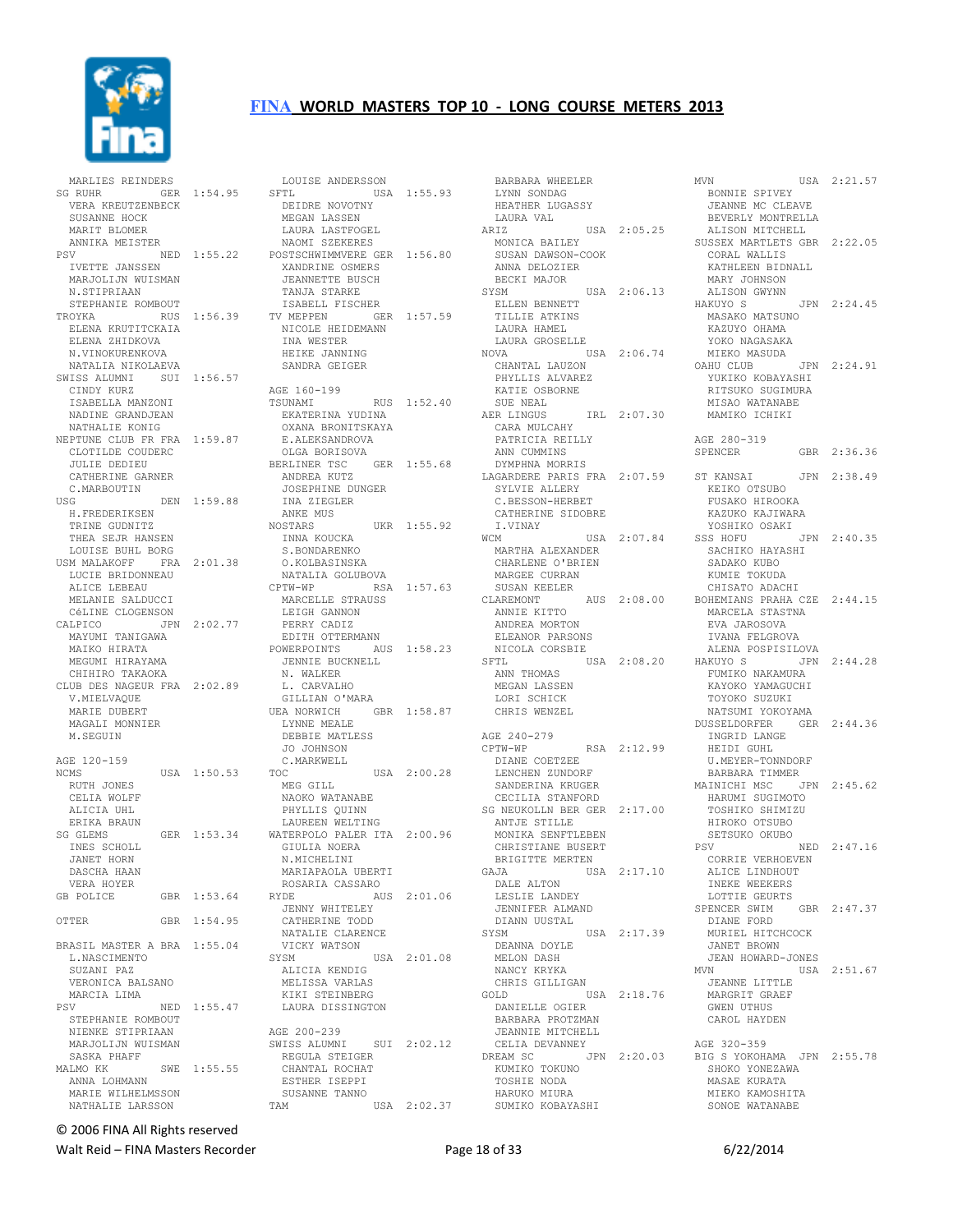

 MARLIES REINDERS SG RUHR GER 1:54.95 SFTL VERA KREUTZENBECK SUSANNE HOCK MARIT BLOMER ANNIKA MEISTER NED 1:55.22 IVETTE JANSSEN MARJOLIJN WUISMAN N.STIPRIAAN STEPHANIE ROMBOUT ELENA KRUTITCKAIA ELENA ZHIDKOVA NICOLE HEIDEMANN INA WESTER N.VINOKURENKOVA NATALIA NIKOLAEVA SWISS ALUMNI SUI 1:56.57 CINDY KURZ ISABELLA MANZONI NADINE GRANDJEAN NATHALIE KONIG NEPTUNE CLUB FR FRA 1:59.87 E.ALEKSANDROVA CLOTILDE COUDERC JULIE DEDIEU CATHERINE GARNER C.MARBOUTIN USG DEN 1:59.88 H.FREDERIKSEN TRINE GUDNITZ THEA SEJR HANSEN LOUISE BUHL BORG USM MALAKOFF FRA 2:01.38 O.KOLBASINSKA LUCIE BRIDONNEAU ALICE LEBEAU MELANIE SALDUCCI CÉLINE CLOGENSON<br>CALPICO JPN JPN 2:02.77 MAYUMI TANIGAWA MAIKO HIRATA MEGUMI HIRAYAMA CHIHIRO TAKAOKA CLUB DES NAGEUR FRA 2:02.89 V.MIELVAQUE V.MIELVAQUE<br>MARIE DUBERT MAGALI MONNIER M.SEGUIN AGE 120-159<br>NCMS  $USA = 1:50.53$  RUTH JONES CELIA WOLFF ALICIA UHL ERIKA BRAUN SG GLEMS GER 1:53.34 INES SCHOLL JANET HORN DASCHA HAAN VERA HOYER<br>GB POLICE GBR 1:53.64 OTTER GBR 1:54.95 BRASIL MASTER A BRA 1:55.04 L.NASCIMENTO SUZANI PAZ VERONICA BALSANO MARCIA LIMA NED 1:55.47 STEPHANIE ROMBOUT NIENKE STIPRIAAN MARJOLIJN WUISMAN SASKA PHAFF<br>MALMO KK SWE 1:55.55 ANNA LOHMANN MARIE WILHELMSSON NATHALIE LARSSON

TROYKA RUS 1:56.39 TV MEPPEN GER 1:57.59 LOUISE ANDERSSON LOUISE ANDERSSON BARBARA WHEELER<br>SFTL USA 1:55.93 LYNN SONDAG<br>DEIDRE NOVOTNY HEATHER LUGASSY<br>MEGAN LASSEN LAURA VAL DEIDRE NOVOTNY MEGAN LASSEN LAURA LASTFOGEL LAURA PARTICULL<br>NAOMI SZEKERES POSTSCHWIMMVERE GER 1:56.80 - JULIN INNVERE GER<br>XANDRINE OSMERS<br>TEANNETT- JEANNETTE BUSCH TANJA STARKE<br>TANJA STARKE ISABELL FISCHER HEIKE JANNING SANDRA GEIGER AGE 160-199 TSUNAMI RUS 1:52.40 EKATERINA YUDINA<br>OYANA PRONITSKAYA OXANA BRONITSKAYA OLGA BORISOVA BERLINER TSC GER 1:55.68 ANDREA KUTZ --------- AUTZ<br>JOSEPHINE DUNGER<br>INA 5-- INA ZIEGLER ANKE MUS NOSTARS UKR 1:55.92 INNA KOUCKA INNA KOUCKA<br>S.BONDARENKO U. NULBASINSKA<br>NATALIA GOLUBOVA<br>CPTW-WP RSA 1:5 RSA 1:57.63 MARCELLE STRAUSS LEIGH GANNON PERRY CADIZ EDITH OTTERMANN POWERPOINTS AUS 1:58.23 AUS AUS<br>JENNIE BUCKNELL<br>MARAGE N. WALKER L. CARVALHO GILLIAN O'MARA UEA NORWICH GBR 1:58.87 LYNNE MEALE DEBBIE MATLESS JO JOHNSON<br>JO JOHNSON C.MARKWELL<br>TOC USA 2:00.28 MEG GILL NAOKO WATANABE PHYLLIS QUINN LAUREEN WELTING WATERPOLO PALER ITA 2:00.96 GIULIA NOERA N.MICHELINI MARIAPAOLA UBERTI ROSARIA CASSARO RYDE AUS 2:01.06 JENNY WHITELEY CATHERINE TODD NATALIE CLARENCE VICKY WATSON SYSM USA 2:01.08 DEANNA DOYLE MELON DASH ALICIA KENDIG MELISSA VARLAS KIKI STEINBERG<br>LAURA DISSINGTON AGE 200-239 SWISS ALUMNI SUI 2:02.12 SWISS ADDING. CHANTAL ROCHAT ESTHER ISEPPI SUSANNE TANNO USA 2:02.37

ARIZ USA 2:05.25 I<br>MONICA BAILEY<br>CHARLE SUSAN DAWSON-COOK SUSAN DAWSON-COOK<br>ANNA DELOZIER BECKI MAJOR SYSM USA 2:06.13 ELLEN BENNETT TILLIE ATKINS LAURA HAMEL<br>LAURA GROSELLE NOVA USA 2:06.74 CHANTAL LAUZON PHYLLIS ALVAREZ KATIE OSBORNE<br>SUE NEAL SUE NEAL AER LINGUS IRL 2:07.30 CARA MULCAHY PATRICIA REILLY ANN CUMMINS DYMPHNA MORRIS LAGARDERE PARIS FRA 2:07.59 SYLVIE ALLERY SYLVIE ALLERY<br>C.BESSON-HERBET CATHERINE SIDOBRE I.VINAY WCM USA 2:07.84 WCM<br>MARTHA ALEXANDER<br>ALEXANDER CHARLENE O'BRIEN MARGEE CURRAN SUSAN KEELER CLAREMONT AUS 2:08.00 ANNIE KITTO ANDREA MORTON ELEANOR PARSONS NICOLA CORSBIE SFTL USA 2:08.20 ANN THOMAS MEGAN LASSEN LORI SCHICK CHRIS WENZEL AGE 240-279<br>CPTW-WP RSA 2:12.99 DIANE COETZEE LENCHEN ZUNDORF SANDERINA KRUGER CECILIA STANFORD SG NEUKOLLN BER GER 2:17.00 ANTJE STILLE MONIKA SENFTLEBEN CHRISTIANE BUSERT BRIGITTE MERTEN GAJA USA 2:17.10 DALE ALTON LESLIE LANDEY JENNIFER ALMAND DIANN UUSTAL SYSM USA 2:17.39 NANCY KRYKA CHRIS GILLIGAN GOLD USA 2:18.76 DANIELLE OGIER BARBARA PROTZMAN JEANNIE MITCHELL CELIA DEVANNEY KUMIKO TOKUNO TOSHIE NODA HARUKO MIURA SUMIKO KOBAYASHI

DREAM SC JPN 2:20.03 BIG S YOKOHAMA JPN 2:55.78 MVN USA 2:21.57 BONNIE SPIVEY JEANNE MC CLEAVE BEVERLY MONTRELLA ALISON MITCHELL SUSSEX MARTLETS GBR 2:22.05 CORAL WALLIS KATHLEEN BIDNALL MARY JOHNSON SA 2:06.13 ALISON GWYNN<br>HAKUYO S JPN 2:24.45 MASAKO MATSUNO KAZUYO OHAMA YOKO NAGASAKA MIEKO MASUDA<br>OAHU CLUB JPN 2:24.91 YUKIKO KOBAYASHI RITSUKO SUGIMURA MISAO WATANABE MAMIKO ICHIKI AGE 280-319<br>SPENCER GBR 2:36.36 ST KANSAI JPN 2:38.49 KEIKO OTSUBO FUSAKO HIROOKA KAZUKO KAJIWARA YOSHIKO OSAKI JPN 2:40.35 SACHIKO HAYASHI SADAKO KUBO KUMIE TOKUDA CHISATO ADACHI BOHEMIANS PRAHA CZE 2:44.15 MARCELA STASTNA EVA JAROSOVA IVANA FELGROVA ALENA POSPISILOVA HAKUYO S JPN 2:44.28 FUMIKO NAKAMURA KAYOKO YAMAGUCHI TOYOKO SUZUKI NATSUMI YOKOYAMA DUSSELDORFER GER 2:44.36 INGRID LANGE HEIDI GUHL U.MEYER-TONNDORF BARBARA TIMMER MAINICHI MSC JPN 2:45.62 HARUMI SUGIMOTO TOSHIKO SHIMIZU HIROKO OTSUBO SETSUKO OKUBO PSV NED 2:47.16 CORRIE VERHOEVEN ALICE LINDHOUT INEKE WEEKERS LOTTIE GEURTS SPENCER SWIM GBR 2:47.37 DIANE FORD MURIEL HITCHCOCK JANET BROWN JEAN HOWARD-JONES  $USA 2:51.67$  JEANNE LITTLE MARGRIT GRAEF EXPLOSIVE -<br>GWEN UTHUS CAROL HAYDEN AGE 320-359 SHOKO YONEZAWA MASAE KURATA MIEKO KAMOSHITA SONOE WATANABE

© 2006 FINA All Rights reserved

Walt Reid – FINA Masters Recorder The Contract Contract Page 18 of 33 6/22/2014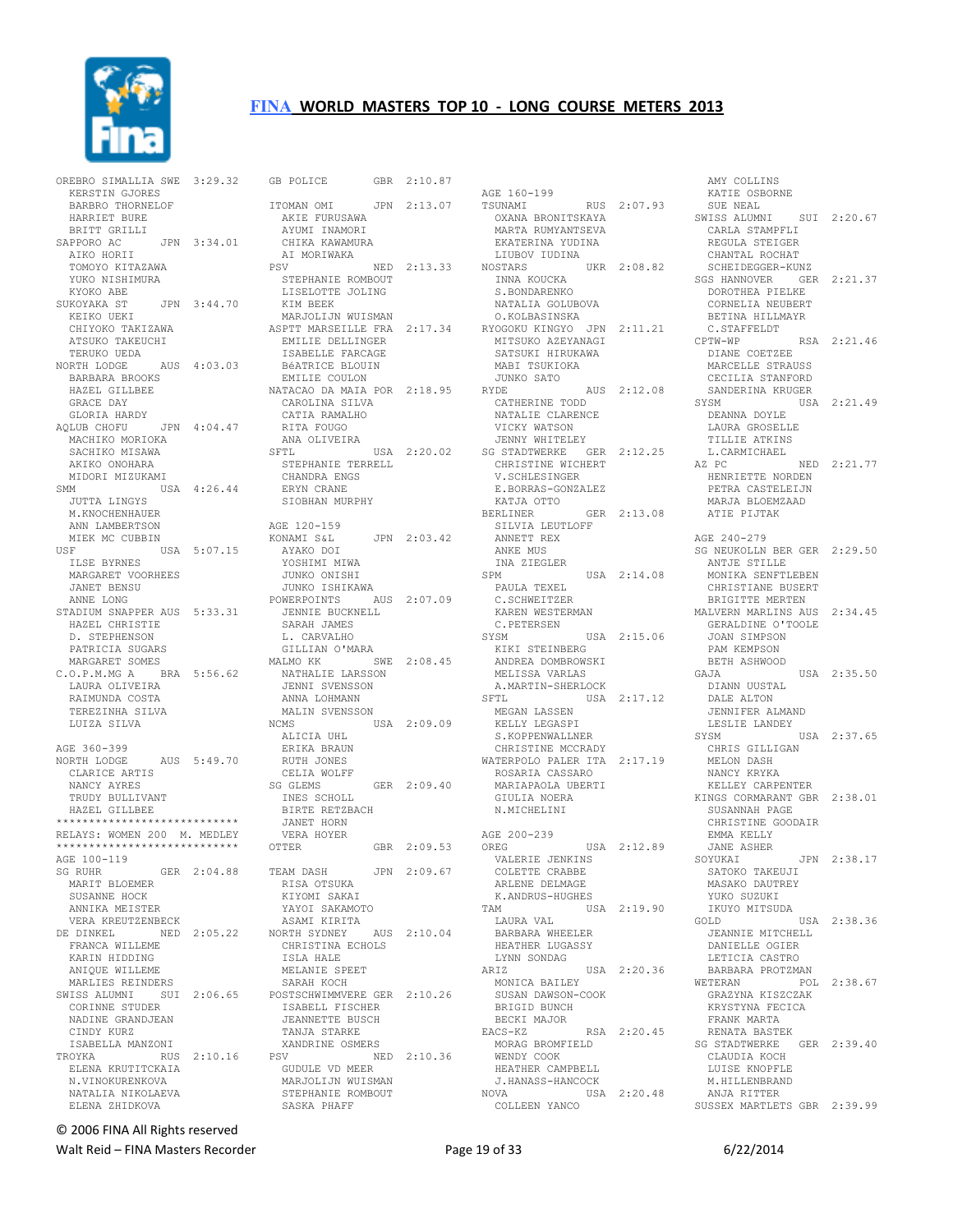

|                                                 | OREBRO SIMALLIA SWE 3:29.32 |         |  |
|-------------------------------------------------|-----------------------------|---------|--|
| KERSTIN GJORES                                  |                             |         |  |
| BARBRO THORNELOF                                |                             |         |  |
| HARRIET BURE                                    |                             |         |  |
| BRITT GRILLI                                    |                             |         |  |
| SAPPORO AC                                      | JPN 3:34.01                 |         |  |
| AIKO HORII                                      |                             |         |  |
| TOMOYO KITAZAWA                                 |                             |         |  |
| YUKO NISHIMURA                                  |                             |         |  |
| KYOKO ABE                                       |                             |         |  |
| SUKOYAKA ST                                     |                             |         |  |
| AND THE ST JPN 3:44.70<br>KEIKO UEKI<br>CHIVOTT |                             |         |  |
| CHIYOKO TAKIZAWA<br>ATSUKO TAKEUCHI             |                             |         |  |
| TERUKO UEDA                                     |                             |         |  |
| NORTH LODGE AUS 4:03.03                         |                             |         |  |
| BARBARA BROOKS                                  |                             |         |  |
| HAZEL GILLBEE                                   |                             |         |  |
| GRACE DAY                                       |                             |         |  |
| GLORIA HARDY                                    |                             |         |  |
| AOLUB CHOFU                                     | JPN 4:04.47                 |         |  |
| MACHIKO MORIOKA                                 |                             |         |  |
| SACHIKO MISAWA                                  |                             |         |  |
| AKIKO ONOHARA                                   |                             |         |  |
| MIDORI MIZUKAMI                                 |                             |         |  |
| SMM                                             | USA 4:26.44                 |         |  |
| JUTTA LINGYS                                    |                             |         |  |
| M. KNOCHENHAUER                                 |                             |         |  |
| ANN LAMBERTSON                                  |                             |         |  |
| MIEK MC CUBBIN                                  |                             |         |  |
| USF                                             | USA 5:07.15                 |         |  |
| ILSE BYRNES                                     |                             |         |  |
| MARGARET VOORHEES<br><b>JANET BENSU</b>         |                             |         |  |
| ANNE LONG                                       |                             |         |  |
| STADIUM SNAPPER AUS 5:33.31                     |                             |         |  |
| HAZEL CHRISTIE                                  |                             |         |  |
| D. STEPHENSON                                   |                             |         |  |
| PATRICIA SUGARS                                 |                             |         |  |
| MARGARET SOMES                                  |                             |         |  |
| C.O.P.M.MG A BRA 5:56.62                        |                             |         |  |
|                                                 |                             |         |  |
|                                                 |                             |         |  |
| LAURA OLIVEIRA<br>RAIMUNDA COSTA                |                             |         |  |
| TEREZINHA SILVA                                 |                             |         |  |
| LUIZA SILVA                                     |                             |         |  |
|                                                 |                             |         |  |
| AGE 360-399                                     |                             |         |  |
| NORTH LODGE                                     | AUS 5:49.70                 |         |  |
| CLARICE ARTIS                                   |                             |         |  |
| NANCY AYRES                                     |                             |         |  |
| TRUDY<br>BULLIVANT                              |                             |         |  |
| HAZEL GILLBEE                                   |                             |         |  |
| ****************************                    |                             |         |  |
| RELAYS: WOMEN 200 M. MEDLEY                     |                             |         |  |
| ****************************                    |                             |         |  |
| AGE 100-119                                     |                             |         |  |
| SG RUHR                                         | GER 2:04.88                 |         |  |
| MARIT BLOEMER                                   |                             |         |  |
| SUSANNE HOCK                                    |                             |         |  |
| ANNIKA MEISTER                                  |                             |         |  |
| VERA KREUTZENBECK                               |                             |         |  |
| DE DINKEL                                       | NED 2:05.22                 |         |  |
| FRANCA WILLEME                                  |                             |         |  |
| KARIN HIDDING                                   |                             |         |  |
| ANIOUE WILLEME                                  |                             |         |  |
| MARLIES REINDERS                                |                             |         |  |
| SWISS ALUMNI SUI 2:06.65<br>CORINNE STUDER      |                             |         |  |
| NADINE GRANDJEAN                                |                             |         |  |
| CINDY KURZ                                      |                             |         |  |
| ISABELLA MANZONI                                |                             |         |  |
| TROYKA                                          | RUS                         | 2:10.16 |  |
| ELENA KRUTITCKAIA                               |                             |         |  |
| N.VINOKURENKOVA                                 |                             |         |  |
| NATALIA NIKOLAEVA<br>ELENA ZHIDKOVA             |                             |         |  |

GB POLICE GBR 2:10.87 ITOMAN OMI JPN 2:13.07 AKIE FURUSAWA AYUMI INAMORI CHIKA KAWAMURA<br>AT MORTWAKA AI MORIWAKA<br>PSV NED 2:13.33<br>STEPHANIE ROMBOUT<br>LISELOTTE JOLING<br>KIM BEEK MARJOLIJN WUISMAN ASPTT MARSEILLE FRA 2:17.34 RYOGOKU KINGYO JPN 2:11.21 EMILIE DELLINGER ISABELLE FARCAGE BéATRICE BLOUIN EMILIE COULON NATACAO DA MAIA POR 2:18.95 CAROLINA SILVA CATIA RAMALHO CATHERINE TODD NATALIE CLARENCE RITA FOUGO ANA OLIVEIRA<br>SFTL USA 2:20.02 STEPHANIE TERRELL CHANDRA ENGS ERYN CRANE SIOBHAN MURPHY AGE 120-159<br>KONAMI S&L JPN 2:03.42 AYAKO DOI YOSHIMI MIWA JUNKO ONISHI JUNKO ISHIKAWA POWERPOINTS AUS 2:07.09 JENNIE BUCKNELL SARAH JAMES L. CARVALHO GILLIAN O'MARA MALMO KK SWE 2:08.45 NATHALIE LARSSON JENNI SVENSSON ANNA LOHMANN MALIN SVENSSON NCMS USA 2:09.09 ALICIA UHL ERIKA BRAUN RUTH JONES CELIA WOLFF<br>SG GLEMS GER 2:09.40 INES SCHOLL BIRTE RETZBACH JANET HORN VERA HOYER<br>OTTER GBR 2:09.53 TEAM DASH JPN 2:09.67 RISA OTSUKA KIYOMI SAKAI YAYOI SAKAMOTO ASAMI KIRITA NORTH SYDNEY AUS 2:10.04 CHRISTINA ECHOLS ISLA HALE MELANIE SPEET SARAH KOCH POSTSCHWIMMVERE GER 2:10.26 ISABELL FISCHER JEANNETTE BUSCH TANJA STARKE XANDRINE OSMERS<br>PSV NF PSV NED 2:10.36 MORAG BROMFIELD WENDY COOK GUDULE VD MEER MARJOLIJN WUISMAN STEPHANIE ROMBOUT SASKA PHAFF

 AGE 160-199 TSUNAMI RUS 2:07.93 OXANA BRONITSKAYA MARTA RUMYANTSEVA EKATERINA YUDINA<br>LIUBOV IUDINA LIUBOV IUDINA NOSTARS UKR 2:08.82 INNA KOUCKA S.BONDARENKO NATALIA GOLUBOVA NATALIA GOLUBOVA<br>O.KOLBASINSKA MITSUKO AZEYANAGI SATSUKI HIRUKAWA MABI TSUKIOKA JUNKO SATO RYDE AUS 2:12.08 VICKY WATSON JENNY WHITELEY SG STADTWERKE GER 2:12.25 CHRISTINE WICHERT V.SCHLESINGER E.BORRAS-GONZALEZ KATJA OTTO BERLINER GER 2:13.08 SILVIA LEUTLOFF ANNETT REX ANKE MUS INA ZIEGLER<br>SPM SPM USA 2:14.08 PAULA TEXEL C.SCHWEITZER KAREN WESTERMAN C.PETERSEN KAREN BLUE<br>C.PETERSEN<br>SYSM USA 2:15.06 KIKI STEINBERG ANDREA DOMBROWSKI MELISSA VARLAS<br>A.MARTIN-SHERLOCK SFTL USA 2:17.12 MEGAN LASSEN KELLY LEGASPI S.KOPPENWALLNER CHRISTINE MCCRADY WATERPOLO PALER ITA 2:17.19 ROSARIA CASSARO MARIAPAOLA UBERTI GIULIA NOERA N.MICHELINI AGE 200-239 OREG USA 2:12.89 VALERIE JENKINS COLETTE CRABBE ARLENE DELMAGE K.ANDRUS-HUGHES TAM USA 2:19.90 LAURA VAL BARBARA WHEELER HEATHER LUGASSY LYNN SONDAG<br>ARIZ USA 2:20.36 MONICA BAILEY SUSAN DAWSON-COOK BRIGID BUNCH BECKI MAJOR<br>EACS-KZ RSA 2:20.45 HEATHER CAMPBELL J.HANASS-HANCOCK NOVA USA 2:20.48 COLLEEN YANCO

 AMY COLLINS KATIE OSBORNE SUE NEAL SWISS ALUMNI SUI 2:20.67 CARLA STAMPFLI REGULA STEIGER CHANTAL ROCHAT SCHEIDEGGER-KUNZ SGS HANNOVER GER 2:21.37 DOROTHEA PIELKE CORNELIA NEUBERT BETINA HILLMAYR C.STAFFELDT RSA 2:21.46 DIANE COETZEE MARCELLE STRAUSS CECILIA STANFORD SANDERINA KRUGER SYSM USA 2:21.49 DEANNA DOYLE LAURA GROSELLE TILLIE ATKINS L.CARMICHAEL AZ PC NED 2:21.77 HENRIETTE NORDEN PETRA CASTELEIJN MARJA BLOEMZAAD ATIE PIJTAK AGE 240-279 SG NEUKOLLN BER GER 2:29.50 ANTJE STILLE MONIKA SENFTLEBEN CHRISTIANE BUSERT BRIGITTE MERTEN MALVERN MARLINS AUS 2:34.45 GERALDINE O'TOOLE JOAN SIMPSON PAM KEMPSON BETH ASHWOOD<br>GAJA USA 2:35.50 ...<br>DIANN UUSTAL<br>r:- DALE ALTON JENNIFER ALMAND LESLIE LANDEY SYSM USA 2:37.65 CHRIS GILLIGAN MELON DASH NANCY KRYKA KELLEY CARPENTER KINGS CORMARANT GBR 2:38.01 SUSANNAH PAGE CHRISTINE GOODAIR EMMA KELLY JANE ASHER<br>SOYUKAI JPN 2:38.17 SATOKO TAKEUJI MASAKO DAUTREY YUKO SUZUKI IKUYO MITSUDA USA 2:38.36 JEANNIE MITCHELL DANIELLE OGIER LETICIA CASTRO BARBARA PROTZMAN WETERAN POL 2:38.67 GRAZYNA KISZCZAK KRYSTYNA FECICA FRANK MARTA RENATA BASTEK SG STADTWERKE GER 2:39.40 CLAUDIA KOCH LUISE KNOPFLE M.HILLENBRAND ANJA RITTER SUSSEX MARTLETS GBR 2:39.99

© 2006 FINA All Rights reserved

Walt Reid – FINA Masters Recorder example and the Page 19 of 33 6/22/2014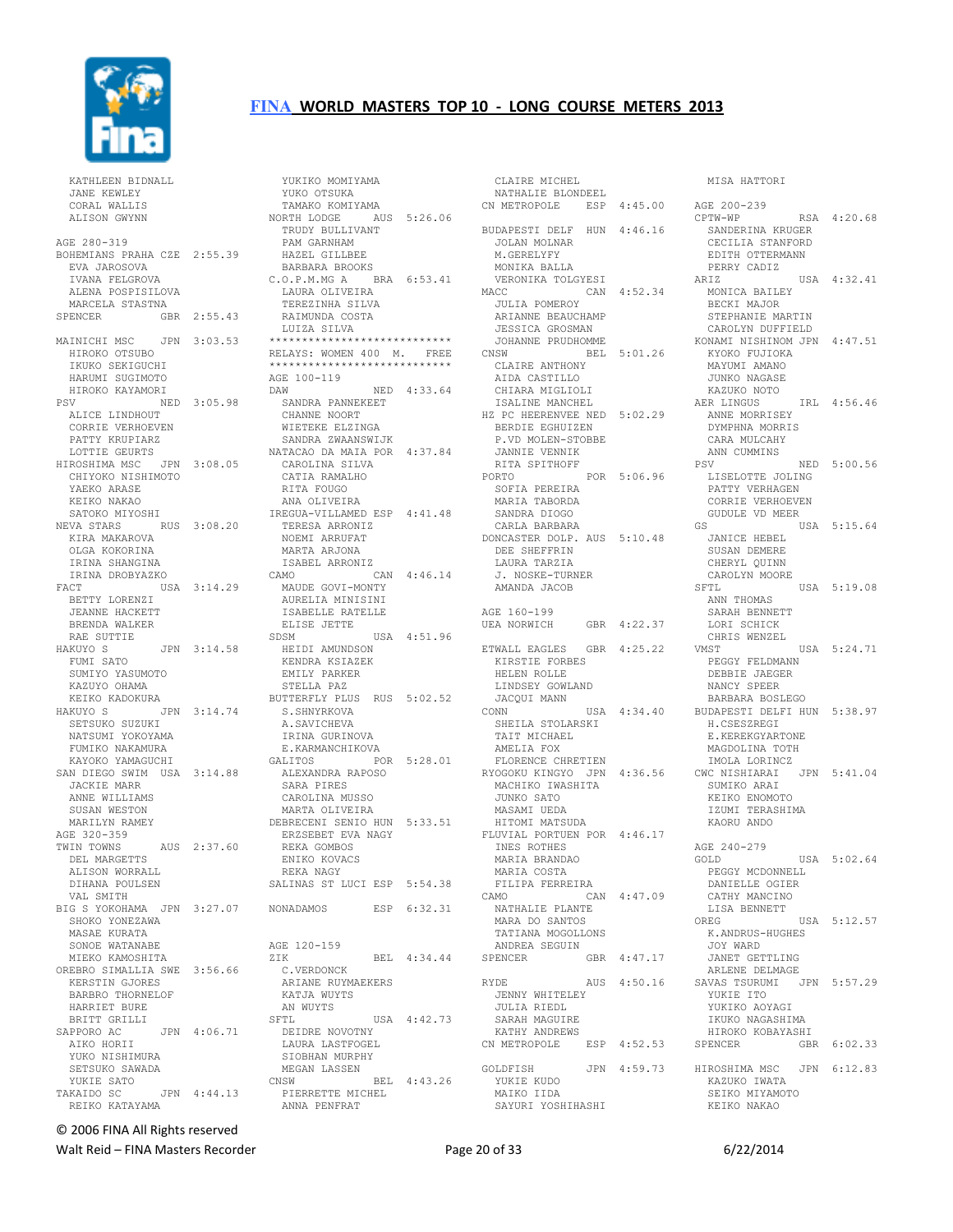

 KATHLEEN BIDNALL JANE KEWLEY CORAL WALLIS ALISON GWYNN AGE 280-319 BOHEMIANS PRAHA CZE 2:55.39 EVA JAROSOVA IVANA FELGROVA ALENA POSPISILOVA MARCELA STASTNA SPENCER GBR 2:55.43 MAINICHI MSC JPN 3:03.53 HIROKO OTSUBO IKUKO SEKIGUCHI HARUMI SUGIMOTO HIROKO KAYAMORI PSV NED 3:05.98 ALICE LINDHOUT CORRIE VERHOEVEN PATTY KRUPIARZ LOTTIE GEURTS HIROSHIMA MSC JPN 3:08.05 CHIYOKO NISHIMOTO YAEKO ARASE KEIKO NAKAO SATOKO MIYOSHI NEVA STARS RUS 3:08.20 KIRA MAKAROVA OLGA KOKORINA IRINA SHANGINA IRINA DROBYAZKO<br>FACT US USA 3:14.29 BETTY LORENZI JEANNE HACKETT BRENDA WALKER RAE SUTTIE<br>HAKUYO S  $JPN 3:14.58$  FUMI SATO SUMIYO YASUMOTO SUMITO TARRATIONALES KEIKO KADOKURA HAKUYO S JPN 3:14.74 SETSUKO SUZUKI NATSUMI YOKOYAMA FUMIKO NAKAMURA KAYOKO YAMAGUCHI SAN DIEGO SWIM USA 3:14.88 JACKIE MARR ANNE WILLIAMS SUSAN WESTON MARILYN RAMEY AGE 320-359<br>TWIN TOWNS TWIN TOWNS AUS 2:37.60 DEL MARGETTS ALISON WORRALL DIHANA POULSEN VAL SMITH BIG S YOKOHAMA JPN 3:27.07 SHOKO YONEZAWA MASAE KURATA SONOE WATANABE MIEKO KAMOSHITA OREBRO SIMALLIA SWE 3:56.66 KERSTIN GJORES BARBRO THORNELOF HARRIET BURE BRITT GRILLI<br>SAPPORO AC JPN 4:06.71 AIKO HORII YUKO NISHIMURA SETSUKO SAWADA YUKIE SATO TAKAIDO SC JPN 4:44.13 REIKO KATAYAMA

 YUKIKO MOMIYAMA YUKO OTSUKA TAMAKO KOMIYAMA NORTH LODGE AUS 5:26.06 TRUDY BULLIVANT PAM GARNHAM HAZEL GILLBEE BARBARA BROOKS C.O.P.M.MG A BRA 6:53.41 LAURA OLIVEIRA TEREZINHA SILVA RAIMUNDA COSTA LUIZA SILVA \*\*\*\*\*\*\*\*\*\*\*\*\*\*\*\*\*\*\*\*\*\*\*\*\*\*\*\* RELAYS: WOMEN 400 M. FREE \*\*\*\*\*\*\*\*\*\*\*\*\*\*\*\*\*\*\*\*\*\*\*\*\*\*\*\* AGE 100-119 DAW NED 4:33.64 SANDRA PANNEKEET CHANNE NOORT WIETEKE ELZINGA SANDRA ZWAANSWIJK NATACAO DA MAIA POR 4:37.84 CAROLINA SILVA<br>CAROLINA SILVA CATIA RAMALHO RITA FOUGO ANA OLIVEIRA IREGUA-VILLAMED ESP 4:41.48 TERESA ARRONIZ NOEMI ARRUFAT MARTA ARJONA ISABEL ARRONIZ CAMO CAN 4:46.14 MAUDE GOVI-MONTY AURELIA MINISINI ISABELLE RATELLE ELISE JETTE SDSM USA 4:51.96 HEIDI AMUNDSON KENDRA KSIAZEK EMILY PARKER STELLA PAZ BUTTERFLY PLUS RUS 5:02.52 S.SHNYRKOVA A.SAVICHEVA IRINA GURINOVA<br>E *v*ari E.KARMANCHIKOVA GALITOS POR 5:28.01 ALEXANDRA RAPOSO SARA PIRES CAROLINA MUSSO MARTA OLIVEIRA DEBRECENI SENIO HUN 5:33.51 ERZSEBET EVA NAGY REKA GOMBOS ENIKO KOVACS REKA NAGY SALINAS ST LUCI ESP 5:54.38 NONADAMOS ESP 6:32.31 AGE 120-159 ZIK BEL 4:34.44 C.VERDONCK ARIANE RUYMAEKERS KATJA WUYTS AN WUYTS SFTL USA 4:42.73 DEIDRE NOVOTNY LAURA LASTFOGEL SIOBHAN MURPHY MEGAN LASSEN CNSW BEL 4:43.26 PIERRETTE MICHEL ANNA PENFRAT

 CLAIRE MICHEL NATHALIE BLONDEEL CN METROPOLE ESP 4:45.00 AGE 200-239 BUDAPESTI DELF HUN 4:46.16 JOLAN MOLNAR M.GERELYFY MONIKA BALLA VERONIKA TOLGYESI MACC CAN 4:52.34 JULIA POMEROY ARIANNE BEAUCHAMP<br>ARIANNE BEAUCHAMP<br>IESSIS JESSICA GROSMAN JOHANNE PRUDHOMME CNSW BEL 5:01.26 CLAIRE ANTHONY AIDA CASTILLO CHIARA MIGLIOLI ISALINE MANCHEL HZ PC HEERENVEE NED 5:02.29 BERDIE EGHUIZEN P.VD MOLEN-STOBBE JANNIE VENNIK RITA SPITHOFF PORTO POR 5:06.96 SOFIA PEREIRA MARIA TABORDA SANDRA DIOGO CARLA BARBARA DONCASTER DOLP. AUS 5:10.48 DEE SHEFFRIN LAURA TARZIA J. NOSKE-TURNER AMANDA JACOB AGE 160-199<br>UEA NORWICH GBR 4:22.37 ETWALL EAGLES GBR 4:25.22 KIRSTIE FORBES HELEN ROLLE<br>LINDSEY GOWLAND LINDSEY GOWLAND JACQUI MANN CONN USA 4:34.40 SHEILA STOLARSKI TAIT MICHAEL AMELIA FOX FLORENCE CHRETIEN RYOGOKU KINGYO JPN 4:36.56 MACHIKO IWASHITA JUNKO SATO MASAMI UEDA HITOMI MATSUDA FLUVIAL PORTUEN POR 4:46.17 INES ROTHES MARIA BRANDAO MARIA COSTA<br>MARIA COSTA<br>TILL FILIPA FERREIRA CAMO CAN 4:47.09 NATHALIE PLANTE MARA DO SANTOS TATIANA MOGOLLONS ANDREA SEGUIN SPENCER GBR 4:47.17 RYDE AUS 4:50.16 JENNY WHITELEY JULIA RIEDL SARAH MAGUIRE KATHY ANDREWS CN METROPOLE ESP 4:52.53 GOLDFISH JPN 4:59.73 YUKIE KUDO MAIKO IIDA SAYURI YOSHIHASHI

CPTW-WP RSA 4:20.68 SANDERINA KRUGER CECILIA STANFORD EDITH OTTERMANN PERRY CADIZ<br>ARIZ USA 4:32.41 MONICA BAILEY BECKI MAJOR STEPHANIE MARTIN CAROLYN DUFFIELD KONAMI NISHINOM JPN 4:47.51 KYOKO FUJIOKA MAYUMI AMANO JUNKO NAGASE KAZUKO NOTO AER LINGUS IRL 4:56.46 ANNE MORRISEY DYMPHNA MORRIS CARA MULCAHY ANN CUMMINS PSV NED 5:00.56 LISELOTTE JOLING PATTY VERHAGEN CORRIE VERHOEVEN GUDULE VD MEER GS USA 5:15.64 JANICE HEBEL SUSAN DEMERE CHERYL QUINN<br>CAROLYN MOORE CAROLYN MOORE SFTL USA 5:19.08 ANN THOMAS SARAH BENNETT LORI SCHICK CHRIS WENZEL<br>VMST USA 5:24.71 PEGGY FELDMANN DEBBIE JAEGER NANCY SPEER BARBARA BOSLEGO BUDAPESTI DELFI HUN 5:38.97 H.CSESZREGI E.KEREKGYARTONE MAGDOLINA TOTH IMOLA LORINCZ<br>VC NISHIARAI – JPN – 5:41.04 CWC NISHIARAI SUMIKO ARAI KEIKO ENOMOTO IZUMI TERASHIMA KAORU ANDO AGE 240-279<br>GOLD USA 5:02.64 PEGGY MCDONNELL DANIELLE OGIER CATHY MANCINO LISA BENNETT<br>OREG USA 5:12.57 K.ANDRUS-HUGHES JOY WARD JANET GETTLING ARLENE DELMAGE SAVAS TSURUMI JPN 5:57.29 YUKIE ITO YUKIKO AOYAGI IKUKO NAGASHIMA HIROKO KOBAYASHI GBR 6:02.33 HIROSHIMA MSC JPN 6:12.83 KAZUKO IWATA SEIKO MIYAMOTO KEIKO NAKAO

MISA HATTORI

© 2006 FINA All Rights reserved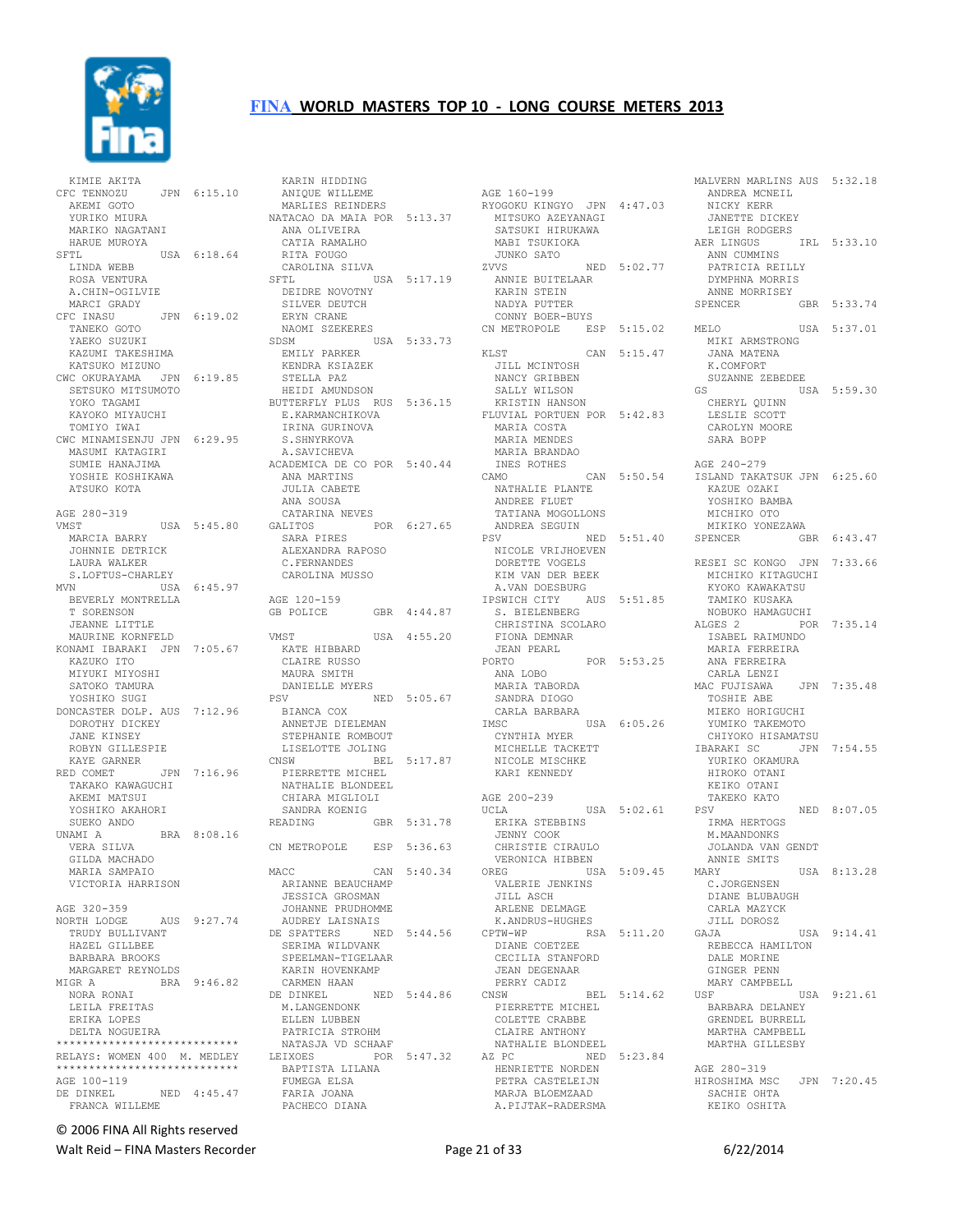

 KIMIE AKITA CFC TENNOZU JPN 6:15.10 AKEMI GOTO YURIKO MIURA MARIKO NAGATANI HARUE MUROYA<br>SETL  $USA 6:18.64$  LINDA WEBB ROSA VENTURA A.CHIN-OGILVIE MARCI GRADY CFC INASU JPN 6:19.02 TANEKO GOTO YAEKO SUZUKI KAZUMI TAKESHIMA KATSUKO MIZUNO CWC OKURAYAMA JPN 6:19.85 SETSUKO MITSUMOTO YOKO TAGAMI KAYOKO MIYAUCHI TOMIYO IWAI CWC MINAMISENJU JPN 6:29.95 S.SHNYRKOVA MASUMI KATAGIRI SUMIE HANAJIMA YOSHIE KOSHIKAWA ATSUKO KOTA AGE 280-319 VMST USA 5:45.80 MARCIA BARRY MARCIA BARRY<br>JOHNNIE DETRICK LAURA WALKER S.LOFTUS-CHARLEY MVN USA 6:45.97 BEVERLY MONTRELLA T SORENSON JEANNE LITTLE MAURINE KORNFELD KONAMI IBARAKI JPN 7:05.67 KAZUKO ITO MIYUKI MIYOSHI SATOKO TAMURA YOSHIKO SUGI DONCASTER DOLP. AUS 7:12.96 DOROTHY DICKEY JANE KINSEY<br>ROBYN GILLESPIE ROBYN GILLESPIE KAYE GARNER RED COMET JPN 7:16.96 TAKAKO KAWAGUCHI AKEMI MATSUI YOSHIKO AKAHORI SUEKO ANDO<br>UNAMI A BRA 8:08.16 VERA SILVA GILDA MACHADO MARIA SAMPAIO VICTORIA HARRISON AGE 320-359 AUS 9:27.74 TRUDY BULLIVANT HAZEL GILLBEE BARBARA BROOKS MARGARET REYNOLDS<br>MIGR A BRA ERA 9:46.82 CARMEN HANDING A BRA 9:46.82 CARMEN HANDING A BELOMBER AND MALL AND MALL AND MALL AND MALL AND MALL A BELOMBER AND MALL A BELOMBER AND MALL A MALL AND MALL A MALL AND MALL A MALL AND MALL AND MALL AND MALL AND NORA RONAI LEILA FREITAS ERIKA LOPES DELTA NOGUEIRA \*\*\*\*\*\*\*\*\*\*\*\*\*\*\*\*\*\*\*\*\*\*\*\*\*\*\*\* RELAYS: WOMEN 400 M. MEDLEY \*\*\*\*\*\*\*\*\*\*\*\*\*\*\*\*\*\*\*\*\*\*\*\*\*\*\*\* AGE 100-119 DE DINKEL NED 4:45.47 FRANCA WILLEME

KARIN HIDDING<br>ANIQUE WILLEME ANIXON WILLEME<br>MARLIES REINDERS<br>ATACLO II MARLIES REINDERS NATACAO DA MAIA POR 5:13.37 ANA OLIVEIRA CATIA RAMALHO RITA FOUGO CAROLINA SILVA USA 5:17.19 DEIDRE NOVOTNY SILVER DEUTCH ERYN CRANE NAOMI SZEKERES SDSM USA 5:33.73 EMILY PARKER KENDRA KSIAZEK STELLA PAZ HEIDI AMUNDSON BUTTERFLY PLUS RUS 5:36.15 E.KARMANCHIKOVA<br>TRINI CILLE IRINA GURINOVA A.SAVICHEVA ACADEMICA DE CO POR 5:40.44 INES<br>ANA MARTINS CAMO ANA MARTINS JULIA CABETE ANA SOUSA<br>CATARINA NEVES CATARINA NEVES GALITOS POR 6:27.65 SARA PIRES ALEXANDRA RAPOSO C.FERNANDES CAROLINA MUSSO AGE 120-159 GB POLICE GBR 4:44.87 VMST<br>
VMST USA 4:55.20 KATE HIBBARD CLAIRE RUSSO MAURA SMITH DANIELLE MYERS PSV NED 5:05.67 BIANCA COX ANNETJE DIELEMAN STEPHANIE ROMBOUT LISELOTTE JOLING<br>CNSW BEL BEL 5:17.87 PIERRETTE MICHEL NATHALIE BLONDEEL CHIARA MIGLIOLI SANDRA KOENIG READING GBR 5:31.78 CN METROPOLE ESP 5:36.63 MACC CAN 5:40.34 ARIANNE BEAUCHAMP JESSICA GROSMAN JOHANNE PRUDHOMME AUDREY LAISNAIS DE SPATTERS NED 5:44.56 SERIMA WILDVANK SPEELMAN-TIGELAAR KARIN HOVENKAMP CARMEN HAAN DE DINKEL NED 5:44.86 M.LANGENDONK ELLEN LUBBEN PATRICIA STROHM NATASJA VD SCHAAF LEIXOES POR 5:47.32 AZ PC NED 5:23.84 BAPTISTA LILANA FUMEGA ELSA FARIA JOANA PACHECO DIANA

AGE 160-199 RYOGOKU KINGYO JPN 4:47.03 MITSUKO AZEYANAGI SATSUKI HIRUKAWA MABI TSUKIOKA JUNKO SATO ZVVS NED 5:02.77 ANNIE BUITELAAR KARIN STEIN NADYA PUTTER CONNY BOER-BUYS CN METROPOLE ESP 5:15.02 MELO KLST CAN 5:15.47 JILL MCINTOSH NANCY GRIBBEN SALLY WILSON KRISTIN HANSON FLUVIAL PORTUEN POR 5:42.83 MARIA COSTA MARIA MENDES MARIA BRANDAO INES ROTHES CAMO CAN 5:50.54 NATHALIE PLANTE <sub>CANO</sub><br>NATHALIE PLANTE<br>ANDREE FLUET TATIANA MOGOLLONS ANDREA SEGUIN NICOLE VRIJHOEVEN DORETTE VOGELS KIM VAN DER BEEK A.VAN DOESBURG IPSWICH CITY AUS 5:51.85 S. BIELENBERG<br>S. BIELENBERG - LILLENBERG<br>CHRISTINA SCOLARO<br>EIOVI - FIONA DEMNAR JEAN PEARL PORTO POR 5:53.25 ANA LOBO MARIA TABORDA SANDRA DIOGO CARLA BARBARA IMSC USA 6:05.26 CYNTHIA MYER MICHELLE TACKETT NICOLE MISCHKE KARI KENNEDY AGE 200-239 UCLA USA 5:02.61 ERIKA STEBBINS JENNY COOK CHRISTIE CIRAULO VERONICA HIBBEN OREG USA 5:09.45 VALERIE JENKINS JILL ASCH **ARLENE DELMAGE<br>ARLENE DELMAGE<br>K.ANDRUS-HUGHES**  K.ANDRUS-HUGHES CPTW-WP RSA 5:11.20 DIANE COETZEE CECILIA STANFORD JEAN DEGENAAR PERRY CADIZ CNSW BEL 5:14.62 PIERRETTE MICHEL COLETTE CRABBE CLAIRE ANTHONY NATHALIE BLONDEEL HENRIETTE NORDEN PETRA CASTELEIJN MARJA BLOEMZAAD A.PIJTAK-RADERSMA

PSV NED 5:51.40 SPENCER GBR 6:43.47 ANDREA MCNEIL NICKY KERR JANETTE DICKEY LEIGH RODGERS AER LINGUS IRL 5:33.10 ANN CUMMINS PATRICIA REILLY DYMPHNA MORRIS ANNE MORRISEY SPENCER GBR 5:33.74 MELO USA 5:37.01 MIKI ARMSTRONG JANA MATENA K.COMFORT SUZANNE ZEBEDEE USA 5:59.30 CHERYL QUINN LESLIE SCOTT CAROLYN MOORE SARA BOPP AGE 240-279 ISLAND TAKATSUK JPN 6:25.60 KAZUE OZAKI YOSHIKO BAMBA MICHIKO OTO MIKIKO YONEZAWA RESEI SC KONGO JPN 7:33.66 MICHIKO KITAGUCHI KYOKO KAWAKATSU<br>TAMIKO KUSAKA<br>NOBUKO HAMAGUCHI ALGES 2 POR 7:35.14 ISABEL RAIMUNDO MARIA FERREIRA MANIA FERREIR<br>ANA FERREIRA CARLA LENZI<br>AC FUJISAWA JPN 7:35.48 UANDRE --<br>MAC FUJISAWA TOSHIE ABE MIEKO HORIGUCHI YUMIKO TAKEMOTO CHIYOKO HISAMATSU JPN 7:54.55 YURIKO OKAMURA HIROKO OTANI KEIKO OTANI TAKEKO KATO NED 8:07.05 IRMA HERTOGS M.MAANDONKS JOLANDA VAN GENDT XY-<br>ANNIE SMITS<br>MARY USA 8:13.28 C.JORGENSEN DIANE BLUBAUGH CARLA MAZYCK JILL DOROSZ USA 9:14.41 REBECCA HAMILTON DALE MORINE GINGER PENN MARY CAMPBELL USA 9:21.61 BARBARA DELANEY GRENDEL BURRELL MARTHA CAMPBELL MARTHA GILLESBY AGE 280-319 HIROSHIMA MSC JPN 7:20.45 SACHIE OHTA KEIKO OSHITA

MALVERN MARLINS AUS 5:32.18

© 2006 FINA All Rights reserved

Walt Reid – FINA Masters Recorder and the Case of 33 6/22/2014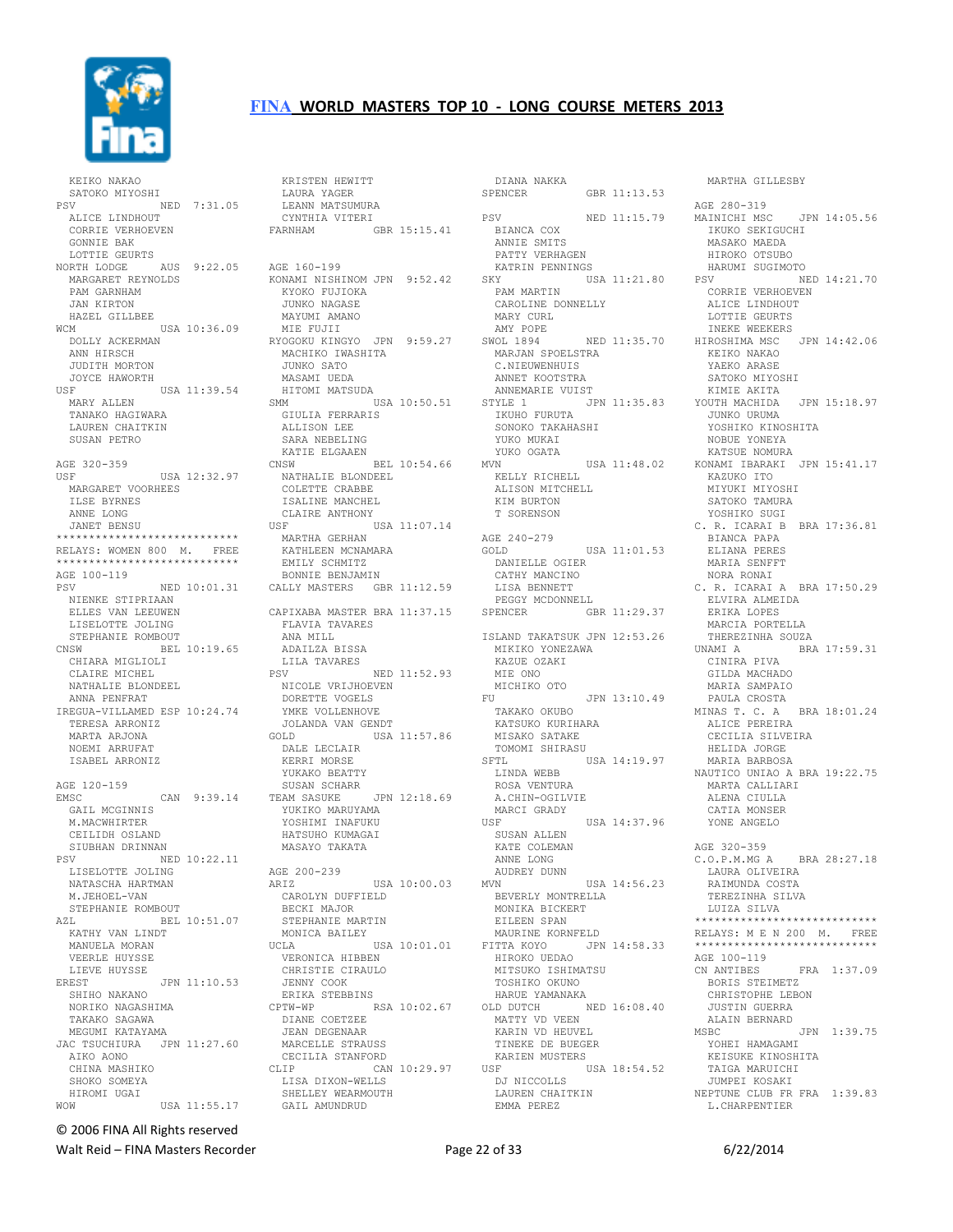

 KEIKO NAKAO SATOKO MIYOSHI PSV NED 7:31.05 ALICE LINDHOUT CORRIE VERHOEVEN GONNIE BAK LOTTIE GEURTS NORTH LODGE AUS 9:22.05 AGE 160-199 MARGARET REYNOLDS PAM GARNHAM JAN KIRTON HAZEL GILLBEE WCM USA 10:36.09 DOLLY ACKERMAN ANN HIRSCH JUDITH MORTON JOYCE HAWORTH USA 11:39.54 MARY ALLEN TANAKO HAGIWARA LAUREN CHAITKIN SUSAN PETRO AGE 320-359<br>USF USA 12:32.97 MARGARET VOORHEES ILSE BYRNES ANNE LONG JANET BENSU \*\*\*\*\*\*\*\*\*\*\*\*\*\*\*\*\*\*\*\*\*\*\* RELAYS: WOMEN 800 M. FREE \*\*\*\*\*\*\*\*\*\*\*\*\*\*\*\*\*\*\*\*\*\*\*\*\*\*\*\* AGE 100-119<br>PSV PSV NED 10:01.31 CALLY MASTERS GBR 11:12.59 NIENKE STIPRIAAN ELLES VAN LEEUWEN LISELOTTE JOLING STEPHANIE ROMBOUT CNSW BEL 10:19.65 CHIARA MIGLIOLI CLAIRE MICHEL NATHALIE BLONDEEL ANNA PENFRAT IREGUA-VILLAMED ESP 10:24.74 TERESA ARRONIZ MARTA ARJONA NOEMI ARRUFAT ISABEL ARRONIZ AGE 120-159<br>EMSC EMSC CAN 9:39.14 SUSAN SCHARR TEAM SASUKE JPN 12:18.69 GAIL MCGINNIS M.MACWHIRTER CEILIDH OSLAND SIUBHAN DRINNAN SV POLING NATASCHA HARTMAN M.JEHOEL-VAN STEPHANIE ROMBOUT<br>AZL BEL 1 AZL BEL 10:51.07 KATHY VAN LINDT MANUELA MORAN VEERLE HUYSSE LIEVE HUYSSE<br>EREST JPN 11:10.53 SHIHO NAKANO NORIKO NAGASHIMA TAKAKO SAGAWA MEGUMI KATAYAMA JAC TSUCHIURA JPN 11:27.60 AIKO AONO CHINA MASHIKO SHOKO SOMEYA HIROMI UGAI WOW USA 11:55.17

NED 10:22.11<br>
PER JOLING AGE 200-239<br>
ROTR HARTMAN ARIZ USA 10:00.03 KRISTEN HEWITT LAURA YAGER LEANN MATSUMURA CYNTHIA VITERI FARNHAM GBR 15:15.41 KONAMI NISHINOM JPN 9:52.42 KYOKO FUJIOKA JUNKO NAGASE MAYUMI AMANO MIE FUJII RYOGOKU KINGYO JPN 9:59.27 AMY POPE SWOL 1894 NED 11:35.70 INEKE WEEKERS HIROSHIMA MSC JPN 14:42.06 MACHIKO IWASHITA JUNKO SATO MASAMI UEDA HITOMI MATSUDA SMM USA 10:50.51 GIULIA FERRARIS ALLISON LEE SARA NEBELING KATIE ELGAAEN CNSW BEL 10:54.66 NATHALIE BLONDEEL COLETTE CRABBE ISALINE MANCHEL CLAIRE ANTHONY<br>USF U USF USA 11:07.14 MARTHA GERHAN KATHLEEN MCNAMARA EMILY SCHMITZ BONNIE BENJAMIN CAPIXABA MASTER BRA 11:37.15 FLAVIA TAVARES ELAVIA -<br>ANA MILL<br>----- R ADAILZA BISSA LILA TAVARES PSV NED 11:52.93 NICOLE VRIJHOEVEN DORETTE VOGELS YMKE VOLLENHOVE JOLANDA VAN GENDT GOLD USA 11:57.86 DALE LECLAIR KERRI MORSE YUKAKO BEATTY LLA JASUKE JPN<br>YUKIKO MARUYAMA<br>YOSUIMI TILL YOSHIMI INAFUKU HATSUHO KUMAGAI MASAYO TAKATA AGE 200-239<br>
ARIZ USA 10:00.03<br>
CAROLYN DUFFIELD<br>
BECKI MAJOR<br>
STEPHANIE MARTIN<br>
MONICA BAILEY UCLA USA 10:01.01 VERONICA HIBBEN CHRISTIE CIRAULO JENNY COOK ERIKA STEBBINS CPTW-WP RSA 10:02.67 OLD DUTCH NED 16:08.40 DIANE COETZEE JEAN DEGENAAR MARCELLE STRAUSS CECILIA STANFORD<br>CLIP CAN CAN 10:29.97 LISA DIXON-WELLS SHELLEY WEARMOUTH GAIL AMUNDRUD

DIANA NAKKA<br>SPENCER GBR 11:13.53 BIANCA COX ANNIE SMITS PATTY VERHAGEN KATRIN PENNINGS<br>SKY USA  $USA$  11:21.80  $PSV$  PAM MARTIN -.... THATIN<br>CAROLINE DONNELLY<br>MADV OUT- MARY CURL MARJAN SPOELSTRA C.NIEUWENHUIS KEIKO NAKAO YAEKO ARASE ANNET KOOTSTRA<br>ANNEMARIE VUIST ANNEMARIE VUIST STYLE 1 JPN 11:35.83 IKUHO FURUTA SONOKO TAKAHASHI YUKO MUKAI YUKO OGATA KELLY RICHELL ALISON MITCHELL KIM BURTON T SORENSON AGE 240-279 GOLD USA 11:01.53 DANIELLE OGIER CATHY MANCINO LISA BENNETT PEGGY MCDONNELL GBR 11:29.37 ISLAND TAKATSUK JPN 12:53.26 MIKIKO YONEZAWA KAZUE OZAKI MIE ONO MICHIKO OTO FU JPN 13:10.49 TAKAKO OKUBO KATSUKO KURIHARA MISAKO SATAKE TOMOMI SHIRASU SFTL<br>
The state of USA 14:19.97 LINDA WEBB ROSA VENTURA A.CHIN-OGILVIE MARCI GRADY USF USA 14:37.96 SUSAN ALLEN KATE COLEMAN ANNE LONG AUDREY DUNN<br>
MVN<br>
BEVERLY MONTRELLA<br>
MONIKA BICKERT<br>
EILEEN SPAN<br>
MAURINE KORNFELD FITTA KOYO JPN 14:58.33 HIROKO UEDAO MITSUKO ISHIMATSU TOSHIKO OKUNO HARUE YAMANAKA MATTY VD VEEN KARIN VD HEUVEL TINEKE DE BUEGER TINERE DE LOLLE<br>KARIEN MUSTERS<br>USF U USA 18:54.52 DJ NICCOLLS LAUREN CHAITKIN EMMA PEREZ

MARTHA GILLESBY

PSV NED 11:15.79 MAINICHI MSC JPN 14:05.56 MVN USA 11:48.02 KONAMI IBARAKI JPN 15:41.17 AGE 280-319 IKUKO SEKIGUCHI MASAKO MAEDA HIROKO OTSUBO HARUMI SUGIMOTO NED 14:21.70 CORRIE VERHOEVEN ALICE LINDHOUT LOTTIE GEURTS SATOKO MIYOSHI KIMIE AKITA YOUTH MACHIDA JPN 15:18.97 JUNKO URUMA YOSHIKO KINOSHITA NOBUE YONEYA KATSUE NOMURA KAZUKO ITO MIYUKI MIYOSHI SATOKO TAMURA YOSHIKO SUGI C. R. ICARAI B BRA 17:36.81 BIANCA PAPA ELIANA PERES MARIA SENFFT NORA RONAI C. R. ICARAI A BRA 17:50.29 ELVIRA ALMEIDA ERIKA LOPES MARCIA PORTELLA THEREZINHA SOUZA<br>UNAMI A BRA BRA 17:59.31 CINIRA PIVA<br>GILDA MACHADO GILDA MACHADO MARIA SAMPAIO PAULA CROSTA MINAS T. C. A BRA 18:01.24 ALICE PEREIRA CECILIA SILVEIRA HELIDA JORGE MARIA BARBOSA NAUTICO UNIAO A BRA 19:22.75 MARTA CALLIARI ALENA CIULLA CATIA MONSER YONE ANGELO AGE 320-359 C.O.P.M.MG A BRA 28:27.18 LAURA OLIVEIRA RAIMUNDA COSTA TEREZINHA SILVA LUIZA SILVA \*\*\*\*\*\*\*\*\*\*\*\*\*\*\*\*\*\*\*\*\*\*\*\*\*\*\*\* RELAYS: M E N 200 M. FREE \*\*\*\*\*\*\*\*\*\*\*\*\*\*\*\*\*\*\*\*\*\*\*\*\*\*\*\* AGE 100-119<br>CN ANTIBES FRA 1:37.09 BORIS STEIMETZ CHRISTOPHE LEBON JUSTIN GUERRA ALAIN BERNARD<br>MSBC JPN 1:39.75 YOHEI HAMAGAMI KEISUKE KINOSHITA TAIGA MARUICHI JUMPEI KOSAKI NEPTUNE CLUB FR FRA 1:39.83 L.CHARPENTIER

© 2006 FINA All Rights reserved

Walt Reid – FINA Masters Recorder and Equation of Page 22 of 33 6/22/2014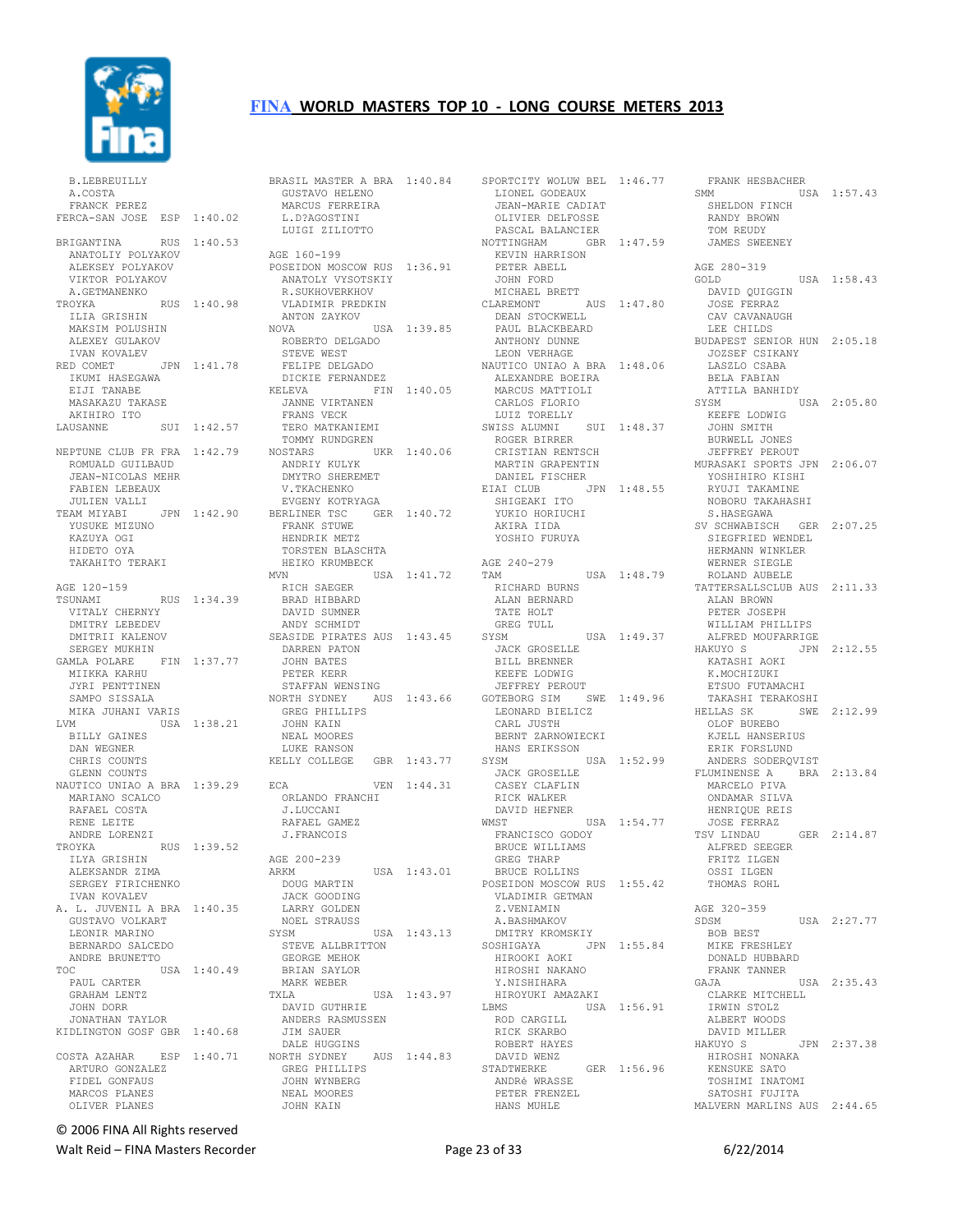

| <b>B.LEBREUILLY</b>                               |             |
|---------------------------------------------------|-------------|
| A.COSTA<br>FRANCK PEREZ                           |             |
| FERCA-SAN JOSE ESP                                | 1:40.02     |
| BRIGANTINA                                        | RUS 1:40.53 |
| ANATOLIY POLYAKOV                                 |             |
| ALEKSEY POLYAKOV<br>VIKTOR POLYAKOV               |             |
| A. GETMANENKO                                     |             |
| TROYKA                                            | RUS 1:40.98 |
| ILIA GRISHIN                                      |             |
| MAKSIM POLUSHIN<br>ALEXEY GULAKOV                 |             |
| IVAN KOVALEV                                      |             |
| RED COMET                                         | JPN 1:41.78 |
| IKUMI HASEGAWA<br>EIJI TANABE                     |             |
| MASAKAZU TAKASE                                   |             |
| AKIHIRO ITO                                       |             |
| LAUSANNE                                          | SUI 1:42.57 |
| NEPTUNE CLUB FR FRA                               | 1:42.79     |
| ROMUALD GUILBAUD                                  |             |
| JEAN-NICOLAS MEHR                                 |             |
| FABIEN LEBEAUX<br>JULIEN VALLI                    |             |
| TEAM MIYABI                                       | JPN 1:42.90 |
| YUSUKE MIZUNO                                     |             |
| KAZUYA OGI<br>HIDETO OYA                          |             |
| TAKAHITO TERAKI                                   |             |
|                                                   |             |
| AGE 120-159<br>TSUNAMI                            |             |
| VITALY CHERNYY                                    | RUS 1:34.39 |
| DMITRY LEBEDEV                                    |             |
| DMITRII KALENOV                                   |             |
| SERGEY MUKHIN<br>GAMLA POLARE                     | FIN 1:37.77 |
| MIIKKA KARHU                                      |             |
| JYRI PENTTINEN                                    |             |
| SAMPO SISSALA<br>MIKA JUHANI VARIS                |             |
| LVM                                               | USA 1:38.21 |
| BILLY GAINES                                      |             |
| DAN WEGNER<br>CHRIS COUNTS                        |             |
| GLENN COUNTS                                      |             |
| NAUTICO UNIAO A BRA 1:39.29                       |             |
| MARIANO SCALCO<br>RAFAEL COSTA                    |             |
| RENE LEITE                                        |             |
| ANDRE LORENZI                                     |             |
| TROYKA<br>ILYA GRISHIN                            | RUS 1:39.52 |
| ALEKSANDR<br>ZIMA                                 |             |
| SERGEY FIRICHENKO                                 |             |
| IVAN KOVALEV                                      |             |
| L. JUVENIL A BRA 1:40.35<br>Α.<br>GUSTAVO VOLKART |             |
| LEONIR MARINO                                     |             |
| BERNARDO SALCEDO                                  |             |
| ANDRE BRUNETTO<br>TOC                             | USA 1:40.49 |
| PAUL CARTER                                       |             |
| GRAHAM LENTZ                                      |             |
| JOHN DORR<br>JONATHAN TAYLOR                      |             |
| KIDLINGTON GOSF GBR 1:40.68                       |             |
|                                                   |             |
| COSTA AZAHAR<br>ARTURO GONZALEZ                   | ESP 1:40.71 |
| FIDEL GONFAUS                                     |             |
| MARCOS PLANES                                     |             |
| OLIVER PLANES                                     |             |

| BRASIL MASTER A BRA 1:40.84<br>GUSTAVO HELENO |             |
|-----------------------------------------------|-------------|
| MARCUS FERREIRA                               |             |
| L.D?AGOSTINI                                  |             |
| LUIGI ZILIOTTO                                |             |
|                                               |             |
| AGE 160-199                                   |             |
| POSEIDON MOSCOW RUS 1:36.91                   |             |
| ANATOLY VYSOTSKIY                             |             |
| R. SUKHOVERKHOV                               |             |
| VLADIMIR PREDKIN                              |             |
| ANTON ZAYKOV                                  |             |
| NOVA                                          | USA 1:39.85 |
| ROBERTO DELGADO                               |             |
| STEVE WEST                                    |             |
| FELIPE DELGADO                                |             |
| DICKIE FERNANDEZ                              |             |
| KELEVA                                        | FIN 1:40.05 |
| JANNE VIRTANEN<br>FRANS VECK                  |             |
| TERO MATKANIEMI                               |             |
| TOMMY RUNDGREN                                |             |
| NOSTARS                                       | UKR 1:40.06 |
| ANDRIY KULYK                                  |             |
| DMYTRO SHEREMET                               |             |
| V.TKACHENKO                                   |             |
| EVGENY KOTRYAGA                               |             |
| BERLINER TSC GER 1:40.72                      |             |
| FRANK STUWE                                   |             |
| HENDRIK METZ                                  |             |
| TORSTEN BLASCHTA                              |             |
| HEIKO KRUMBECK                                |             |
| MVN                                           | USA 1:41.72 |
| RICH SAEGER                                   |             |
| BRAD HIBBARD                                  |             |
| DAVID SUMNER                                  |             |
| ANDY SCHMIDT                                  |             |
| SEASIDE PIRATES AUS 1:43.45                   |             |
| DARREN PATON                                  |             |
| JOHN BATES                                    |             |
| PETER KERR                                    |             |
| STAFFAN WENSING                               |             |
| NORTH SYDNEY                                  | AUS 1:43.66 |
| GREG PHILLIPS                                 |             |
| JOHN KAIN                                     |             |
| NEAL MOORES                                   |             |
| LUKE RANSON                                   |             |
| KELLY COLLEGE                                 | GBR 1:43.77 |
|                                               |             |
| ECA                                           | VEN 1:44.31 |
| ORLANDO FRANCHI                               |             |
| J.LUCCANI<br>RAFAEL GAMEZ                     |             |
|                                               |             |
| J.FRANCOIS                                    |             |
| AGE 200-239                                   |             |
| ARKM                                          |             |
| DOUG MARTIN                                   | USA 1:43.01 |
| JACK GOODING                                  |             |
| LARRY GOLDEN                                  |             |
| NOEL STRAUSS                                  |             |
| SYSM                                          | USA 1:43.13 |
| STEVE ALLBRITTON                              |             |
| GEORGE MEHOK                                  |             |
| BRIAN SAYLOR                                  |             |
| MARK WEBER                                    |             |
| TXLA                                          | USA 1:43.97 |
| DAVID GUTHRIE                                 |             |
| ANDERS RASMUSSEN                              |             |
|                                               |             |
| JIM SAUER                                     |             |
| DALE HUGGINS                                  |             |
| NORTH SYDNEY                                  | AUS 1:44.83 |
| GREG PHILLIPS                                 |             |
| JOHN WYNBERG<br>NEAL MOORES                   |             |

JOHN KAIN

|                                  | SPORTCITY WOLUW BEL 1:46.77 |
|----------------------------------|-----------------------------|
| LIONEL GODEAUX                   |                             |
| JEAN-MARIE CADIAT                |                             |
| OLIVIER DELFOSSE                 |                             |
| PASCAL BALANCIER                 |                             |
| NOTTINGHAM                       | GBR 1:47.59                 |
| KEVIN HARRISON<br>PETER ABELL    |                             |
| JOHN FORD                        |                             |
| MICHAEL BRETT                    |                             |
| CLAREMONT                        | AUS 1:47.80                 |
| DEAN STOCKWELL                   |                             |
| PAUL BLACKBEARD                  |                             |
| ANTHONY DUNNE                    |                             |
| LEON VERHAGE                     |                             |
| NAUTICO UNIAO A BRA 1:48.06      |                             |
| ALEXANDRE BOEIRA                 |                             |
| MARCUS MATTIOLI<br>CARLOS FLORIO |                             |
| LUIZ TORELLY                     |                             |
| SWISS ALUMNI                     | SUI 1:48.37                 |
| ROGER BIRRER                     |                             |
| CRISTIAN RENTSCH                 |                             |
| MARTIN GRAPENTIN                 |                             |
| DANIEL FISCHER                   |                             |
| EIAI CLUB                        | JPN 1:48.55                 |
| SHIGEAKI ITO                     |                             |
| YUKIO HORIUCHI                   |                             |
| AKTRA<br>IIDA                    |                             |
| YOSHIO FURUYA                    |                             |
|                                  |                             |
| AGE 240-279<br>TAM               |                             |
| RICHARD BURNS                    | USA 1:48.79                 |
| ALAN BERNARD                     |                             |
| TATE HOLT                        |                             |
| GREG TULL                        |                             |
| SYSM                             | USA 1:49.37                 |
| <b>JACK GROSELLE</b>             |                             |
| BILL BRENNER                     |                             |
| KEEFE LODWIG                     |                             |
| JEFFREY PEROUT                   |                             |
| GOTEBORG SIM SWE 1:49.96         |                             |
| LEONARD BIELICZ                  |                             |
|                                  |                             |
| CARL JUSTH                       |                             |
| BERNT ZARNOWIECKI                |                             |
| HANS ERIKSSON                    |                             |
| SYSM                             | USA 1:52.99                 |
| <b>JACK GROSELLE</b>             |                             |
| CASEY CLAFLIN                    |                             |
| RICK WALKER<br>DAVID HEFNER      |                             |
| WMST                             | USA 1:54.77                 |
| FRANCISCO GODOY                  |                             |
| BRUCE WILLIAMS                   |                             |
| GREG THARP                       |                             |
| BRUCE ROLLINS                    |                             |
| POSEIDON MOSCOW RUS 1:55.42      |                             |
| VLADIMIR GETMAN                  |                             |
| Z.VENIAMIN                       |                             |
| A. BASHMAKOV                     |                             |
| DMITRY KROMSKIY                  |                             |
| SOSHIGAYA                        | JPN 1:55.84                 |
| HIROOKI AOKI<br>HIROSHI NAKANO   |                             |
| Y.NISHIHARA                      |                             |
| HIROYUKI AMAZAKI                 |                             |
| LBMS                             | USA 1:56.91                 |
| ROD CARGILL                      |                             |
| RICK SKARBO                      |                             |
| ROBERT HAYES                     |                             |
| DAVID WENZ                       |                             |
| STADTWERKE                       | GER 1:56.96                 |
| ANDRé WRASSE                     |                             |
| PETER FRENZEL<br>HANS MUHLE      |                             |

FRANK HESBACHER<br>SMM US USA 1:57.43 SHELDON FINCH RANDY BROWN TOM REUDY JAMES SWEENEY AGE 280-319<br>GOLD USA 1:58.43 DAVID QUIGGIN JOSE FERRAZ CAV CAVANAUGH LEE CHILDS BUDAPEST SENIOR HUN 2:05.18 JOZSEF CSIKANY LASZLO CSABA BELA FABIAN ATTILA BANHIDY<br>SYSM USA 2:05.80 KEEFE LODWIG JOHN SMITH BURWELL JONES JEFFREY PEROUT MURASAKI SPORTS JPN 2:06.07 YOSHIHIRO KISHI RYUJI TAKAMINE NOBORU TAKAHASHI S.HASEGAWA SV SCHWABISCH GER 2:07.25 SIEGFRIED WENDEL HERMANN WINKLER WERNER SIEGLE ROLAND AUBELE TATTERSALLSCLUB AUS 2:11.33 ALAN BROWN PETER JOSEPH WILLIAM PHILLIPS ALFRED MOUFARRIGE<br>HAKUYO S JPN JPN 2:12.55 KATASHI AOKI K.MOCHIZUKI ETSUO FUTAMACHI TAKASHI TERAKOSHI<br>HELLAS SK SWE SWE 2:12.99 OLOF BUREBO KJELL HANSERIUS ERIK FORSLUND ANDERS SODERQVIST<br>FLUMINENSE A BRA  $BRA$  2:13.84 MARCELO PIVA ONDAMAR SILVA HENRIQUE REIS JOSE FERRAZ<br>TSV LINDAU GER 2:14.87 ALFRED SEEGER FRITZ ILGEN OSSI ILGEN THOMAS ROHL AGE 320-359<br>SDSM USA 2:27.77 BOB BEST MIKE FRESHLEY DONALD HUBBARD FRANK TANNER<br>GAJA USA 2:35.43 CLARKE MITCHELL IRWIN STOLZ ALBERT WOODS DAVID MILLER<br>HAKUYO S JPN 2:37.38 HIROSHI NONAKA KENSUKE SATO TOSHIMI INATOMI SATOSHI FUJITA MALVERN MARLINS AUS 2:44.65

© 2006 FINA All Rights reserved

Walt Reid – FINA Masters Recorder example and the Page 23 of 33 6/22/2014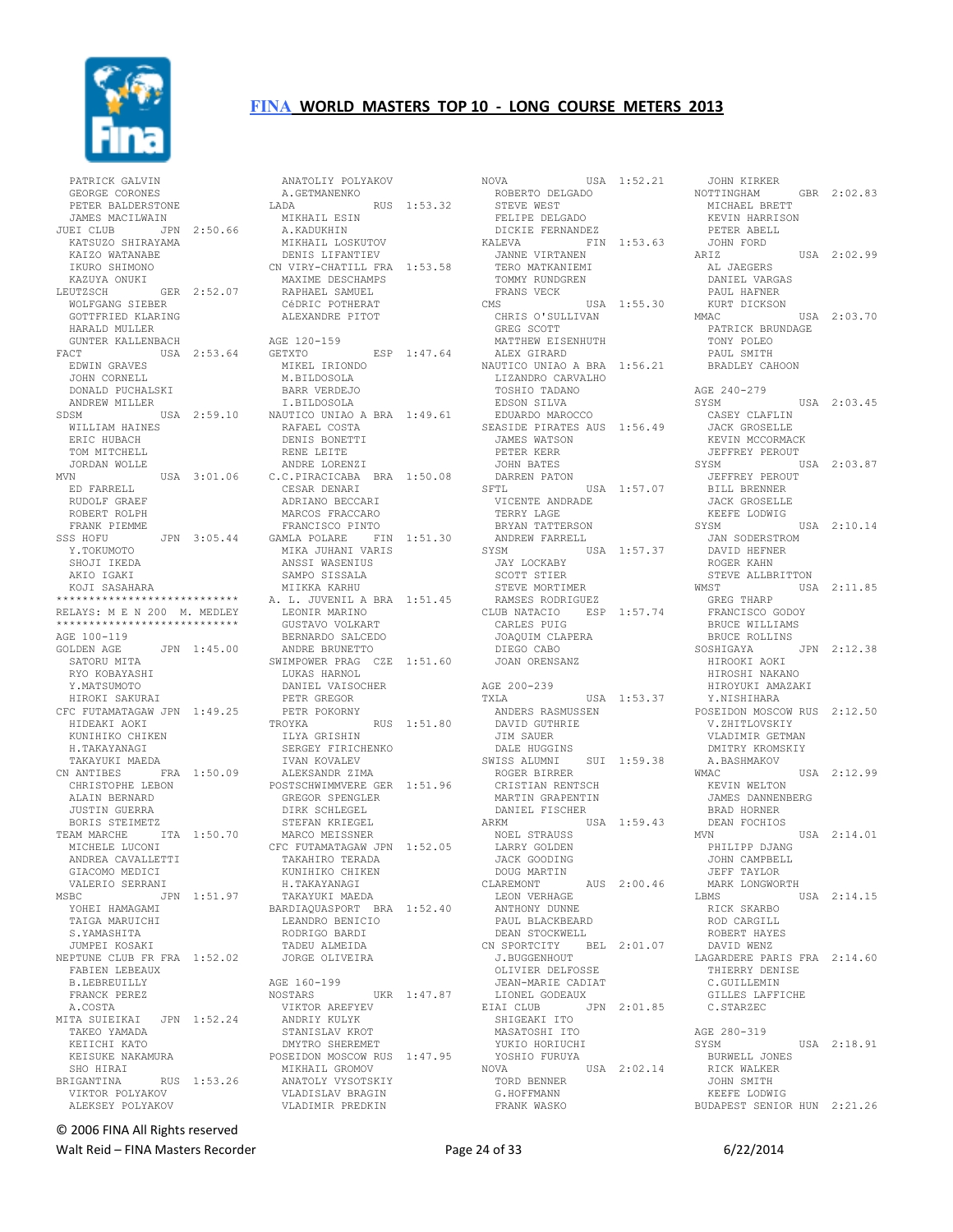

 PATRICK GALVIN GEORGE CORONES PETER BALDERSTONE JAMES MACILWAIN JUEI CLUB JPN 2:50.66 KATSUZO SHIRAYAMA KAIZO WATANABE IKURO SHIMONO KAZUYA ONUKI LEUTZSCH GER 2:52.07 WOLFGANG SIEBER GOTTFRIED KLARING HARALD MULLER GUNTER KALLENBACH FACT USA 2:53.64 EDWIN GRAVES JOHN CORNELL DONALD PUCHALSKI ANDREW MILLER WILLIAM HAINES ERIC HUBACH TOM MITCHELL JORDAN WOLLE<br>MVN USA 3:01.06 ED FARRELL RUDOLF GRAEF ROBERT ROLPH FRANK PIEMME<br>SSS HOFU Y.TOKUMOTO SHOJI IKEDA AKIO IGAKI KOJI SASAHARA \*\*\*\*\*\*\*\*\*\*\*\*\*\*\*\*\*\*\*\*\*\*\*\*\*\*\*\* RELAYS: M E N 200 M. MEDLEY \*\*\*\*\*\*\*\*\*\*\*\*\*\*\*\*\*\*\*\*\*\*\*\*\*\*\*\* AGE 100-119<br>GOLDEN AGE GOLDEN AGE JPN 1:45.00 SATORU MITA RYO KOBAYASHI Y.MATSUMOTO HIROKI SAKURAI CFC FUTAMATAGAW JPN 1:49.25 HIDEAKI AOKI KUNIHIKO CHIKEN H.TAKAYANAGI TAKAYUKI MAEDA<br>CN ANTIBES FRA 1:50.09 CHRISTOPHE LEBON ALAIN BERNARD JUSTIN GUERRA BORIS STEIMETZ<br>TEAM MARCHE ITA 1:50.70 GIACOMO MEDICI<br>VALERIO SERRANI<br>VPC VALERIO SERRANI MSBC JPN 1:51.97 YOHEI HAMAGAMI TAIGA MARUICHI S.YAMASHITA JUMPEI KOSAKI NEPTUNE CLUB FR FRA 1:52.02 FABIEN LEBEAUX B.LEBREUILLY FRANCK PEREZ A.COSTA MITA SUIEIKAI JPN 1:52.24 TAKEO YAMADA KEIICHI KATO SHO HIRAI BRIGANTINA RUS 1:53.26 VIKTOR POLYAKOV ALEKSEY POLYAKOV

SDSM USA 2:59.10 I.BILDOSOLA NAUTICO UNIAO A BRA 1:49.61 RAFAEL COSTA SSS HOFU JPN 3:05.44 GAMLA POLARE FIN 1:51.30 TEAM MARCHE ITA 1:50.70 MICHELE LUCONI ANDREA CAVALLETTI CFC FUTAMATAGAW JPN 1:52.05 TAKAHIRO TERADA KEISUKE NAKAMURA POSEIDON MOSCOW RUS 1:47.95 ANATOLIY POLYAKOV A.GETMANENKO LADA RUS 1:53.32 MIKHAIL ESIN A.KADUKHIN MIKHAIL LOSKUTOV DENIS LIFANTIEV<br>CN VIRY-CHATILL FRA 1:53.58<br>MAXIME DESCHAMPS<br>RAPHAEL SAMUEL<br>CéDRIC POTHERAT CéDRIC POTHERAT<br>ALEXANDRE PITOT AGE 120-159 GETXTO ESP 1:47.64 MIKEL IRIONDO M.BILDOSOLA BARR VERDEJO<br>I.BILDOSOLA DENIS BONETTI RENE LEITE ANDRE LORENZI C.C.PIRACICABA BRA 1:50.08 CESAR DENARI ADRIANO BECCARI MARCOS FRACCARO FRANCISCO PINTO MIKA JUHANI VARIS<br>
TIMBRA JUHANI VARIS ANSSI WASENIUS SAMPO SISSALA MIIKKA KARHU A. L. JUVENIL A BRA 1:51.45 LEONIR MARINO GUSTAVO VOLKART BERNARDO SALCEDO ANDRE BRUNETTO SWIMPOWER PRAG CZE 1:51.60 LUKAS HARNOL DANIEL VAISOCHER PETR GREGOR PETR POKORNY PETR POKORNY<br>TROYKA RUS 1:51.80 ILYA GRISHIN SERGEY FIRICHENKO IVAN KOVALEV ALEKSANDR ZIMA POSTSCHWIMMVERE GER 1:51.96 GREGOR SPENGLER DIRK SCHLEGEL STEFAN KRIEGEL MARCO MEISSNER KUNIHIKO CHIKEN H.TAKAYANAGI TAKAYUKI MAEDA BARDIAQUASPORT BRA 1:52.40 LEANDRO BENICIO IEANDRO BENICIO<br>RODRIGO BARDI TADEU ALMEIDA JORGE OLIVEIRA AGE 160-199 UKR 1:47.87 VIKTOR AREFYEV ANDRIY KULYK STANISLAV KROT DMYTRO SHEREMET MIKHAIL GROMOV<br>MIKHAIL GROMOV<br>ANATOTY ANATOLY VYSOTSKIY VLADISLAV BRAGIN VLADIMIR PREDKIN

USA 1:52.21 ROBERTO DELGADO STEVE WEST FELIPE DELGADO DICKIE FERNANDEZ KALEVA FIN 1:53.63 JANNE VIRTANEN TERO MATKANIEMI TOMMY RUNDGREN FRANS VECK CMS USA 1:55.30 CHRIS O'SULLIVAN GREG SCOTT MATTHEW EISENHUTH ALEX GIRARD NAUTICO UNIAO A BRA 1:56.21 LIZANDRO CARVALHO TOSHIO TADANO EDSON SILVA EDUARDO MAROCCO SEASIDE PIRATES AUS 1:56.49 JAMES WATSON PETER KERR JOHN BATES DARREN PATON SFTL USA 1:57.07 JEFFREY PEROUT BILL BRENNER VICENTE ANDRADE TERRY LAGE BRYAN TATTERSON ANDREW FARRELL USA 1:57.37 JAY LOCKABY SCOTT STIER STEVE MORTIMER<br>STEVE MORTIMER<br>CALCORE RAMSES RODRIGUEZ CLUB NATACIO ESP 1:57.74 CARLES PUIG JOAQUIM CLAPERA DIEGO CABO JOAN ORENSANZ AGE 200-239 TXLA USA 1:53.37 ANDERS RASMUSSEN DAVID GUTHRIE JIM SAUER DALE HUGGINS SWISS ALUMNI SUI 1:59.38 ROGER BIRRER CRISTIAN RENTSCH MARTIN GRAPENTIN DANIEL FISCHER<br>ARKM US  $USA$  1:59.43 DEAN NVN NOEL STRAUSS LARRY GOLDEN JACK GOODING DOUG MARTIN CLAREMONT AUS 2:00.46 LEON VERHAGE ANTHONY DUNNE PAUL BLACKBEARD DEAN STOCKWELL CN SPORTCITY BEL 2:01.07 J.BUGGENHOUT OLIVIER DELFOSSE JEAN-MARIE CADIAT LIONEL GODEAUX EIAI CLUB JPN 2:01.85 SHIGEAKI ITO MASATOSHI ITO YUKIO HORIUCHI YOSHIO FURUYA NOVA USA 2:02.14 TORD BENNER G.HOFFMANN FRANK WASKO

JOHN KIRKER<br>NOTTINGHAM GBR 2:02.83 MICHAEL BRETT KEVIN HARRISON PETER ABELL JOHN FORD  $USA = 2:02.99$  AL JAEGERS DANIEL VARGAS PAUL HAFNER KURT DICKSON<br>MMAC MMAC USA 2:03.70 PATRICK BRUNDAGE TONY POLEO PAUL SMITH BRADLEY CAHOON AGE 240-279 SYSM USA 2:03.45 CASEY CLAFLIN JACK GROSELLE KEVIN MCCORMACK JEFFREY PEROUT SYSM USA 2:03.87 JACK GROSELLE KEEFE LODWIG SYSM USA 2:10.14 JAN SODERSTROM DAVID HEFNER ROGER KAHN STEVE ALLBRITTON<br>WMST USA USA 2:11.85 GREG THARP FRANCISCO GODOY BRUCE WILLIAMS BRUCE ROLLINS SOSHIGAYA JPN 2:12.38 HIROOKI AOKI HIROSHI NAKANO HIROYUKI AMAZAKI Y.NISHIHARA POSEIDON MOSCOW RUS 2:12.50 V.ZHITLOVSKIY VLADIMIR GETMAN DMITRY KROMSKIY 1:59.38 A.BASHMAKOV<br>WMAC  $USA = 2:12.99$  KEVIN WELTON JAMES DANNENBERG BRAD HORNER DEAN FOCHIOS  $USA 2:14.01$ PHILIPP DJANG JOHN CAMPBELL JEFF TAYLOR MARK LONGWORTH LBMS USA 2:14.15 RICK SKARBO ROD CARGILL ROBERT HAYES DAVID WENZ LAGARDERE PARIS FRA 2:14.60 THIERRY DENISE C.GUILLEMIN GILLES LAFFICHE C.STARZEC AGE 280-319<br>SYSM USA 2:18.91 BURWELL JONES RICK WALKER JOHN SMITH KEEFE LODWIG BUDAPEST SENIOR HUN 2:21.26

© 2006 FINA All Rights reserved

Walt Reid – FINA Masters Recorder The Contract Contract Page 24 of 33 6/22/2014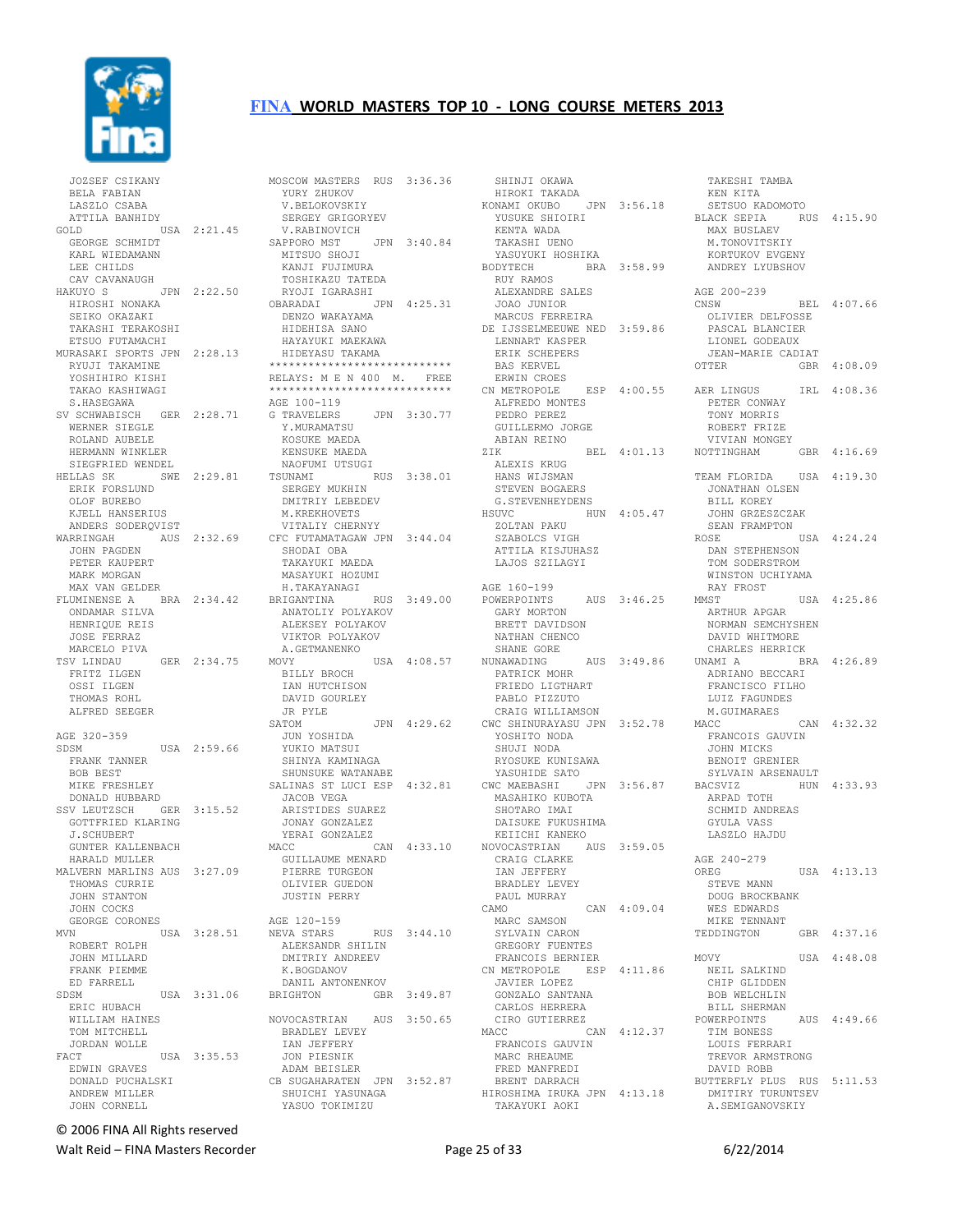

 JOZSEF CSIKANY BELA FABIAN LASZLO CSABA ATTILA BANHIDY GOLD USA 2:21.45 GEORGE SCHMIDT KARL WIEDAMANN LEE CHILDS CAV CAVANAUGH HAKUYO S JPN 2:22.50 TOSHIKAZU TATEDA RYOJI IGARASHI HIROSHI NONAKA OBARADAI JPN 4:25.31 SEIKO OKAZAKI TAKASHI TERAKOSHI ETSUO FUTAMACHI MURASAKI SPORTS JPN 2:28.13 RYUJI TAKAMINE YOSHIHIRO KISHI TAKAO KASHIWAGI S.HASEGAWA SV SCHWABISCH GER 2:28.71 G TRAVELERS WERNER SIEGLE ROLAND AUBELE HERMANN WINKLER SIEGFRIED WENDEL<br>HELLAS SK SWE 2:29.81 TSUNAMI HELLAS SK SWE 2:29.81 ERIK FORSLUND OLOF BUREBO KJELL HANSERIUS ANDERS SODERQVIST<br>WARRINGAH AUS WARRINGAH AUS 2:32.69 CFC FUTAMATAGAW JPN 3:44.04 JOHN PAGDEN PETER KAUPERT MARK MORGAN MAX VAN GELDER FLUMINENSE A BRA 2:34.42 ONDAMAR SILVA HENRIQUE REIS JOSE FERRAZ MARCELO PIVA TSV LINDAU GER 2:34.75 FRITZ ILGEN OSSI ILGEN THOMAS ROHL ALFRED SEEGER AGE 320-359<br>SDSM USA 2:59.66 FRANK TANNER BOB BEST MIKE FRESHLEY DONALD HUBBARD SSV LEUTZSCH GER 3:15.52 JACOB VEGA ARISTIDES SUAREZ GOTTFRIED KLARING J.SCHUBERT GUNTER KALLENBACH HARALD MULLER MALVERN MARLINS AUS 3:27.09 THOMAS CURRIE JOHN STANTON JOHN COCKS GEORGE CORONES MVN USA 3:28.51 ROBERT ROLPH JOHN MILLARD FRANK PIEMME ED FARRELL SDSM USA 3:31.06 ERIC HUBACH WILLIAM HAINES TOM MITCHELL JORDAN WOLLE<br>FACT FACT USA 3:35.53 IAN JEFFERY JON PIESNIK EDWIN GRAVES DONALD PUCHALSKI ANDREW MILLER JOHN CORNELL

MOSCOW MASTERS RUS 3:36.36<br>
YURY ZHUKOV<br>
V.BELOKOVSKIY<br>
ATLI YURY ZHUKOV V.BELOKOVSKIY SERGEY GRIGORYEV V.RABINOVICH SAPPORO MST JPN 3:40.84<br>MITSUO SHOJI<br>PANT- MITSUO SHOJI KANJI FUJIMURA DENZO WAKAYAMA HIDEHISA SANO HAYAYUKI MAEKAWA HIDEYASU TAKAMA \*\*\*\*\*\*\*\*\*\*\*\*\*\*\*\*\*\*\*\*\*\*\*\*\*\*\*\* RELAYS: M E N 400 M. FREE \*\*\*\*\*\*\*\*\*\*\*\*\*\*\*\*\*\*\*\*\*\*\*\*\*\*\*\* AGE 100-119 G TRAVELERS JPN 3:30.77 Y.MURAMATSU KOSUKE MAEDA KENSUKE MAEDA NAOFUMI UTSUGI RUS 3:38.01 SERGEY MUKHIN SERGEY MUKHIN<br>DMITRIY LEBEDEV M.KREKHOVETS VITALIY CHERNYY SHODAI OBA TAKAYUKI MAEDA MASAYUKI HOZUMI H.TAKAYANAGI BRIGANTINA RUS 3:49.00 ANATOLIY POLYAKOV ALEKSEY POLYAKOV VIKTOR POLYAKOV A.GETMANENKO MOVY USA 4:08.57 NUNAWADING BILLY BROCH IAN HUTCHISON DAVID GOURLEY JR PYLE SATOM JPN 4:29.62 JUN YOSHIDA JUN YOSHIDA<br>YUKIO MATSUI SHINYA KAMINAGA SHUNSUKE WATANABE<br>SHUNSUKE WATANABE<br>ALIMAS OT T SALINAS ST LUCI ESP 4:32.81 CWC MAEBASHI JPN 3:56.87 JONAY GONZALEZ YERAI GONZALEZ CAN 4:33.10 GUILLAUME MENARD PIERRE TURGEON OLIVIER GUEDON JUSTIN PERRY AGE 120-159 NEVA STARS RUS 3:44.10 ALEKSANDR SHILIN DMITRIY ANDREEV K.BOGDANOV DANIL ANTONENKOV BRIGHTON GBR 3:49.87 NOVOCASTRIAN AUS 3:50.65 BRADLEY LEVEY ADAM BEISLER CB SUGAHARATEN JPN 3:52.87 SHUICHI YASUNAGA YASUO TOKIMIZU

 SHINJI OKAWA HIROKI TAKADA KONAMI OKUBO JPN 3:56.18 YUSUKE SHIOIRI NONNIN ONGEG ON STOUTIS<br>YUSUKE SHIOIRI<br>KENTA WADA TAKASHI UENO YASUYUKI HOSHIKA BODYTECH BRA 3:58.99 RUY RAMOS ALEXANDRE SALES JOAO JUNIOR MARCUS FERREIRA DE IJSSELMEEUWE NED 3:59.86 LENNART KASPER<br>
----- courpries ERIK SCHEPERS BAS KERVEL ERWIN CROES CN METROPOLE ESP 4:00.55 ALFREDO MONTES PEDRO PEREZ GUILLERMO JORGE ABIAN REINO<br>ZIK BEL 4:01.13 ALEXIS KRUG HANS WIJSMAN STEVEN BOGAERS G.STEVENHEYDENS HSUVC HUN 4:05.47 ZOLTAN PAKU SZABOLCS VIGH ATTILA KISJUHASZ LAJOS SZILAGYI AGE 160-199 POWERPOINTS AUS 3:46.25 GARY MORTON BRETT DAVIDSON NATHAN CHENCO SHANE GORE NUNAWADING AUS 3:49.86 PATRICK MOHR **FRIEDO LIGTHART**<br>FRIEDO LIGTHART PABLO PIZZUTO CRAIG WILLIAMSON CWC SHINURAYASU JPN 3:52.78 YOSHITO NODA SHUJI NODA RYOSUKE KUNISAWA YASUHIDE SATO MASAHIKO KUBOTA SHOTARO IMAI ARPAD TOTH SCHMID ANDREAS DAISUKE FUKUSHIMA KEIICHI KANEKO NOVOCASTRIAN AUS 3:59.05 CRAIG CLARKE IAN JEFFERY BRADLEY LEVEY PAUL MURRAY<br>CAMO CAN  $4:09.04$  MARC SAMSON SYLVAIN CARON GREGORY FUENTES FRANCOIS BERNIER<br>CN METROPOLE ESP 4:11.86<br>JAVIER LOPEZ<br>GONZALO SANTANA CARLOS HERRERA CIRO GUTIERREZ MACC CAN 4:12.37 res<br>FRANCOIS GAUVIN<br>MARC RHEAUME MARC RHEAUME FRED MANFREDI BRENT DARRACH HIROSHIMA IRUKA JPN 4:13.18 DMITIRY TURUNTSEV TAKAYUKI AOKI

 TAKESHI TAMBA KEN KITA SETSUO KADOMOTO BLACK SEPIA RUS 4:15.90 MAX BUSLAEV M.TONOVITSKIY KORTUKOV EVGENY ANDREY LYUBSHOV AGE 200-239 CNSW BEL 4:07.66 OLIVIER DELFOSSE PASCAL BLANCIER PASCAL BLANCIER<br>LIONEL GODEAUX JEAN-MARIE CADIAT<br>OTTER GBR GBR 4:08.09 IRL 4:08.36 PETER CONWAY TONY MORRIS ROBERT FRIZE VIVIAN MONGEY<br>NOTTINGHAM GBR 4:16.69 TEAM FLORIDA USA 4:19.30 JONATHAN OLSEN BILL KOREY JOHN GRZESZCZAK SEAN FRAMPTON ROSE USA 4:24.24 DAN STEPHENSON TOM SODERSTROM WINSTON UCHIYAMA RAY FROST<br>MMST  $USA = 4:25.86$ ARTHUR APGAR<br>NORMAN SEMCHYSHEN NORMAN SEMCHYSHEN DAVID WHITMORE CHARLES HERRICK UNAMI A BRA 4:26.89 ADRIANO BECCARI FRANCISCO FILHO LUIZ FAGUNDES M.GUIMARAES CAN 4:32.32 FRANCOIS GAUVIN JOHN MICKS BENOIT GRENIER SYLVAIN ARSENAULT HUN 4:33.93 GYULA VASS LASZLO HAJDU AGE 240-279<br>OREG  $IISA$   $4 \cdot 13$ .13 STEVE MANN DOUG BROCKBANK WES EDWARDS MIKE TENNANT TEDDINGTON GBR 4:37.16 MOVY USA 4:48.08 NEIL SALKIND CHIP GLIDDEN BOB WELCHLIN BILL SHERMAN POWERPOINTS AUS 4:49.66 TIM BONESS LOUIS FERRARI TREVOR ARMSTRONG DAVID ROBB BUTTERFLY PLUS RUS 5:11.53 A.SEMIGANOVSKIY

© 2006 FINA All Rights reserved

Walt Reid – FINA Masters Recorder example and the Page 25 of 33 6/22/2014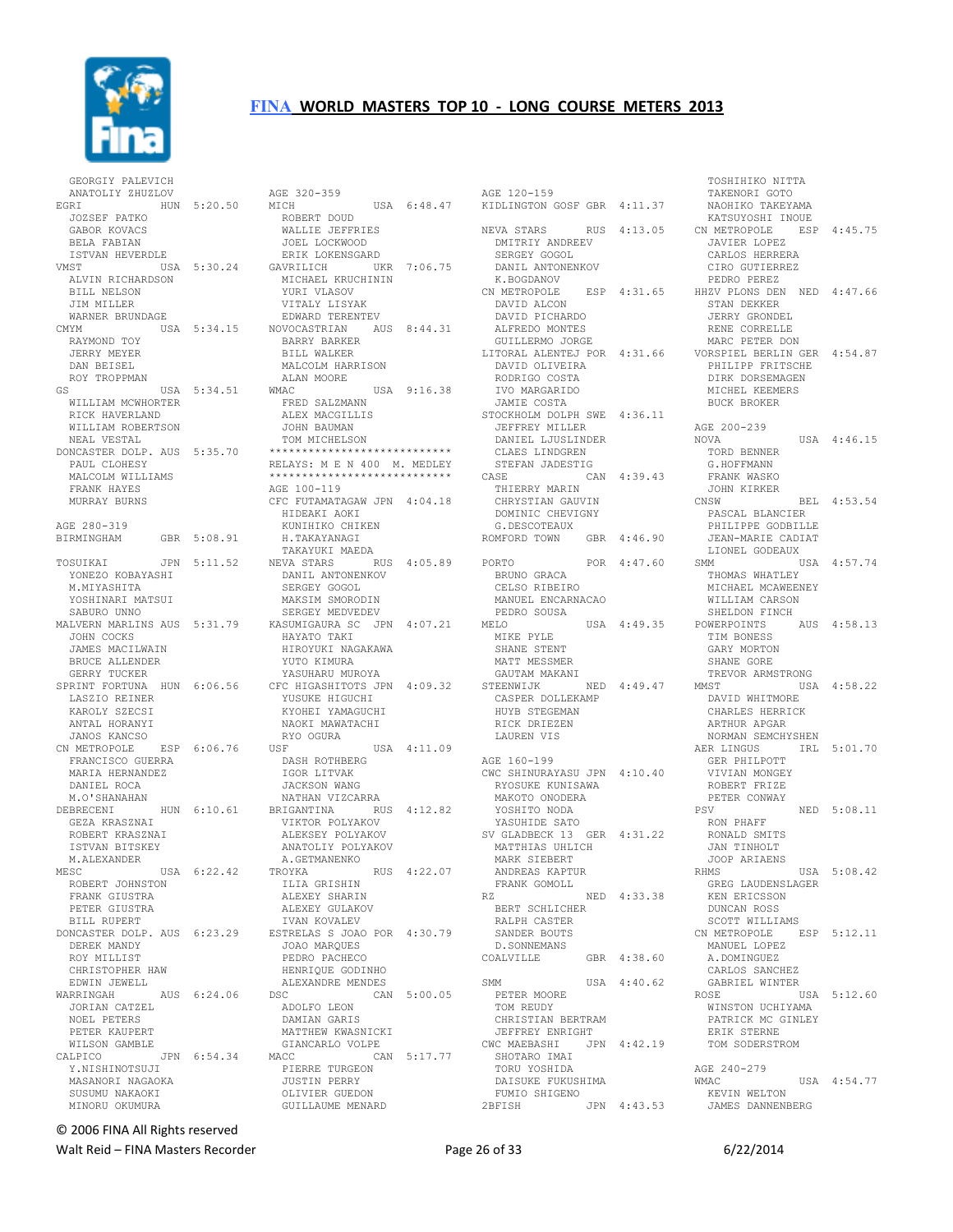

 GEORGIY PALEVICH ANATOLIY ZHUZLOV EGRI HUN 5:20.50 JOZSEF PATKO GABOR KOVACS BELA FABIAN ISTVAN HEVERDLE VMST USA 5:30.24 ALVIN RICHARDSON BILL NELSON JIM MILLER WARNER BRUNDAGE CMYM USA 5:34.15 RAYMOND TOY JERRY MEYER DAN BEISEL ROY TROPPMAN GS USA 5:34.51 WILLIAM MCWHORTER RICK HAVERLAND WILLIAM ROBERTSON NEAL VESTAL DONCASTER DOLP. AUS 5:35.70 PAUL CLOHESY MALCOLM WILLIAMS FRANK HAYES MURRAY BURNS AGE 280-319 BIRMINGHAM GBR 5:08.91 YONEZO KOBAYASHI M.MIYASHITA YOSHINARI MATSUI SABURO UNNO MALVERN MARLINS AUS 5:31.79 JOHN COCKS JAMES MACILWAIN BRUCE ALLENDER GERRY TUCKER SPRINT FORTUNA HUN 6:06.56 LASZIO REINER KAROLY SZECSI ANTAL HORANYI JANOS KANCSO<br>CN METROPOLE ESP 6:06.76 FRANCISCO GUERRA MARIA HERNANDEZ DANIEL ROCA M.O'SHANAHAN DEBRECENI HUN 6:10.61 GEZA KRASZNAI ROBERT KRASZNAI ISTVAN BITSKEY M.ALEXANDER<br>MESC USA 6:22.42 ROBERT JOHNSTON FRANK GIUSTRA PETER GIUSTRA BILL RUPERT DONCASTER DOLP. AUS 6:23.29 DEREK MANDY ROY MILLIST CHRISTOPHER HAW EDWIN JEWELL WARRINGAH AUS 6:24.06 JORIAN CATZEL NOEL PETERS PETER KAUPERT WILSON GAMBLE Y.NISHINOTSUJI MASANORI NAGAOKA SUSUMU NAKAOKI MINORU OKUMURA

TOSUIKAI JPN 5:11.52 NEVA STARS RUS 4:05.89 CALPICO JPN 6:54.34 GIANCARLO VOLPE MACC CAN 5:17.77 PIERRE TURGEON AGE 320-359 MICH USA 6:48.47 ROBERT DOUD WALLIE JEFFRIES JOEL LOCKWOOD ERIK LOKENSGARD GAVRILICH UKR 7:06.75 MICHAEL KRUCHININ YURI VLASOV VITALY LISYAK EDWARD TERENTEV NOVOCASTRIAN AUS 8:44.31 BARRY BARKER BILL WALKER MALCOLM HARRISON .<br>ALAN MOORE<br>WMAC USA 9:16.38 FRED SALZMANN ALEX MACGILLIS JOHN BAUMAN TOM MICHELSON \*\*\*\*\*\*\*\*\*\*\*\*\*\*\*\*\*\*\*\*\*\*\*\*\*\*\*\* RELAYS: M E N 400 M. MEDLEY \*\*\*\*\*\*\*\*\*\*\*\*\*\*\*\*\*\*\*\*\*\*\*\*\*\*\*\* AGE 100-119 CFC FUTAMATAGAW JPN 4:04.18 HIDEAKI AOKI KUNIHIKO CHIKEN H.TAKAYANAGI TAKAYUKI MAEDA DANIL ANTONENKOV SERGEY GOGOL MAKSIM SMORODIN SERGEY MEDVEDEV KASUMIGAURA SC JPN 4:07.21 HAYATO TAKI HIROYUKI NAGAKAWA YUTO KIMURA YASUHARU MUROYA CFC HIGASHITOTS JPN 4:09.32 YUSUKE HIGUCHI KYOHEI YAMAGUCHI NAOKI MAWATACHI RYO OGURA USF USA 4:11.09 DASH ROTHBERG IGOR LITVAK JACKSON WANG NATHAN VIZCARRA BRIGANTINA RUS 4:12.82 VIKTOR POLYAKOV ALEKSEY POLYAKOV ANATOLIY POLYAKOV A.GETMANENKO RUS 4:22.07 ILIA GRISHIN ALEXEY SHARIN ALEXEY GULAKOV IVAN KOVALEV ESTRELAS S JOAO POR 4:30.79 JOAO MARQUES PEDRO PACHECO HENRIQUE GODINHO ALEXANDRE MENDES  $CAN 5:00.05$  ADOLFO LEON DAMIAN GARIS DAMIAN GARIS<br>MATTHEW KWASNICKI JUSTIN PERRY OLIVIER GUEDON GUILLAUME MENARD

AGE 120-159 KIDLINGTON GOSF GBR 4:11.37 NEVA STARS RUS 4:13.05 DMITRIY ANDREEV SERGEY GOGOL DANIL ANTONENKOV<br>DANIL ANTONENKOV K.BOGDANOV CN METROPOLE ESP 4:31.65 HHZV PLONS DEN NED 4:47.66 DAVID ALCON DAVID PICHARDO ALFREDO MONTES GUILLERMO JORGE LITORAL ALENTEJ POR 4:31.66 DAVID OLIVEIRA RODRIGO COSTA IVO MARGARIDO JAMIE COSTA STOCKHOLM DOLPH SWE 4:36.11<br>JEFFREY MILLER JEFFREY MILLER DANIEL LJUSLINDER CLAES LINDGREN SHILL JILLET<br>STEFAN JADESTIG<br>CASE CAN CAN 4:39.43 THIERRY MARIN CHRYSTIAN GAUVIN DOMINIC CHEVIGNY G.DESCOTEAUX ROMFORD TOWN GBR 4:46.90 PORTO POR 4:47.60 BRUNO GRACA CELSO RIBEIRO MANUEL ENCARNACAO PEDRO SOUSA<br>MELO USA 4:49.35 MIKE PYLE SHANE STENT MATT MESSMER GAUTAM MAKANI NED 4:49.47 CASPER DOLLEKAMP HUYB STEGEMAN RICK DRIEZEN LAUREN VIS AGE 160-199 CWC SHINURAYASU JPN 4:10.40 RYOSUKE KUNISAWA MAKOTO ONODERA YOSHITO NODA YASUHIDE SATO SV GLADBECK 13 GER 4:31.22 MATTHIAS UHLICH MARK SIEBERT ANDREAS KAPTUR FRANK GOMOLL RZ NED 4:33.38 BERT SCHLICHER RALPH CASTER SANDER BOUTS D.SONNEMANS COALVILLE GBR 4:38.60 SMM USA 4:40.62 PETER MOORE TOM REUDY CHRISTIAN BERTRAM<br>JEFFREY ENRIGHT JEFFREY ENRIGHT<br>CWC MAEBASHI JPN 4:42.19<br>SHOTARO IMAI<br>TORU YOSHIDA DAISUKE FUKUSHIMA FUMIO SHIGENO<br>2BFISH 2BFISH JPN 4:43.53

 TOSHIHIKO NITTA TAKENORI GOTO NAOHIKO TAKEYAMA KATSUYOSHI INOUE CN METROPOLE ESP 4:45.75 JAVIER LOPEZ CARLOS HERRERA CIRO GUTIERREZ PEDRO PEREZ STAN DEKKER JERRY GRONDEL RENE CORRELLE MARC PETER DON VORSPIEL BERLIN GER 4:54.87 PHILIPP FRITSCHE DIRK DORSEMAGEN MICHEL KEEMERS BUCK BROKER AGE 200-239 NOVA USA 4:46.15 TORD BENNER G.HOFFMANN FRANK WASKO JOHN KIRKER CNSW BEL 4:53.54 PASCAL BLANCIER PHILIPPE GODBILLE JEAN-MARIE CADIAT LIONEL GODEAUX<br>SMM USA 4:57.74 THOMAS WHATLEY MICHAEL MCAWEENEY WILLIAM CARSON ...<br>SHELDON FINCH<br>POWERPOINTS POWERPOINTS AUS 4:58.13 TIM BONESS GARY MORTON SHANE GORE TREVOR ARMSTRONG<br>MMST USA USA 4:58.22 DAVID WHITMORE CHARLES HERRICK ARTHUR APGAR NORMAN SEMCHYSHEN<br>AER LINGUS IRL  $IRL 5:01.70$  GER PHILPOTT VIVIAN MONGEY ROBERT FRIZE PETER CONWAY PSV NED 5:08.11 RON PHAFF RONALD SMITS JAN TINHOLT JOOP ARIAENS USA 5:08.42 GREG LAUDENSLAGER KEN ERICSSON DUNCAN ROSS SCOTT WILLIAMS CN METROPOLE ESP 5:12.11 MANUEL LOPEZ A.DOMINGUEZ CARLOS SANCHEZ GABRIEL WINTER USA 5:12.60 WINSTON UCHIYAMA PATRICK MC GINLEY ERIK STERNE TOM SODERSTROM AGE 240-279 WMAC USA 4:54.77 KEVIN WELTON JAMES DANNENBERG

© 2006 FINA All Rights reserved

Walt Reid – FINA Masters Recorder and Equation of Page 26 of 33 6/22/2014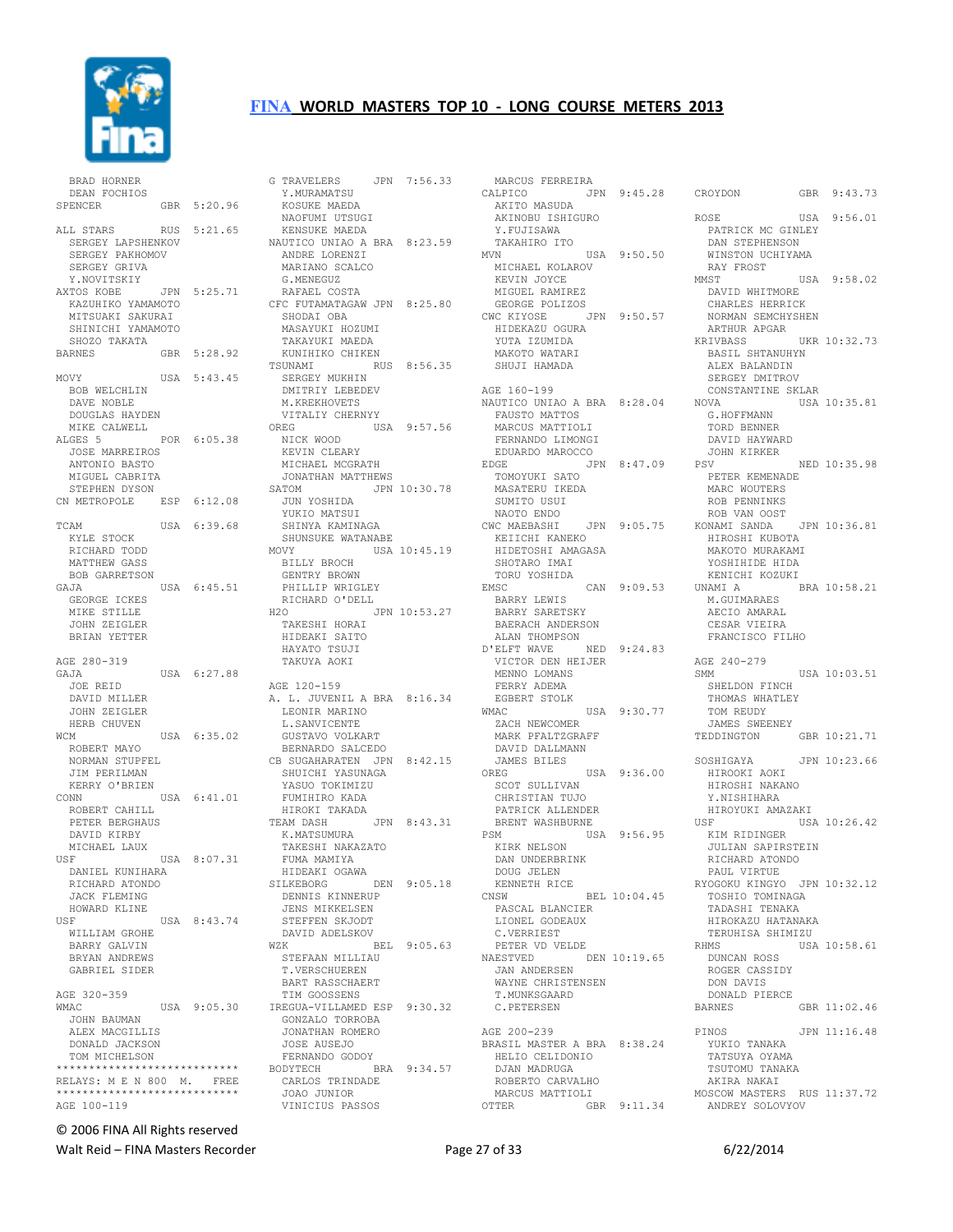

 BRAD HORNER DEAN FOCHIOS SPENCER GBR 5:20.96 ALL STARS RUS 5:21.65 SERGEY LAPSHENKOV SERGEY PAKHOMOV<br>SERGEY GRIVA SERGEY GRIVA<br>Y.NOVITSKIY<br>AXTOS KOBE<br>KAZUHIKO YAMAMOTO MITSUAKI SAKURAI SHINICHI YAMAMOTO SHOZO TAKATA BARNES GBR 5:28.92 MOVY USA 5:43.45 BOB WELCHLIN DAVE NOBLE DOUGLAS HAYDEN MIKE CALWELL<br>ALGES 5 POR 6:05.38 JOSE MARREIROS ANTONIO BASTO MIGUEL CABRITA STEPHEN DYSON CN METROPOLE ESP 6:12.08 TCAM USA 6:39.68 KYLE STOCK RICHARD TODD MATTHEW GASS BOB GARRETSON GAJA USA 6:45.51 GEORGE ICKES MIKE STILLE JOHN ZEIGLER BRIAN YETTER AGE 280-319 USA 6:27.88 JOE REID DAVID MILLER JOHN ZEIGLER HERB CHUVEN WCM USA 6:35.02 ROBERT MAYO NORMAN STUPFEL JIM PERILMAN KERRY O'BRIEN<br>CONN USA 6:41.01 ROBERT CAHILL PETER BERGHAUS DAVID KIRBY MICHAEL LAUX<br>USF USF USA 8:07.31 FUMA MAMIYA DANIEL KUNIHARA RICHARD ATONDO JACK FLEMING HOWARD KLINE<br>USF USA 8:43.74 WILLIAM GROHE BARRY GALVIN BRYAN ANDREWS GABRIEL SIDER AGE 320-359 WMAC USA 9:05.30 JOHN BAUMAN ALEX MACGILLIS DONALD JACKSON TOM MICHELSON \*\*\*\*\*\*\*\*\*\*\*\*\*\*\*\*\*\*\*\*\*\*\*\*\*\*\*\* RELAYS: M E N 800 M. FREE \*\*\*\*\*\*\*\*\*\*\*\*\*\*\*\*\*\*\*\*\*\*\*\*\*\*\*\* AGE 100-119

G TRAVELERS JPN 7:56.33 Y.MURAMATSU KOSUKE MAEDA NAOFUMI UTSUGI KENSUKE MAEDA NAUTICO UNIAO A BRA 8:23.59 ANDRE LORENZI MARIANO SCALCO G.MENEGUZ RAFAEL COSTA CFC FUTAMATAGAW JPN 8:25.80 SHODAI OBA MASAYUKI HOZUMI TAKAYUKI MAEDA KUNIHIKO CHIKEN TSUNAMI RUS 8:56.35 SERGEY MUKHIN DMITRIY LEBEDEV M.KREKHOVETS<br>VITALIY CHERNYY VITALIY CHERNYY OREG USA 9:57.56 NICK WOOD ...... wood<br>KEVIN CLEARY<br>MICHAEL MICHAEL MCGRATH JONATHAN MATTHEWS SATOM JPN 10:30.78 JUN YOSHIDA YUKIO MATSUI SHINYA KAMINAGA SHUNSUKE WATANABE MOVY USA 10:45.19 BILLY BROCH GENTRY BROWN PHILLIP WRIGLEY RICHARD O'DELL H2O JPN 10:53.27 TAKESHI HORAI HIDEAKI SAITO HAYATO TSUJI TAKUYA AOKI AGE 120-159 A. L. JUVENIL A BRA 8:16.34 LEONIR MARINO L.SANVICENTE GUSTAVO VOLKART BERNARDO SALCEDO CB SUGAHARATEN JPN 8:42.15 SHUICHI YASUNAGA YASUO TOKIMIZU FUMIHIRO KADA HIROKI TAKADA TEAM DASH JPN 8:43.31 K.MATSUMURA TAKESHI NAKAZATO HIDEAKI OGAWA<br>SILKEBORG DEN 9:05.18 DENNIS KINNERUP JENS MIKKELSEN SHAS HIRRIBBER<br>STEFFEN SKJODT DAVID ADELSKOV<br>WZK BEL 9:05.63 STEFAAN MILLIAU T.VERSCHUEREN BART RASSCHAERT TIM GOOSSENS IREGUA-VILLAMED ESP 9:30.32 GONZALO TORROBA JONATHAN ROMERO JOSE AUSEJO FERNANDO GODOY BODYTECH BRA 9:34.57 CARLOS TRINDADE JOAO JUNIOR VINICIUS PASSOS

 MARCUS FERREIRA CALPICO JPN 9:45.28 AKITO MASUDA X FRIEST ISHIGURO V FRIEST Y.FUJISAWA TAKAHIRO ITO USA 9:50.50 MICHAEL KOLAROV KEVIN JOYCE MIGUEL RAMIREZ GEORGE POLIZOS CWC KIYOSE JPN 9:50.57 HIDEKAZU OGURA YUTA IZUMIDA MAKOTO WATARI SHUJI HAMADA AGE 160-199 NAUTICO UNIAO A BRA 8:28.04 LLILL UNIAO A 1<br>FAUSTO MATTOS<br>MAROLLE MARCUS MATTIOLI FERNANDO LIMONGI EDUARDO MAROCCO TOMOYUKI SATO MASATERU IKEDA SUMITO USUI NAOTO ENDO CWC MAEBASHI JPN 9:05.75 KEIICHI KANEKO HIDETOSHI AMAGASA SHOTARO IMAI TORU YOSHIDA EMSC CAN 9:09.53 BARRY LEWIS BARRY LEWIS<br>BARRY SARETSKY BAERACH ANDERSON ALAN THOMPSON D'ELFT WAVE NED 9:24.83 VICTOR DEN HEIJER MENNO LOMANS FERRY ADEMA EGBERT STOLK<br>WMAC USA 9:30.77 ZACH NEWCOMER MARK PFALTZGRAFF DAVID DALLMANN JAMES BILES  $USA = 9:36.00$ SCOT SULLIVAN CHRISTIAN TUJO PATRICK ALLENDER BRENT WASHBURNE PSM USA 9:56.95 KIRK NELSON DAN UNDERBRINK DOUG JELEN KENNETH RICE CNSW BEL 10:04.45 PASCAL BLANCIER LIONEL GODEAUX C.VERRIEST PETER VD VELDE NAESTVED DEN 10:19.65 JAN ANDERSEN WAYNE CHRISTENSEN T.MUNKSGAARD C.PETERSEN AGE 200-239 BRASIL MASTER A BRA 8:38.24 HELIO CELIDONIO DJAN MADRUGA ROBERTO CARVALHO MARCUS MATTIOLI OTTER GBR 9:11.34

EDGE JPN 8:47.09 PSV NED 10:35.98 GBR 9:43.73 ROSE USA 9:56.01 PATRICK MC GINLEY DAN STEPHENSON WINSTON UCHIYAMA RAY FROST<br>MMST USA 9:58.02 DAVID WHITMORE CHARLES HERRICK NORMAN SEMCHYSHEN ARTHUR APGAR<br>KRIVBASS UKR 10:32.73 BASIL SHTANUHYN ALEX BALANDIN SERGEY DMITROV CONSTANTINE SKLAR<br>NOVA USA USA 10:35.81 G.HOFFMANN TORD BENNER DAVID HAYWARD JOHN KIRKER PETER KEMENADE MARC WOUTERS ROB PENNINKS ROB VAN OOST KONAMI SANDA JPN 10:36.81 ال المسموعي بين<br>HIROSHI KUBOTA<br>معدود المسموعين MAKOTO MURAKAMI YOSHIHIDE HIDA<br>KENICHI KOZUKI KENICHI KOZUKI UNAMI A BRA 10:58.21 M.GUIMARAES AECIO AMARAL CESAR VIEIRA FRANCISCO FILHO AGE 240-279 USA 10:03.51 SHELDON FINCH THOMAS WHATLEY TOM REUDY JAMES SWEENEY TEDDINGTON GBR 10:21.71 SOSHIGAYA JPN 10:23.66 HIROOKI AOKI HIROSHI NAKANO Y.NISHIHARA HIROYUKI AMAZAKI USF USA 10:26.42 KIM RIDINGER JULIAN SAPIRSTEIN RICHARD ATONDO PAUL VIRTUE RYOGOKU KINGYO JPN 10:32.12 TOSHIO TOMINAGA TADASHI TENAKA HIROKAZU HATANAKA TERUHISA SHIMIZU<br>RHMS USA  $USA 10:58.61$  DUNCAN ROSS ROGER CASSIDY DON DAVIS DONALD PIERCE<br>BARNES  $GBR$  11:02.46 PINOS JPN 11:16.48 YUKIO TANAKA TATSUYA OYAMA TSUTOMU TANAKA AKIRA NAKAI MOSCOW MASTERS RUS 11:37.72 ANDREY SOLOVYOV

© 2006 FINA All Rights reserved

Walt Reid – FINA Masters Recorder The Contract Contract Page 27 of 33 6/22/2014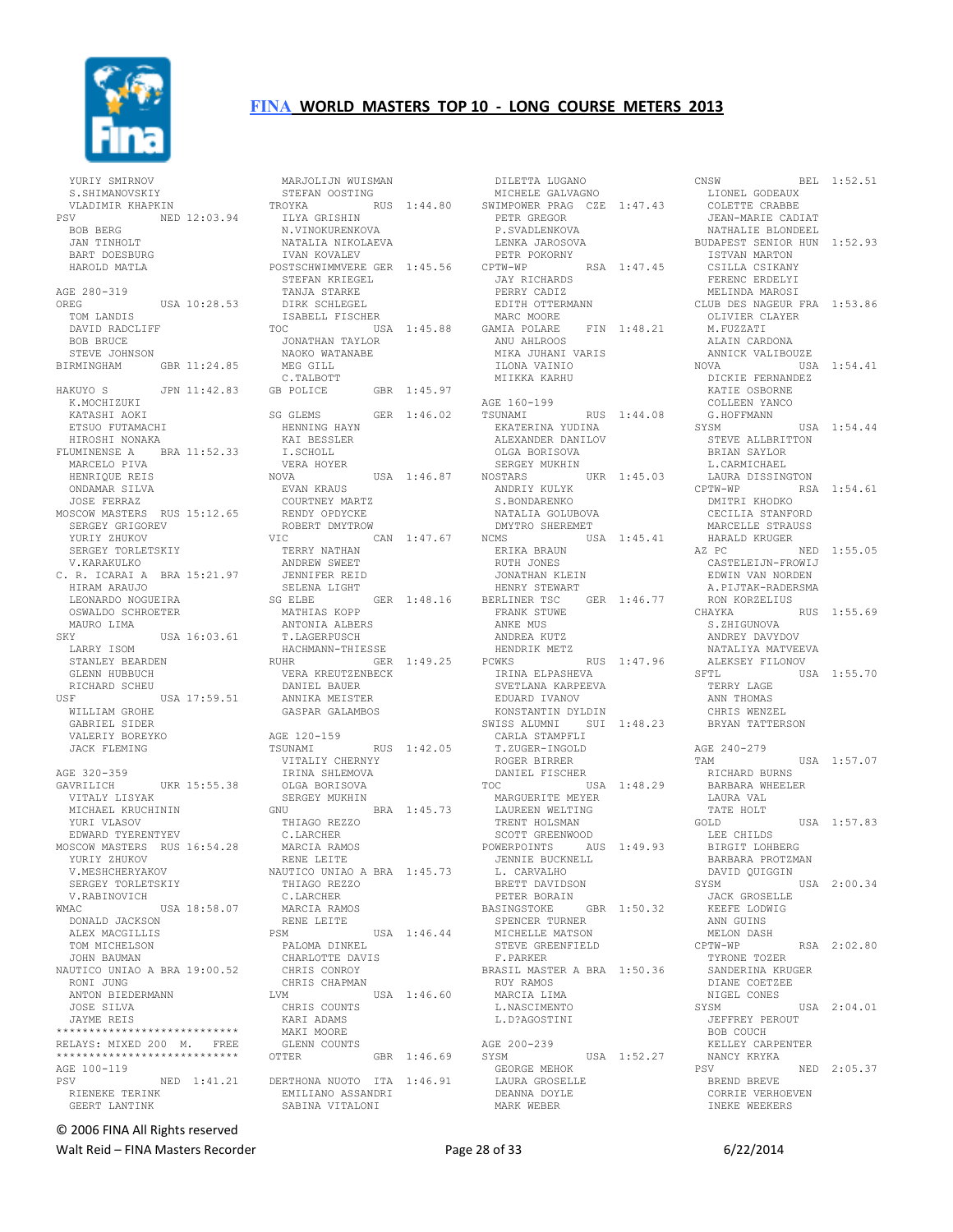

 YURIY SMIRNOV S.SHIMANOVSKIY VLADIMIR KHAPKIN<br>PSV NED 1 NED 12:03.94 BOB BERG JAN TINHOLT BART DOESBURG HAROLD MATLA AGE 280-319 OREG USA 10:28.53 TOM LANDIS DAVID RADCLIFF BOB BRUCE STEVE JOHNSON BIRMINGHAM GBR 11:24.85 HAKUYO S JPN 11:42.83 GB POLICE K.MOCHIZUKI KATASHI AOKI ETSUO FUTAMACHI HIROSHI NONAKA FLUMINENSE A BRA 11:52.33 MARCELO PIVA HENRIQUE REIS ONDAMAR SILVA JOSE FERRAZ MOSCOW MASTERS RUS 15:12.65 SERGEY GRIGOREV YURIY ZHUKOV SERGEY TORLETSKIY V.KARAKULKO C. R. ICARAI A BRA 15:21.97 HIRAM ARAUJO LEONARDO NOGUEIRA OSWALDO SCHROETER MAURO LIMA SKY USA 16:03.61<br>LARRY ISOM LARRY ISOM STANLEY BEARDEN GLENN HUBBUCH RICHARD SCHEU USF USA 17:59.51 WILLIAM GROHE GABRIEL SIDER VALERIY BOREYKO JACK FLEMING AGE 320-359<br>GAVRILICH UKR 15:55.38 OLG<br>
YAK SER<br>
UCHININ GNU VITALY LISYAK MICHAEL KRUCHININ YURI VLASOV EDWARD TYERENTYEV MOSCOW MASTERS RUS 16:54.28 YURIY ZHUKOV V.MESHCHERYAKOV SERGEY TORLETSKIY V.RABINOVICH WMAC USA 18:58.07 DONALD JACKSON ALEX MACGILLIS TOM MICHELSON JOHN BAUMAN NAUTICO UNIAO A BRA 19:00.52 RONI JUNG KUNI JUNG<br>ANTON BIEDERMANN<br>TOST I JOSE SILVA JAYME REIS \*\*\*\*\*\*\*\*\*\*\*\*\*\*\*\*\*\*\*\*\*\*\*\*\*\*\*\* RELAYS: MIXED 200 M. \*\*\*\*\*\*\*\*\*\*\*\*\*\*\*\*\*\*\*\*\*\*\*\*\*\*\*\* AGE 100-119 PSV NED 1:41.21 RIENEKE TERINK GEERT LANTINK

 MARJOLIJN WUISMAN STEFAN OOSTING TROYKA RUS 1:44.80 ILYA GRISHIN ILYA GRISHIN<br>N.VINOKURENKOVA NATALIA NIKOLAEVA IVAN KOVALEV POSTSCHWIMMVERE GER 1:45.56 STEFAN KRIEGEL TANJA STARKE DIRK SCHLEGEL ISABELL FISCHER<br>TOC USI USA 1:45.88 JONATHAN TAYLOR NAOKO WATANABE MEG GILL C.TALBOTT GBR 1:45.97 SG GLEMS GER 1:46.02 HENNING HAYN KAI BESSLER<br>KAI BESSLER I.SCHOLL VERA HOYER USA 1:46.87 EVAN KRAUS COURTNEY MARTZ RENDY OPDYCKE ROBERT DMYTROW VIC CAN 1:47.67 TERRY NATHAN ANDREW SWEET<br>
JENNIFER REID<br>
SG ELBE<br>
SG ELBE<br>
MATHIAS KOPP<br>
MITONIA ALBERS T.LAGERPUSCH HACHMANN-THIESSE RUHR GER 1:49.25 PCWKS VERA KREUTZENBECK DANIEL BAUER ANNIKA MEISTER GASPAR GALAMBOS AGE 120-159<br>TSUNAMI RUS 1:42.05 VITALIY CHERNYY IRINA SHLEMOVA OLGA BORISOVA SERGEY MUKHIN BRA 1:45.73 THIAGO REZZO C.LARCHER MARCIA RAMOS RENE LEITE NAUTICO UNIAO A BRA 1:45.73 THIAGO REZZO C.LARCHER MARCIA RAMOS RENE LEITE<br>
PSM USA 1:46.44 PALOMA DINKEL CHARLOTTE DAVIS CHRIS CONROY CHRIS CHAPMAN<br>LVM  $USA 1:46.60$  CHRIS COUNTS KARI ADAMS MAKI MOORE GLENN COUNTS<br>OTTER GBR 1:46.69 SYSM DERTHONA NUOTO ITA 1:46.91 EMILIANO ASSANDRI SABINA VITALONI

 DILETTA LUGANO MICHELE GALVAGNO SWIMPOWER PRAG CZE 1:47.43 PETR GREGOR المستحد PETR GREGOR<br>P.SVADLENKOVA LENKA JAROSOVA PETR POKORNY RSA 1:47.45 JAY RICHARDS PERRY CADIZ EDITH OTTERMANN<br>MARC MOORE MARC MOORE GAMIA POLARE FIN 1:48.21 ANU AHLROOS MIKA JUHANI VARIS ILONA VAINIO MIIKKA KARHU AGE 160-199 TSUNAMI RUS 1:44.08 EKATERINA YUDINA ALEXANDER DANILOV OLGA BORISOVA SERGEY MUKHIN<br>NOSTARS UKR 1:45.03 ANDRIY KULYK S.BONDARENKO NATALIA GOLUBOVA DMYTRO SHEREMET USA 1:45.41 ERIKA BRAUN RUTH JONES JONATHAN KLEIN HENRY STEWART BERLINER TSC GER 1:46.77 FRANK STUWE ANKE MUS ANDREA KUTZ HENDRIK METZ PCWKS RUS 1:47.96 IRINA ELPASHEVA SVETLANA KARPEEVA EDUARD IVANOV KONSTANTIN DYLDIN SWISS ALUMNI SUI 1:48.23 CARLA STAMPFLI T.ZUGER-INGOLD ROGER BIRRER DANIEL FISCHER TOC USA 1:48.29 MARGUERITE MEYER LAUREEN WELTING TRENT HOLSMAN SCOTT GREENWOOD POWERPOINTS AUS 1:49.93 JENNIE BUCKNELL L. CARVALHO BRETT DAVIDSON PETER BORAIN BASINGSTOKE GBR 1:50.32 SPENCER TURNER SIENCER IORNER STEVE GREENFIELD F.PARKER BRASIL MASTER A BRA 1:50.36 RUY RAMOS MARCIA LIMA L.NASCIMENTO L.D?AGOSTINI AGE 200-239 USA 1:52.27 GEORGE MEHOK LAURA GROSELLE DEANNA DOYLE MARK WEBER

CNSW BEL 1:52.51 LIONEL GODEAUX COLETTE CRABBE JEAN-MARIE CADIAT NATHALIE BLONDEEL BUDAPEST SENIOR HUN 1:52.93 ISTVAN MARTON CSILLA CSIKANY FERENC ERDELYI MELINDA MAROSI CLUB DES NAGEUR FRA 1:53.86 OLIVIER CLAYER M.FUZZATI ALAIN CARDONA ANNICK VALIBOUZE USA 1:54.41 DICKIE FERNANDEZ KATIE OSBORNE COLLEEN YANCO G.HOFFMANN  $USA = 1:54.44$  STEVE ALLBRITTON BRIAN SAYLOR L.CARMICHAEL LAURA DISSINGTON RSA 1:54.61 DMITRI KHODKO CECILIA STANFORD MARCELLE STRAUSS HARALD KRUGER AZ PC NED 1:55.05 CASTELEIJN-FROWIJ EDWIN VAN NORDEN A.PIJTAK-RADERSMA RON KORZELIUS CHAYKA RUS 1:55.69 S.ZHIGUNOVA ANDREY DAVYDOV NATALIYA MATVEEVA ALEKSEY FILONOV  $USA = 1:55.70$  TERRY LAGE ANN THOMAS CHRIS WENZEL BRYAN TATTERSON AGE 240-279 USA 1:57.07 RICHARD BURNS BARBARA WHEELER LAURA VAL TATE HOLT GOLD USA 1:57.83 LEE CHILDS BIRGIT LOHBERG BARBARA PROTZMAN DAVID QUIGGIN<br>SYSM  $USA 2:00.34$  JACK GROSELLE KEEFE LODWIG ANN GUINS MELON DASH<br>CPTW-WP RSA 2:02.80 TYRONE TOZER SANDERINA KRUGER DIANE COETZEE NIGEL CONES  $SYSM$   $IISA$   $2 \cdot 04$  01 JEFFREY PEROUT BOB COUCH KELLEY CARPENTER NANCY KRYKA<br>PSV NED 2:05.37 BREND BREVE CORRIE VERHOEVEN INEKE WEEKERS

© 2006 FINA All Rights reserved

Walt Reid – FINA Masters Recorder The Contract Contract Page 28 of 33 6/22/2014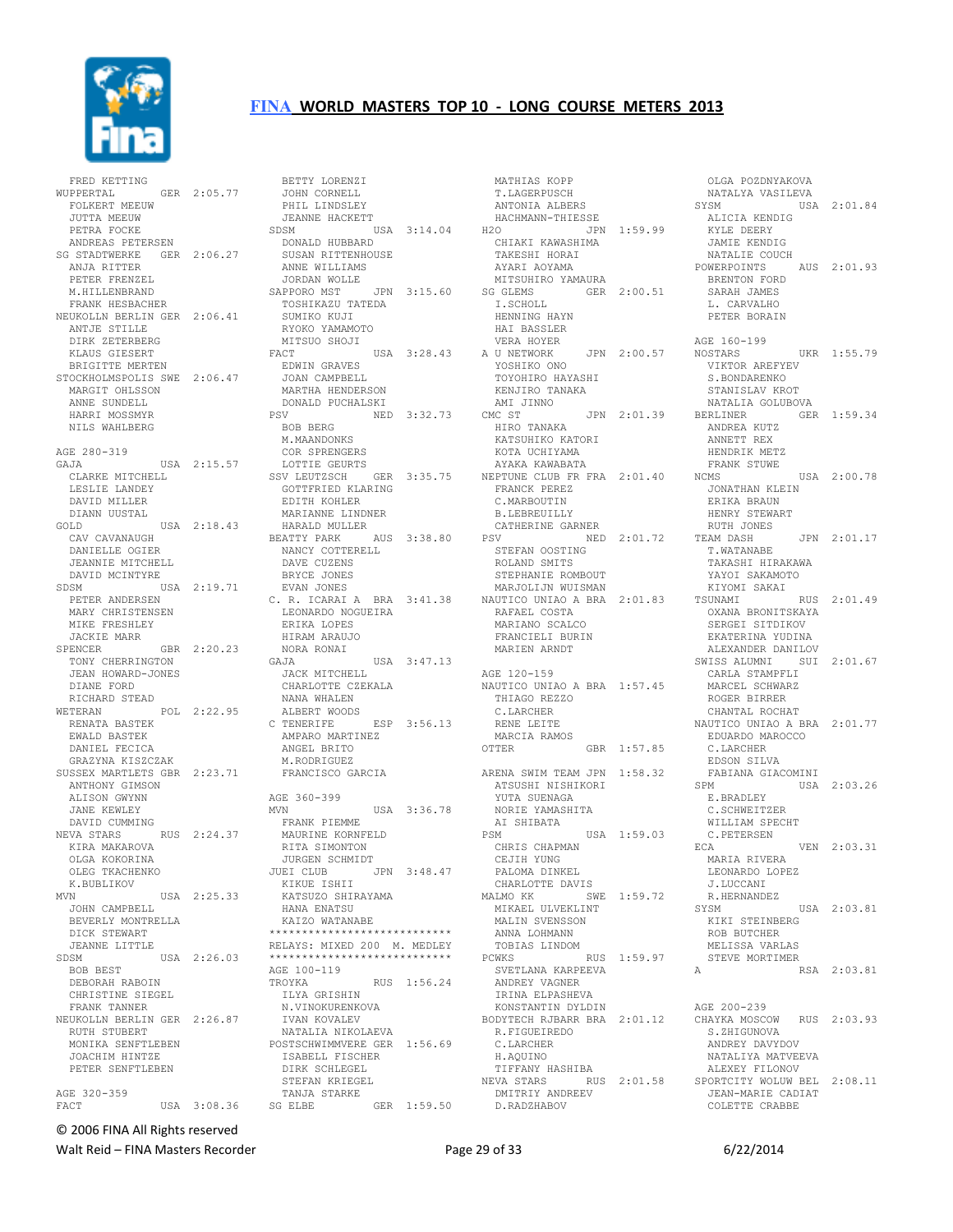

FRED KETTING<br>WUPPERTAL GER 2:05.77 WUPPERTAL GER 2:05.77 FOLKERT MEEUW JUTTA MEEUW PETRA FOCKE ANDREAS PETERSEN SG STADTWERKE GER 2:06.27 ANJA RITTER LEVA KITTER<br>PETER FRENZEL<br>MUITTER M.HILLENBRAND FRANK HESBACHER NEUKOLLN BERLIN GER 2:06.41 TOSHIKAZU TATEDA SUMIKO KUJI ANTJE STILLE DIRK ZETERBERG KLAUS GIESERT BRIGITTE MERTEN STOCKHOLMSPOLIS SWE 2:06.47 MARGIT OHLSSON ANNE SUNDELL HARRI MOSSMYR NILS WAHLBERG AGE 280-319 GAJA USA 2:15.57 CLARKE MITCHELL LESLIE LANDEY DAVID MILLER DIANN UUSTAL GOLD USA 2:18.43 CAV CAVANAUGH DANIELLE OGIER JEANNIE MITCHELL DAVID MCINTYRE PETER ANDERSEN MARY CHRISTENSEN<br>MIKE FRESHLEY MIKE FRESHLEY JACKIE MARR SPENCER GBR 2:20.23 TONY CHERRINGTON JEAN HOWARD-JONES DIANE FORD RICHARD STEAD<br>WETERAN POL 2:22.95 RENATA BASTEK EWALD BASTEK DANIEL FECICA GRAZYNA KISZCZAK SUSSEX MARTLETS GBR 2:23.71 ANTHONY GIMSON ALISON GWYNN JANE KEWLEY DAVID CUMMING NEVA STARS RUS 2:24.37 KIRA MAKAROVA OLGA KOKORINA OLEG TKACHENKO K.BUBLIKOV<br>MVN USA 2:25.33 JOHN CAMPBELL BEVERLY MONTRELLA DICK STEWART JEANNE LITTLE SDSM USA 2:26.03 BOB BEST DEBORAH RABOIN CHRISTINE SIEGEL FRANK TANNER NEUKOLLN BERLIN GER 2:26.87 RUTH STUBERT IVAN KOVALEV NATALIA NIKOLAEVA MONIKA SENFTLEBEN JOACHIM HINTZE PETER SENFTLEBEN AGE 320-359 FACT USA 3:08.36

SDSM USA 2:19.71 EVAN JONES C. R. ICARAI A BRA 3:41.38 LEONARDO NOGUEIRA BETTY LORENZI JOHN CORNELL PHIL LINDSLEY JEANNE HACKETT<br>SDSM US USA 3:14.04 DONALD HUBBARD SUSAN RITTENHOUSE ANNE WILLIAMS JORDAN WOLLE SAPPORO MST JPN 3:15.60 RYOKO YAMAMOTO MITSUO SHOJI<br>FACT USA 3:28.43 FACT USA 3:28.43 EDWIN GRAVES JOAN CAMPBELL MARTHA HENDERSON DONALD PUCHALSKI PSV NED 3:32.73 CMC ST BOB BERG M.MAANDONKS COR SPRENGERS LOTTIE GEURTS SSV LEUTZSCH GER 3:35.75 GOTTFRIED KLARING EDITH KOHLER MARIANNE LINDNER HARALD MULLER BEATTY PARK AUS 3:38.80 CATHERINE GARNER PSV NED 2:01.72 RUTH JONES NANCY COTTERELL DAVE CUZENS BRYCE JONES ERIKA LOPES HIRAM ARAUJO NORA RONAI GAJA USA 3:47.13 JACK MITCHELL CHARLOTTE CZEKALA NANA WHALEN<br>ALBERT WOODS ALBERT WOODS<br>C TENERIFE ESP 3:56.13 AMPARO MARTINEZ ANGEL BRITO M.RODRIGUEZ FRANCISCO GARCIA AGE 360-399 MVN USA 3:36.78 NORIE YAMASHITA FRANK PIEMME MAURINE KORNFELD RITA SIMONTON JURGEN SCHMIDT JUEI CLUB JPN 3:48.47 PALOMA DINKEL CHARLOTTE DAVIS KIKUE ISHII KATSUZO SHIRAYAMA HANA ENATSU MALMO KK SWE 1:59.72 MIKAEL ULVEKLINT KAIZO WATANABE \*\*\*\*\*\*\*\*\*\*\*\*\*\*\*\*\*\*\*\*\*\*\*\*\*\*\*\*\*\*\*<br>RELAYS: MIXED 200 M. MEDLEY RELAYS: MIXED 200 M. MEDLEY<br>\*\*\*\*\*\*\*\*\*\*\*\*\*\*\*\*\*\*\*\*\*\*\*\*\*\*\*\*\*<br>AGE 100-119 AGE 100-119<br>TROYKA RUS 1:56.24 ILYA GRISHIN N.VINOKURENKOVA NATALIA NIKOLALVA<br>POSTSCHWIMMVERE GER 1:56.69 **ISABELL FISCHER**<br>ISABELL FISCHER<br>PIPL ST DIRK SCHLEGEL STEFAN KRIEGEL TANJA STARKE SG ELBE GER 1:59.50 DMITRIY ANDREEV D.RADZHABOV

 MATHIAS KOPP T.LAGERPUSCH ANTONIA ALBERS HACHMANN-THIESSE T.LAGERPUSCH<br>ANTONIA ALBERS SYSM<br>HACHMANN-THIESSE ALICI<br>H2O JPN 1:59.99 KYLE CHIAKI KAWASHIMA TAKESHI HORAI<br>AYARI AOYAMA<br>MITSUHIRO YAMAURA<br>CITIMI AYARI AOYAMA MITSUHIRO YAMAURA SG GLEMS GER 2:00.51 I.SCHOLL HENNING HAYN HAI BASSLER<br>VERA HOYER VERA HOYER A U NETWORK JPN 2:00.57 YOSHIKO ONO TOYOHIRO UNU<br>TOYOHIRO HAYASHI<br>KENITIC L KENJIRO TANAKA<br>AMI JINNO AMI JINNO<br>CMC ST JPN 2:01.39<br>HIRO TANAKA KATSUHIKO KATORI KOTA UCHIYAMA AYAKA KAWABATA NEPTUNE CLUB FR FRA 2:01.40 FRANCK PEREZ C.MARBOUTIN B.LEBREUILLY STEFAN OOSTING ROLAND SMITS STEPHANIE ROMBOUT MARJOLIJN WUISMAN NAUTICO UNIAO A BRA 2:01.83 RAFAEL COSTA MARIANO SCALCO FRANCIELI BURIN MARIEN ARNDT AGE 120-159 NAUTICO UNIAO A BRA 1:57.45 THIAGO REZZO C.LARCHER RENE LEITE MARCIA RAMOS GBR 1:57.85 ARENA SWIM TEAM JPN 1:58.32 ATSUSHI NISHIKORI YUTA SUENAGA AI SHIBATA PSM USA 1:59.03 CHRIS CHAPMAN CEJIH YUNG MIKAEL ULVEKLINT<br>MALIN SVENSSON ANNA LOHMANN TOBIAS LINDOM PCWKS RUS 1:59.97 SVETLANA KARPEEVA ANDREY VAGNER IRINA ELPASHEVA KONSTANTIN DYLDIN BODYTECH RJBARR BRA 2:01.12 R.FIGUEIREDO C.LARCHER H.AQUINO TIFFANY HASHIBA

NEVA STARS RUS 2:01.58 SPORTCITY WOLUW BEL 2:08.11 OLGA POZDNYAKOVA NATALYA VASILEVA USA 2:01.84 ALICIA KENDIG KYLE DEERY JAMIE KENDIG NATALIE COUCH POWERPOINTS AUS 2:01.93 BRENTON FORD SARAH JAMES L. CARVALHO PETER BORAIN AGE 160-199<br>NOSTARS UKR 1:55.79 VIKTOR AREFYEV S.BONDARENKO STANISLAV KROT NATALIA GOLUBOVA GER 1:59.34 ANDREA KUTZ ANNETT REX HENDRIK METZ FRANK STUWE USA 2:00.78 JONATHAN KLEIN ERIKA BRAUN HENRY STEWART  $JPN$  2:01.17 T.WATANABE TAKASHI HIRAKAWA YAYOI SAKAMOTO KIYOMI SAKAI<br>TSUNAMI RUS 2:01.49 OXANA BRONITSKAYA SERGEI SITDIKOV EKATERINA YUDINA ALEXANDER DANILOV SWISS ALUMNI SUI 2:01.67 CARLA STAMPFLI MARCEL SCHWARZ ROGER BIRRER CHANTAL ROCHAT NAUTICO UNIAO A BRA 2:01.77 EDUARDO MAROCCO C.LARCHER EDSON SILVA FABIANA GIACOMINI<br>SPM USA USA 2:03.26 E.BRADLEY C.SCHWEITZER WILLIAM SPECHT C.PETERSEN<br>ECA VEN 2:03.31 MARIA RIVERA LEONARDO LOPEZ J.LUCCANI R.HERNANDEZ SYSM USA 2:03.81 KIKI STEINBERG ROB BUTCHER MELISSA VARLAS STEVE MORTIMER RSA 2:03.81 AGE 200-239 CHAYKA MOSCOW RUS 2:03.93 S.ZHIGUNOVA ANDREY DAVYDOV NATALIYA MATVEEVA ALEXEY FILONOV JEAN-MARIE CADIAT COLETTE CRABBE

© 2006 FINA All Rights reserved

Walt Reid – FINA Masters Recorder and the Case of 33 6/22/2014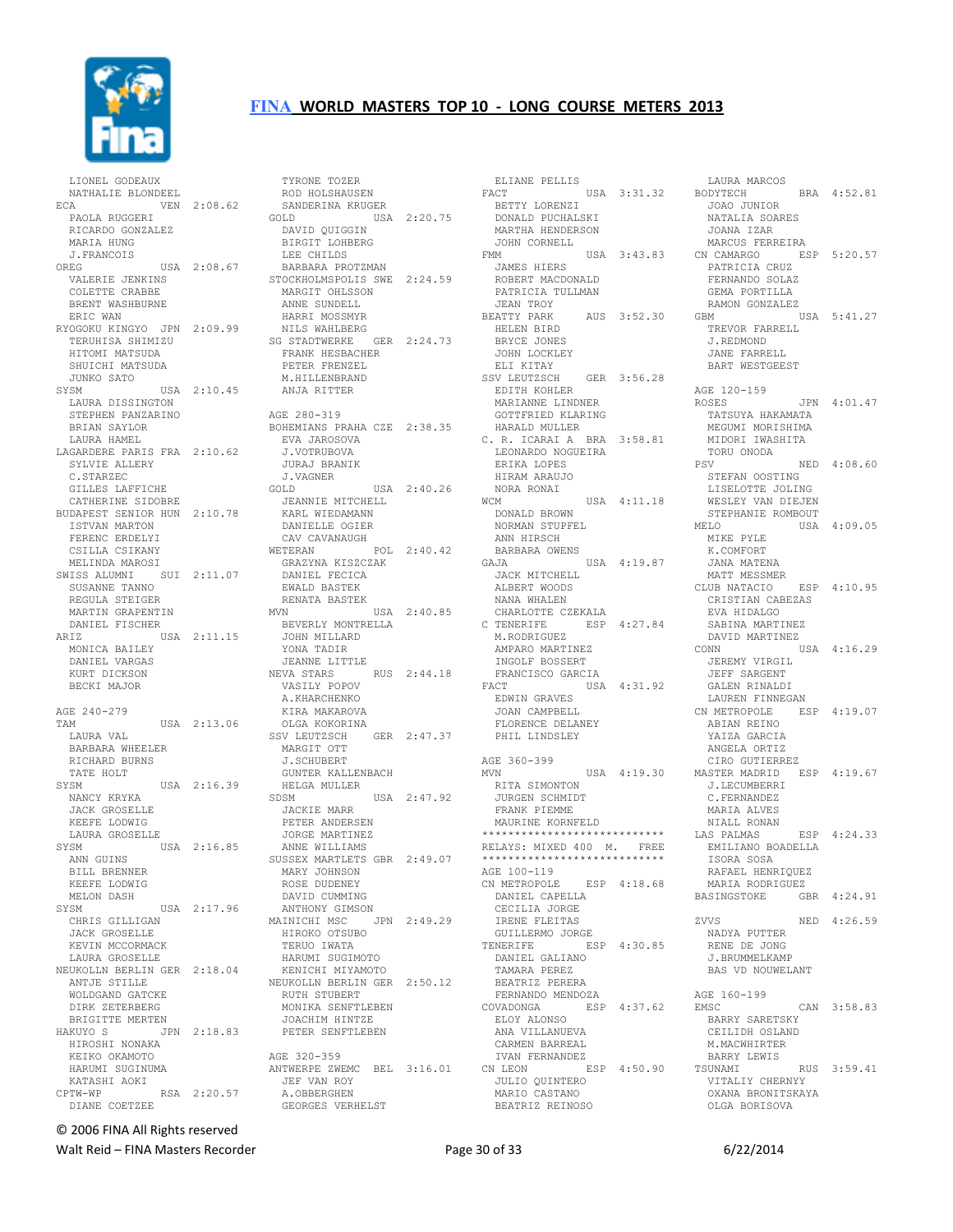

 LIONEL GODEAUX NATHALIE BLONDEEL ECA VEN 2:08.62 PAOLA RUGGERI RICARDO GONZALEZ MARIA HUNG J.FRANCOIS OREG USA 2:08.67 BARBARA PROTZMAN STOCKHOLMSPOLIS SWE 2:24.59 VALERIE JENKINS COLETTE CRABBE BRENT WASHBURNE ERIC WAN RYOGOKU KINGYO JPN 2:09.99 TERUHISA SHIMIZU HITOMI MATSUDA SHUICHI MATSUDA JUNKO SATO SYSM USA 2:10.45 M.HILLENBRAND ANJA RITTER LAURA DISSINGTON STEPHEN PANZARINO BRIAN SAYLOR LAURA HAMEL LAGARDERE PARIS FRA 2:10.62 SYLVIE ALLERY C.STARZEC GILLES LAFFICHE CATHERINE SIDOBRE BUDAPEST SENIOR HUN 2:10.78 JEANNIE MITCHELL KARL WIEDAMANN ISTVAN MARTON FERENC ERDELYI CSILLA CSIKANY MELINDA MAROSI<br>SWISS ALUMNI SUI 2:11.07 SUSANNE TANNO REGULA STEIGER MARTIN GRAPENTIN MVN DANIEL FISCHER ARIZ USA 2:11.15 BEVERLY MONTRELLA JOHN MILLARD MONICA BAILEY DANIEL VARGAS KURT DICKSON BECKI MAJOR AGE 240-279 TAM USA 2:13.06 LAURA VAL BARBARA WHEELER RICHARD BURNS TATE HOLT SYSM USA 2:16.39 NANCY KRYKA JACK GROSELLE KEEFE LODWIG LAURA GROSELLE SYSM USA 2:16.85 ANN GUINS BILL BRENNER<br>KEEFE LODWIG KEEFE LODWIG<br>
MELON DASH<br>
SYSM USA 2:17.96<br>
CHRIS GILLIGAN<br>
JACK GROSELLE KEVIN MCCORMACK LAURA GROSELLE NEUKOLLN BERLIN GER 2:18.04 ANTJE STILLE WOLDGAND GATCKE DIRK ZETERBERG BRIGITTE MERTEN HAKUYO S JPN 2:18.83 JOACHIM HINTZE PETER SENFTLEBEN HIROSHI NONAKA KEIKO OKAMOTO HARUMI SUGINUMA ANTWERPE ZWEMC BEL 3:16.01 KATASHI AOKI CPTW-WP RSA 2:20.57 DIANE COETZEE

ELIANE<br>
SANDERINA KRUGER<br>
OLD CLERK SANDERINA KRUGER<br>
SANDERINA KRUGER ROD HOLSHAUSEN<br>
SANDERINA KRUGER<br>
GOLD<br>
DAVID QUIGGIN<br>
BIRGIT LOHBERG LEE CHILDS MARGIT OHLSSON ANNE SUNDELL HARRI MOSSMYR NILS WAHLBERG SG STADTWERKE GER 2:24.73 FRANK HESBACHER PETER FRENZEL AGE 280-319 BOHEMIANS PRAHA CZE 2:38.35 EVA JAROSOVA J.VOTRUBOVA JURAJ BRANIK J.VAGNER GOLD USA 2:40.26 DANIELLE OGIER CAV CAVANAUGH<br>VETERAN POL 2:40.42 WETERAN POL 2:40.42 GRAZYNA KISZCZAK DANIEL FECICA EWALD BASTEK RENATA BASTEK ---<br>USA 2:40.85 CHARLOTTE<br>NTRELLA CTENERIFE YONA TADIR JEANNE LITTLE NEVA STARS RUS 2:44.18 VASILY POPOV A.KHARCHENKO KIRA MAKAROVA OLGA KOKORINA SSV LEUTZSCH GER 2:47.37 MARGIT OTT J.SCHUBERT GUNTER KALLENBACH HELGA MULLER SDSM USA 2:47.92 JACKIE MARR PETER ANDERSEN JORGE MARTINEZ ANNE WILLIAMS SUSSEX MARTLETS GBR 2:49.07 MARY JOHNSON<br>ROSE DUDENEY ROSE DUDENEY<br>DAVID CUMMING<br>ANTHONY GIMSON<br>MAINICHI MSC JPN 2:49.29<br>HIROKO OTSUBO HIROKO OTSUBO<br>TERUO IWATA HARUMI SUGIMOTO KENICHI MIYAMOTO NEUKOLLN BERLIN GER 2:50.12 RUTH STUBERT MONIKA SENFTLEBEN AGE 320-359 JEF VAN ROY A.OBBERGHEN GEORGES VERHELST

 ELIANE PELLIS FACT USA 3:31.32 BETTY LORENZI DONALD PUCHALSKI MARTHA HENDERSON JOHN CORNELL<br>FMM  $USA$  3:43.83 JAMES HIERS<br>POPTE ROBERT MACDONALD PATRICIA TULLMAN JEAN TROY<br>BEATTY PARK AUS 3:52.30 GBM HELEN BIRD BRYCE JONES JOHN LOCKLEY ELI KITAY SSV LEUTZSCH GER 3:56.28 EDITH KOHLER EDITH KOHLER<br>MARIANNE LINDNER GOTTFRIED KLARING HARALD MULLER C. R. ICARAI A BRA 3:58.81 LEONARDO NOGUEIRA ERIKA LOPES HIRAM ARAUJO NORA RONAI WCM USA 4:11.18 DONALD BROWN NORMAN STUPFEL ANN HIRSCH BARBARA OWENS GAJA USA 4:19.87 JACK MITCHELL ALBERT WOODS NANA WHALEN CHARLOTTE CZEKALA<br>TENERIFE ESP 4:27.84 C TENERIFE ESP 4:27.84<br>
M.RODRIGUEZ<br>
AMPARO MARTINEZ<br>
INGOLF BOSSERT<br>
FRANCISCO GARCIA FACT USA 4:31.92 EDWIN GRAVES JOAN CAMPBELL FLORENCE DELANEY PHIL LINDSLEY AGE 360-399<br>MVN USA 4:19.30 RITA SIMONTON JURGEN SCHMIDT FRANK PIEMME MAURINE KORNFELD \*\*\*\*\*\*\*\*\*\*\*\*\*\*\*\*\*\*\*\*\*\*\*\*\*\*\*\* RELAYS: MIXED 400 M. FREE \*\*\*\*\*\*\*\*\*\*\*\*\*\*\*\*\*\*\*\*\*\*\*\*\*\*\*\* AGE 100-119<br>CN METROPOLE ESP 4:18.68 DANIEL CAPELLA CECILIA JORGE IRENE FLEITAS GUILLERMO JORGE TENERIFE ESP 4:30.85 DANIEL GALIANO TAMARA PEREZ BEATRIZ PERERA FERNANDO MENDOZA ESP 4:37.62 ELOY ALONSO ANA VILLANUEVA CARMEN BARREAL IVAN FERNANDEZ ESP 4:50.90 JULIO QUINTERO MARIO CASTANO BEATRIZ REINOSO

LAURA MARCOS<br>CODYTECH BRA 4:52.81 BODYTECH BRA 4:52.81 JOAO JUNIOR NATALIA SOARES JOANA IZAR MARCUS FERREIRA CN CAMARGO ESP 5:20.57 PATRICIA CRUZ FERNANDO SOLAZ GEMA PORTILLA RAMON GONZALEZ USA 5:41.27 TREVOR FARRELL J.REDMOND JANE FARRELL BART WESTGEEST AGE 120-159 ROSES JPN 4:01.47 TATSUYA HAKAMATA MEGUMI MORISHIMA MIDORI IWASHITA TORU ONODA PSV NED 4:08.60 STEFAN OOSTING LISELOTTE JOLING WESLEY VAN DIEJEN STEPHANIE ROMBOUT MELO USA 4:09.05 MIKE PYLE K.COMFORT JANA MATENA MATT MESSMER<br>CLUB NATACIO ESP 4:10.95 CRISTIAN CABEZAS EVA HIDALGO<br>SABINA MARTINEZ<br>DAVID MARTINEZ USA 4:16.29 JEREMY VIRGIL JEFF SARGENT GALEN RINALDI LAUREN FINNEGAN<br>J METROPOLE ESP 4:19.07 LAUNDIN ...<br>CN METROPOLE ABIAN REINO YAIZA GARCIA ANGELA ORTIZ CIRO GUTIERREZ MASTER MADRID ESP 4:19.67 J.LECUMBERRI C.FERNANDEZ MARIA ALVES NIALL RONAN LAS PALMAS ESP 4:24.33 EMILIANO BOADELLA ISORA SOSA RAFAEL HENRIQUEZ MARIA RODRIGUEZ BASINGSTOKE GBR 4:24.91 ZVVS NED 4:26.59 NADYA PUTTER RENE DE JONG J.BRUMMELKAMP BAS VD NOUWELANT AGE 160-199<br>EMSC  $CAN$  3:58.83 BARRY SARETSKY CEILIDH OSLAND M.MACWHIRTER ....<br>BARRY LEWIS<br>TSUNAMI RUS 3:59.41 VITALIY CHERNYY OXANA BRONITSKAYA OLGA BORISOVA

© 2006 FINA All Rights reserved

Walt Reid – FINA Masters Recorder and the Case of 33 6/22/2014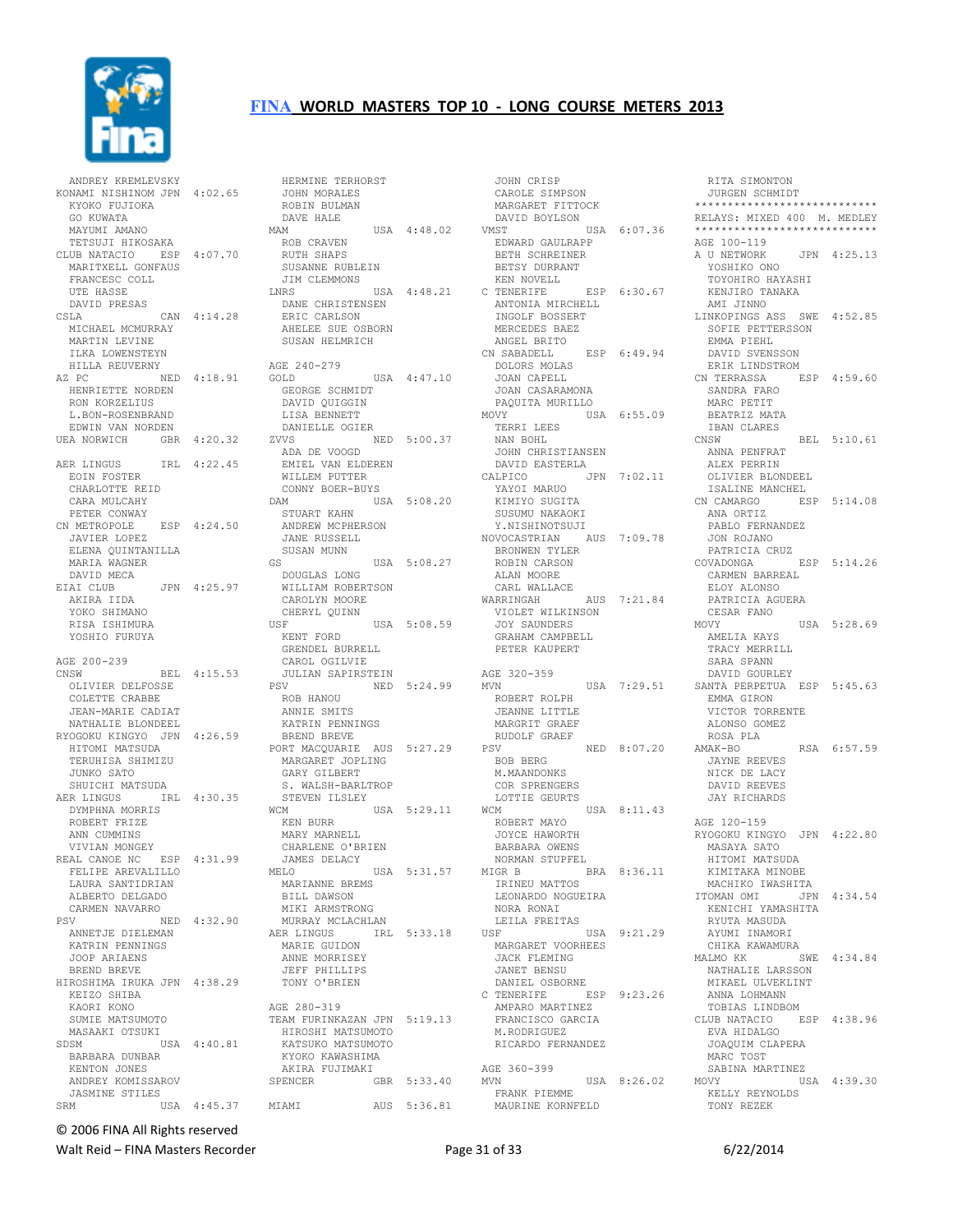

 ANDREY KREMLEVSKY KONAMI NISHINOM JPN 4:02.65 KYOKO FUJIOKA GO KUWATA MAYUMI AMANO TETSUJI HIKOSAKA CLUB NATACIO ESP 4:07.70 MARITXELL GONFAUS FRANCESC COLL UTE HASSE MICHAEL MCMURRAY MARTIN LEVINE ILKA LOWENSTEYN HILLA REUVERNY AZ PC NED 4:18.91 HENRIETTE NORDEN RON KORZELIUS L.BON-ROSENBRAND EDWIN VAN NORDEN UEA NORWICH GBR 4:20.32 AER LINGUS IRL 4:22.45 EOIN FOSTER CHARLOTTE REID CARA MULCAHY<br>PETER CONWAY PETER CONWAY CN METROPOLE ESP 4:24.50 JAVIER LOPEZ ELENA QUINTANILLA MARIA WAGNER DAVID MECA<br>ETAT CLUB JPN 4:25.97 AKIRA IIDA YOKO SHIMANO RISA ISHIMURA YOSHIO FURUYA AGE 200-239<br>CNSW BEL 4:15.53 OLIVIER DELFOSSE COLETTE CRABBE COLETIE CADILLE<br>JEAN-MARIE CADIAT NATHALIE BLONDEEL RYOGOKU KINGYO JPN 4:26.59 HITOMI MATSUDA TERUHISA SHIMIZU JUNKO SATO SHUICHI MATSUDA AER LINGUS IRL 4:30.35 DYMPHNA MORRIS ROBERT FRIZE ANN CUMMINS VIVIAN MONGEY REAL CANOE NC ESP 4:31.99 FELIPE AREVALILLO LAURA SANTIDRIAN ALBERTO DELGADO CARMEN NAVARRO<br>PSV N NED 4:32.90 ANNETJE DIELEMAN KATRIN PENNINGS JOOP ARIAENS BREND BREVE HIROSHIMA IRUKA JPN 4:38.29 KEIZO SHIBA KAORI KONO SDSM USA 4:40.81 BARBARA DUNBAR KENTON JONES ANDREY KOMISSAROV JASMINE STILES SRM USA 4:45.37

 DAVID PRESAS CSLA CAN 4:14.28 DANE CHRISTENSEN ERIC CARLSON ANTONIA MIRCHELL INGOLF BOSSERT SUMIE MATSUMOTO MASAAKI OTSUKI TEAM FURINKAZAN JPN 5:19.13 HIROSHI MATSUMOTO HERMINE TERHORST JOHN MORALES ROBIN BULMAN DAVE HALE MAM MAM USA 4:48.02 ROB CRAVEN RUTH SHAPS SUSANNE RUBLEIN JIM CLEMMONS LNRS USA 4:48.21 C TENERIFE AHELEE SUE OSBORN SUSAN HELMRICH AGE 240-279 9<br>USA 4:47.10 GEORGE SCHMIDT DAVID QUIGGIN LISA BENNETT **DANIELLE OGIER**<br>DANIELLE OGIER<br>*UNI* ZVVS NED 5:00.37 ADA DE VOOGD EMIEL VAN ELDEREN WILLEM PUTTER WILLEM PUTTER<br>CONNY BOER-BUYS DAM USA 5:08.20 STUART KAHN ANDREW MCPHERSON JANE RUSSELL SUSAN MUNN GS USA 5:08.27 DOUGLAS LONG WILLIAM ROBERTSON CAROLYN MOORE CHERYL QUINN USF USA 5:08.59 KENT FORD GRENDEL BURRELL CAROL OGILVIE<br>CAROL OGILVIE<br>JULIAN SAPIRSTI<br>PSV JULIAN SAPIRSTEIN PSV NED 5:24.99 ROB HANOU ANNIE SMITS KATRIN PENNINGS BREND BREVE PORT MACQUARIE AUS 5:27.29 MARGARET JOPLING GARY GILBERT S. WALSH-BARLTROP STEVEN ILSLEY<br>WCM USA 5:29.11 WCM KEN BURR MARY MARNELL CHARLENE O'BRIEN JAMES DELACY USA 5:31.57 MIGR B MARIANNE BREMS BILL DAWSON MIKI ARMSTRONG<br>MURRAY MCLACHLAN MURRAY MCLACHLAN AER LINGUS IRL 5:33.18 MARIE GUIDON ANNE MORRISEY JEFF PHILLIPS TONY O'BRIEN AGE 280-319 KATSUKO MATSUMOTO KYOKO KAWASHIMA AKIRA FUJIMAKI SPENCER GBR 5:33.40 MIAMI AUS 5:36.81

 JOHN CRISP CAROLE SIMPSON MARGARET FITTOCK DAVID BOYLSON<br>VMST l VMST USA 6:07.36 EDWARD GAULRAPP BETH SCHREINER BETSY DURRANT KEN NOVELL C TENERIFE ESP 6:30.67 MERCEDES BAEZ ANGEL BRITO CN SABADELL ESP 6:49.94 DOLORS MOLAS JOAN CAPELL JOAN CASARAMONA PAQUITA MURILLO MOVY USA 6:55.09 BEATRIZ MATA TERRI LEES NAN BOHL JOHN CHRISTIANSEN DAVID EASTERLA CALPICO JPN 7:02.11 YAYOI MARUO<br>KIMIYO SUGITA<br>SUSUMU NAKAOKI Y.NISHINOTSUJI NOVOCASTRIAN AUS 7:09.78 BRONWEN TYLER ROBIN CARSON ALAN MOORE CARL WALLACE WARRINGAH AUS 7:21.84 VIOLET WILKINSON JOY SAUNDERS GRAHAM CAMPBELL PETER KAUPERT AGE 320-359<br>MVN ROBERT ROLPH JEANNE LITTLE MARGRIT GRAEF RUDOLF GRAEF NED 8:07.20 BOB BERG M.MAANDONKS COR SPRENGERS LOTTIE GEURTS  $USA 8:11.43$  ROBERT MAYO ROBERT MAYO<br>JOYCE HAWORTH BARBARA OWENS NORMAN STUPFEL  $BRA = 8:36.11$  IRINEU MATTOS NORA RONAI LEILA FREITAS USF USA 9:21.29 MARGARET VOORHEES **DEL<br>MARGARET VOORHEES<br>JACK FLEMING**  JANET BENSU DANIEL OSBORNE C TENERIFE ESP 9:23.26 ANNA LOHMANN ESP<br>AMPARO MARTINEZ<br>EDAMOTI FRANCISCO GARCIA M.RODRIGUEZ RICARDO FERNANDEZ AGE 360-399 MVN USA 8:26.02 FRANK PIEMME MAURINE KORNFELD

MVN USA 7:29.51 SANTA PERPETUA ESP 5:45.63 LEONARDO NOGUEIRA MACHIKO IWASHITA ITOMAN OMI JPN 4:34.54 RITA SIMONTON JURGEN SCHMIDT \*\*\*\*\*\*\*\*\*\*\*\*\*\*\*\*\*\*\*\*\*\*\*\*\*\*\*\* RELAYS: MIXED 400 M. MEDLEY \*\*\*\*\*\*\*\*\*\*\*\*\*\*\*\*\*\*\*\*\*\*\*\*\*\*\*\* AGE 100-119 A U NETWORK JPN 4:25.13 YOSHIKO ONO TOYOHIRO HAYASHI KENJIRO TANAKA AMI JINNO And Ultimore ASS SWE 4:52.85 SOFIE PETTERSSON EMMA PIEHL DAVID SVENSSON ERIK LINDSTROM CN TERRASSA ESP 4:59.60 SANDRA FARO MARC PETIT IBAN CLARES CNSW BEL 5:10.61 ANNA PENFRAT ALEX PERRIN OLIVIER BLONDEEL ISALINE MANCHEL CN CAMARGO<br>
ANA ORTIZ<br>
PIRECTE ANA ORTIZ PABLO FERNANDEZ JON ROJANO PATRICIA CRUZ COVADONGA ESP 5:14.26 CARMEN BARREAL ELOY ALONSO PATRICIA AGUERA CESAR FANO  $USA = 5:28.69$  AMELIA KAYS TRACY MERRILL SARA SPANN DAVID GOURLEY EMMA GIRON VICTOR TORRENTE ALONSO GOMEZ ROSA PLA<br>AMAK-BO RSA 6:57.59 JAYNE REEVES NICK DE LACY DAVID REEVES JAY RICHARDS AGE 120-159 RYOGOKU KINGYO JPN 4:22.80 MASAYA SATO HITOMI MATSUDA HIISHI HIISSSII<br>KIMITAKA MINOBE<br>MACHIKO IWASHITA KENICHI YAMASHITA RYUTA MASUDA AYUMI INAMORI CHIKA KAWAMURA MALMO KK SWE 4:34.84 NATHALIE LARSSON MIKAEL ULVEKLINT TOBIAS LINDBOM CLUB NATACIO ESP 4:38.96 EVA HIDALGO JOAQUIM CLAPERA MARC TOST SABINA MARTINEZ MOVY USA 4:39.30 KELLY REYNOLDS TONY REZEK

© 2006 FINA All Rights reserved

Walt Reid – FINA Masters Recorder and the Case of 31 of 33 6/22/2014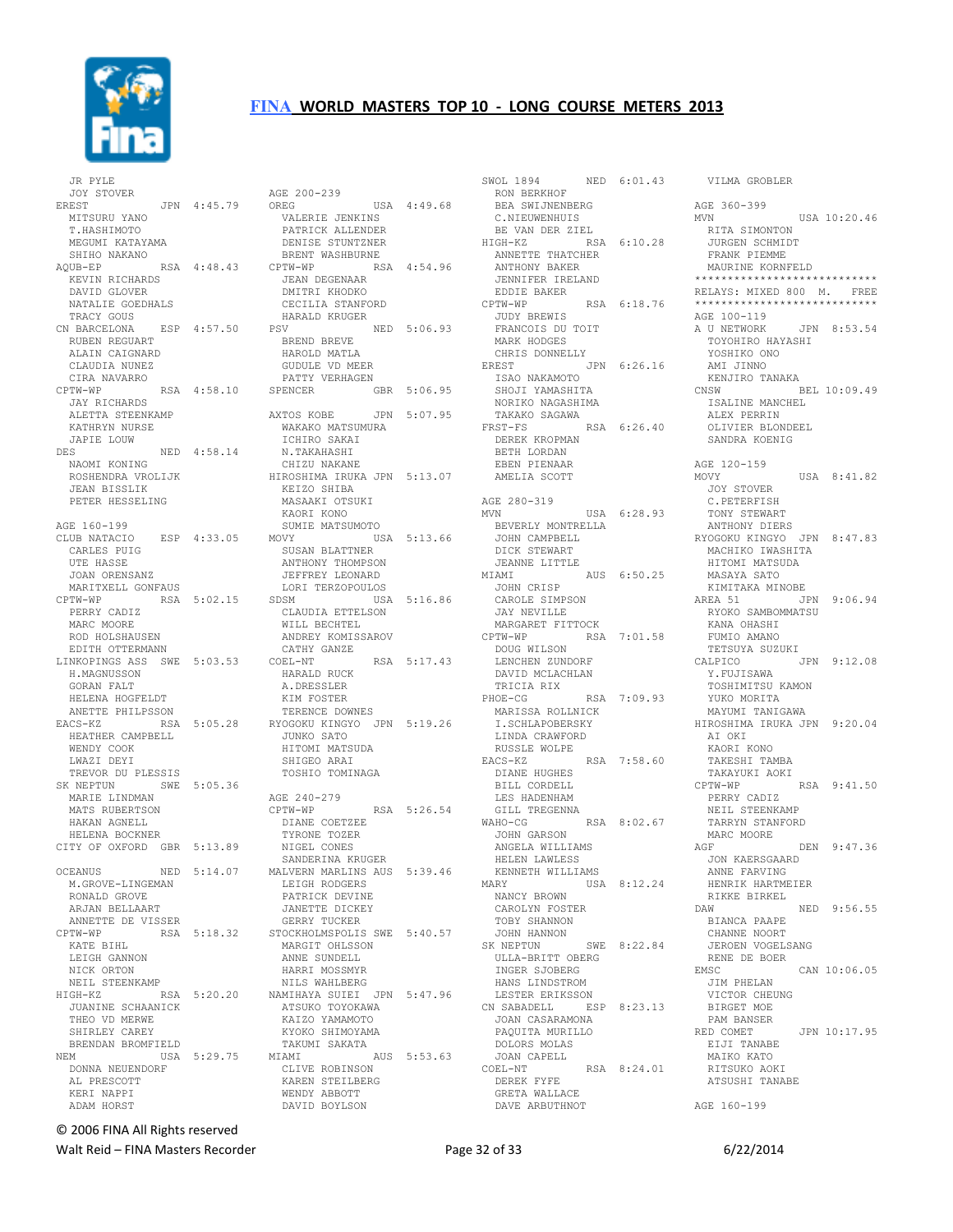

 JR PYLE JOY STOVER EREST JPN 4:45.79 MITSURU YANO T.HASHIMOTO MEGUMI KATAYAMA SHIHO NAKANO KEVIN RICHARDS DAVID GLOVER NATALIE GOEDHALS TRACY GOUS CN BARCELONA ESP 4:57.50 RUBEN REGUART ALAIN CAIGNARD CLAUDIA NUNEZ CIRA NAVARRO<br>CPTW-WP JAY RICHARDS ALETTA STEENKAMP KATHRYN NURSE JAPIE LOUW<br>DES NED 4:58.14 NAOMI KONING NAOMI KONING<br>ROSHENDRA VROLIJK<br>----------------- JEAN BISSLIK PETER HESSELING AGE 160-199 CARLES PUIG UTE HASSE JOAN ORENSANZ MARITXELL GONFAUS<br>CPTW-WP RSA RSA 5:02.15 PERRY CADIZ MARC MOORE ROD HOLSHAUSEN EDITH OTTERMANN LINKOPINGS ASS SWE 5:03.53 H.MAGNUSSON GORAN FALT HELENA HOGFELDT ANETTE PHILPSSON HEATHER CAMPBELL WENDY COOK<br>LWAZI DEYI LWAZI DEYI<br>
TREVOR DU PLESSIS<br>
SK NEPTUN SWE 5:05.36<br>
MARIE LINDMAN<br>
MATS RUBERTSON<br>
HAKAN AGNELL<br>
HELENA BOCKNER CITY OF OXFORD GBR 5:13.89 NIGEL CONES M.GROVE-LINGEMAN RONALD GROVE ARJAN BELLAART ANNETTE DE VISSER KATE BIHL LEIGH GANNON NICK ORTON NEIL STEENKAMP JUANINE SCHAANICK THEO VD MERWE SHIRLEY CAREY BRENDAN BROMFIELD DONNA NEUENDORF AL PRESCOTT KERI NAPPI ADAM HORST

AQUB-EP RSA 4:48.43 CPTW-WP RSA 4:54.96 CPTW-WP RSA 4:58.10 SPENCER GBR 5:06.95 CLUB NATACIO ESP 4:33.05 MOVY USA 5:13.66 EACS-KZ RSA 5:05.28 RYOGOKU KINGYO JPN 5:19.26 OCEANUS NED 5:14.07 MALVERN MARLINS AUS 5:39.46 CPTW-WP RSA 5:18.32 STOCKHOLMSPOLIS SWE 5:40.57 HIGH-KZ RSA 5:20.20 NAMIHAYA SUIEI JPN 5:47.96 NEM USA 5:29.75 MIAMI AUS 5:53.63 AGE 200-239 OREG USA 4:49.68 VALERIE JENKINS PATRICK ALLENDER DENISE STUNTZNER BRENT WASHBURNE JEAN DEGENAAR DMITRI KHODKO CECILIA STANFORD HARALD KRUGER PSV NED 5:06.93 BREND BREVE HAROLD MATLA GUDULE VD MEER PATTY VERHAGEN AXTOS KOBE JPN 5:07.95 WAKAKO MATSUMURA ICHIRO SAKAI N.TAKAHASHI CHIZU NAKANE HIROSHIMA IRUKA JPN 5:13.07 KEIZO SHIBA MASAAKI OTSUKI KAORI KONO SUMIE MATSUMOTO SUSAN BLATTNER ANTHONY THOMPSON JEFFREY LEONARD LORI TERZOPOULOS SDSM USA 5:16.86 CLAUDIA ETTELSON WILL BECHTEL ANDREY KOMISSAROV CATHY GANZE<br>
COEL-NT RSA 5:17.43 HARALD RUCK A.DRESSLER KIM FOSTER TERENCE DOWNES JUNKO SATO HITOMI MATSUDA SHIGEO ARAI<br>TOSHIO TOMINAGA AGE 240-279 CPTW-WP RSA 5:26.54 DIANE COETZEE TYRONE TOZER SANDERINA KRUGER LEIGH RODGERS PATRICK DEVINE JANETTE DICKEY GERRY TUCKER MARGIT OHLSSON ANNE SUNDELL HARRI MOSSMYR NILS WAHLBERG ATSUKO TOYOKAWA<br>ATSUKO TOYOKAWA<br>KATSO VAMAMOTO KAIZO YAMAMOTO KYOKO SHIMOYAMA<br>KYOKO SHIMOYAMA TAKUMI SAKATA CLIVE ROBINSON KAREN STEILBERG WENDY ABBOTT DAVID BOYLSON

SWOL 1894 NED 6:01.43<br>
RON BERKHOF<br>
BEA SWIJNENBERG<br>
C.NIEUWENHUIS<br>
BE VAN DER ZIEL HIGH-KZ RSA 6:10.28 ANNETTE THATCHER ANTHONY BAKER JENNIFER IRELAND EDDIE BAKER CPTW-WP RSA 6:18.76 JUDY BREWIS FRANCOIS DU TOIT MARK HODGES CHRIS DONNELLY EREST JPN 6:26.16 YOSHIKO ONO AMI JINNO ISAO NAKAMOTO SHOJI YAMASHITA NORIKO NAGASHIMA<br>TAKAKO SAGAWA<br>FRST-FS RSA TAKAKO SAGAWA RSA 6:26.40 DEREK KROPMAN BETH LORDAN EBEN PIENAAR AMELIA SCOTT AGE 280-319<br>MVN USA 6:28.93 BEVERLY MONTRELLA JOHN CAMPBELL DICK STEWART JEANNE LITTLE MIAMI AUS 6:50.25 JOHN CRISP CAROLE SIMPSON JAY NEVILLE MARGARET FITTOCK CPTW-WP RSA 7:01.58 DOUG WILSON LENCHEN ZUNDORF DAVID MCLACHLAN TRICIA RIX PHOE-CG RSA 7:09.93 LINDA CRAWFORD RUSSLE WOLPE EACS-KZ RSA 7:58.60 DIANE HUGHES BILL CORDELL LES HADENHAM<br>GILL TREGENNA GILL TREGENNA WAHO-CG RSA 8:02.67 JOHN GARSON JOHN GARSON MA<br>ANGELA WILLIAMS AGF HRELEN WIELIND<br>HELEN LAWLESS<br>KENNETH WILLIAMS KENNETH WILLIAMS MARY USA 8:12.24 NANCY BROWN CAROLYN FOSTER TOBY SHANNON JOHN HANNON SK NEPTUN SWE 8:22.84 ULLA-BRITT OBERG INGER SJOBERG HANS LINDSTROM LESTER ERIKSSON CN SABADELL ESP 8:23.13 N SABADELL<br>JOAN CASARAMONA PAQUITA MURILLO --<sub>x</sub>viia muril!<br>DOLORS MOLAS<br>JOAN CAPELL JOAN CAPELL COEL-NT RSA 8:24.01 DEREK FYFE HALLACE GRETA WALLACE DAVE ARBUTHNOT

 MARISSA ROLLNICK I.SCHLAPOBERSKY MAYUMI TANIGAWA HIROSHIMA IRUKA JPN 9:20.04 VILMA GROBLER AGE 360-399 MVN USA 10:20.46 RITA SIMONTON JURGEN SCHMIDT FRANK PIEMME MAURINE KORNFELD \*\*\*\*\*\*\*\*\*\*\*\*\*\*\*\*\*\*\*\*\*\*\*\*\*\*\*\* RELAYS: MIXED 800 M. FREE \*\*\*\*\*\*\*\*\*\*\*\*\*\*\*\*\*\*\*\*\*\*\*\*\*\*\*\* AGE 100-119 A U NETWORK JPN 8:53.54 TOYOHIRO HAYASHI KENJIRO TANAKA BEL 10:09.49 ISALINE MANCHEL ALEX PERRIN OLIVIER BLONDEEL SANDRA KOENIG AGE 120-159<br>MOVY  $USA = 8:41.82$  JOY STOVER C.PETERFISH TONY STEWART ANTHONY DIERS RYOGOKU KINGYO JPN 8:47.83 MACHIKO IWASHITA MACHIKO IWASHITA<br>HITOMI MATSUDA MASAYA SATO<br>KIMITAKA MINOBE<br>AREA 51<br>RYOKO SAMBOMMATSU<br>KANA OHASHI FUMIO AMANO TETSUYA SUZUKI CALPICO JPN 9:12.08 Y.FUJISAWA TOSHIMITSU KAMON YUKO MORITA<br>MAYUMI TANIGAWA AI OKI KAORI KONO TAKESHI TAMBA TAKAYUKI AOKI CPTW-WP RSA 9:41.50 PERRY CADIZ NEIL STEENKAMP TARRYN STANFORD MARC MOORE DEN 9:47.36 JON KAERSGAARD ANNE FARVING HENRIK HARTMEIER RIKKE BIRKEL DAW NED 9:56.55 BIANCA PAAPE CHANNE NOORT JEROEN VOGELSANG RENE DE BOER<br>EMSC  $CAN 10:06.05$  JIM PHELAN VICTOR CHEUNG BIRGET MOE PAM BANSER FAM DANSER<br>RED COMET JPN 10:17.95 EIJI TANABE MAIKO KATO RITSUKO AOKI ATSUSHI TANABE AGE 160-199

© 2006 FINA All Rights reserved

Walt Reid – FINA Masters Recorder and the Case of 32 of 33 6/22/2014